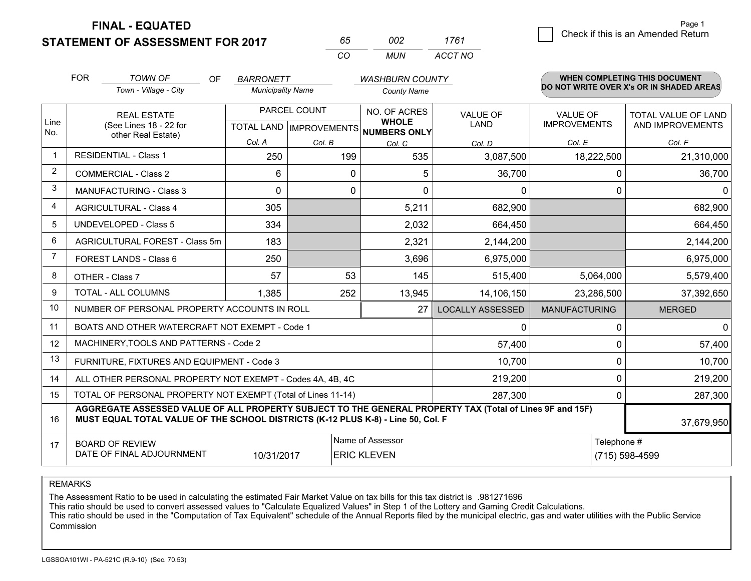**STATEMENT OF ASSESSMENT FOR 2017 FINAL - EQUATED**

| 65. | nnə  | 1761    |
|-----|------|---------|
| CO. | MUN. | ACCT NO |

|                | <b>FOR</b><br><b>TOWN OF</b><br>OF<br><b>BARRONETT</b><br><b>WASHBURN COUNTY</b>                                                                                                             |                                                              |                                                      | WHEN COMPLETING THIS DOCUMENT<br>DO NOT WRITE OVER X's OR IN SHADED AREAS |                              |                                |                                 |                                         |
|----------------|----------------------------------------------------------------------------------------------------------------------------------------------------------------------------------------------|--------------------------------------------------------------|------------------------------------------------------|---------------------------------------------------------------------------|------------------------------|--------------------------------|---------------------------------|-----------------------------------------|
|                |                                                                                                                                                                                              | Town - Village - City                                        | <b>Municipality Name</b>                             |                                                                           | <b>County Name</b>           |                                |                                 |                                         |
| Line<br>No.    | <b>REAL ESTATE</b><br>(See Lines 18 - 22 for                                                                                                                                                 |                                                              | PARCEL COUNT<br>TOTAL LAND IMPROVEMENTS NUMBERS ONLY |                                                                           | NO. OF ACRES<br><b>WHOLE</b> | <b>VALUE OF</b><br><b>LAND</b> | VALUE OF<br><b>IMPROVEMENTS</b> | TOTAL VALUE OF LAND<br>AND IMPROVEMENTS |
|                |                                                                                                                                                                                              | other Real Estate)                                           | Col. A                                               | Col. B                                                                    | Col. C                       | Col. D                         | Col. E                          | Col. F                                  |
| -1             |                                                                                                                                                                                              | RESIDENTIAL - Class 1                                        | 250                                                  | 199                                                                       | 535                          | 3,087,500                      | 18,222,500                      | 21,310,000                              |
| 2              |                                                                                                                                                                                              | <b>COMMERCIAL - Class 2</b>                                  | 6                                                    | 0                                                                         | 5                            | 36,700                         | 0                               | 36,700                                  |
| 3              |                                                                                                                                                                                              | <b>MANUFACTURING - Class 3</b>                               | $\Omega$                                             | 0                                                                         | $\Omega$                     | 0                              | $\Omega$                        | $\mathbf{0}$                            |
| 4              |                                                                                                                                                                                              | <b>AGRICULTURAL - Class 4</b>                                | 305                                                  |                                                                           | 5,211                        | 682,900                        |                                 | 682,900                                 |
| 5              |                                                                                                                                                                                              | UNDEVELOPED - Class 5                                        | 334                                                  |                                                                           | 2,032                        | 664,450                        |                                 | 664,450                                 |
| 6              |                                                                                                                                                                                              | AGRICULTURAL FOREST - Class 5m                               | 183                                                  |                                                                           | 2,321                        | 2,144,200                      |                                 | 2,144,200                               |
| $\overline{7}$ |                                                                                                                                                                                              | FOREST LANDS - Class 6                                       | 250                                                  |                                                                           | 3,696                        | 6,975,000                      |                                 | 6,975,000                               |
| 8              |                                                                                                                                                                                              | OTHER - Class 7                                              | 57                                                   | 53                                                                        | 145                          | 515,400                        | 5,064,000                       | 5,579,400                               |
| 9              |                                                                                                                                                                                              | TOTAL - ALL COLUMNS                                          | 1,385                                                | 252                                                                       | 13,945                       | 14,106,150                     | 23,286,500                      | 37,392,650                              |
| 10             |                                                                                                                                                                                              | NUMBER OF PERSONAL PROPERTY ACCOUNTS IN ROLL                 |                                                      |                                                                           | 27                           | <b>LOCALLY ASSESSED</b>        | <b>MANUFACTURING</b>            | <b>MERGED</b>                           |
| 11             |                                                                                                                                                                                              | BOATS AND OTHER WATERCRAFT NOT EXEMPT - Code 1               |                                                      |                                                                           |                              | 0                              | $\Omega$                        | $\mathbf 0$                             |
| 12             |                                                                                                                                                                                              | MACHINERY, TOOLS AND PATTERNS - Code 2                       |                                                      |                                                                           |                              | 57,400                         | 0                               | 57,400                                  |
| 13             |                                                                                                                                                                                              | FURNITURE, FIXTURES AND EQUIPMENT - Code 3                   |                                                      |                                                                           |                              | 10,700                         | 0                               | 10,700                                  |
| 14             |                                                                                                                                                                                              | ALL OTHER PERSONAL PROPERTY NOT EXEMPT - Codes 4A, 4B, 4C    |                                                      |                                                                           |                              | 219,200                        | 0                               | 219,200                                 |
| 15             |                                                                                                                                                                                              | TOTAL OF PERSONAL PROPERTY NOT EXEMPT (Total of Lines 11-14) |                                                      |                                                                           |                              | 287,300                        | 0                               | 287,300                                 |
| 16             | AGGREGATE ASSESSED VALUE OF ALL PROPERTY SUBJECT TO THE GENERAL PROPERTY TAX (Total of Lines 9F and 15F)<br>MUST EQUAL TOTAL VALUE OF THE SCHOOL DISTRICTS (K-12 PLUS K-8) - Line 50, Col. F |                                                              |                                                      |                                                                           |                              |                                |                                 | 37,679,950                              |
| 17             | Name of Assessor<br>Telephone #<br><b>BOARD OF REVIEW</b><br>DATE OF FINAL ADJOURNMENT<br>10/31/2017<br><b>ERIC KLEVEN</b>                                                                   |                                                              |                                                      |                                                                           |                              |                                | (715) 598-4599                  |                                         |

REMARKS

The Assessment Ratio to be used in calculating the estimated Fair Market Value on tax bills for this tax district is .981271696

This ratio should be used to convert assessed values to "Calculate Equalized Values" in Step 1 of the Lottery and Gaming Credit Calculations.<br>This ratio should be used in the "Computation of Tax Equivalent" schedule of the Commission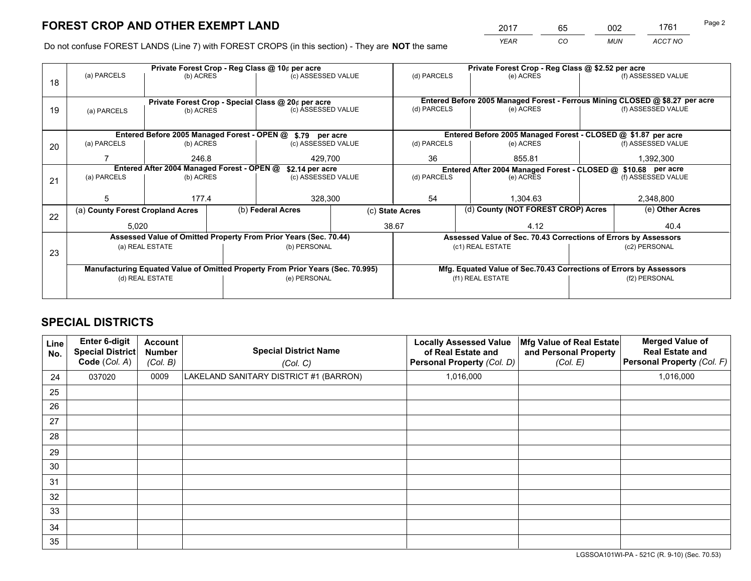*YEAR CO MUN ACCT NO* <sup>2017</sup> <sup>65</sup> <sup>002</sup> <sup>1761</sup>

Do not confuse FOREST LANDS (Line 7) with FOREST CROPS (in this section) - They are **NOT** the same

|    |                                                                                |                 |  | Private Forest Crop - Reg Class @ 10¢ per acre                   |                 | Private Forest Crop - Reg Class @ \$2.52 per acre                            |  |                                                                    |               |                    |
|----|--------------------------------------------------------------------------------|-----------------|--|------------------------------------------------------------------|-----------------|------------------------------------------------------------------------------|--|--------------------------------------------------------------------|---------------|--------------------|
| 18 | (a) PARCELS                                                                    | (b) ACRES       |  | (c) ASSESSED VALUE                                               |                 | (d) PARCELS                                                                  |  | (e) ACRES                                                          |               | (f) ASSESSED VALUE |
|    |                                                                                |                 |  |                                                                  |                 |                                                                              |  |                                                                    |               |                    |
|    | Private Forest Crop - Special Class @ 20¢ per acre                             |                 |  |                                                                  |                 | Entered Before 2005 Managed Forest - Ferrous Mining CLOSED @ \$8.27 per acre |  |                                                                    |               |                    |
| 19 | (a) PARCELS                                                                    | (b) ACRES       |  | (c) ASSESSED VALUE                                               |                 | (d) PARCELS                                                                  |  | (e) ACRES                                                          |               | (f) ASSESSED VALUE |
|    |                                                                                |                 |  |                                                                  |                 |                                                                              |  |                                                                    |               |                    |
|    |                                                                                |                 |  | Entered Before 2005 Managed Forest - OPEN @ \$.79 per acre       |                 |                                                                              |  | Entered Before 2005 Managed Forest - CLOSED @ \$1.87 per acre      |               |                    |
| 20 | (a) PARCELS                                                                    | (b) ACRES       |  | (c) ASSESSED VALUE                                               |                 | (d) PARCELS                                                                  |  | (e) ACRES                                                          |               | (f) ASSESSED VALUE |
|    |                                                                                | 246.8           |  | 429.700                                                          |                 | 36<br>855.81                                                                 |  |                                                                    |               | 1,392,300          |
|    | Entered After 2004 Managed Forest - OPEN @<br>\$2.14 per acre                  |                 |  |                                                                  |                 | Entered After 2004 Managed Forest - CLOSED @ \$10.68 per acre                |  |                                                                    |               |                    |
| 21 | (a) PARCELS                                                                    | (b) ACRES       |  | (c) ASSESSED VALUE                                               |                 | (d) PARCELS                                                                  |  | (e) ACRES                                                          |               | (f) ASSESSED VALUE |
|    |                                                                                |                 |  |                                                                  |                 |                                                                              |  |                                                                    |               |                    |
|    | 5                                                                              | 177.4           |  | 328,300                                                          |                 | 54                                                                           |  | 1.304.63                                                           |               | 2,348,800          |
| 22 | (a) County Forest Cropland Acres                                               |                 |  | (b) Federal Acres                                                | (c) State Acres |                                                                              |  | (d) County (NOT FOREST CROP) Acres                                 |               | (e) Other Acres    |
|    | 5,020                                                                          |                 |  |                                                                  |                 | 38.67                                                                        |  | 4.12                                                               |               | 40.4               |
|    |                                                                                |                 |  | Assessed Value of Omitted Property From Prior Years (Sec. 70.44) |                 |                                                                              |  | Assessed Value of Sec. 70.43 Corrections of Errors by Assessors    |               |                    |
| 23 |                                                                                | (a) REAL ESTATE |  | (b) PERSONAL                                                     |                 |                                                                              |  | (c1) REAL ESTATE                                                   |               | (c2) PERSONAL      |
|    |                                                                                |                 |  |                                                                  |                 |                                                                              |  |                                                                    |               |                    |
|    | Manufacturing Equated Value of Omitted Property From Prior Years (Sec. 70.995) |                 |  |                                                                  |                 |                                                                              |  | Mfg. Equated Value of Sec.70.43 Corrections of Errors by Assessors |               |                    |
|    |                                                                                | (d) REAL ESTATE |  | (e) PERSONAL                                                     |                 | (f1) REAL ESTATE                                                             |  |                                                                    | (f2) PERSONAL |                    |
|    |                                                                                |                 |  |                                                                  |                 |                                                                              |  |                                                                    |               |                    |

## **SPECIAL DISTRICTS**

| <b>Line</b><br>No. | Enter 6-digit<br><b>Special District</b><br>Code (Col. A) | <b>Account</b><br><b>Number</b><br>(Col. B) | <b>Special District Name</b><br>(Col. C) | <b>Locally Assessed Value</b><br>of Real Estate and<br>Personal Property (Col. D) | Mfg Value of Real Estate<br>and Personal Property<br>(Col. E) | <b>Merged Value of</b><br><b>Real Estate and</b><br>Personal Property (Col. F) |
|--------------------|-----------------------------------------------------------|---------------------------------------------|------------------------------------------|-----------------------------------------------------------------------------------|---------------------------------------------------------------|--------------------------------------------------------------------------------|
| 24                 | 037020                                                    | 0009                                        | LAKELAND SANITARY DISTRICT #1 (BARRON)   | 1,016,000                                                                         |                                                               | 1,016,000                                                                      |
| 25                 |                                                           |                                             |                                          |                                                                                   |                                                               |                                                                                |
| 26                 |                                                           |                                             |                                          |                                                                                   |                                                               |                                                                                |
| 27                 |                                                           |                                             |                                          |                                                                                   |                                                               |                                                                                |
| 28                 |                                                           |                                             |                                          |                                                                                   |                                                               |                                                                                |
| 29                 |                                                           |                                             |                                          |                                                                                   |                                                               |                                                                                |
| 30                 |                                                           |                                             |                                          |                                                                                   |                                                               |                                                                                |
| 31                 |                                                           |                                             |                                          |                                                                                   |                                                               |                                                                                |
| 32                 |                                                           |                                             |                                          |                                                                                   |                                                               |                                                                                |
| 33                 |                                                           |                                             |                                          |                                                                                   |                                                               |                                                                                |
| 34                 |                                                           |                                             |                                          |                                                                                   |                                                               |                                                                                |
| 35                 |                                                           |                                             |                                          |                                                                                   |                                                               |                                                                                |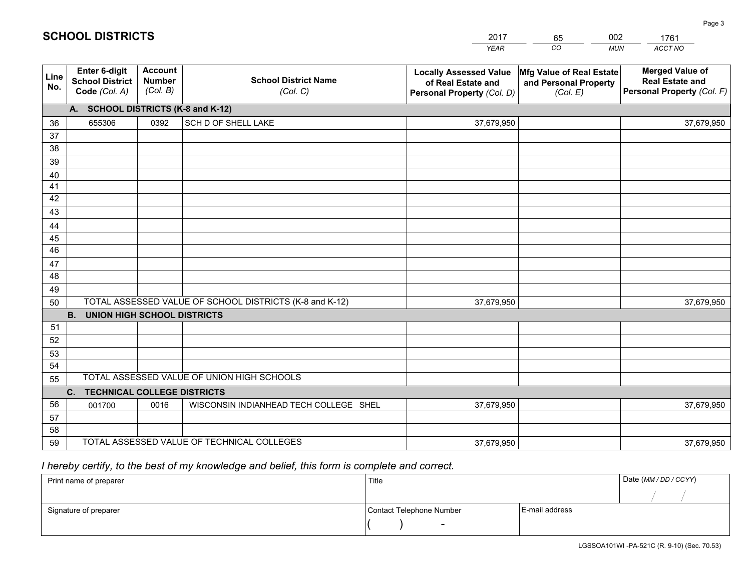|             |                                                          |                                             |                                                         | <b>YEAR</b>                                                                       | CO<br><b>MUN</b>                                              | ACCT NO                                                                        |
|-------------|----------------------------------------------------------|---------------------------------------------|---------------------------------------------------------|-----------------------------------------------------------------------------------|---------------------------------------------------------------|--------------------------------------------------------------------------------|
| Line<br>No. | Enter 6-digit<br><b>School District</b><br>Code (Col. A) | <b>Account</b><br><b>Number</b><br>(Col. B) | <b>School District Name</b><br>(Col. C)                 | <b>Locally Assessed Value</b><br>of Real Estate and<br>Personal Property (Col. D) | Mfg Value of Real Estate<br>and Personal Property<br>(Col. E) | <b>Merged Value of</b><br><b>Real Estate and</b><br>Personal Property (Col. F) |
|             | A. SCHOOL DISTRICTS (K-8 and K-12)                       |                                             |                                                         |                                                                                   |                                                               |                                                                                |
| 36          | 655306                                                   | 0392                                        | SCH D OF SHELL LAKE                                     | 37,679,950                                                                        |                                                               | 37,679,950                                                                     |
| 37          |                                                          |                                             |                                                         |                                                                                   |                                                               |                                                                                |
| 38          |                                                          |                                             |                                                         |                                                                                   |                                                               |                                                                                |
| 39          |                                                          |                                             |                                                         |                                                                                   |                                                               |                                                                                |
| 40          |                                                          |                                             |                                                         |                                                                                   |                                                               |                                                                                |
| 41          |                                                          |                                             |                                                         |                                                                                   |                                                               |                                                                                |
| 42          |                                                          |                                             |                                                         |                                                                                   |                                                               |                                                                                |
| 43          |                                                          |                                             |                                                         |                                                                                   |                                                               |                                                                                |
| 44<br>45    |                                                          |                                             |                                                         |                                                                                   |                                                               |                                                                                |
| 46          |                                                          |                                             |                                                         |                                                                                   |                                                               |                                                                                |
| 47          |                                                          |                                             |                                                         |                                                                                   |                                                               |                                                                                |
| 48          |                                                          |                                             |                                                         |                                                                                   |                                                               |                                                                                |
| 49          |                                                          |                                             |                                                         |                                                                                   |                                                               |                                                                                |
| 50          |                                                          |                                             | TOTAL ASSESSED VALUE OF SCHOOL DISTRICTS (K-8 and K-12) | 37,679,950                                                                        |                                                               | 37,679,950                                                                     |
|             | <b>B.</b><br><b>UNION HIGH SCHOOL DISTRICTS</b>          |                                             |                                                         |                                                                                   |                                                               |                                                                                |
| 51          |                                                          |                                             |                                                         |                                                                                   |                                                               |                                                                                |
| 52          |                                                          |                                             |                                                         |                                                                                   |                                                               |                                                                                |
| 53          |                                                          |                                             |                                                         |                                                                                   |                                                               |                                                                                |
| 54          |                                                          |                                             |                                                         |                                                                                   |                                                               |                                                                                |
| 55          |                                                          |                                             | TOTAL ASSESSED VALUE OF UNION HIGH SCHOOLS              |                                                                                   |                                                               |                                                                                |
|             | $C_{1}$<br><b>TECHNICAL COLLEGE DISTRICTS</b>            |                                             |                                                         |                                                                                   |                                                               |                                                                                |
| 56          | 001700                                                   | 0016                                        | WISCONSIN INDIANHEAD TECH COLLEGE SHEL                  | 37,679,950                                                                        |                                                               | 37,679,950                                                                     |
| 57          |                                                          |                                             |                                                         |                                                                                   |                                                               |                                                                                |
| 58          |                                                          |                                             |                                                         |                                                                                   |                                                               |                                                                                |
| 59          |                                                          |                                             | TOTAL ASSESSED VALUE OF TECHNICAL COLLEGES              | 37,679,950                                                                        |                                                               | 37,679,950                                                                     |

65

002

 *I hereby certify, to the best of my knowledge and belief, this form is complete and correct.*

**SCHOOL DISTRICTS**

| Print name of preparer | Title                    |                | Date (MM/DD/CCYY) |
|------------------------|--------------------------|----------------|-------------------|
|                        |                          |                |                   |
| Signature of preparer  | Contact Telephone Number | E-mail address |                   |
|                        | $\overline{\phantom{0}}$ |                |                   |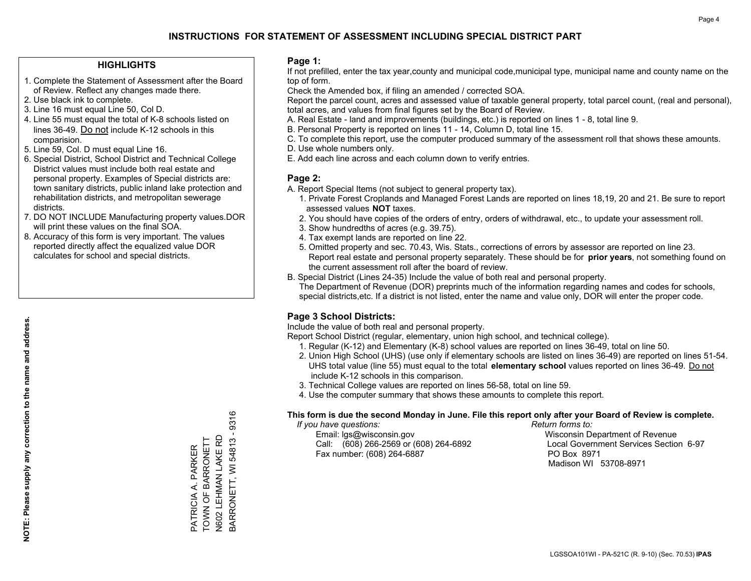### **HIGHLIGHTS**

- 1. Complete the Statement of Assessment after the Board of Review. Reflect any changes made there.
- 2. Use black ink to complete.
- 3. Line 16 must equal Line 50, Col D.
- 4. Line 55 must equal the total of K-8 schools listed on lines 36-49. Do not include K-12 schools in this comparision.
- 5. Line 59, Col. D must equal Line 16.
- 6. Special District, School District and Technical College District values must include both real estate and personal property. Examples of Special districts are: town sanitary districts, public inland lake protection and rehabilitation districts, and metropolitan sewerage districts.
- 7. DO NOT INCLUDE Manufacturing property values.DOR will print these values on the final SOA.
- 8. Accuracy of this form is very important. The values reported directly affect the equalized value DOR calculates for school and special districts.

### **Page 1:**

 If not prefilled, enter the tax year,county and municipal code,municipal type, municipal name and county name on the top of form.

Check the Amended box, if filing an amended / corrected SOA.

 Report the parcel count, acres and assessed value of taxable general property, total parcel count, (real and personal), total acres, and values from final figures set by the Board of Review.

- A. Real Estate land and improvements (buildings, etc.) is reported on lines 1 8, total line 9.
- B. Personal Property is reported on lines 11 14, Column D, total line 15.
- C. To complete this report, use the computer produced summary of the assessment roll that shows these amounts.
- D. Use whole numbers only.
- E. Add each line across and each column down to verify entries.

### **Page 2:**

- A. Report Special Items (not subject to general property tax).
- 1. Private Forest Croplands and Managed Forest Lands are reported on lines 18,19, 20 and 21. Be sure to report assessed values **NOT** taxes.
- 2. You should have copies of the orders of entry, orders of withdrawal, etc., to update your assessment roll.
	- 3. Show hundredths of acres (e.g. 39.75).
- 4. Tax exempt lands are reported on line 22.
- 5. Omitted property and sec. 70.43, Wis. Stats., corrections of errors by assessor are reported on line 23. Report real estate and personal property separately. These should be for **prior years**, not something found on the current assessment roll after the board of review.
- B. Special District (Lines 24-35) Include the value of both real and personal property.

 The Department of Revenue (DOR) preprints much of the information regarding names and codes for schools, special districts,etc. If a district is not listed, enter the name and value only, DOR will enter the proper code.

### **Page 3 School Districts:**

Include the value of both real and personal property.

Report School District (regular, elementary, union high school, and technical college).

- 1. Regular (K-12) and Elementary (K-8) school values are reported on lines 36-49, total on line 50.
- 2. Union High School (UHS) (use only if elementary schools are listed on lines 36-49) are reported on lines 51-54. UHS total value (line 55) must equal to the total **elementary school** values reported on lines 36-49. Do notinclude K-12 schools in this comparison.
- 3. Technical College values are reported on lines 56-58, total on line 59.
- 4. Use the computer summary that shows these amounts to complete this report.

#### **This form is due the second Monday in June. File this report only after your Board of Review is complete.**

 *If you have questions: Return forms to:*

 Email: lgs@wisconsin.gov Wisconsin Department of RevenueCall:  $(608)$  266-2569 or  $(608)$  264-6892 Fax number: (608) 264-6887 PO Box 8971

Local Government Services Section 6-97 Madison WI 53708-8971

3ARRONETT, WI 54813 - 9316 BARRONETT, WI 54813 - 9316 TOWN OF BARRONETT N602 LEHMAN LAKE RD PATRICIA A. PARKER<br>TOWN OF BARRONETT N602 LEHMAN LAKE RD PARKER PATRICIA A. PARKER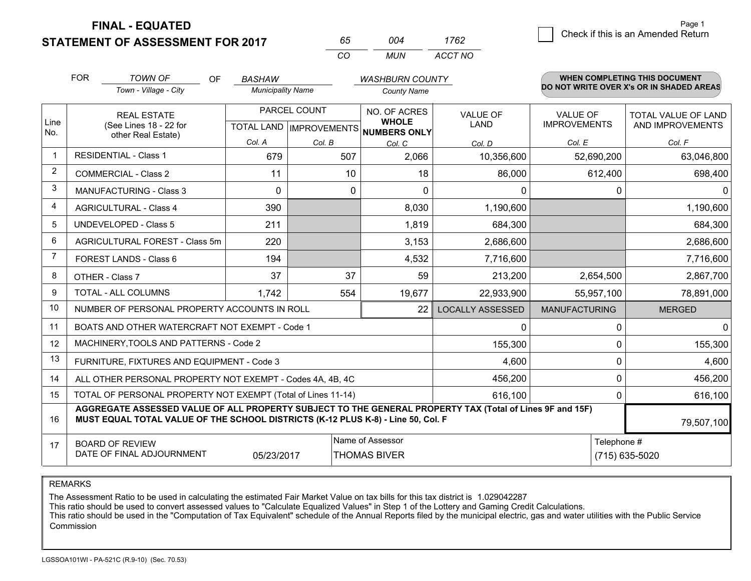**FINAL - EQUATED**

**STATEMENT OF ASSESSMENT FOR 2017** 

| 6h.      | ∩∩⊿ | 1762    |
|----------|-----|---------|
| $\cdots$ | MUN | ACCT NO |

|             | <b>FOR</b>                                                                                                                                                                                   | <b>TOWN OF</b><br><b>OF</b>                                  | <b>BASHAW</b>                             |        | <b>WASHBURN COUNTY</b>                       |                                |                                 | WHEN COMPLETING THIS DOCUMENT            |
|-------------|----------------------------------------------------------------------------------------------------------------------------------------------------------------------------------------------|--------------------------------------------------------------|-------------------------------------------|--------|----------------------------------------------|--------------------------------|---------------------------------|------------------------------------------|
|             |                                                                                                                                                                                              | Town - Village - City                                        | <b>Municipality Name</b>                  |        | <b>County Name</b>                           |                                |                                 | DO NOT WRITE OVER X's OR IN SHADED AREAS |
| Line<br>No. |                                                                                                                                                                                              | <b>REAL ESTATE</b><br>(See Lines 18 - 22 for                 | PARCEL COUNT<br>TOTAL LAND   IMPROVEMENTS |        | NO. OF ACRES<br><b>WHOLE</b><br>NUMBERS ONLY | <b>VALUE OF</b><br><b>LAND</b> | VALUE OF<br><b>IMPROVEMENTS</b> | TOTAL VALUE OF LAND<br>AND IMPROVEMENTS  |
|             |                                                                                                                                                                                              | other Real Estate)                                           | Col. A                                    | Col. B | Col. C                                       | Col. D                         | Col. E                          | Col. F                                   |
| $\mathbf 1$ |                                                                                                                                                                                              | <b>RESIDENTIAL - Class 1</b>                                 | 679                                       | 507    | 2,066                                        | 10,356,600                     | 52,690,200                      | 63,046,800                               |
| 2           |                                                                                                                                                                                              | <b>COMMERCIAL - Class 2</b>                                  | 11                                        | 10     | 18                                           | 86,000                         | 612,400                         | 698,400                                  |
| 3           |                                                                                                                                                                                              | <b>MANUFACTURING - Class 3</b>                               | $\Omega$                                  | 0      | 0                                            | 0                              | 0                               | $\mathbf 0$                              |
| 4           |                                                                                                                                                                                              | <b>AGRICULTURAL - Class 4</b>                                | 390                                       |        | 8,030                                        | 1,190,600                      |                                 | 1,190,600                                |
| 5           |                                                                                                                                                                                              | UNDEVELOPED - Class 5                                        | 211                                       |        | 1,819                                        | 684,300                        |                                 | 684,300                                  |
| 6           |                                                                                                                                                                                              | AGRICULTURAL FOREST - Class 5m                               | 220                                       |        | 3,153                                        | 2,686,600                      |                                 | 2,686,600                                |
| 7           |                                                                                                                                                                                              | FOREST LANDS - Class 6                                       | 194                                       |        | 4,532                                        | 7,716,600                      |                                 | 7,716,600                                |
| 8           |                                                                                                                                                                                              | OTHER - Class 7                                              | 37                                        | 37     | 59                                           | 213,200                        | 2,654,500                       | 2,867,700                                |
| 9           |                                                                                                                                                                                              | TOTAL - ALL COLUMNS                                          | 1,742                                     | 554    | 19,677                                       | 22,933,900                     | 55,957,100                      | 78,891,000                               |
| 10          |                                                                                                                                                                                              | NUMBER OF PERSONAL PROPERTY ACCOUNTS IN ROLL                 |                                           |        | 22                                           | <b>LOCALLY ASSESSED</b>        | <b>MANUFACTURING</b>            | <b>MERGED</b>                            |
| 11          |                                                                                                                                                                                              | BOATS AND OTHER WATERCRAFT NOT EXEMPT - Code 1               |                                           |        |                                              | $\mathbf{0}$                   | $\Omega$                        | $\mathbf{0}$                             |
| 12          |                                                                                                                                                                                              | MACHINERY, TOOLS AND PATTERNS - Code 2                       |                                           |        |                                              | 155,300                        | $\mathbf 0$                     | 155,300                                  |
| 13          |                                                                                                                                                                                              | FURNITURE, FIXTURES AND EQUIPMENT - Code 3                   |                                           |        |                                              | 4,600                          | 0                               | 4,600                                    |
| 14          |                                                                                                                                                                                              | ALL OTHER PERSONAL PROPERTY NOT EXEMPT - Codes 4A, 4B, 4C    |                                           |        |                                              | 456,200                        | 0                               | 456,200                                  |
| 15          |                                                                                                                                                                                              | TOTAL OF PERSONAL PROPERTY NOT EXEMPT (Total of Lines 11-14) |                                           |        |                                              | 616,100                        | $\Omega$                        | 616,100                                  |
| 16          | AGGREGATE ASSESSED VALUE OF ALL PROPERTY SUBJECT TO THE GENERAL PROPERTY TAX (Total of Lines 9F and 15F)<br>MUST EQUAL TOTAL VALUE OF THE SCHOOL DISTRICTS (K-12 PLUS K-8) - Line 50, Col. F |                                                              |                                           |        |                                              |                                |                                 | 79,507,100                               |
| 17          | Name of Assessor<br>Telephone #<br><b>BOARD OF REVIEW</b><br>DATE OF FINAL ADJOURNMENT<br>05/23/2017<br><b>THOMAS BIVER</b>                                                                  |                                                              |                                           |        |                                              |                                | (715) 635-5020                  |                                          |

REMARKS

The Assessment Ratio to be used in calculating the estimated Fair Market Value on tax bills for this tax district is 1.029042287

This ratio should be used to convert assessed values to "Calculate Equalized Values" in Step 1 of the Lottery and Gaming Credit Calculations.<br>This ratio should be used in the "Computation of Tax Equivalent" schedule of the **Commission**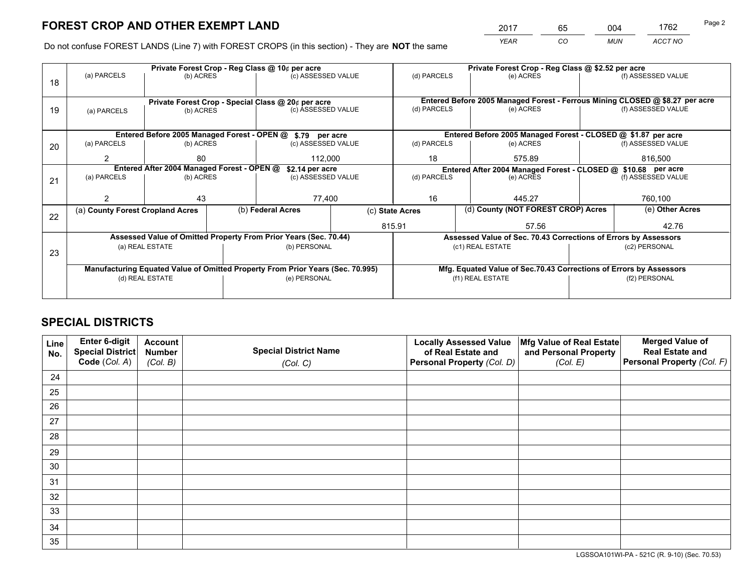*YEAR CO MUN ACCT NO* <sup>2017</sup> <sup>65</sup> <sup>004</sup> <sup>1762</sup> Page 2

Do not confuse FOREST LANDS (Line 7) with FOREST CROPS (in this section) - They are **NOT** the same

|    |                                                                                |                 |  | Private Forest Crop - Reg Class @ 10¢ per acre                   |                 | Private Forest Crop - Reg Class @ \$2.52 per acre                  |                                                                 |  |                                                                              |  |
|----|--------------------------------------------------------------------------------|-----------------|--|------------------------------------------------------------------|-----------------|--------------------------------------------------------------------|-----------------------------------------------------------------|--|------------------------------------------------------------------------------|--|
| 18 | (a) PARCELS                                                                    | (b) ACRES       |  | (c) ASSESSED VALUE                                               |                 | (d) PARCELS                                                        | (e) ACRES                                                       |  | (f) ASSESSED VALUE                                                           |  |
|    |                                                                                |                 |  |                                                                  |                 |                                                                    |                                                                 |  |                                                                              |  |
|    |                                                                                |                 |  | Private Forest Crop - Special Class @ 20¢ per acre               |                 |                                                                    |                                                                 |  | Entered Before 2005 Managed Forest - Ferrous Mining CLOSED @ \$8.27 per acre |  |
| 19 | (a) PARCELS                                                                    | (b) ACRES       |  | (c) ASSESSED VALUE                                               |                 | (d) PARCELS                                                        | (e) ACRES                                                       |  | (f) ASSESSED VALUE                                                           |  |
|    |                                                                                |                 |  |                                                                  |                 |                                                                    |                                                                 |  |                                                                              |  |
|    |                                                                                |                 |  | Entered Before 2005 Managed Forest - OPEN @ \$.79 per acre       |                 |                                                                    | Entered Before 2005 Managed Forest - CLOSED @ \$1.87 per acre   |  |                                                                              |  |
| 20 | (a) PARCELS                                                                    | (b) ACRES       |  | (c) ASSESSED VALUE                                               |                 | (d) PARCELS                                                        | (e) ACRES                                                       |  | (f) ASSESSED VALUE                                                           |  |
|    | 2                                                                              | 80              |  | 112,000                                                          |                 | 18                                                                 | 575.89                                                          |  | 816,500                                                                      |  |
|    | Entered After 2004 Managed Forest - OPEN @<br>\$2.14 per acre                  |                 |  |                                                                  |                 | Entered After 2004 Managed Forest - CLOSED @ \$10.68 per acre      |                                                                 |  |                                                                              |  |
| 21 | (a) PARCELS                                                                    | (b) ACRES       |  | (c) ASSESSED VALUE                                               |                 | (d) PARCELS                                                        | (e) ACRES                                                       |  | (f) ASSESSED VALUE                                                           |  |
|    |                                                                                |                 |  |                                                                  |                 |                                                                    |                                                                 |  |                                                                              |  |
|    |                                                                                | 43              |  | 77,400                                                           |                 | 16<br>445.27                                                       |                                                                 |  | 760,100                                                                      |  |
|    | (a) County Forest Cropland Acres                                               |                 |  | (b) Federal Acres                                                | (c) State Acres |                                                                    | (d) County (NOT FOREST CROP) Acres                              |  | (e) Other Acres                                                              |  |
| 22 |                                                                                |                 |  |                                                                  |                 | 815.91                                                             | 57.56                                                           |  | 42.76                                                                        |  |
|    |                                                                                |                 |  | Assessed Value of Omitted Property From Prior Years (Sec. 70.44) |                 |                                                                    | Assessed Value of Sec. 70.43 Corrections of Errors by Assessors |  |                                                                              |  |
|    |                                                                                | (a) REAL ESTATE |  | (b) PERSONAL                                                     |                 |                                                                    | (c1) REAL ESTATE                                                |  | (c2) PERSONAL                                                                |  |
| 23 |                                                                                |                 |  |                                                                  |                 |                                                                    |                                                                 |  |                                                                              |  |
|    | Manufacturing Equated Value of Omitted Property From Prior Years (Sec. 70.995) |                 |  |                                                                  |                 | Mfg. Equated Value of Sec.70.43 Corrections of Errors by Assessors |                                                                 |  |                                                                              |  |
|    |                                                                                | (d) REAL ESTATE |  | (e) PERSONAL                                                     |                 | (f1) REAL ESTATE                                                   |                                                                 |  | (f2) PERSONAL                                                                |  |
|    |                                                                                |                 |  |                                                                  |                 |                                                                    |                                                                 |  |                                                                              |  |

## **SPECIAL DISTRICTS**

| Line<br>No. | Enter 6-digit<br><b>Special District</b> | <b>Account</b><br><b>Number</b> | <b>Special District Name</b> | <b>Locally Assessed Value</b><br>of Real Estate and | Mfg Value of Real Estate<br>and Personal Property | <b>Merged Value of</b><br><b>Real Estate and</b> |
|-------------|------------------------------------------|---------------------------------|------------------------------|-----------------------------------------------------|---------------------------------------------------|--------------------------------------------------|
|             | Code (Col. A)                            | (Col. B)                        | (Col. C)                     | Personal Property (Col. D)                          | (Col. E)                                          | Personal Property (Col. F)                       |
| 24          |                                          |                                 |                              |                                                     |                                                   |                                                  |
| 25          |                                          |                                 |                              |                                                     |                                                   |                                                  |
| 26          |                                          |                                 |                              |                                                     |                                                   |                                                  |
| 27          |                                          |                                 |                              |                                                     |                                                   |                                                  |
| 28          |                                          |                                 |                              |                                                     |                                                   |                                                  |
| 29          |                                          |                                 |                              |                                                     |                                                   |                                                  |
| 30          |                                          |                                 |                              |                                                     |                                                   |                                                  |
| 31          |                                          |                                 |                              |                                                     |                                                   |                                                  |
| 32          |                                          |                                 |                              |                                                     |                                                   |                                                  |
| 33          |                                          |                                 |                              |                                                     |                                                   |                                                  |
| 34          |                                          |                                 |                              |                                                     |                                                   |                                                  |
| 35          |                                          |                                 |                              |                                                     |                                                   |                                                  |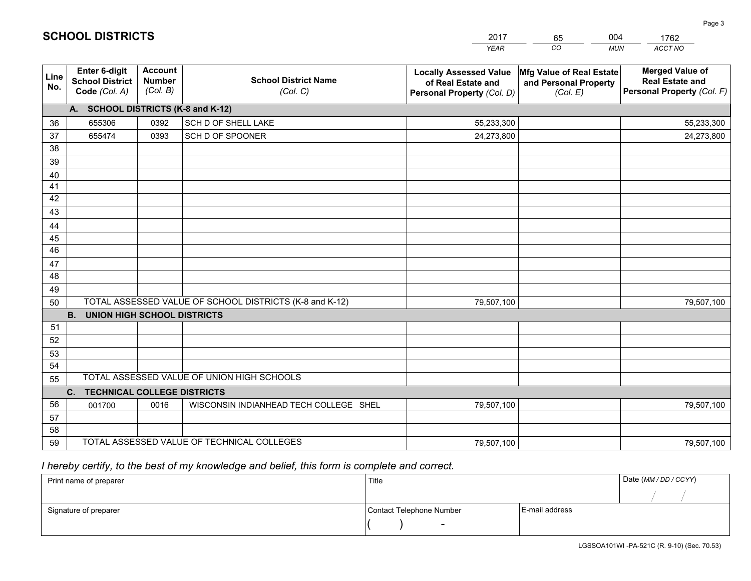|             |                                                          |                                             |                                                         | <b>YEAR</b>                                                                       | CO<br><b>MUN</b>                                              | ACCT NO                                                                        |
|-------------|----------------------------------------------------------|---------------------------------------------|---------------------------------------------------------|-----------------------------------------------------------------------------------|---------------------------------------------------------------|--------------------------------------------------------------------------------|
| Line<br>No. | Enter 6-digit<br><b>School District</b><br>Code (Col. A) | <b>Account</b><br><b>Number</b><br>(Col. B) | <b>School District Name</b><br>(Col. C)                 | <b>Locally Assessed Value</b><br>of Real Estate and<br>Personal Property (Col. D) | Mfg Value of Real Estate<br>and Personal Property<br>(Col. E) | <b>Merged Value of</b><br><b>Real Estate and</b><br>Personal Property (Col. F) |
|             | A. SCHOOL DISTRICTS (K-8 and K-12)                       |                                             |                                                         |                                                                                   |                                                               |                                                                                |
| 36          | 655306                                                   | 0392                                        | SCH D OF SHELL LAKE                                     | 55,233,300                                                                        |                                                               | 55,233,300                                                                     |
| 37          | 655474                                                   | 0393                                        | SCH D OF SPOONER                                        | 24,273,800                                                                        |                                                               | 24,273,800                                                                     |
| 38          |                                                          |                                             |                                                         |                                                                                   |                                                               |                                                                                |
| 39          |                                                          |                                             |                                                         |                                                                                   |                                                               |                                                                                |
| 40          |                                                          |                                             |                                                         |                                                                                   |                                                               |                                                                                |
| 41          |                                                          |                                             |                                                         |                                                                                   |                                                               |                                                                                |
| 42          |                                                          |                                             |                                                         |                                                                                   |                                                               |                                                                                |
| 43          |                                                          |                                             |                                                         |                                                                                   |                                                               |                                                                                |
| 44          |                                                          |                                             |                                                         |                                                                                   |                                                               |                                                                                |
| 45<br>46    |                                                          |                                             |                                                         |                                                                                   |                                                               |                                                                                |
| 47          |                                                          |                                             |                                                         |                                                                                   |                                                               |                                                                                |
| 48          |                                                          |                                             |                                                         |                                                                                   |                                                               |                                                                                |
| 49          |                                                          |                                             |                                                         |                                                                                   |                                                               |                                                                                |
| 50          |                                                          |                                             | TOTAL ASSESSED VALUE OF SCHOOL DISTRICTS (K-8 and K-12) | 79,507,100                                                                        |                                                               | 79,507,100                                                                     |
|             | <b>B.</b><br><b>UNION HIGH SCHOOL DISTRICTS</b>          |                                             |                                                         |                                                                                   |                                                               |                                                                                |
| 51          |                                                          |                                             |                                                         |                                                                                   |                                                               |                                                                                |
| 52          |                                                          |                                             |                                                         |                                                                                   |                                                               |                                                                                |
| 53          |                                                          |                                             |                                                         |                                                                                   |                                                               |                                                                                |
| 54          |                                                          |                                             |                                                         |                                                                                   |                                                               |                                                                                |
| 55          |                                                          |                                             | TOTAL ASSESSED VALUE OF UNION HIGH SCHOOLS              |                                                                                   |                                                               |                                                                                |
|             | C.<br><b>TECHNICAL COLLEGE DISTRICTS</b>                 |                                             |                                                         |                                                                                   |                                                               |                                                                                |
| 56          | 001700                                                   | 0016                                        | WISCONSIN INDIANHEAD TECH COLLEGE SHEL                  | 79,507,100                                                                        |                                                               | 79,507,100                                                                     |
| 57          |                                                          |                                             |                                                         |                                                                                   |                                                               |                                                                                |
| 58          |                                                          |                                             |                                                         |                                                                                   |                                                               |                                                                                |
| 59          |                                                          |                                             | TOTAL ASSESSED VALUE OF TECHNICAL COLLEGES              | 79,507,100                                                                        |                                                               | 79,507,100                                                                     |

 *I hereby certify, to the best of my knowledge and belief, this form is complete and correct.*

| Print name of preparer | Title                    |                | Date (MM / DD / CCYY) |
|------------------------|--------------------------|----------------|-----------------------|
|                        |                          |                |                       |
| Signature of preparer  | Contact Telephone Number | E-mail address |                       |
|                        | $\sim$                   |                |                       |

|  | <b>SCHOOL DISTRICTS</b> |  |  |  |
|--|-------------------------|--|--|--|
|  |                         |  |  |  |

201765004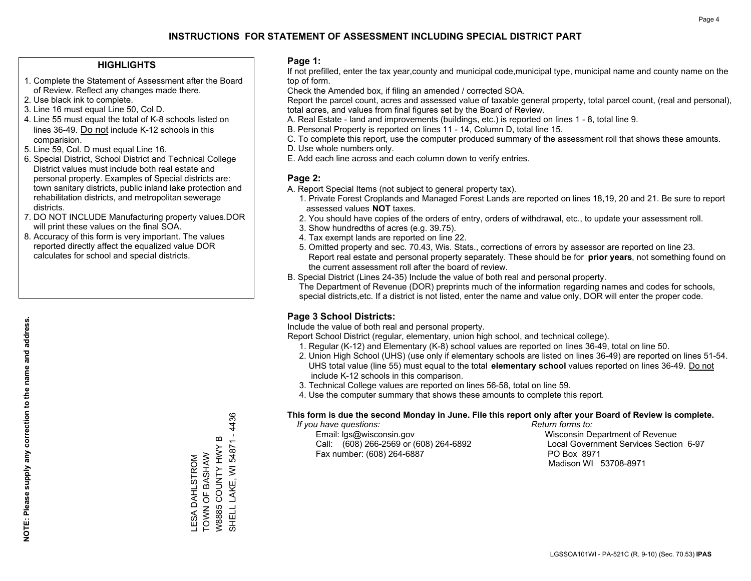### **HIGHLIGHTS**

- 1. Complete the Statement of Assessment after the Board of Review. Reflect any changes made there.
- 2. Use black ink to complete.
- 3. Line 16 must equal Line 50, Col D.
- 4. Line 55 must equal the total of K-8 schools listed on lines 36-49. Do not include K-12 schools in this comparision.
- 5. Line 59, Col. D must equal Line 16.
- 6. Special District, School District and Technical College District values must include both real estate and personal property. Examples of Special districts are: town sanitary districts, public inland lake protection and rehabilitation districts, and metropolitan sewerage districts.
- 7. DO NOT INCLUDE Manufacturing property values.DOR will print these values on the final SOA.

LESA DAHLSTROM TOWN OF BASHAW W8885 COUNTY HWY B SHELL LAKE, WI 54871 - 4436

SHELL LAKE, WI 54871 - 4436

W8885 COUNTY HWY B TOWN OF BASHAW LESA DAHLSTROM

 8. Accuracy of this form is very important. The values reported directly affect the equalized value DOR calculates for school and special districts.

### **Page 1:**

 If not prefilled, enter the tax year,county and municipal code,municipal type, municipal name and county name on the top of form.

Check the Amended box, if filing an amended / corrected SOA.

 Report the parcel count, acres and assessed value of taxable general property, total parcel count, (real and personal), total acres, and values from final figures set by the Board of Review.

- A. Real Estate land and improvements (buildings, etc.) is reported on lines 1 8, total line 9.
- B. Personal Property is reported on lines 11 14, Column D, total line 15.
- C. To complete this report, use the computer produced summary of the assessment roll that shows these amounts.
- D. Use whole numbers only.
- E. Add each line across and each column down to verify entries.

### **Page 2:**

- A. Report Special Items (not subject to general property tax).
- 1. Private Forest Croplands and Managed Forest Lands are reported on lines 18,19, 20 and 21. Be sure to report assessed values **NOT** taxes.
- 2. You should have copies of the orders of entry, orders of withdrawal, etc., to update your assessment roll.
	- 3. Show hundredths of acres (e.g. 39.75).
- 4. Tax exempt lands are reported on line 22.
- 5. Omitted property and sec. 70.43, Wis. Stats., corrections of errors by assessor are reported on line 23. Report real estate and personal property separately. These should be for **prior years**, not something found on the current assessment roll after the board of review.
- B. Special District (Lines 24-35) Include the value of both real and personal property.
- The Department of Revenue (DOR) preprints much of the information regarding names and codes for schools, special districts,etc. If a district is not listed, enter the name and value only, DOR will enter the proper code.

## **Page 3 School Districts:**

Include the value of both real and personal property.

Report School District (regular, elementary, union high school, and technical college).

- 1. Regular (K-12) and Elementary (K-8) school values are reported on lines 36-49, total on line 50.
- 2. Union High School (UHS) (use only if elementary schools are listed on lines 36-49) are reported on lines 51-54. UHS total value (line 55) must equal to the total **elementary school** values reported on lines 36-49. Do notinclude K-12 schools in this comparison.
- 3. Technical College values are reported on lines 56-58, total on line 59.
- 4. Use the computer summary that shows these amounts to complete this report.

#### **This form is due the second Monday in June. File this report only after your Board of Review is complete.**

 *If you have questions: Return forms to:*

 Email: lgs@wisconsin.gov Wisconsin Department of RevenueCall:  $(608)$  266-2569 or  $(608)$  264-6892 Fax number: (608) 264-6887 PO Box 8971

Local Government Services Section 6-97 Madison WI 53708-8971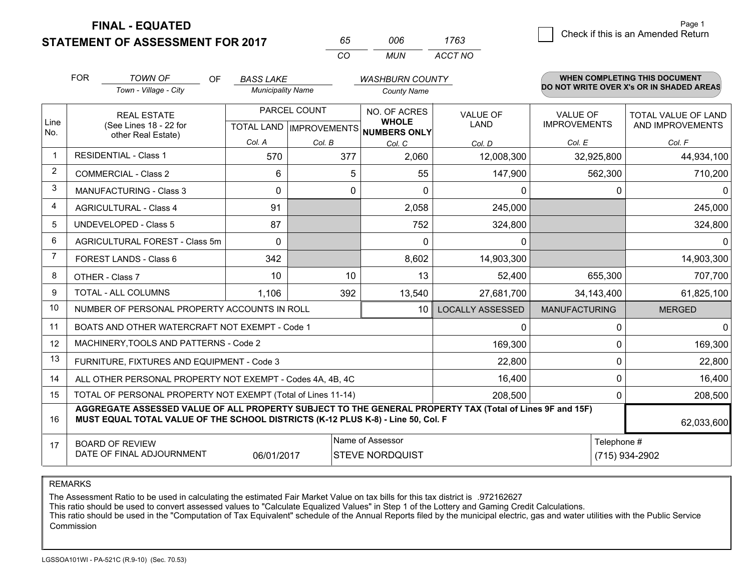**FINAL - EQUATED**

**STATEMENT OF ASSESSMENT FOR 2017** 

| 65  | NUE | 1763    |
|-----|-----|---------|
| CO. | MUN | ACCT NO |

|                | <b>FOR</b>                                                                          | <b>TOWN OF</b><br><b>OF</b>                                                                                                                                                                  | <b>BASS LAKE</b>         |              | <b>WASHBURN COUNTY</b>                             |                                |                                        | <b>WHEN COMPLETING THIS DOCUMENT</b>           |
|----------------|-------------------------------------------------------------------------------------|----------------------------------------------------------------------------------------------------------------------------------------------------------------------------------------------|--------------------------|--------------|----------------------------------------------------|--------------------------------|----------------------------------------|------------------------------------------------|
|                |                                                                                     | Town - Village - City                                                                                                                                                                        | <b>Municipality Name</b> |              | <b>County Name</b>                                 |                                |                                        | DO NOT WRITE OVER X's OR IN SHADED AREAS       |
| Line           |                                                                                     | <b>REAL ESTATE</b><br>(See Lines 18 - 22 for                                                                                                                                                 |                          | PARCEL COUNT | NO. OF ACRES<br><b>WHOLE</b>                       | <b>VALUE OF</b><br><b>LAND</b> | <b>VALUE OF</b><br><b>IMPROVEMENTS</b> | <b>TOTAL VALUE OF LAND</b><br>AND IMPROVEMENTS |
| No.            |                                                                                     | other Real Estate)                                                                                                                                                                           | Col. A                   | Col. B       | TOTAL LAND   IMPROVEMENTS   NUMBERS ONLY<br>Col. C | Col. D                         | Col. E                                 | Col. F                                         |
| $\overline{1}$ |                                                                                     | <b>RESIDENTIAL - Class 1</b>                                                                                                                                                                 | 570                      | 377          | 2,060                                              | 12,008,300                     | 32,925,800                             | 44,934,100                                     |
| 2              |                                                                                     | <b>COMMERCIAL - Class 2</b>                                                                                                                                                                  | 6                        | 5            | 55                                                 | 147,900                        | 562,300                                | 710,200                                        |
| 3              |                                                                                     | <b>MANUFACTURING - Class 3</b>                                                                                                                                                               | 0                        | 0            | $\Omega$                                           | 0                              | $\Omega$                               | $\mathbf{0}$                                   |
| $\overline{4}$ |                                                                                     | <b>AGRICULTURAL - Class 4</b>                                                                                                                                                                | 91                       |              | 2,058                                              | 245,000                        |                                        | 245,000                                        |
| 5              |                                                                                     | <b>UNDEVELOPED - Class 5</b>                                                                                                                                                                 | 87                       |              | 752                                                | 324,800                        |                                        | 324,800                                        |
| 6              | AGRICULTURAL FOREST - Class 5m                                                      |                                                                                                                                                                                              | $\Omega$                 |              | $\Omega$                                           | 0                              |                                        | 0                                              |
| $\overline{7}$ |                                                                                     | <b>FOREST LANDS - Class 6</b>                                                                                                                                                                | 342                      |              | 8,602                                              | 14,903,300                     |                                        | 14,903,300                                     |
| 8              |                                                                                     | OTHER - Class 7                                                                                                                                                                              | 10                       | 10           | 13                                                 | 52,400                         | 655,300                                | 707,700                                        |
| 9              |                                                                                     | TOTAL - ALL COLUMNS                                                                                                                                                                          | 1,106                    | 392          | 13,540                                             | 27,681,700                     | 34,143,400                             | 61,825,100                                     |
| 10             |                                                                                     | NUMBER OF PERSONAL PROPERTY ACCOUNTS IN ROLL                                                                                                                                                 |                          |              | 10                                                 | <b>LOCALLY ASSESSED</b>        | <b>MANUFACTURING</b>                   | <b>MERGED</b>                                  |
| 11             |                                                                                     | BOATS AND OTHER WATERCRAFT NOT EXEMPT - Code 1                                                                                                                                               |                          |              |                                                    | 0                              | $\Omega$                               | $\mathbf{0}$                                   |
| 12             |                                                                                     | MACHINERY, TOOLS AND PATTERNS - Code 2                                                                                                                                                       |                          |              |                                                    | 169,300                        | $\Omega$                               | 169,300                                        |
| 13             |                                                                                     | FURNITURE, FIXTURES AND EQUIPMENT - Code 3                                                                                                                                                   |                          |              |                                                    | 22,800                         | $\mathbf 0$                            | 22,800                                         |
| 14             |                                                                                     | ALL OTHER PERSONAL PROPERTY NOT EXEMPT - Codes 4A, 4B, 4C                                                                                                                                    |                          |              |                                                    | 16,400                         | $\Omega$                               | 16,400                                         |
| 15             |                                                                                     | TOTAL OF PERSONAL PROPERTY NOT EXEMPT (Total of Lines 11-14)                                                                                                                                 |                          |              |                                                    | 208,500                        | $\mathbf{0}$                           | 208,500                                        |
| 16             |                                                                                     | AGGREGATE ASSESSED VALUE OF ALL PROPERTY SUBJECT TO THE GENERAL PROPERTY TAX (Total of Lines 9F and 15F)<br>MUST EQUAL TOTAL VALUE OF THE SCHOOL DISTRICTS (K-12 PLUS K-8) - Line 50, Col. F |                          |              |                                                    |                                |                                        | 62,033,600                                     |
| 17             | Name of Assessor<br><b>BOARD OF REVIEW</b>                                          |                                                                                                                                                                                              |                          |              |                                                    |                                | Telephone #                            |                                                |
|                | DATE OF FINAL ADJOURNMENT<br>06/01/2017<br><b>STEVE NORDQUIST</b><br>(715) 934-2902 |                                                                                                                                                                                              |                          |              |                                                    |                                |                                        |                                                |

REMARKS

The Assessment Ratio to be used in calculating the estimated Fair Market Value on tax bills for this tax district is .972162627<br>This ratio should be used to convert assessed values to "Calculate Equalized Values" in Step 1 Commission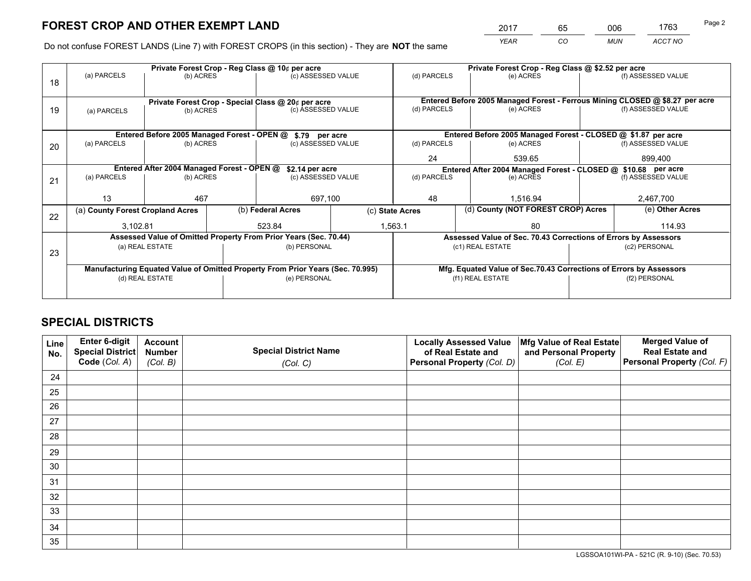*YEAR CO MUN ACCT NO* <sup>2017</sup> <sup>65</sup> <sup>006</sup> <sup>1763</sup>

Do not confuse FOREST LANDS (Line 7) with FOREST CROPS (in this section) - They are **NOT** the same

|    | Private Forest Crop - Reg Class @ 10¢ per acre             |                 |  |                                                                                |                                                               | Private Forest Crop - Reg Class @ \$2.52 per acre |  |                                                                    |               |                                                                              |
|----|------------------------------------------------------------|-----------------|--|--------------------------------------------------------------------------------|---------------------------------------------------------------|---------------------------------------------------|--|--------------------------------------------------------------------|---------------|------------------------------------------------------------------------------|
| 18 | (a) PARCELS                                                | (b) ACRES       |  | (c) ASSESSED VALUE                                                             |                                                               | (d) PARCELS                                       |  | (e) ACRES                                                          |               | (f) ASSESSED VALUE                                                           |
|    |                                                            |                 |  |                                                                                |                                                               |                                                   |  |                                                                    |               |                                                                              |
|    | Private Forest Crop - Special Class @ 20¢ per acre         |                 |  |                                                                                |                                                               |                                                   |  |                                                                    |               | Entered Before 2005 Managed Forest - Ferrous Mining CLOSED @ \$8.27 per acre |
| 19 | (a) PARCELS                                                | (b) ACRES       |  | (c) ASSESSED VALUE                                                             |                                                               | (d) PARCELS                                       |  | (e) ACRES                                                          |               | (f) ASSESSED VALUE                                                           |
|    |                                                            |                 |  |                                                                                |                                                               |                                                   |  |                                                                    |               |                                                                              |
|    | Entered Before 2005 Managed Forest - OPEN @ \$.79 per acre |                 |  |                                                                                | Entered Before 2005 Managed Forest - CLOSED @ \$1.87 per acre |                                                   |  |                                                                    |               |                                                                              |
| 20 | (a) PARCELS                                                | (b) ACRES       |  | (c) ASSESSED VALUE                                                             |                                                               | (d) PARCELS                                       |  | (e) ACRES                                                          |               | (f) ASSESSED VALUE                                                           |
|    |                                                            |                 |  |                                                                                |                                                               | 24                                                |  | 539.65                                                             |               | 899.400                                                                      |
|    | Entered After 2004 Managed Forest - OPEN @                 |                 |  |                                                                                | \$2.14 per acre                                               |                                                   |  | Entered After 2004 Managed Forest - CLOSED @ \$10.68 per acre      |               |                                                                              |
| 21 | (a) PARCELS                                                | (b) ACRES       |  | (c) ASSESSED VALUE                                                             |                                                               | (d) PARCELS                                       |  | (e) ACRES                                                          |               | (f) ASSESSED VALUE                                                           |
|    |                                                            |                 |  |                                                                                |                                                               |                                                   |  |                                                                    |               |                                                                              |
|    | 13                                                         | 467             |  | 697,100                                                                        |                                                               | 48                                                |  | 1.516.94                                                           |               | 2,467,700                                                                    |
| 22 | (a) County Forest Cropland Acres                           |                 |  | (b) Federal Acres                                                              |                                                               | (c) State Acres                                   |  | (d) County (NOT FOREST CROP) Acres                                 |               | (e) Other Acres                                                              |
|    | 3,102.81                                                   |                 |  | 523.84                                                                         |                                                               | 1,563.1                                           |  | 80                                                                 |               | 114.93                                                                       |
|    |                                                            |                 |  | Assessed Value of Omitted Property From Prior Years (Sec. 70.44)               |                                                               |                                                   |  | Assessed Value of Sec. 70.43 Corrections of Errors by Assessors    |               |                                                                              |
| 23 |                                                            | (a) REAL ESTATE |  | (b) PERSONAL                                                                   |                                                               |                                                   |  | (c1) REAL ESTATE                                                   |               | (c2) PERSONAL                                                                |
|    |                                                            |                 |  |                                                                                |                                                               |                                                   |  |                                                                    |               |                                                                              |
|    |                                                            |                 |  | Manufacturing Equated Value of Omitted Property From Prior Years (Sec. 70.995) |                                                               |                                                   |  | Mfg. Equated Value of Sec.70.43 Corrections of Errors by Assessors |               |                                                                              |
|    | (d) REAL ESTATE                                            |                 |  | (e) PERSONAL                                                                   |                                                               | (f1) REAL ESTATE                                  |  |                                                                    | (f2) PERSONAL |                                                                              |
|    |                                                            |                 |  |                                                                                |                                                               |                                                   |  |                                                                    |               |                                                                              |

## **SPECIAL DISTRICTS**

| Line<br>No. | Enter 6-digit<br><b>Special District</b> | <b>Account</b><br><b>Number</b> | <b>Special District Name</b> | <b>Locally Assessed Value</b><br>of Real Estate and | Mfg Value of Real Estate<br>and Personal Property | <b>Merged Value of</b><br><b>Real Estate and</b> |
|-------------|------------------------------------------|---------------------------------|------------------------------|-----------------------------------------------------|---------------------------------------------------|--------------------------------------------------|
|             | Code (Col. A)                            | (Col. B)                        | (Col. C)                     | Personal Property (Col. D)                          | (Col. E)                                          | Personal Property (Col. F)                       |
| 24          |                                          |                                 |                              |                                                     |                                                   |                                                  |
| 25          |                                          |                                 |                              |                                                     |                                                   |                                                  |
| 26          |                                          |                                 |                              |                                                     |                                                   |                                                  |
| 27          |                                          |                                 |                              |                                                     |                                                   |                                                  |
| 28          |                                          |                                 |                              |                                                     |                                                   |                                                  |
| 29          |                                          |                                 |                              |                                                     |                                                   |                                                  |
| 30          |                                          |                                 |                              |                                                     |                                                   |                                                  |
| 31          |                                          |                                 |                              |                                                     |                                                   |                                                  |
| 32          |                                          |                                 |                              |                                                     |                                                   |                                                  |
| 33          |                                          |                                 |                              |                                                     |                                                   |                                                  |
| 34          |                                          |                                 |                              |                                                     |                                                   |                                                  |
| 35          |                                          |                                 |                              |                                                     |                                                   |                                                  |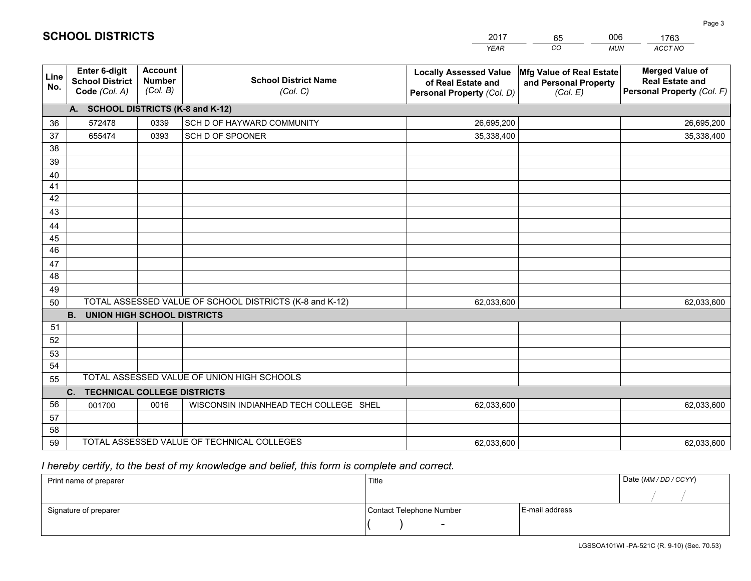|             |                                                          |                                             |                                                         | <b>YEAR</b>                                                                       | CO<br><b>MUN</b>                                              | ACCT NO                                                                        |
|-------------|----------------------------------------------------------|---------------------------------------------|---------------------------------------------------------|-----------------------------------------------------------------------------------|---------------------------------------------------------------|--------------------------------------------------------------------------------|
| Line<br>No. | Enter 6-digit<br><b>School District</b><br>Code (Col. A) | <b>Account</b><br><b>Number</b><br>(Col. B) | <b>School District Name</b><br>(Col. C)                 | <b>Locally Assessed Value</b><br>of Real Estate and<br>Personal Property (Col. D) | Mfg Value of Real Estate<br>and Personal Property<br>(Col. E) | <b>Merged Value of</b><br><b>Real Estate and</b><br>Personal Property (Col. F) |
|             | A. SCHOOL DISTRICTS (K-8 and K-12)                       |                                             |                                                         |                                                                                   |                                                               |                                                                                |
| 36          | 572478                                                   | 0339                                        | SCH D OF HAYWARD COMMUNITY                              | 26,695,200                                                                        |                                                               | 26,695,200                                                                     |
| 37          | 655474                                                   | 0393                                        | SCH D OF SPOONER                                        | 35,338,400                                                                        |                                                               | 35,338,400                                                                     |
| 38          |                                                          |                                             |                                                         |                                                                                   |                                                               |                                                                                |
| 39          |                                                          |                                             |                                                         |                                                                                   |                                                               |                                                                                |
| 40          |                                                          |                                             |                                                         |                                                                                   |                                                               |                                                                                |
| 41          |                                                          |                                             |                                                         |                                                                                   |                                                               |                                                                                |
| 42          |                                                          |                                             |                                                         |                                                                                   |                                                               |                                                                                |
| 43          |                                                          |                                             |                                                         |                                                                                   |                                                               |                                                                                |
| 44          |                                                          |                                             |                                                         |                                                                                   |                                                               |                                                                                |
| 45          |                                                          |                                             |                                                         |                                                                                   |                                                               |                                                                                |
| 46          |                                                          |                                             |                                                         |                                                                                   |                                                               |                                                                                |
| 47          |                                                          |                                             |                                                         |                                                                                   |                                                               |                                                                                |
| 48          |                                                          |                                             |                                                         |                                                                                   |                                                               |                                                                                |
| 49          |                                                          |                                             |                                                         |                                                                                   |                                                               |                                                                                |
| 50          |                                                          |                                             | TOTAL ASSESSED VALUE OF SCHOOL DISTRICTS (K-8 and K-12) | 62,033,600                                                                        |                                                               | 62,033,600                                                                     |
| 51          | <b>B.</b><br><b>UNION HIGH SCHOOL DISTRICTS</b>          |                                             |                                                         |                                                                                   |                                                               |                                                                                |
| 52          |                                                          |                                             |                                                         |                                                                                   |                                                               |                                                                                |
| 53          |                                                          |                                             |                                                         |                                                                                   |                                                               |                                                                                |
| 54          |                                                          |                                             |                                                         |                                                                                   |                                                               |                                                                                |
| 55          |                                                          |                                             | TOTAL ASSESSED VALUE OF UNION HIGH SCHOOLS              |                                                                                   |                                                               |                                                                                |
|             | <b>TECHNICAL COLLEGE DISTRICTS</b><br>C.                 |                                             |                                                         |                                                                                   |                                                               |                                                                                |
| 56          | 001700                                                   | 0016                                        | WISCONSIN INDIANHEAD TECH COLLEGE SHEL                  | 62,033,600                                                                        |                                                               | 62,033,600                                                                     |
| 57          |                                                          |                                             |                                                         |                                                                                   |                                                               |                                                                                |
| 58          |                                                          |                                             |                                                         |                                                                                   |                                                               |                                                                                |
| 59          |                                                          |                                             | TOTAL ASSESSED VALUE OF TECHNICAL COLLEGES              | 62,033,600                                                                        |                                                               | 62,033,600                                                                     |

65

006

 *I hereby certify, to the best of my knowledge and belief, this form is complete and correct.*

**SCHOOL DISTRICTS**

| Print name of preparer | Title                    |                | Date (MM / DD / CCYY) |
|------------------------|--------------------------|----------------|-----------------------|
|                        |                          |                |                       |
| Signature of preparer  | Contact Telephone Number | E-mail address |                       |
|                        | $\sim$                   |                |                       |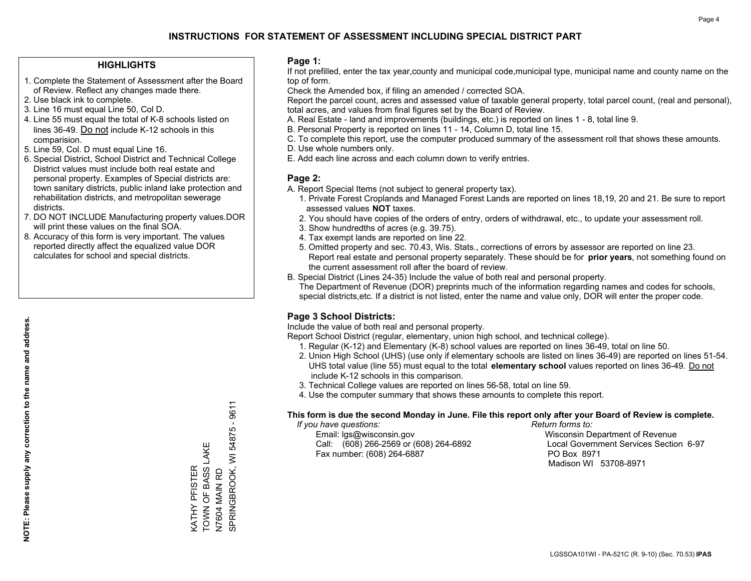### **HIGHLIGHTS**

- 1. Complete the Statement of Assessment after the Board of Review. Reflect any changes made there.
- 2. Use black ink to complete.
- 3. Line 16 must equal Line 50, Col D.
- 4. Line 55 must equal the total of K-8 schools listed on lines 36-49. Do not include K-12 schools in this comparision.
- 5. Line 59, Col. D must equal Line 16.
- 6. Special District, School District and Technical College District values must include both real estate and personal property. Examples of Special districts are: town sanitary districts, public inland lake protection and rehabilitation districts, and metropolitan sewerage districts.
- 7. DO NOT INCLUDE Manufacturing property values.DOR will print these values on the final SOA.
- 8. Accuracy of this form is very important. The values reported directly affect the equalized value DOR calculates for school and special districts.

### **Page 1:**

 If not prefilled, enter the tax year,county and municipal code,municipal type, municipal name and county name on the top of form.

Check the Amended box, if filing an amended / corrected SOA.

 Report the parcel count, acres and assessed value of taxable general property, total parcel count, (real and personal), total acres, and values from final figures set by the Board of Review.

- A. Real Estate land and improvements (buildings, etc.) is reported on lines 1 8, total line 9.
- B. Personal Property is reported on lines 11 14, Column D, total line 15.
- C. To complete this report, use the computer produced summary of the assessment roll that shows these amounts.
- D. Use whole numbers only.
- E. Add each line across and each column down to verify entries.

### **Page 2:**

- A. Report Special Items (not subject to general property tax).
- 1. Private Forest Croplands and Managed Forest Lands are reported on lines 18,19, 20 and 21. Be sure to report assessed values **NOT** taxes.
- 2. You should have copies of the orders of entry, orders of withdrawal, etc., to update your assessment roll.
	- 3. Show hundredths of acres (e.g. 39.75).
- 4. Tax exempt lands are reported on line 22.
- 5. Omitted property and sec. 70.43, Wis. Stats., corrections of errors by assessor are reported on line 23. Report real estate and personal property separately. These should be for **prior years**, not something found on the current assessment roll after the board of review.
- B. Special District (Lines 24-35) Include the value of both real and personal property.
- The Department of Revenue (DOR) preprints much of the information regarding names and codes for schools, special districts,etc. If a district is not listed, enter the name and value only, DOR will enter the proper code.

### **Page 3 School Districts:**

Include the value of both real and personal property.

Report School District (regular, elementary, union high school, and technical college).

- 1. Regular (K-12) and Elementary (K-8) school values are reported on lines 36-49, total on line 50.
- 2. Union High School (UHS) (use only if elementary schools are listed on lines 36-49) are reported on lines 51-54. UHS total value (line 55) must equal to the total **elementary school** values reported on lines 36-49. Do notinclude K-12 schools in this comparison.
- 3. Technical College values are reported on lines 56-58, total on line 59.
- 4. Use the computer summary that shows these amounts to complete this report.

#### **This form is due the second Monday in June. File this report only after your Board of Review is complete.**

 *If you have questions: Return forms to:*

 Email: lgs@wisconsin.gov Wisconsin Department of RevenueCall:  $(608)$  266-2569 or  $(608)$  264-6892 Fax number: (608) 264-6887 PO Box 8971

Local Government Services Section 6-97 Madison WI 53708-8971

9611 SPRINGBROOK, WI 54875 - 9611 54875-9 TOWN OF BASS LAKE KATHY PFISTER<br>TOWN OF BASS LAKE N7604 MAIN RD<br>SPRINGBROOK, WI KATHY PFISTER N7604 MAIN RD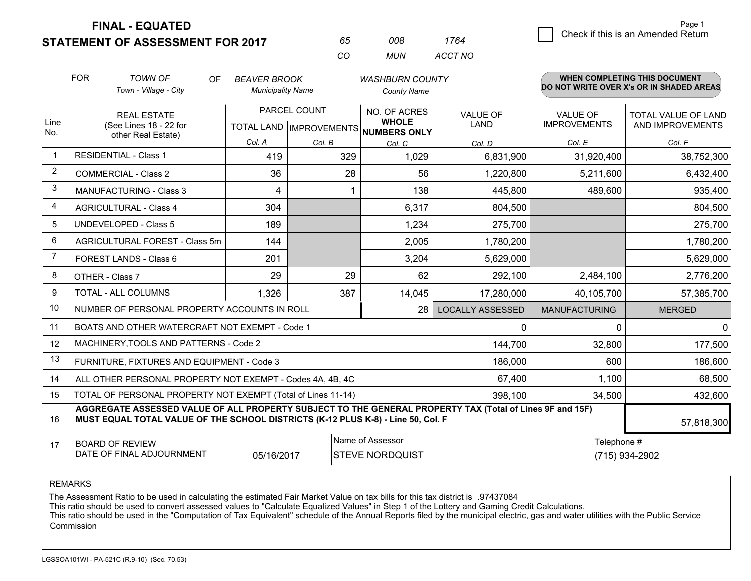**STATEMENT OF ASSESSMENT FOR 2017** 

**FINAL - EQUATED**

| 65 | nnr   | 1764    |
|----|-------|---------|
| cо | MI IN | ACCT NO |

|                | <b>FOR</b>                                                                                                                                                                                                 | <b>TOWN OF</b><br><b>OF</b>                                  | <b>BEAVER BROOK</b>                                  |        | <b>WASHBURN COUNTY</b>       |                                |                                        | WHEN COMPLETING THIS DOCUMENT            |
|----------------|------------------------------------------------------------------------------------------------------------------------------------------------------------------------------------------------------------|--------------------------------------------------------------|------------------------------------------------------|--------|------------------------------|--------------------------------|----------------------------------------|------------------------------------------|
|                |                                                                                                                                                                                                            | Town - Village - City                                        | <b>Municipality Name</b>                             |        | <b>County Name</b>           |                                |                                        | DO NOT WRITE OVER X's OR IN SHADED AREAS |
| Line<br>No.    | <b>REAL ESTATE</b><br>(See Lines 18 - 22 for                                                                                                                                                               |                                                              | PARCEL COUNT<br>TOTAL LAND IMPROVEMENTS NUMBERS ONLY |        | NO. OF ACRES<br><b>WHOLE</b> | <b>VALUE OF</b><br><b>LAND</b> | <b>VALUE OF</b><br><b>IMPROVEMENTS</b> | TOTAL VALUE OF LAND<br>AND IMPROVEMENTS  |
|                |                                                                                                                                                                                                            | other Real Estate)                                           | Col. A                                               | Col. B | Col. C                       | Col. D                         | Col. E                                 | Col. F                                   |
|                | <b>RESIDENTIAL - Class 1</b>                                                                                                                                                                               |                                                              | 419                                                  | 329    | 1,029                        | 6,831,900                      | 31,920,400                             | 38,752,300                               |
| 2              |                                                                                                                                                                                                            | <b>COMMERCIAL - Class 2</b>                                  | 36                                                   | 28     | 56                           | 1,220,800                      | 5,211,600                              | 6,432,400                                |
| 3              |                                                                                                                                                                                                            | <b>MANUFACTURING - Class 3</b>                               | 4                                                    | 1      | 138                          | 445,800                        | 489,600                                | 935,400                                  |
| 4              |                                                                                                                                                                                                            | <b>AGRICULTURAL - Class 4</b>                                | 304                                                  |        | 6,317                        | 804,500                        |                                        | 804,500                                  |
| 5              |                                                                                                                                                                                                            | <b>UNDEVELOPED - Class 5</b>                                 | 189                                                  |        | 1,234                        | 275,700                        |                                        | 275,700                                  |
| 6              |                                                                                                                                                                                                            | AGRICULTURAL FOREST - Class 5m                               | 144                                                  |        | 2,005                        | 1,780,200                      |                                        | 1,780,200                                |
| $\overline{7}$ |                                                                                                                                                                                                            | FOREST LANDS - Class 6                                       | 201                                                  |        | 3,204                        | 5,629,000                      |                                        | 5,629,000                                |
| 8              |                                                                                                                                                                                                            | OTHER - Class 7                                              | 29                                                   | 29     | 62                           | 292,100                        | 2,484,100                              | 2,776,200                                |
| 9              |                                                                                                                                                                                                            | TOTAL - ALL COLUMNS                                          | 1,326                                                | 387    | 14,045                       | 17,280,000                     | 40,105,700                             | 57,385,700                               |
| 10             |                                                                                                                                                                                                            | NUMBER OF PERSONAL PROPERTY ACCOUNTS IN ROLL                 |                                                      |        | 28                           | <b>LOCALLY ASSESSED</b>        | <b>MANUFACTURING</b>                   | <b>MERGED</b>                            |
| 11             |                                                                                                                                                                                                            | BOATS AND OTHER WATERCRAFT NOT EXEMPT - Code 1               |                                                      |        |                              | 0                              | 0                                      | $\mathbf{0}$                             |
| 12             |                                                                                                                                                                                                            | MACHINERY, TOOLS AND PATTERNS - Code 2                       |                                                      |        |                              | 144,700                        | 32,800                                 | 177,500                                  |
| 13             |                                                                                                                                                                                                            | FURNITURE, FIXTURES AND EQUIPMENT - Code 3                   |                                                      |        |                              | 186,000                        | 600                                    | 186,600                                  |
| 14             |                                                                                                                                                                                                            | ALL OTHER PERSONAL PROPERTY NOT EXEMPT - Codes 4A, 4B, 4C    |                                                      |        |                              | 67,400                         | 1,100                                  | 68,500                                   |
| 15             |                                                                                                                                                                                                            | TOTAL OF PERSONAL PROPERTY NOT EXEMPT (Total of Lines 11-14) |                                                      |        |                              | 398,100                        | 34,500                                 | 432,600                                  |
| 16             | AGGREGATE ASSESSED VALUE OF ALL PROPERTY SUBJECT TO THE GENERAL PROPERTY TAX (Total of Lines 9F and 15F)<br>MUST EQUAL TOTAL VALUE OF THE SCHOOL DISTRICTS (K-12 PLUS K-8) - Line 50, Col. F<br>57,818,300 |                                                              |                                                      |        |                              |                                |                                        |                                          |
| 17             | Name of Assessor<br><b>BOARD OF REVIEW</b>                                                                                                                                                                 |                                                              |                                                      |        |                              | Telephone #                    |                                        |                                          |
|                | DATE OF FINAL ADJOURNMENT<br>05/16/2017<br><b>STEVE NORDQUIST</b><br>(715) 934-2902                                                                                                                        |                                                              |                                                      |        |                              |                                |                                        |                                          |

REMARKS

The Assessment Ratio to be used in calculating the estimated Fair Market Value on tax bills for this tax district is .97437084<br>This ratio should be used to convert assessed values to "Calculate Equalized Values" in Step 1 Commission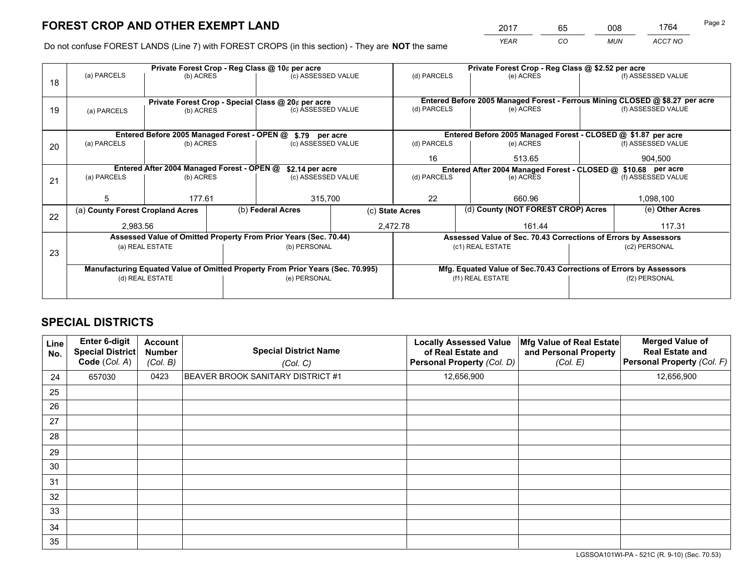*YEAR CO MUN ACCT NO* <sup>2017</sup> <sup>65</sup> <sup>008</sup> <sup>1764</sup>

Do not confuse FOREST LANDS (Line 7) with FOREST CROPS (in this section) - They are **NOT** the same

|    |                                            |                                                                 |  | Private Forest Crop - Reg Class @ 10¢ per acre                                 |                 | Private Forest Crop - Reg Class @ \$2.52 per acre                                                        |                                                                    |               |                    |  |
|----|--------------------------------------------|-----------------------------------------------------------------|--|--------------------------------------------------------------------------------|-----------------|----------------------------------------------------------------------------------------------------------|--------------------------------------------------------------------|---------------|--------------------|--|
| 18 | (a) PARCELS                                | (b) ACRES                                                       |  | (c) ASSESSED VALUE                                                             |                 | (d) PARCELS                                                                                              | (e) ACRES                                                          |               | (f) ASSESSED VALUE |  |
|    |                                            |                                                                 |  |                                                                                |                 |                                                                                                          |                                                                    |               |                    |  |
| 19 | (a) PARCELS                                | Private Forest Crop - Special Class @ 20¢ per acre<br>(b) ACRES |  | (c) ASSESSED VALUE                                                             |                 | Entered Before 2005 Managed Forest - Ferrous Mining CLOSED @ \$8.27 per acre<br>(d) PARCELS<br>(e) ACRES |                                                                    |               | (f) ASSESSED VALUE |  |
|    |                                            |                                                                 |  |                                                                                |                 |                                                                                                          |                                                                    |               |                    |  |
|    |                                            |                                                                 |  |                                                                                |                 |                                                                                                          |                                                                    |               |                    |  |
|    |                                            | Entered Before 2005 Managed Forest - OPEN @                     |  | \$.79 per acre                                                                 |                 |                                                                                                          | Entered Before 2005 Managed Forest - CLOSED @ \$1.87 per acre      |               |                    |  |
| 20 | (a) PARCELS                                | (b) ACRES                                                       |  | (c) ASSESSED VALUE                                                             |                 | (d) PARCELS                                                                                              | (e) ACRES                                                          |               | (f) ASSESSED VALUE |  |
|    |                                            |                                                                 |  |                                                                                |                 |                                                                                                          | 513.65                                                             |               | 904.500            |  |
|    |                                            |                                                                 |  | 16                                                                             |                 |                                                                                                          |                                                                    |               |                    |  |
|    | Entered After 2004 Managed Forest - OPEN @ |                                                                 |  | \$2.14 per acre<br>(c) ASSESSED VALUE                                          |                 |                                                                                                          | Entered After 2004 Managed Forest - CLOSED @ \$10.68 per acre      |               |                    |  |
| 21 | (a) PARCELS                                | (b) ACRES                                                       |  |                                                                                |                 | (d) PARCELS                                                                                              | (e) ACRES                                                          |               | (f) ASSESSED VALUE |  |
|    |                                            |                                                                 |  |                                                                                |                 |                                                                                                          |                                                                    |               |                    |  |
|    | 5                                          | 177.61                                                          |  | 315,700                                                                        |                 | 22<br>660.96                                                                                             |                                                                    |               | 1,098,100          |  |
| 22 | (a) County Forest Cropland Acres           |                                                                 |  | (b) Federal Acres                                                              | (c) State Acres |                                                                                                          | (d) County (NOT FOREST CROP) Acres                                 |               | (e) Other Acres    |  |
|    | 2,983.56                                   |                                                                 |  |                                                                                |                 | 2,472.78                                                                                                 | 161.44                                                             |               | 117.31             |  |
|    |                                            |                                                                 |  | Assessed Value of Omitted Property From Prior Years (Sec. 70.44)               |                 |                                                                                                          | Assessed Value of Sec. 70.43 Corrections of Errors by Assessors    |               |                    |  |
|    |                                            | (a) REAL ESTATE                                                 |  | (b) PERSONAL                                                                   |                 |                                                                                                          | (c1) REAL ESTATE                                                   |               | (c2) PERSONAL      |  |
| 23 |                                            |                                                                 |  |                                                                                |                 |                                                                                                          |                                                                    |               |                    |  |
|    |                                            |                                                                 |  | Manufacturing Equated Value of Omitted Property From Prior Years (Sec. 70.995) |                 |                                                                                                          | Mfg. Equated Value of Sec.70.43 Corrections of Errors by Assessors |               |                    |  |
|    |                                            | (d) REAL ESTATE                                                 |  | (e) PERSONAL                                                                   |                 | (f1) REAL ESTATE                                                                                         |                                                                    | (f2) PERSONAL |                    |  |
|    |                                            |                                                                 |  |                                                                                |                 |                                                                                                          |                                                                    |               |                    |  |
|    |                                            |                                                                 |  |                                                                                |                 |                                                                                                          |                                                                    |               |                    |  |

## **SPECIAL DISTRICTS**

| <b>Line</b><br>No. | Enter 6-digit<br><b>Special District</b><br>Code (Col. A) | <b>Account</b><br><b>Number</b><br>(Col. B) | <b>Special District Name</b><br>(Col. C) | <b>Locally Assessed Value</b><br>of Real Estate and<br>Personal Property (Col. D) | Mfg Value of Real Estate<br>and Personal Property<br>(Col. E) | <b>Merged Value of</b><br><b>Real Estate and</b><br>Personal Property (Col. F) |
|--------------------|-----------------------------------------------------------|---------------------------------------------|------------------------------------------|-----------------------------------------------------------------------------------|---------------------------------------------------------------|--------------------------------------------------------------------------------|
| 24                 | 657030                                                    | 0423                                        | BEAVER BROOK SANITARY DISTRICT #1        | 12,656,900                                                                        |                                                               | 12,656,900                                                                     |
| 25                 |                                                           |                                             |                                          |                                                                                   |                                                               |                                                                                |
| 26                 |                                                           |                                             |                                          |                                                                                   |                                                               |                                                                                |
| 27                 |                                                           |                                             |                                          |                                                                                   |                                                               |                                                                                |
| 28                 |                                                           |                                             |                                          |                                                                                   |                                                               |                                                                                |
| 29                 |                                                           |                                             |                                          |                                                                                   |                                                               |                                                                                |
| 30                 |                                                           |                                             |                                          |                                                                                   |                                                               |                                                                                |
| 31                 |                                                           |                                             |                                          |                                                                                   |                                                               |                                                                                |
| 32                 |                                                           |                                             |                                          |                                                                                   |                                                               |                                                                                |
| 33                 |                                                           |                                             |                                          |                                                                                   |                                                               |                                                                                |
| 34                 |                                                           |                                             |                                          |                                                                                   |                                                               |                                                                                |
| 35                 |                                                           |                                             |                                          |                                                                                   |                                                               |                                                                                |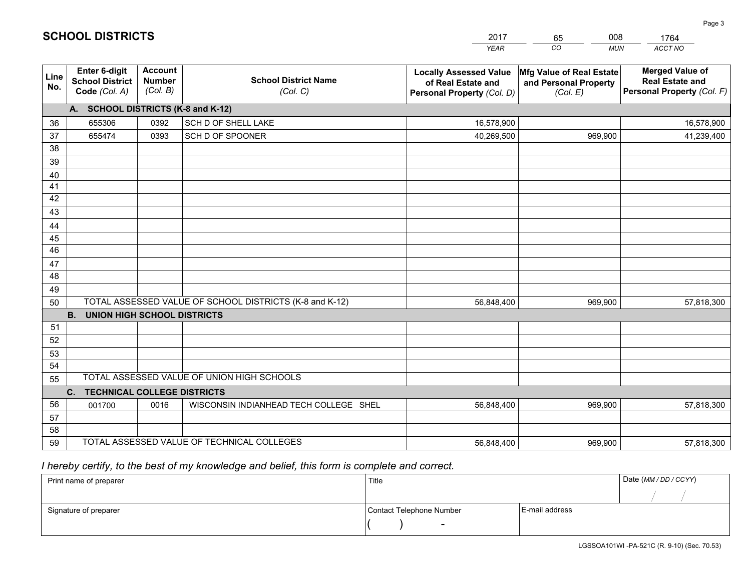|             |                                                                 |                                             |                                                         | <b>YEAR</b>                                                                       | CO<br><b>MUN</b>                                              | ACCT NO                                                                        |  |  |  |  |  |
|-------------|-----------------------------------------------------------------|---------------------------------------------|---------------------------------------------------------|-----------------------------------------------------------------------------------|---------------------------------------------------------------|--------------------------------------------------------------------------------|--|--|--|--|--|
| Line<br>No. | <b>Enter 6-digit</b><br><b>School District</b><br>Code (Col. A) | <b>Account</b><br><b>Number</b><br>(Col. B) | <b>School District Name</b><br>(Col. C)                 | <b>Locally Assessed Value</b><br>of Real Estate and<br>Personal Property (Col. D) | Mfg Value of Real Estate<br>and Personal Property<br>(Col. E) | <b>Merged Value of</b><br><b>Real Estate and</b><br>Personal Property (Col. F) |  |  |  |  |  |
|             | A. SCHOOL DISTRICTS (K-8 and K-12)                              |                                             |                                                         |                                                                                   |                                                               |                                                                                |  |  |  |  |  |
| 36          | 655306                                                          | 0392                                        | SCH D OF SHELL LAKE                                     | 16,578,900                                                                        |                                                               | 16,578,900                                                                     |  |  |  |  |  |
| 37          | 655474                                                          | 0393                                        | SCH D OF SPOONER                                        | 40,269,500                                                                        | 969,900                                                       | 41,239,400                                                                     |  |  |  |  |  |
| 38          |                                                                 |                                             |                                                         |                                                                                   |                                                               |                                                                                |  |  |  |  |  |
| 39          |                                                                 |                                             |                                                         |                                                                                   |                                                               |                                                                                |  |  |  |  |  |
| 40          |                                                                 |                                             |                                                         |                                                                                   |                                                               |                                                                                |  |  |  |  |  |
| 41          |                                                                 |                                             |                                                         |                                                                                   |                                                               |                                                                                |  |  |  |  |  |
| 42          |                                                                 |                                             |                                                         |                                                                                   |                                                               |                                                                                |  |  |  |  |  |
| 43          |                                                                 |                                             |                                                         |                                                                                   |                                                               |                                                                                |  |  |  |  |  |
| 44          |                                                                 |                                             |                                                         |                                                                                   |                                                               |                                                                                |  |  |  |  |  |
| 45<br>46    |                                                                 |                                             |                                                         |                                                                                   |                                                               |                                                                                |  |  |  |  |  |
| 47          |                                                                 |                                             |                                                         |                                                                                   |                                                               |                                                                                |  |  |  |  |  |
| 48          |                                                                 |                                             |                                                         |                                                                                   |                                                               |                                                                                |  |  |  |  |  |
| 49          |                                                                 |                                             |                                                         |                                                                                   |                                                               |                                                                                |  |  |  |  |  |
| 50          |                                                                 |                                             | TOTAL ASSESSED VALUE OF SCHOOL DISTRICTS (K-8 and K-12) | 56,848,400                                                                        | 969,900                                                       | 57,818,300                                                                     |  |  |  |  |  |
|             | <b>B.</b><br><b>UNION HIGH SCHOOL DISTRICTS</b>                 |                                             |                                                         |                                                                                   |                                                               |                                                                                |  |  |  |  |  |
| 51          |                                                                 |                                             |                                                         |                                                                                   |                                                               |                                                                                |  |  |  |  |  |
| 52          |                                                                 |                                             |                                                         |                                                                                   |                                                               |                                                                                |  |  |  |  |  |
| 53          |                                                                 |                                             |                                                         |                                                                                   |                                                               |                                                                                |  |  |  |  |  |
| 54          |                                                                 |                                             |                                                         |                                                                                   |                                                               |                                                                                |  |  |  |  |  |
| 55          |                                                                 |                                             | TOTAL ASSESSED VALUE OF UNION HIGH SCHOOLS              |                                                                                   |                                                               |                                                                                |  |  |  |  |  |
|             | C.<br><b>TECHNICAL COLLEGE DISTRICTS</b>                        |                                             |                                                         |                                                                                   |                                                               |                                                                                |  |  |  |  |  |
| 56          | 001700                                                          | 0016                                        | WISCONSIN INDIANHEAD TECH COLLEGE SHEL                  | 56,848,400                                                                        | 969,900                                                       | 57,818,300                                                                     |  |  |  |  |  |
| 57          |                                                                 |                                             |                                                         |                                                                                   |                                                               |                                                                                |  |  |  |  |  |
| 58          |                                                                 |                                             |                                                         |                                                                                   |                                                               |                                                                                |  |  |  |  |  |
| 59          |                                                                 |                                             | TOTAL ASSESSED VALUE OF TECHNICAL COLLEGES              | 56,848,400                                                                        | 969,900                                                       | 57,818,300                                                                     |  |  |  |  |  |

65

008

 *I hereby certify, to the best of my knowledge and belief, this form is complete and correct.*

**SCHOOL DISTRICTS**

| Print name of preparer | Title                    |                | Date (MM / DD / CCYY) |
|------------------------|--------------------------|----------------|-----------------------|
|                        |                          |                |                       |
| Signature of preparer  | Contact Telephone Number | E-mail address |                       |
|                        | $\sim$                   |                |                       |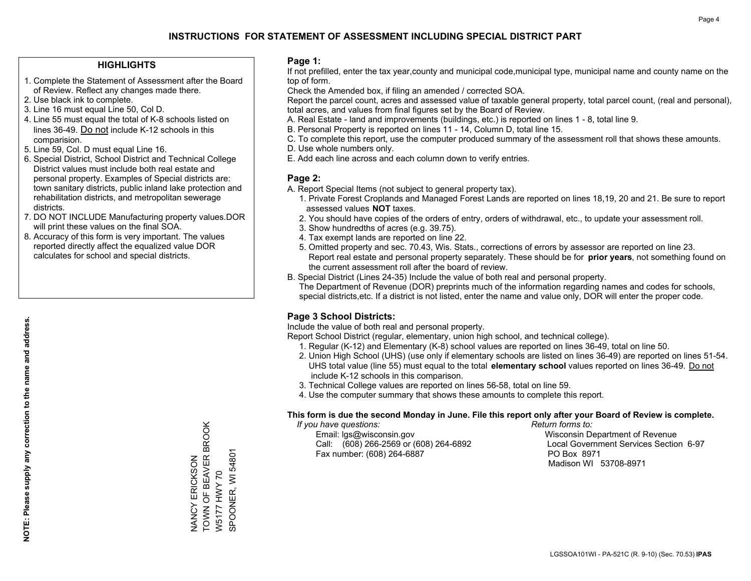### **HIGHLIGHTS**

- 1. Complete the Statement of Assessment after the Board of Review. Reflect any changes made there.
- 2. Use black ink to complete.
- 3. Line 16 must equal Line 50, Col D.
- 4. Line 55 must equal the total of K-8 schools listed on lines 36-49. Do not include K-12 schools in this comparision.
- 5. Line 59, Col. D must equal Line 16.
- 6. Special District, School District and Technical College District values must include both real estate and personal property. Examples of Special districts are: town sanitary districts, public inland lake protection and rehabilitation districts, and metropolitan sewerage districts.
- 7. DO NOT INCLUDE Manufacturing property values.DOR will print these values on the final SOA.
- 8. Accuracy of this form is very important. The values reported directly affect the equalized value DOR calculates for school and special districts.

### **Page 1:**

 If not prefilled, enter the tax year,county and municipal code,municipal type, municipal name and county name on the top of form.

Check the Amended box, if filing an amended / corrected SOA.

 Report the parcel count, acres and assessed value of taxable general property, total parcel count, (real and personal), total acres, and values from final figures set by the Board of Review.

- A. Real Estate land and improvements (buildings, etc.) is reported on lines 1 8, total line 9.
- B. Personal Property is reported on lines 11 14, Column D, total line 15.
- C. To complete this report, use the computer produced summary of the assessment roll that shows these amounts.
- D. Use whole numbers only.
- E. Add each line across and each column down to verify entries.

### **Page 2:**

- A. Report Special Items (not subject to general property tax).
- 1. Private Forest Croplands and Managed Forest Lands are reported on lines 18,19, 20 and 21. Be sure to report assessed values **NOT** taxes.
- 2. You should have copies of the orders of entry, orders of withdrawal, etc., to update your assessment roll.
	- 3. Show hundredths of acres (e.g. 39.75).
- 4. Tax exempt lands are reported on line 22.
- 5. Omitted property and sec. 70.43, Wis. Stats., corrections of errors by assessor are reported on line 23. Report real estate and personal property separately. These should be for **prior years**, not something found on the current assessment roll after the board of review.
- B. Special District (Lines 24-35) Include the value of both real and personal property.
- The Department of Revenue (DOR) preprints much of the information regarding names and codes for schools, special districts,etc. If a district is not listed, enter the name and value only, DOR will enter the proper code.

## **Page 3 School Districts:**

Include the value of both real and personal property.

Report School District (regular, elementary, union high school, and technical college).

- 1. Regular (K-12) and Elementary (K-8) school values are reported on lines 36-49, total on line 50.
- 2. Union High School (UHS) (use only if elementary schools are listed on lines 36-49) are reported on lines 51-54. UHS total value (line 55) must equal to the total **elementary school** values reported on lines 36-49. Do notinclude K-12 schools in this comparison.
- 3. Technical College values are reported on lines 56-58, total on line 59.
- 4. Use the computer summary that shows these amounts to complete this report.

#### **This form is due the second Monday in June. File this report only after your Board of Review is complete.**

 *If you have questions: Return forms to:*

 Email: lgs@wisconsin.gov Wisconsin Department of RevenueCall:  $(608)$  266-2569 or  $(608)$  264-6892 Fax number: (608) 264-6887 PO Box 8971

Local Government Services Section 6-97 Madison WI 53708-8971

TOWN OF BEAVER BROOK NANCY ERICKSON<br>TOWN OF BEAVER BROOK SPOONER, WI 54801 SPOONER, WI 54801 NANCY ERICKSON W5177 HWY 70 W5177 HWY 70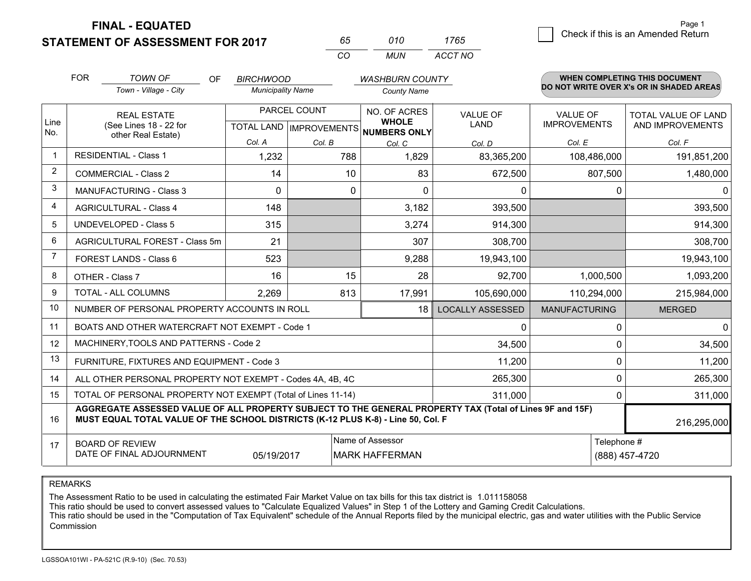**STATEMENT OF ASSESSMENT FOR 2017 FINAL - EQUATED**

| 65        | 010  | 1/65    |
|-----------|------|---------|
| $($ : $($ | MUN. | ACCT NO |

|      | <b>FOR</b>                                                                                                                                                                                   | <b>TOWN OF</b><br>OF                                         | <b>BIRCHWOOD</b>                          |         | <b>WASHBURN COUNTY</b>       |                                |                                        | <b>WHEN COMPLETING THIS DOCUMENT</b>           |
|------|----------------------------------------------------------------------------------------------------------------------------------------------------------------------------------------------|--------------------------------------------------------------|-------------------------------------------|---------|------------------------------|--------------------------------|----------------------------------------|------------------------------------------------|
|      |                                                                                                                                                                                              | Town - Village - City                                        | <b>Municipality Name</b>                  |         | <b>County Name</b>           |                                |                                        | DO NOT WRITE OVER X's OR IN SHADED AREAS       |
| Line |                                                                                                                                                                                              | <b>REAL ESTATE</b><br>(See Lines 18 - 22 for                 | PARCEL COUNT<br>TOTAL LAND   IMPROVEMENTS |         | NO. OF ACRES<br><b>WHOLE</b> | <b>VALUE OF</b><br><b>LAND</b> | <b>VALUE OF</b><br><b>IMPROVEMENTS</b> | <b>TOTAL VALUE OF LAND</b><br>AND IMPROVEMENTS |
| No.  | other Real Estate)                                                                                                                                                                           |                                                              | Col. A                                    | Col. B  | <b>NUMBERS ONLY</b>          |                                | Col. E                                 | Col. F                                         |
|      | <b>RESIDENTIAL - Class 1</b>                                                                                                                                                                 |                                                              | 1,232                                     | 788     | Col. C<br>1,829              | Col. D<br>83,365,200           | 108,486,000                            | 191,851,200                                    |
| 2    |                                                                                                                                                                                              | <b>COMMERCIAL - Class 2</b>                                  | 14                                        | 10      | 83                           | 672,500                        | 807,500                                | 1,480,000                                      |
| 3    |                                                                                                                                                                                              | <b>MANUFACTURING - Class 3</b>                               | 0                                         | 0       | 0                            | 0                              |                                        | $\mathbf{0}$<br>0                              |
| 4    |                                                                                                                                                                                              | <b>AGRICULTURAL - Class 4</b>                                | 148                                       |         | 3,182                        | 393,500                        |                                        | 393,500                                        |
| 5    |                                                                                                                                                                                              | <b>UNDEVELOPED - Class 5</b>                                 | 315                                       |         | 3,274                        | 914,300                        |                                        | 914,300                                        |
| 6    |                                                                                                                                                                                              | AGRICULTURAL FOREST - Class 5m                               | 21                                        |         | 307                          | 308,700                        |                                        | 308,700                                        |
| 7    |                                                                                                                                                                                              | FOREST LANDS - Class 6                                       | 523                                       |         | 9,288                        | 19,943,100                     |                                        | 19,943,100                                     |
| 8    |                                                                                                                                                                                              | OTHER - Class 7                                              | 16                                        | 15      | 28                           | 92,700                         | 1,000,500                              | 1,093,200                                      |
| 9    |                                                                                                                                                                                              | TOTAL - ALL COLUMNS                                          | 2,269                                     | 813     | 17,991                       | 105,690,000                    | 110,294,000                            | 215,984,000                                    |
| 10   |                                                                                                                                                                                              | NUMBER OF PERSONAL PROPERTY ACCOUNTS IN ROLL                 |                                           |         | 18                           | <b>LOCALLY ASSESSED</b>        | <b>MANUFACTURING</b>                   | <b>MERGED</b>                                  |
| 11   |                                                                                                                                                                                              | BOATS AND OTHER WATERCRAFT NOT EXEMPT - Code 1               |                                           |         |                              | 0                              |                                        | $\mathbf{0}$<br>0                              |
| 12   |                                                                                                                                                                                              | MACHINERY, TOOLS AND PATTERNS - Code 2                       |                                           |         |                              | 34,500                         |                                        | 34,500<br>$\Omega$                             |
| 13   |                                                                                                                                                                                              | FURNITURE, FIXTURES AND EQUIPMENT - Code 3                   |                                           |         |                              | 11,200                         |                                        | 11,200<br>$\Omega$                             |
| 14   |                                                                                                                                                                                              | ALL OTHER PERSONAL PROPERTY NOT EXEMPT - Codes 4A, 4B, 4C    |                                           |         |                              | 265,300                        |                                        | 265,300<br>0                                   |
| 15   |                                                                                                                                                                                              | TOTAL OF PERSONAL PROPERTY NOT EXEMPT (Total of Lines 11-14) |                                           | 311,000 |                              | 311,000<br>$\Omega$            |                                        |                                                |
| 16   | AGGREGATE ASSESSED VALUE OF ALL PROPERTY SUBJECT TO THE GENERAL PROPERTY TAX (Total of Lines 9F and 15F)<br>MUST EQUAL TOTAL VALUE OF THE SCHOOL DISTRICTS (K-12 PLUS K-8) - Line 50, Col. F |                                                              |                                           |         |                              |                                | 216,295,000                            |                                                |
| 17   | Name of Assessor<br>Telephone #<br><b>BOARD OF REVIEW</b><br>DATE OF FINAL ADJOURNMENT<br>05/19/2017<br><b>MARK HAFFERMAN</b><br>(888) 457-4720                                              |                                                              |                                           |         |                              |                                |                                        |                                                |
|      |                                                                                                                                                                                              |                                                              |                                           |         |                              |                                |                                        |                                                |

REMARKS

The Assessment Ratio to be used in calculating the estimated Fair Market Value on tax bills for this tax district is 1.011158058<br>This ratio should be used to convert assessed values to "Calculate Equalized Values" in Step Commission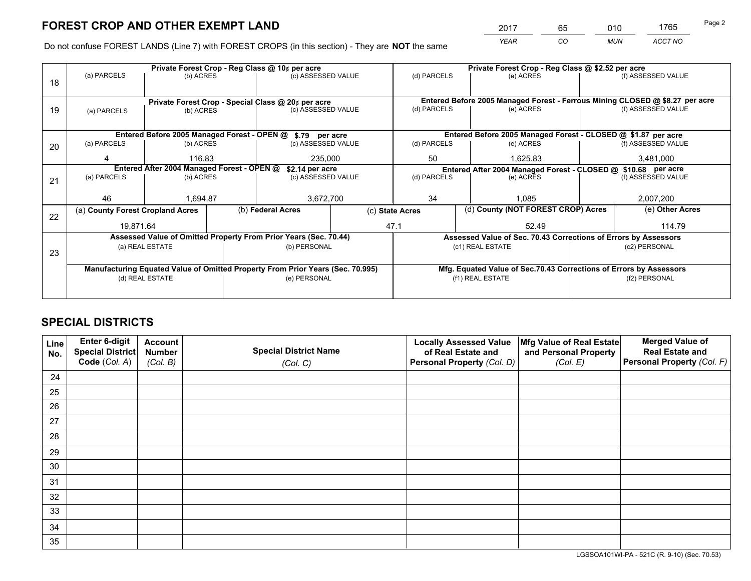*YEAR CO MUN ACCT NO* <sup>2017</sup> <sup>65</sup> <sup>010</sup> <sup>1765</sup>

Do not confuse FOREST LANDS (Line 7) with FOREST CROPS (in this section) - They are **NOT** the same

|    |                                                                                |                 |  | Private Forest Crop - Reg Class @ 10¢ per acre                   |                                                               | Private Forest Crop - Reg Class @ \$2.52 per acre |                                                                              |  |                    |  |
|----|--------------------------------------------------------------------------------|-----------------|--|------------------------------------------------------------------|---------------------------------------------------------------|---------------------------------------------------|------------------------------------------------------------------------------|--|--------------------|--|
| 18 | (a) PARCELS                                                                    | (b) ACRES       |  | (c) ASSESSED VALUE                                               |                                                               | (d) PARCELS                                       | (e) ACRES                                                                    |  | (f) ASSESSED VALUE |  |
|    |                                                                                |                 |  |                                                                  |                                                               |                                                   |                                                                              |  |                    |  |
|    |                                                                                |                 |  | Private Forest Crop - Special Class @ 20¢ per acre               |                                                               |                                                   | Entered Before 2005 Managed Forest - Ferrous Mining CLOSED @ \$8.27 per acre |  |                    |  |
| 19 | (a) PARCELS                                                                    | (b) ACRES       |  | (c) ASSESSED VALUE                                               |                                                               | (d) PARCELS                                       | (e) ACRES                                                                    |  | (f) ASSESSED VALUE |  |
|    |                                                                                |                 |  |                                                                  |                                                               |                                                   |                                                                              |  |                    |  |
|    |                                                                                |                 |  | Entered Before 2005 Managed Forest - OPEN @ \$.79 per acre       |                                                               |                                                   | Entered Before 2005 Managed Forest - CLOSED @ \$1.87 per acre                |  |                    |  |
| 20 | (a) PARCELS                                                                    | (b) ACRES       |  | (c) ASSESSED VALUE                                               |                                                               | (d) PARCELS                                       | (e) ACRES                                                                    |  | (f) ASSESSED VALUE |  |
|    | 4                                                                              | 116.83          |  | 235.000                                                          |                                                               | 50                                                | 1.625.83                                                                     |  | 3.481.000          |  |
|    | Entered After 2004 Managed Forest - OPEN @                                     | \$2.14 per acre |  |                                                                  | Entered After 2004 Managed Forest - CLOSED @ \$10.68 per acre |                                                   |                                                                              |  |                    |  |
| 21 | (a) PARCELS                                                                    | (b) ACRES       |  | (c) ASSESSED VALUE                                               | (d) PARCELS                                                   |                                                   | (e) ACRES                                                                    |  |                    |  |
|    |                                                                                |                 |  |                                                                  |                                                               |                                                   |                                                                              |  |                    |  |
|    | 46                                                                             | 1,694.87        |  |                                                                  | 34<br>3,672,700                                               |                                                   | 1.085                                                                        |  |                    |  |
| 22 | (a) County Forest Cropland Acres                                               |                 |  | (b) Federal Acres                                                | (c) State Acres                                               |                                                   | (d) County (NOT FOREST CROP) Acres                                           |  | (e) Other Acres    |  |
|    | 19,871.64                                                                      |                 |  |                                                                  |                                                               | 47.1                                              | 52.49                                                                        |  | 114.79             |  |
|    |                                                                                |                 |  | Assessed Value of Omitted Property From Prior Years (Sec. 70.44) |                                                               |                                                   | Assessed Value of Sec. 70.43 Corrections of Errors by Assessors              |  |                    |  |
| 23 |                                                                                | (a) REAL ESTATE |  | (b) PERSONAL                                                     |                                                               |                                                   | (c1) REAL ESTATE                                                             |  | (c2) PERSONAL      |  |
|    |                                                                                |                 |  |                                                                  |                                                               |                                                   |                                                                              |  |                    |  |
|    | Manufacturing Equated Value of Omitted Property From Prior Years (Sec. 70.995) |                 |  |                                                                  |                                                               |                                                   | Mfg. Equated Value of Sec.70.43 Corrections of Errors by Assessors           |  |                    |  |
|    |                                                                                | (d) REAL ESTATE |  | (e) PERSONAL                                                     |                                                               | (f1) REAL ESTATE                                  |                                                                              |  | (f2) PERSONAL      |  |
|    |                                                                                |                 |  |                                                                  |                                                               |                                                   |                                                                              |  |                    |  |

## **SPECIAL DISTRICTS**

| Line<br>No. | Enter 6-digit<br>Special District<br>Code (Col. A) | <b>Account</b><br><b>Number</b><br>(Col. B) | <b>Special District Name</b><br>(Col. C) | <b>Locally Assessed Value</b><br>of Real Estate and<br>Personal Property (Col. D) | Mfg Value of Real Estate<br>and Personal Property<br>(Col. E) | <b>Merged Value of</b><br><b>Real Estate and</b><br>Personal Property (Col. F) |
|-------------|----------------------------------------------------|---------------------------------------------|------------------------------------------|-----------------------------------------------------------------------------------|---------------------------------------------------------------|--------------------------------------------------------------------------------|
| 24          |                                                    |                                             |                                          |                                                                                   |                                                               |                                                                                |
| 25          |                                                    |                                             |                                          |                                                                                   |                                                               |                                                                                |
| 26          |                                                    |                                             |                                          |                                                                                   |                                                               |                                                                                |
| 27          |                                                    |                                             |                                          |                                                                                   |                                                               |                                                                                |
| 28          |                                                    |                                             |                                          |                                                                                   |                                                               |                                                                                |
| 29          |                                                    |                                             |                                          |                                                                                   |                                                               |                                                                                |
| 30          |                                                    |                                             |                                          |                                                                                   |                                                               |                                                                                |
| 31          |                                                    |                                             |                                          |                                                                                   |                                                               |                                                                                |
| 32          |                                                    |                                             |                                          |                                                                                   |                                                               |                                                                                |
| 33          |                                                    |                                             |                                          |                                                                                   |                                                               |                                                                                |
| 34          |                                                    |                                             |                                          |                                                                                   |                                                               |                                                                                |
| 35          |                                                    |                                             |                                          |                                                                                   |                                                               |                                                                                |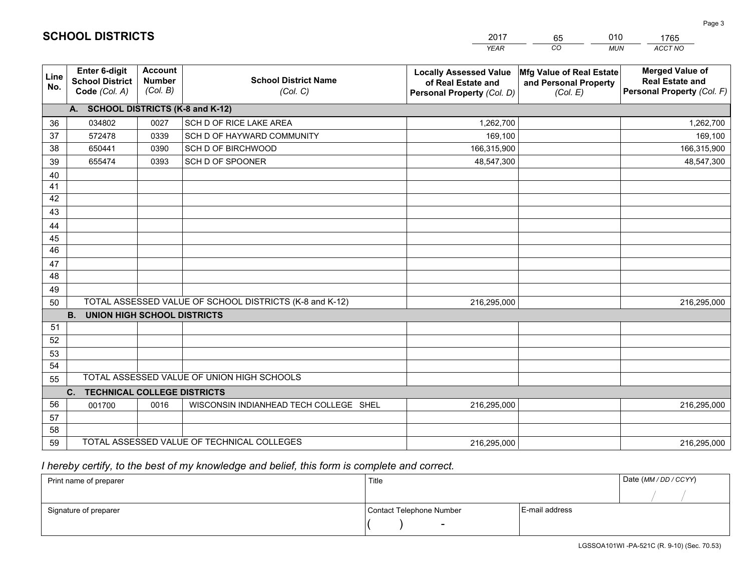|             |                                                          |                                             |                                                         | <b>YEAR</b>                                                                       | CO<br><b>MUN</b>                                              | <b>ACCT NO</b>                                                                 |
|-------------|----------------------------------------------------------|---------------------------------------------|---------------------------------------------------------|-----------------------------------------------------------------------------------|---------------------------------------------------------------|--------------------------------------------------------------------------------|
| Line<br>No. | Enter 6-digit<br><b>School District</b><br>Code (Col. A) | <b>Account</b><br><b>Number</b><br>(Col. B) | <b>School District Name</b><br>(Col. C)                 | <b>Locally Assessed Value</b><br>of Real Estate and<br>Personal Property (Col. D) | Mfg Value of Real Estate<br>and Personal Property<br>(Col. E) | <b>Merged Value of</b><br><b>Real Estate and</b><br>Personal Property (Col. F) |
|             | A. SCHOOL DISTRICTS (K-8 and K-12)                       |                                             |                                                         |                                                                                   |                                                               |                                                                                |
| 36          | 034802                                                   | 0027                                        | SCH D OF RICE LAKE AREA                                 | 1,262,700                                                                         |                                                               | 1,262,700                                                                      |
| 37          | 572478                                                   | 0339                                        | SCH D OF HAYWARD COMMUNITY                              | 169,100                                                                           |                                                               | 169,100                                                                        |
| 38          | 650441                                                   | 0390                                        | SCH D OF BIRCHWOOD                                      | 166,315,900                                                                       |                                                               | 166,315,900                                                                    |
| 39          | 655474                                                   | 0393                                        | SCH D OF SPOONER                                        | 48,547,300                                                                        |                                                               | 48,547,300                                                                     |
| 40          |                                                          |                                             |                                                         |                                                                                   |                                                               |                                                                                |
| 41          |                                                          |                                             |                                                         |                                                                                   |                                                               |                                                                                |
| 42          |                                                          |                                             |                                                         |                                                                                   |                                                               |                                                                                |
| 43          |                                                          |                                             |                                                         |                                                                                   |                                                               |                                                                                |
| 44          |                                                          |                                             |                                                         |                                                                                   |                                                               |                                                                                |
| 45          |                                                          |                                             |                                                         |                                                                                   |                                                               |                                                                                |
| 46          |                                                          |                                             |                                                         |                                                                                   |                                                               |                                                                                |
| 47          |                                                          |                                             |                                                         |                                                                                   |                                                               |                                                                                |
| 48          |                                                          |                                             |                                                         |                                                                                   |                                                               |                                                                                |
| 49          |                                                          |                                             |                                                         |                                                                                   |                                                               |                                                                                |
| 50          |                                                          |                                             | TOTAL ASSESSED VALUE OF SCHOOL DISTRICTS (K-8 and K-12) | 216,295,000                                                                       |                                                               | 216,295,000                                                                    |
|             | <b>B.</b><br><b>UNION HIGH SCHOOL DISTRICTS</b>          |                                             |                                                         |                                                                                   |                                                               |                                                                                |
| 51          |                                                          |                                             |                                                         |                                                                                   |                                                               |                                                                                |
| 52          |                                                          |                                             |                                                         |                                                                                   |                                                               |                                                                                |
| 53          |                                                          |                                             |                                                         |                                                                                   |                                                               |                                                                                |
| 54          |                                                          |                                             |                                                         |                                                                                   |                                                               |                                                                                |
| 55          |                                                          |                                             | TOTAL ASSESSED VALUE OF UNION HIGH SCHOOLS              |                                                                                   |                                                               |                                                                                |
|             | C.<br><b>TECHNICAL COLLEGE DISTRICTS</b>                 |                                             |                                                         |                                                                                   |                                                               |                                                                                |
| 56          | 001700                                                   | 0016                                        | WISCONSIN INDIANHEAD TECH COLLEGE SHEL                  | 216,295,000                                                                       |                                                               | 216,295,000                                                                    |
| 57          |                                                          |                                             |                                                         |                                                                                   |                                                               |                                                                                |
| 58          |                                                          |                                             |                                                         |                                                                                   |                                                               |                                                                                |
| 59          |                                                          |                                             | TOTAL ASSESSED VALUE OF TECHNICAL COLLEGES              | 216,295,000                                                                       |                                                               | 216,295,000                                                                    |

65

010

 *I hereby certify, to the best of my knowledge and belief, this form is complete and correct.*

**SCHOOL DISTRICTS**

| Print name of preparer | Title                    |                | Date (MM / DD / CCYY) |
|------------------------|--------------------------|----------------|-----------------------|
|                        |                          |                |                       |
| Signature of preparer  | Contact Telephone Number | E-mail address |                       |
|                        | $\sim$                   |                |                       |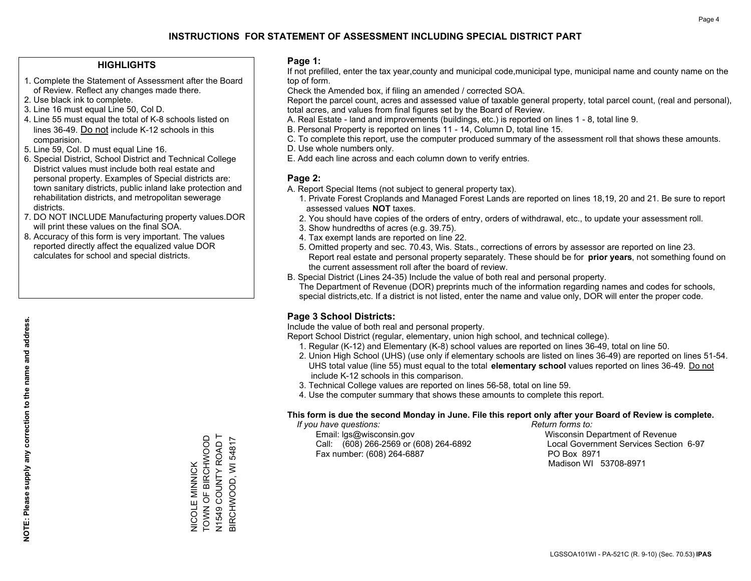### **HIGHLIGHTS**

- 1. Complete the Statement of Assessment after the Board of Review. Reflect any changes made there.
- 2. Use black ink to complete.
- 3. Line 16 must equal Line 50, Col D.
- 4. Line 55 must equal the total of K-8 schools listed on lines 36-49. Do not include K-12 schools in this comparision.
- 5. Line 59, Col. D must equal Line 16.
- 6. Special District, School District and Technical College District values must include both real estate and personal property. Examples of Special districts are: town sanitary districts, public inland lake protection and rehabilitation districts, and metropolitan sewerage districts.
- 7. DO NOT INCLUDE Manufacturing property values.DOR will print these values on the final SOA.

NICOLE MINNICK TOWN OF BIRCHWOOD N1549 COUNTY ROAD T BIRCHWOOD, WI 54817

NICOLE MINNICK<br>TOWN OF BIRCHWOOD

N1549 COUNTY ROAD T<br>BIRCHWOOD, WI 54817

 8. Accuracy of this form is very important. The values reported directly affect the equalized value DOR calculates for school and special districts.

### **Page 1:**

 If not prefilled, enter the tax year,county and municipal code,municipal type, municipal name and county name on the top of form.

Check the Amended box, if filing an amended / corrected SOA.

 Report the parcel count, acres and assessed value of taxable general property, total parcel count, (real and personal), total acres, and values from final figures set by the Board of Review.

- A. Real Estate land and improvements (buildings, etc.) is reported on lines 1 8, total line 9.
- B. Personal Property is reported on lines 11 14, Column D, total line 15.
- C. To complete this report, use the computer produced summary of the assessment roll that shows these amounts.
- D. Use whole numbers only.
- E. Add each line across and each column down to verify entries.

### **Page 2:**

- A. Report Special Items (not subject to general property tax).
- 1. Private Forest Croplands and Managed Forest Lands are reported on lines 18,19, 20 and 21. Be sure to report assessed values **NOT** taxes.
- 2. You should have copies of the orders of entry, orders of withdrawal, etc., to update your assessment roll.
	- 3. Show hundredths of acres (e.g. 39.75).
- 4. Tax exempt lands are reported on line 22.
- 5. Omitted property and sec. 70.43, Wis. Stats., corrections of errors by assessor are reported on line 23. Report real estate and personal property separately. These should be for **prior years**, not something found on the current assessment roll after the board of review.
- B. Special District (Lines 24-35) Include the value of both real and personal property.

 The Department of Revenue (DOR) preprints much of the information regarding names and codes for schools, special districts,etc. If a district is not listed, enter the name and value only, DOR will enter the proper code.

### **Page 3 School Districts:**

Include the value of both real and personal property.

Report School District (regular, elementary, union high school, and technical college).

- 1. Regular (K-12) and Elementary (K-8) school values are reported on lines 36-49, total on line 50.
- 2. Union High School (UHS) (use only if elementary schools are listed on lines 36-49) are reported on lines 51-54. UHS total value (line 55) must equal to the total **elementary school** values reported on lines 36-49. Do notinclude K-12 schools in this comparison.
- 3. Technical College values are reported on lines 56-58, total on line 59.
- 4. Use the computer summary that shows these amounts to complete this report.

#### **This form is due the second Monday in June. File this report only after your Board of Review is complete.**

 *If you have questions: Return forms to:*

 Email: lgs@wisconsin.gov Wisconsin Department of RevenueCall:  $(608)$  266-2569 or  $(608)$  264-6892 Fax number: (608) 264-6887 PO Box 8971

Local Government Services Section 6-97 Madison WI 53708-8971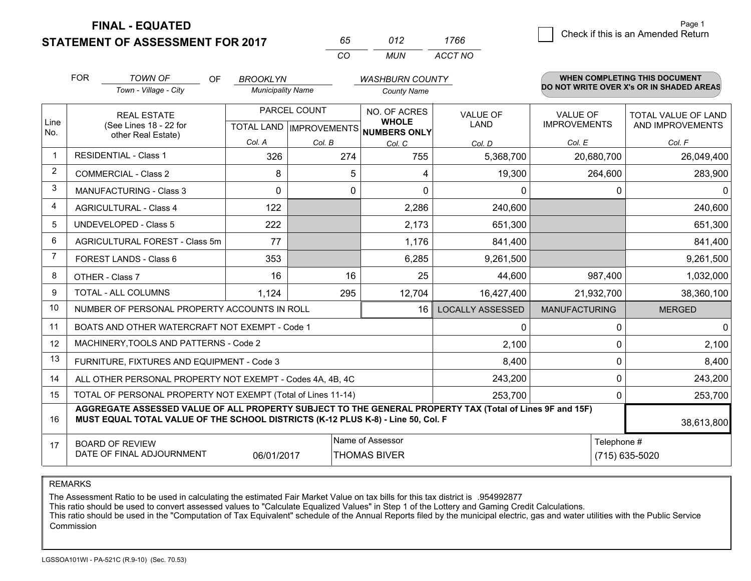**FINAL - EQUATED**

**STATEMENT OF ASSESSMENT FOR 2017** 

| 65.       | 012   | 1766    |
|-----------|-------|---------|
| $($ : $($ | MI IN | ACCT NO |

|                | <b>FOR</b>                                                                                                                                                                                   | <b>TOWN OF</b><br><b>OF</b>                                        | <b>BROOKLYN</b>                                |            | <b>WASHBURN COUNTY</b>                       |                         |                                        | <b>WHEN COMPLETING THIS DOCUMENT</b>           |
|----------------|----------------------------------------------------------------------------------------------------------------------------------------------------------------------------------------------|--------------------------------------------------------------------|------------------------------------------------|------------|----------------------------------------------|-------------------------|----------------------------------------|------------------------------------------------|
|                |                                                                                                                                                                                              | Town - Village - City                                              | <b>Municipality Name</b>                       |            | <b>County Name</b>                           |                         |                                        | DO NOT WRITE OVER X's OR IN SHADED AREAS       |
| Line<br>No.    |                                                                                                                                                                                              | <b>REAL ESTATE</b><br>(See Lines 18 - 22 for<br>other Real Estate) | PARCEL COUNT<br><b>TOTAL LAND IMPROVEMENTS</b> |            | NO. OF ACRES<br><b>WHOLE</b><br>NUMBERS ONLY | <b>VALUE OF</b><br>LAND | <b>VALUE OF</b><br><b>IMPROVEMENTS</b> | <b>TOTAL VALUE OF LAND</b><br>AND IMPROVEMENTS |
|                |                                                                                                                                                                                              |                                                                    | Col. A                                         | Col. B     | Col. C                                       | Col. D                  | Col. E                                 | Col. F                                         |
|                | <b>RESIDENTIAL - Class 1</b>                                                                                                                                                                 |                                                                    | 326                                            | 274        | 755                                          | 5,368,700               | 20,680,700                             | 26,049,400                                     |
| 2              |                                                                                                                                                                                              | <b>COMMERCIAL - Class 2</b>                                        | 8                                              | 5          | 4                                            | 19,300                  | 264,600                                | 283,900                                        |
| 3              |                                                                                                                                                                                              | <b>MANUFACTURING - Class 3</b>                                     | $\Omega$                                       | $\Omega$   | $\Omega$                                     | 0                       | 0                                      | $\mathbf{0}$                                   |
| 4              |                                                                                                                                                                                              | <b>AGRICULTURAL - Class 4</b>                                      | 122                                            |            | 2,286                                        | 240,600                 |                                        | 240,600                                        |
| 5              |                                                                                                                                                                                              | UNDEVELOPED - Class 5                                              | 222                                            |            | 2,173                                        | 651,300                 |                                        | 651,300                                        |
| 6              |                                                                                                                                                                                              | AGRICULTURAL FOREST - Class 5m                                     | 77                                             |            | 1,176                                        | 841,400                 |                                        | 841,400                                        |
| $\overline{7}$ |                                                                                                                                                                                              | FOREST LANDS - Class 6                                             | 353                                            |            | 6,285                                        | 9,261,500               |                                        | 9,261,500                                      |
| 8              |                                                                                                                                                                                              | OTHER - Class 7                                                    | 16                                             | 16         | 25                                           | 44,600                  | 987,400                                | 1,032,000                                      |
| 9              |                                                                                                                                                                                              | TOTAL - ALL COLUMNS<br>1,124<br>12,704<br>295                      |                                                | 16,427,400 | 21,932,700                                   | 38,360,100              |                                        |                                                |
| 10             |                                                                                                                                                                                              | NUMBER OF PERSONAL PROPERTY ACCOUNTS IN ROLL                       |                                                |            | 16                                           | <b>LOCALLY ASSESSED</b> | <b>MANUFACTURING</b>                   | <b>MERGED</b>                                  |
| 11             |                                                                                                                                                                                              | BOATS AND OTHER WATERCRAFT NOT EXEMPT - Code 1                     |                                                |            |                                              | 0                       | 0                                      | $\mathbf 0$                                    |
| 12             |                                                                                                                                                                                              | MACHINERY, TOOLS AND PATTERNS - Code 2                             |                                                |            |                                              | 2,100                   | 0                                      | 2,100                                          |
| 13             |                                                                                                                                                                                              | FURNITURE, FIXTURES AND EQUIPMENT - Code 3                         |                                                |            |                                              | 8,400                   | 0                                      | 8,400                                          |
| 14             |                                                                                                                                                                                              | ALL OTHER PERSONAL PROPERTY NOT EXEMPT - Codes 4A, 4B, 4C          |                                                |            |                                              | 243,200                 | 0                                      | 243,200                                        |
| 15             |                                                                                                                                                                                              | TOTAL OF PERSONAL PROPERTY NOT EXEMPT (Total of Lines 11-14)       |                                                |            |                                              | 253,700                 | 0                                      | 253,700                                        |
| 16             | AGGREGATE ASSESSED VALUE OF ALL PROPERTY SUBJECT TO THE GENERAL PROPERTY TAX (Total of Lines 9F and 15F)<br>MUST EQUAL TOTAL VALUE OF THE SCHOOL DISTRICTS (K-12 PLUS K-8) - Line 50, Col. F |                                                                    |                                                |            |                                              |                         | 38,613,800                             |                                                |
| 17             | Name of Assessor<br>Telephone #<br><b>BOARD OF REVIEW</b><br>DATE OF FINAL ADJOURNMENT<br>06/01/2017<br><b>THOMAS BIVER</b>                                                                  |                                                                    |                                                |            |                                              | (715) 635-5020          |                                        |                                                |

REMARKS

The Assessment Ratio to be used in calculating the estimated Fair Market Value on tax bills for this tax district is .954992877

This ratio should be used to convert assessed values to "Calculate Equalized Values" in Step 1 of the Lottery and Gaming Credit Calculations.<br>This ratio should be used in the "Computation of Tax Equivalent" schedule of the Commission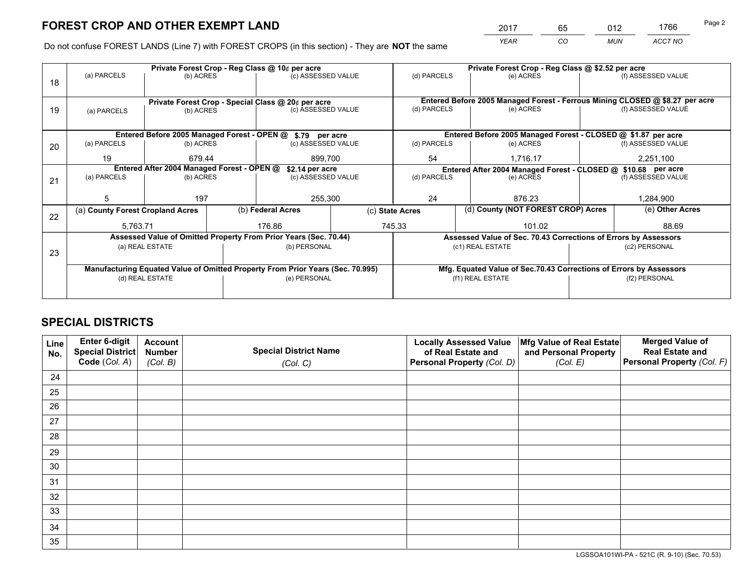*YEAR CO MUN ACCT NO* <sup>2017</sup> <sup>65</sup> <sup>012</sup> <sup>1766</sup>

Do not confuse FOREST LANDS (Line 7) with FOREST CROPS (in this section) - They are **NOT** the same

|    |                                                                                |                                 |  | Private Forest Crop - Reg Class @ 10¢ per acre                   |                 | Private Forest Crop - Reg Class @ \$2.52 per acre             |                  |                                                                    |               |                                                                              |
|----|--------------------------------------------------------------------------------|---------------------------------|--|------------------------------------------------------------------|-----------------|---------------------------------------------------------------|------------------|--------------------------------------------------------------------|---------------|------------------------------------------------------------------------------|
| 18 | (a) PARCELS                                                                    | (b) ACRES                       |  | (c) ASSESSED VALUE                                               |                 | (d) PARCELS                                                   |                  | (e) ACRES                                                          |               | (f) ASSESSED VALUE                                                           |
|    |                                                                                |                                 |  |                                                                  |                 |                                                               |                  |                                                                    |               |                                                                              |
|    |                                                                                |                                 |  | Private Forest Crop - Special Class @ 20¢ per acre               |                 |                                                               |                  |                                                                    |               | Entered Before 2005 Managed Forest - Ferrous Mining CLOSED @ \$8.27 per acre |
| 19 | (a) PARCELS                                                                    | (b) ACRES                       |  | (c) ASSESSED VALUE                                               |                 | (d) PARCELS                                                   |                  | (e) ACRES                                                          |               | (f) ASSESSED VALUE                                                           |
|    |                                                                                |                                 |  |                                                                  |                 |                                                               |                  |                                                                    |               |                                                                              |
|    |                                                                                |                                 |  | Entered Before 2005 Managed Forest - OPEN @ \$.79 per acre       |                 |                                                               |                  | Entered Before 2005 Managed Forest - CLOSED @ \$1.87 per acre      |               |                                                                              |
| 20 | (a) PARCELS                                                                    | (b) ACRES                       |  | (c) ASSESSED VALUE                                               |                 | (d) PARCELS                                                   |                  | (e) ACRES                                                          |               | (f) ASSESSED VALUE                                                           |
|    | 19                                                                             | 679.44                          |  | 899.700                                                          |                 | 54                                                            | 1.716.17         |                                                                    | 2,251,100     |                                                                              |
|    | Entered After 2004 Managed Forest - OPEN @<br>\$2.14 per acre                  |                                 |  |                                                                  |                 | Entered After 2004 Managed Forest - CLOSED @ \$10.68 per acre |                  |                                                                    |               |                                                                              |
| 21 | (a) PARCELS                                                                    | (b) ACRES                       |  | (c) ASSESSED VALUE                                               |                 | (d) PARCELS<br>(e) ACRES                                      |                  |                                                                    |               | (f) ASSESSED VALUE                                                           |
|    |                                                                                |                                 |  |                                                                  |                 |                                                               |                  |                                                                    |               |                                                                              |
|    | 5                                                                              | 197                             |  | 255,300                                                          |                 | 24                                                            |                  | 876.23                                                             |               | 1,284,900                                                                    |
| 22 | (a) County Forest Cropland Acres                                               |                                 |  | (b) Federal Acres                                                | (c) State Acres |                                                               |                  | (d) County (NOT FOREST CROP) Acres                                 |               | (e) Other Acres                                                              |
|    | 5,763.71                                                                       |                                 |  | 176.86                                                           |                 | 745.33                                                        |                  | 101.02                                                             |               | 88.69                                                                        |
|    |                                                                                |                                 |  | Assessed Value of Omitted Property From Prior Years (Sec. 70.44) |                 |                                                               |                  | Assessed Value of Sec. 70.43 Corrections of Errors by Assessors    |               |                                                                              |
| 23 |                                                                                | (a) REAL ESTATE                 |  | (b) PERSONAL                                                     |                 |                                                               |                  | (c1) REAL ESTATE                                                   | (c2) PERSONAL |                                                                              |
|    |                                                                                |                                 |  |                                                                  |                 |                                                               |                  |                                                                    |               |                                                                              |
|    | Manufacturing Equated Value of Omitted Property From Prior Years (Sec. 70.995) |                                 |  |                                                                  |                 |                                                               |                  | Mfg. Equated Value of Sec.70.43 Corrections of Errors by Assessors |               |                                                                              |
|    |                                                                                | (d) REAL ESTATE<br>(e) PERSONAL |  |                                                                  |                 |                                                               | (f1) REAL ESTATE |                                                                    | (f2) PERSONAL |                                                                              |
|    |                                                                                |                                 |  |                                                                  |                 |                                                               |                  |                                                                    |               |                                                                              |

## **SPECIAL DISTRICTS**

| Line<br>No. | Enter 6-digit<br>Special District<br>Code (Col. A) | <b>Account</b><br><b>Number</b> | <b>Special District Name</b> | <b>Locally Assessed Value</b><br>of Real Estate and | Mfg Value of Real Estate<br>and Personal Property | <b>Merged Value of</b><br><b>Real Estate and</b><br>Personal Property (Col. F) |
|-------------|----------------------------------------------------|---------------------------------|------------------------------|-----------------------------------------------------|---------------------------------------------------|--------------------------------------------------------------------------------|
|             |                                                    | (Col. B)                        | (Col. C)                     | Personal Property (Col. D)                          | (Col. E)                                          |                                                                                |
| 24          |                                                    |                                 |                              |                                                     |                                                   |                                                                                |
| 25          |                                                    |                                 |                              |                                                     |                                                   |                                                                                |
| 26          |                                                    |                                 |                              |                                                     |                                                   |                                                                                |
| 27          |                                                    |                                 |                              |                                                     |                                                   |                                                                                |
| 28          |                                                    |                                 |                              |                                                     |                                                   |                                                                                |
| 29          |                                                    |                                 |                              |                                                     |                                                   |                                                                                |
| 30          |                                                    |                                 |                              |                                                     |                                                   |                                                                                |
| 31          |                                                    |                                 |                              |                                                     |                                                   |                                                                                |
| 32          |                                                    |                                 |                              |                                                     |                                                   |                                                                                |
| 33          |                                                    |                                 |                              |                                                     |                                                   |                                                                                |
| 34          |                                                    |                                 |                              |                                                     |                                                   |                                                                                |
| 35          |                                                    |                                 |                              |                                                     |                                                   |                                                                                |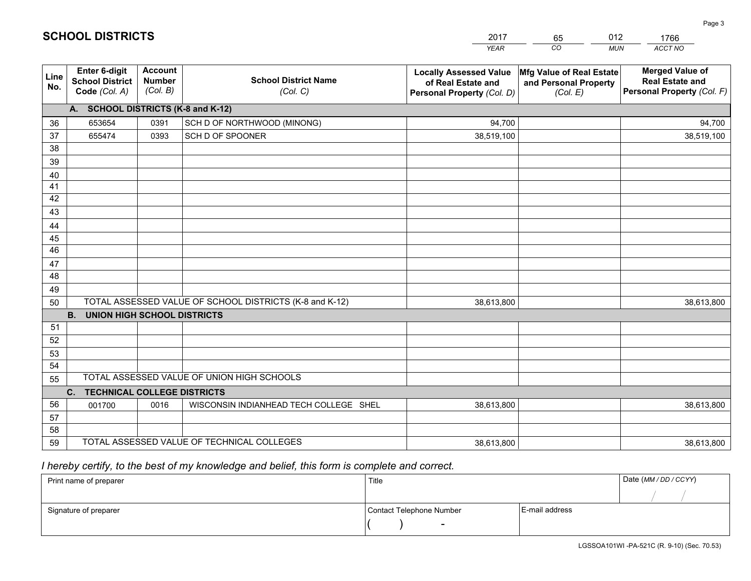|             |                                                          |                                             |                                                         | <b>YEAR</b>                                                                       | CO<br><b>MUN</b>                                                              | ACCT NO                                                                        |
|-------------|----------------------------------------------------------|---------------------------------------------|---------------------------------------------------------|-----------------------------------------------------------------------------------|-------------------------------------------------------------------------------|--------------------------------------------------------------------------------|
| Line<br>No. | Enter 6-digit<br><b>School District</b><br>Code (Col. A) | <b>Account</b><br><b>Number</b><br>(Col. B) | <b>School District Name</b><br>(Col. C)                 | <b>Locally Assessed Value</b><br>of Real Estate and<br>Personal Property (Col. D) | $ \mathsf{Mfg}$ Value of Real Estate $ $<br>and Personal Property<br>(Col. E) | <b>Merged Value of</b><br><b>Real Estate and</b><br>Personal Property (Col. F) |
|             | A. SCHOOL DISTRICTS (K-8 and K-12)                       |                                             |                                                         |                                                                                   |                                                                               |                                                                                |
| 36          | 653654                                                   | 0391                                        | SCH D OF NORTHWOOD (MINONG)                             | 94,700                                                                            |                                                                               | 94,700                                                                         |
| 37          | 655474                                                   | 0393                                        | SCH D OF SPOONER                                        | 38,519,100                                                                        |                                                                               | 38,519,100                                                                     |
| 38          |                                                          |                                             |                                                         |                                                                                   |                                                                               |                                                                                |
| 39          |                                                          |                                             |                                                         |                                                                                   |                                                                               |                                                                                |
| 40          |                                                          |                                             |                                                         |                                                                                   |                                                                               |                                                                                |
| 41          |                                                          |                                             |                                                         |                                                                                   |                                                                               |                                                                                |
| 42          |                                                          |                                             |                                                         |                                                                                   |                                                                               |                                                                                |
| 43          |                                                          |                                             |                                                         |                                                                                   |                                                                               |                                                                                |
| 44          |                                                          |                                             |                                                         |                                                                                   |                                                                               |                                                                                |
| 45          |                                                          |                                             |                                                         |                                                                                   |                                                                               |                                                                                |
| 46          |                                                          |                                             |                                                         |                                                                                   |                                                                               |                                                                                |
| 47          |                                                          |                                             |                                                         |                                                                                   |                                                                               |                                                                                |
| 48          |                                                          |                                             |                                                         |                                                                                   |                                                                               |                                                                                |
| 49          |                                                          |                                             |                                                         |                                                                                   |                                                                               |                                                                                |
| 50          |                                                          |                                             | TOTAL ASSESSED VALUE OF SCHOOL DISTRICTS (K-8 and K-12) | 38,613,800                                                                        |                                                                               | 38,613,800                                                                     |
|             | <b>B.</b><br><b>UNION HIGH SCHOOL DISTRICTS</b>          |                                             |                                                         |                                                                                   |                                                                               |                                                                                |
| 51          |                                                          |                                             |                                                         |                                                                                   |                                                                               |                                                                                |
| 52          |                                                          |                                             |                                                         |                                                                                   |                                                                               |                                                                                |
| 53<br>54    |                                                          |                                             |                                                         |                                                                                   |                                                                               |                                                                                |
| 55          |                                                          |                                             | TOTAL ASSESSED VALUE OF UNION HIGH SCHOOLS              |                                                                                   |                                                                               |                                                                                |
|             |                                                          |                                             |                                                         |                                                                                   |                                                                               |                                                                                |
| 56          | C. TECHNICAL COLLEGE DISTRICTS<br>001700                 | 0016                                        | WISCONSIN INDIANHEAD TECH COLLEGE SHEL                  | 38,613,800                                                                        |                                                                               | 38,613,800                                                                     |
| 57          |                                                          |                                             |                                                         |                                                                                   |                                                                               |                                                                                |
| 58          |                                                          |                                             |                                                         |                                                                                   |                                                                               |                                                                                |
| 59          |                                                          |                                             | TOTAL ASSESSED VALUE OF TECHNICAL COLLEGES              | 38,613,800                                                                        |                                                                               | 38,613,800                                                                     |
|             |                                                          |                                             |                                                         |                                                                                   |                                                                               |                                                                                |

65

012

 *I hereby certify, to the best of my knowledge and belief, this form is complete and correct.*

**SCHOOL DISTRICTS**

| Print name of preparer | Title                    |                | Date (MM / DD / CCYY) |
|------------------------|--------------------------|----------------|-----------------------|
|                        |                          |                |                       |
| Signature of preparer  | Contact Telephone Number | E-mail address |                       |
|                        | $\sim$                   |                |                       |

| LGSSOA101WI-PA-521C (R. 9-10) (So |  |  |
|-----------------------------------|--|--|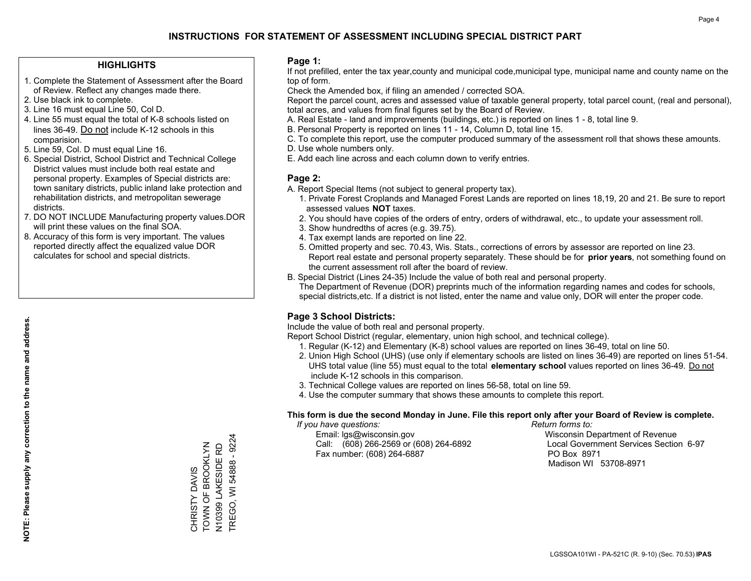### **HIGHLIGHTS**

- 1. Complete the Statement of Assessment after the Board of Review. Reflect any changes made there.
- 2. Use black ink to complete.

**NOTE: Please supply any correction to the name and address.**

NOTE: Please supply any correction to the name and address.

- 3. Line 16 must equal Line 50, Col D.
- 4. Line 55 must equal the total of K-8 schools listed on lines 36-49. Do not include K-12 schools in this comparision.
- 5. Line 59, Col. D must equal Line 16.
- 6. Special District, School District and Technical College District values must include both real estate and personal property. Examples of Special districts are: town sanitary districts, public inland lake protection and rehabilitation districts, and metropolitan sewerage districts.
- 7. DO NOT INCLUDE Manufacturing property values.DOR will print these values on the final SOA.
- 8. Accuracy of this form is very important. The values reported directly affect the equalized value DOR calculates for school and special districts.

### **Page 1:**

 If not prefilled, enter the tax year,county and municipal code,municipal type, municipal name and county name on the top of form.

Check the Amended box, if filing an amended / corrected SOA.

 Report the parcel count, acres and assessed value of taxable general property, total parcel count, (real and personal), total acres, and values from final figures set by the Board of Review.

- A. Real Estate land and improvements (buildings, etc.) is reported on lines 1 8, total line 9.
- B. Personal Property is reported on lines 11 14, Column D, total line 15.
- C. To complete this report, use the computer produced summary of the assessment roll that shows these amounts.
- D. Use whole numbers only.
- E. Add each line across and each column down to verify entries.

### **Page 2:**

- A. Report Special Items (not subject to general property tax).
- 1. Private Forest Croplands and Managed Forest Lands are reported on lines 18,19, 20 and 21. Be sure to report assessed values **NOT** taxes.
- 2. You should have copies of the orders of entry, orders of withdrawal, etc., to update your assessment roll.
	- 3. Show hundredths of acres (e.g. 39.75).
- 4. Tax exempt lands are reported on line 22.
- 5. Omitted property and sec. 70.43, Wis. Stats., corrections of errors by assessor are reported on line 23. Report real estate and personal property separately. These should be for **prior years**, not something found on the current assessment roll after the board of review.
- B. Special District (Lines 24-35) Include the value of both real and personal property.

 The Department of Revenue (DOR) preprints much of the information regarding names and codes for schools, special districts,etc. If a district is not listed, enter the name and value only, DOR will enter the proper code.

### **Page 3 School Districts:**

Include the value of both real and personal property.

Report School District (regular, elementary, union high school, and technical college).

- 1. Regular (K-12) and Elementary (K-8) school values are reported on lines 36-49, total on line 50.
- 2. Union High School (UHS) (use only if elementary schools are listed on lines 36-49) are reported on lines 51-54. UHS total value (line 55) must equal to the total **elementary school** values reported on lines 36-49. Do notinclude K-12 schools in this comparison.
- 3. Technical College values are reported on lines 56-58, total on line 59.
- 4. Use the computer summary that shows these amounts to complete this report.

#### **This form is due the second Monday in June. File this report only after your Board of Review is complete.**

 *If you have questions: Return forms to:*

 Email: lgs@wisconsin.gov Wisconsin Department of RevenueCall:  $(608)$  266-2569 or  $(608)$  264-6892 Fax number: (608) 264-6887 PO Box 8971

Local Government Services Section 6-97 Madison WI 53708-8971

TOWN OF BROOKLYN TOWN OF BROOKLYN CHRISTY DAVIS CHRISTY DAVIS

N10399 LAKESIDE RD TREGO, WI 54888 - 9224

N10399 LAKESIDE RD

TREGO, WI 54888 - 9224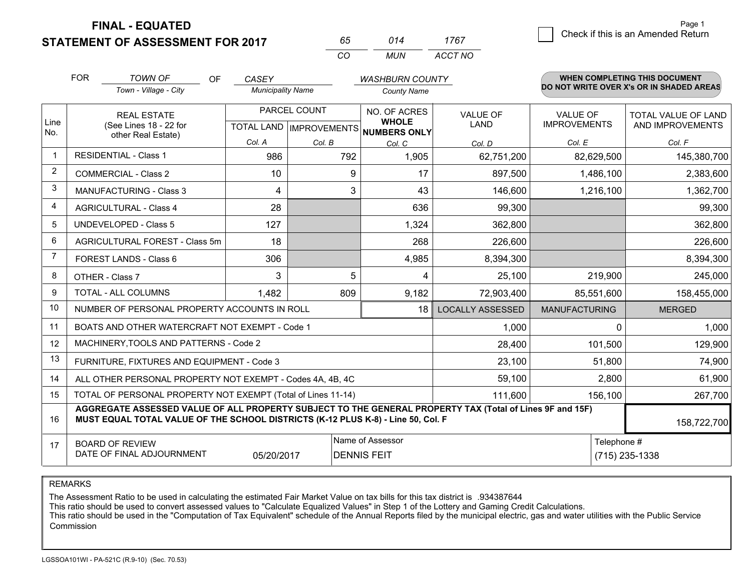**FINAL - EQUATED**

**STATEMENT OF ASSESSMENT FOR 2017** 

| 65. | 014  | 1767    |
|-----|------|---------|
| (   | MUN. | ACCT NO |

|             | <b>FOR</b>                                                                                                                                                                                   | <b>TOWN OF</b><br><b>OF</b>                    | CASEY                    |                                                  | <b>WASHBURN COUNTY</b>                       |                                |                                        | <b>WHEN COMPLETING THIS DOCUMENT</b>           |
|-------------|----------------------------------------------------------------------------------------------------------------------------------------------------------------------------------------------|------------------------------------------------|--------------------------|--------------------------------------------------|----------------------------------------------|--------------------------------|----------------------------------------|------------------------------------------------|
|             |                                                                                                                                                                                              | Town - Village - City                          | <b>Municipality Name</b> |                                                  | <b>County Name</b>                           |                                |                                        | DO NOT WRITE OVER X's OR IN SHADED AREAS       |
| Line<br>No. |                                                                                                                                                                                              | <b>REAL ESTATE</b><br>(See Lines 18 - 22 for   |                          | PARCEL COUNT<br><b>TOTAL LAND   IMPROVEMENTS</b> | NO. OF ACRES<br><b>WHOLE</b><br>NUMBERS ONLY | <b>VALUE OF</b><br><b>LAND</b> | <b>VALUE OF</b><br><b>IMPROVEMENTS</b> | <b>TOTAL VALUE OF LAND</b><br>AND IMPROVEMENTS |
|             |                                                                                                                                                                                              | other Real Estate)                             | Col. A                   | Col. B                                           | Col. C                                       | Col. D                         | Col. E                                 | Col. F                                         |
| $\mathbf 1$ |                                                                                                                                                                                              | <b>RESIDENTIAL - Class 1</b>                   | 986                      | 792                                              | 1,905                                        | 62,751,200                     | 82,629,500                             | 145,380,700                                    |
| 2           |                                                                                                                                                                                              | <b>COMMERCIAL - Class 2</b>                    | 10                       | 9                                                | 17                                           | 897,500                        | 1,486,100                              | 2,383,600                                      |
| 3           |                                                                                                                                                                                              | <b>MANUFACTURING - Class 3</b>                 | 4                        | 3                                                | 43                                           | 146,600                        | 1,216,100                              | 1,362,700                                      |
| 4           |                                                                                                                                                                                              | <b>AGRICULTURAL - Class 4</b>                  | 28                       |                                                  | 636                                          | 99,300                         |                                        | 99,300                                         |
| 5           |                                                                                                                                                                                              | <b>UNDEVELOPED - Class 5</b>                   | 127                      |                                                  | 1,324                                        | 362,800                        |                                        | 362,800                                        |
| 6           |                                                                                                                                                                                              | AGRICULTURAL FOREST - Class 5m                 | 18                       |                                                  | 268                                          | 226,600                        |                                        | 226,600                                        |
| 7           |                                                                                                                                                                                              | FOREST LANDS - Class 6                         | 306                      |                                                  | 4,985                                        | 8,394,300                      |                                        | 8,394,300                                      |
| 8           |                                                                                                                                                                                              | OTHER - Class 7                                | 3                        | 5                                                | 4                                            | 25,100                         | 219,900                                | 245,000                                        |
| 9           |                                                                                                                                                                                              | TOTAL - ALL COLUMNS                            | 1,482                    | 809                                              | 9,182                                        | 72,903,400                     | 85,551,600                             | 158,455,000                                    |
| 10          |                                                                                                                                                                                              | NUMBER OF PERSONAL PROPERTY ACCOUNTS IN ROLL   |                          |                                                  | 18                                           | <b>LOCALLY ASSESSED</b>        | <b>MANUFACTURING</b>                   | <b>MERGED</b>                                  |
| 11          |                                                                                                                                                                                              | BOATS AND OTHER WATERCRAFT NOT EXEMPT - Code 1 |                          |                                                  |                                              | 1,000                          | $\Omega$                               | 1,000                                          |
| 12          |                                                                                                                                                                                              | MACHINERY, TOOLS AND PATTERNS - Code 2         |                          |                                                  |                                              | 28,400                         | 101,500                                | 129,900                                        |
| 13          |                                                                                                                                                                                              | FURNITURE, FIXTURES AND EQUIPMENT - Code 3     |                          |                                                  |                                              | 23,100                         | 51,800                                 | 74,900                                         |
| 14          | 59,100<br>ALL OTHER PERSONAL PROPERTY NOT EXEMPT - Codes 4A, 4B, 4C                                                                                                                          |                                                |                          |                                                  |                                              |                                | 2,800                                  | 61,900                                         |
| 15          | TOTAL OF PERSONAL PROPERTY NOT EXEMPT (Total of Lines 11-14)<br>111,600                                                                                                                      |                                                |                          |                                                  |                                              |                                | 156,100                                | 267,700                                        |
| 16          | AGGREGATE ASSESSED VALUE OF ALL PROPERTY SUBJECT TO THE GENERAL PROPERTY TAX (Total of Lines 9F and 15F)<br>MUST EQUAL TOTAL VALUE OF THE SCHOOL DISTRICTS (K-12 PLUS K-8) - Line 50, Col. F |                                                |                          |                                                  |                                              |                                |                                        |                                                |
| 17          | Name of Assessor<br>Telephone #<br><b>BOARD OF REVIEW</b><br>DATE OF FINAL ADJOURNMENT<br>05/20/2017<br><b>DENNIS FEIT</b>                                                                   |                                                |                          |                                                  |                                              |                                |                                        | (715) 235-1338                                 |

REMARKS

The Assessment Ratio to be used in calculating the estimated Fair Market Value on tax bills for this tax district is .934387644<br>This ratio should be used to convert assessed values to "Calculate Equalized Values" in Step 1 Commission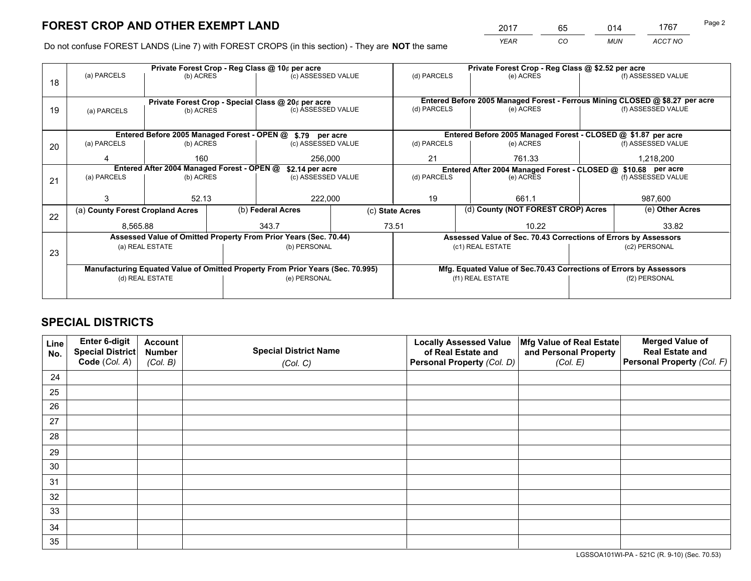*YEAR CO MUN ACCT NO* <sup>2017</sup> <sup>65</sup> <sup>014</sup> <sup>1767</sup>

Do not confuse FOREST LANDS (Line 7) with FOREST CROPS (in this section) - They are **NOT** the same

| (b) ACRES | (c) ASSESSED VALUE                                                                          |                                            | (d) PARCELS                                                                                                                                                                                                                                                                                                                                                                                                       | (e) ACRES                                                                    |                                                                         |                                                                                                                                                                                                                                              |  |
|-----------|---------------------------------------------------------------------------------------------|--------------------------------------------|-------------------------------------------------------------------------------------------------------------------------------------------------------------------------------------------------------------------------------------------------------------------------------------------------------------------------------------------------------------------------------------------------------------------|------------------------------------------------------------------------------|-------------------------------------------------------------------------|----------------------------------------------------------------------------------------------------------------------------------------------------------------------------------------------------------------------------------------------|--|
|           |                                                                                             |                                            |                                                                                                                                                                                                                                                                                                                                                                                                                   |                                                                              |                                                                         | (f) ASSESSED VALUE                                                                                                                                                                                                                           |  |
|           |                                                                                             |                                            |                                                                                                                                                                                                                                                                                                                                                                                                                   |                                                                              |                                                                         |                                                                                                                                                                                                                                              |  |
|           |                                                                                             |                                            |                                                                                                                                                                                                                                                                                                                                                                                                                   | Entered Before 2005 Managed Forest - Ferrous Mining CLOSED @ \$8.27 per acre |                                                                         |                                                                                                                                                                                                                                              |  |
| (b) ACRES |                                                                                             |                                            |                                                                                                                                                                                                                                                                                                                                                                                                                   |                                                                              |                                                                         | (f) ASSESSED VALUE                                                                                                                                                                                                                           |  |
|           |                                                                                             |                                            |                                                                                                                                                                                                                                                                                                                                                                                                                   |                                                                              |                                                                         |                                                                                                                                                                                                                                              |  |
|           |                                                                                             |                                            |                                                                                                                                                                                                                                                                                                                                                                                                                   |                                                                              |                                                                         |                                                                                                                                                                                                                                              |  |
| (b) ACRES |                                                                                             |                                            | (d) PARCELS                                                                                                                                                                                                                                                                                                                                                                                                       | (e) ACRES                                                                    |                                                                         | (f) ASSESSED VALUE                                                                                                                                                                                                                           |  |
| 160       |                                                                                             |                                            | 21                                                                                                                                                                                                                                                                                                                                                                                                                | 761.33                                                                       |                                                                         | 1,218,200                                                                                                                                                                                                                                    |  |
|           |                                                                                             |                                            | Entered After 2004 Managed Forest - CLOSED @ \$10.68 per acre                                                                                                                                                                                                                                                                                                                                                     |                                                                              |                                                                         |                                                                                                                                                                                                                                              |  |
| (b) ACRES |                                                                                             |                                            |                                                                                                                                                                                                                                                                                                                                                                                                                   |                                                                              |                                                                         | (f) ASSESSED VALUE                                                                                                                                                                                                                           |  |
|           |                                                                                             |                                            |                                                                                                                                                                                                                                                                                                                                                                                                                   |                                                                              |                                                                         |                                                                                                                                                                                                                                              |  |
|           |                                                                                             |                                            |                                                                                                                                                                                                                                                                                                                                                                                                                   |                                                                              |                                                                         | 987,600                                                                                                                                                                                                                                      |  |
|           | (b) Federal Acres                                                                           |                                            |                                                                                                                                                                                                                                                                                                                                                                                                                   |                                                                              |                                                                         | (e) Other Acres                                                                                                                                                                                                                              |  |
|           | 343.7                                                                                       |                                            | 10.22                                                                                                                                                                                                                                                                                                                                                                                                             |                                                                              |                                                                         | 33.82                                                                                                                                                                                                                                        |  |
|           |                                                                                             |                                            |                                                                                                                                                                                                                                                                                                                                                                                                                   |                                                                              |                                                                         |                                                                                                                                                                                                                                              |  |
|           |                                                                                             |                                            |                                                                                                                                                                                                                                                                                                                                                                                                                   |                                                                              |                                                                         | (c2) PERSONAL                                                                                                                                                                                                                                |  |
| 23        |                                                                                             |                                            |                                                                                                                                                                                                                                                                                                                                                                                                                   |                                                                              |                                                                         |                                                                                                                                                                                                                                              |  |
|           |                                                                                             |                                            |                                                                                                                                                                                                                                                                                                                                                                                                                   |                                                                              |                                                                         |                                                                                                                                                                                                                                              |  |
|           |                                                                                             |                                            |                                                                                                                                                                                                                                                                                                                                                                                                                   |                                                                              |                                                                         | (f2) PERSONAL                                                                                                                                                                                                                                |  |
|           |                                                                                             |                                            |                                                                                                                                                                                                                                                                                                                                                                                                                   |                                                                              |                                                                         |                                                                                                                                                                                                                                              |  |
|           | 52.13<br>(a) County Forest Cropland Acres<br>8,565.88<br>(a) REAL ESTATE<br>(d) REAL ESTATE | Entered After 2004 Managed Forest - OPEN @ | Private Forest Crop - Special Class @ 20¢ per acre<br>(c) ASSESSED VALUE<br>Entered Before 2005 Managed Forest - OPEN @ \$.79 per acre<br>(c) ASSESSED VALUE<br>256,000<br>\$2.14 per acre<br>(c) ASSESSED VALUE<br>222,000<br>Assessed Value of Omitted Property From Prior Years (Sec. 70.44)<br>(b) PERSONAL<br>Manufacturing Equated Value of Omitted Property From Prior Years (Sec. 70.995)<br>(e) PERSONAL | (d) PARCELS<br>(d) PARCELS<br>19<br>(c) State Acres<br>73.51                 | (e) ACRES<br>(e) ACRES<br>661.1<br>(c1) REAL ESTATE<br>(f1) REAL ESTATE | Entered Before 2005 Managed Forest - CLOSED @ \$1.87 per acre<br>(d) County (NOT FOREST CROP) Acres<br>Assessed Value of Sec. 70.43 Corrections of Errors by Assessors<br>Mfg. Equated Value of Sec.70.43 Corrections of Errors by Assessors |  |

## **SPECIAL DISTRICTS**

| Line<br>No. | Enter 6-digit<br>Special District<br>Code (Col. A) | <b>Account</b><br><b>Number</b><br>(Col. B) | <b>Special District Name</b><br>(Col. C) | <b>Locally Assessed Value</b><br>of Real Estate and<br>Personal Property (Col. D) | Mfg Value of Real Estate<br>and Personal Property<br>(Col. E) | <b>Merged Value of</b><br><b>Real Estate and</b><br>Personal Property (Col. F) |
|-------------|----------------------------------------------------|---------------------------------------------|------------------------------------------|-----------------------------------------------------------------------------------|---------------------------------------------------------------|--------------------------------------------------------------------------------|
| 24          |                                                    |                                             |                                          |                                                                                   |                                                               |                                                                                |
| 25          |                                                    |                                             |                                          |                                                                                   |                                                               |                                                                                |
| 26          |                                                    |                                             |                                          |                                                                                   |                                                               |                                                                                |
| 27          |                                                    |                                             |                                          |                                                                                   |                                                               |                                                                                |
| 28          |                                                    |                                             |                                          |                                                                                   |                                                               |                                                                                |
| 29          |                                                    |                                             |                                          |                                                                                   |                                                               |                                                                                |
| 30          |                                                    |                                             |                                          |                                                                                   |                                                               |                                                                                |
| 31          |                                                    |                                             |                                          |                                                                                   |                                                               |                                                                                |
| 32          |                                                    |                                             |                                          |                                                                                   |                                                               |                                                                                |
| 33          |                                                    |                                             |                                          |                                                                                   |                                                               |                                                                                |
| 34          |                                                    |                                             |                                          |                                                                                   |                                                               |                                                                                |
| 35          |                                                    |                                             |                                          |                                                                                   |                                                               |                                                                                |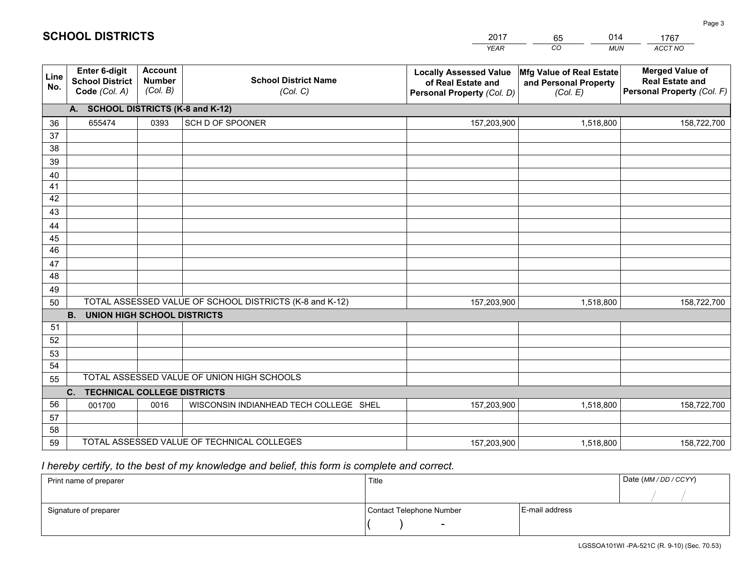|             |                                                          |                                             |                                                         | <b>YEAR</b>                                                                       | CO<br><b>MUN</b>                                              | ACCT NO                                                                        |
|-------------|----------------------------------------------------------|---------------------------------------------|---------------------------------------------------------|-----------------------------------------------------------------------------------|---------------------------------------------------------------|--------------------------------------------------------------------------------|
| Line<br>No. | Enter 6-digit<br><b>School District</b><br>Code (Col. A) | <b>Account</b><br><b>Number</b><br>(Col. B) | <b>School District Name</b><br>(Col. C)                 | <b>Locally Assessed Value</b><br>of Real Estate and<br>Personal Property (Col. D) | Mfg Value of Real Estate<br>and Personal Property<br>(Col. E) | <b>Merged Value of</b><br><b>Real Estate and</b><br>Personal Property (Col. F) |
|             | A. SCHOOL DISTRICTS (K-8 and K-12)                       |                                             |                                                         |                                                                                   |                                                               |                                                                                |
| 36          | 655474                                                   | 0393                                        | SCH D OF SPOONER                                        | 157,203,900                                                                       | 1,518,800                                                     | 158,722,700                                                                    |
| 37          |                                                          |                                             |                                                         |                                                                                   |                                                               |                                                                                |
| 38          |                                                          |                                             |                                                         |                                                                                   |                                                               |                                                                                |
| 39          |                                                          |                                             |                                                         |                                                                                   |                                                               |                                                                                |
| 40          |                                                          |                                             |                                                         |                                                                                   |                                                               |                                                                                |
| 41<br>42    |                                                          |                                             |                                                         |                                                                                   |                                                               |                                                                                |
| 43          |                                                          |                                             |                                                         |                                                                                   |                                                               |                                                                                |
|             |                                                          |                                             |                                                         |                                                                                   |                                                               |                                                                                |
| 44<br>45    |                                                          |                                             |                                                         |                                                                                   |                                                               |                                                                                |
| 46          |                                                          |                                             |                                                         |                                                                                   |                                                               |                                                                                |
| 47          |                                                          |                                             |                                                         |                                                                                   |                                                               |                                                                                |
| 48          |                                                          |                                             |                                                         |                                                                                   |                                                               |                                                                                |
| 49          |                                                          |                                             |                                                         |                                                                                   |                                                               |                                                                                |
| 50          |                                                          |                                             | TOTAL ASSESSED VALUE OF SCHOOL DISTRICTS (K-8 and K-12) | 157,203,900                                                                       | 1,518,800                                                     | 158,722,700                                                                    |
|             | <b>B.</b><br>UNION HIGH SCHOOL DISTRICTS                 |                                             |                                                         |                                                                                   |                                                               |                                                                                |
| 51          |                                                          |                                             |                                                         |                                                                                   |                                                               |                                                                                |
| 52          |                                                          |                                             |                                                         |                                                                                   |                                                               |                                                                                |
| 53          |                                                          |                                             |                                                         |                                                                                   |                                                               |                                                                                |
| 54          |                                                          |                                             |                                                         |                                                                                   |                                                               |                                                                                |
| 55          |                                                          |                                             | TOTAL ASSESSED VALUE OF UNION HIGH SCHOOLS              |                                                                                   |                                                               |                                                                                |
|             | C.<br><b>TECHNICAL COLLEGE DISTRICTS</b>                 |                                             |                                                         |                                                                                   |                                                               |                                                                                |
| 56          | 001700                                                   | 0016                                        | WISCONSIN INDIANHEAD TECH COLLEGE SHEL                  | 157,203,900                                                                       | 1,518,800                                                     | 158,722,700                                                                    |
| 57<br>58    |                                                          |                                             |                                                         |                                                                                   |                                                               |                                                                                |
| 59          |                                                          |                                             | TOTAL ASSESSED VALUE OF TECHNICAL COLLEGES              | 157,203,900                                                                       | 1,518,800                                                     | 158,722,700                                                                    |
|             |                                                          |                                             |                                                         |                                                                                   |                                                               |                                                                                |

65

014

## *I hereby certify, to the best of my knowledge and belief, this form is complete and correct.*

**SCHOOL DISTRICTS**

| Print name of preparer | Title                    |                | Date (MM / DD / CCYY) |
|------------------------|--------------------------|----------------|-----------------------|
|                        |                          |                |                       |
| Signature of preparer  | Contact Telephone Number | E-mail address |                       |
|                        | $\overline{\phantom{0}}$ |                |                       |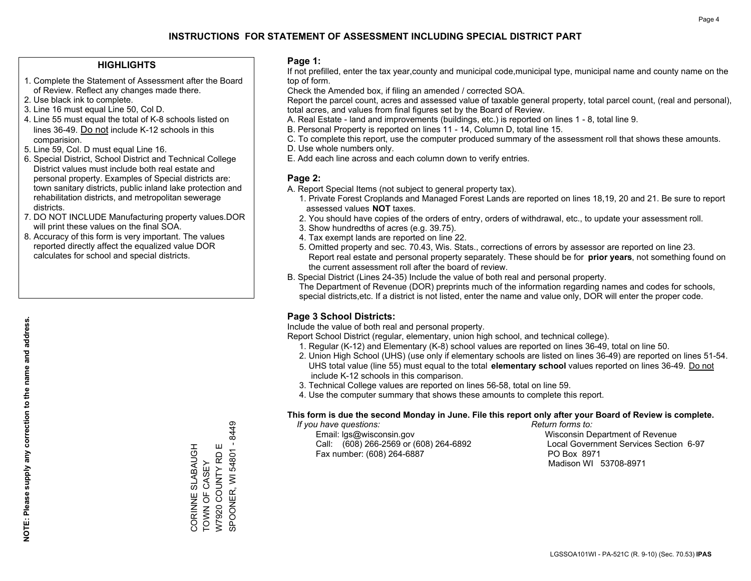### **HIGHLIGHTS**

- 1. Complete the Statement of Assessment after the Board of Review. Reflect any changes made there.
- 2. Use black ink to complete.
- 3. Line 16 must equal Line 50, Col D.
- 4. Line 55 must equal the total of K-8 schools listed on lines 36-49. Do not include K-12 schools in this comparision.
- 5. Line 59, Col. D must equal Line 16.
- 6. Special District, School District and Technical College District values must include both real estate and personal property. Examples of Special districts are: town sanitary districts, public inland lake protection and rehabilitation districts, and metropolitan sewerage districts.
- 7. DO NOT INCLUDE Manufacturing property values.DOR will print these values on the final SOA.
- 8. Accuracy of this form is very important. The values reported directly affect the equalized value DOR calculates for school and special districts.

### **Page 1:**

 If not prefilled, enter the tax year,county and municipal code,municipal type, municipal name and county name on the top of form.

Check the Amended box, if filing an amended / corrected SOA.

 Report the parcel count, acres and assessed value of taxable general property, total parcel count, (real and personal), total acres, and values from final figures set by the Board of Review.

- A. Real Estate land and improvements (buildings, etc.) is reported on lines 1 8, total line 9.
- B. Personal Property is reported on lines 11 14, Column D, total line 15.
- C. To complete this report, use the computer produced summary of the assessment roll that shows these amounts.
- D. Use whole numbers only.
- E. Add each line across and each column down to verify entries.

### **Page 2:**

- A. Report Special Items (not subject to general property tax).
- 1. Private Forest Croplands and Managed Forest Lands are reported on lines 18,19, 20 and 21. Be sure to report assessed values **NOT** taxes.
- 2. You should have copies of the orders of entry, orders of withdrawal, etc., to update your assessment roll.
	- 3. Show hundredths of acres (e.g. 39.75).
- 4. Tax exempt lands are reported on line 22.
- 5. Omitted property and sec. 70.43, Wis. Stats., corrections of errors by assessor are reported on line 23. Report real estate and personal property separately. These should be for **prior years**, not something found on the current assessment roll after the board of review.
- B. Special District (Lines 24-35) Include the value of both real and personal property.

 The Department of Revenue (DOR) preprints much of the information regarding names and codes for schools, special districts,etc. If a district is not listed, enter the name and value only, DOR will enter the proper code.

### **Page 3 School Districts:**

Include the value of both real and personal property.

Report School District (regular, elementary, union high school, and technical college).

- 1. Regular (K-12) and Elementary (K-8) school values are reported on lines 36-49, total on line 50.
- 2. Union High School (UHS) (use only if elementary schools are listed on lines 36-49) are reported on lines 51-54. UHS total value (line 55) must equal to the total **elementary school** values reported on lines 36-49. Do notinclude K-12 schools in this comparison.
- 3. Technical College values are reported on lines 56-58, total on line 59.
- 4. Use the computer summary that shows these amounts to complete this report.

#### **This form is due the second Monday in June. File this report only after your Board of Review is complete.**

 *If you have questions: Return forms to:*

 Email: lgs@wisconsin.gov Wisconsin Department of RevenueCall:  $(608)$  266-2569 or  $(608)$  264-6892 Fax number: (608) 264-6887 PO Box 8971

Local Government Services Section 6-97 Madison WI 53708-8971

SPOONER, WI 54801 - 8449 SPOONER, WI 54801 - 8449 W7920 COUNTY RD E CORINNE SLABAUGH<br>TOWN OF CASEY CORINNE SLABAUGH W7920 COUNTY RD E TOWN OF CASEY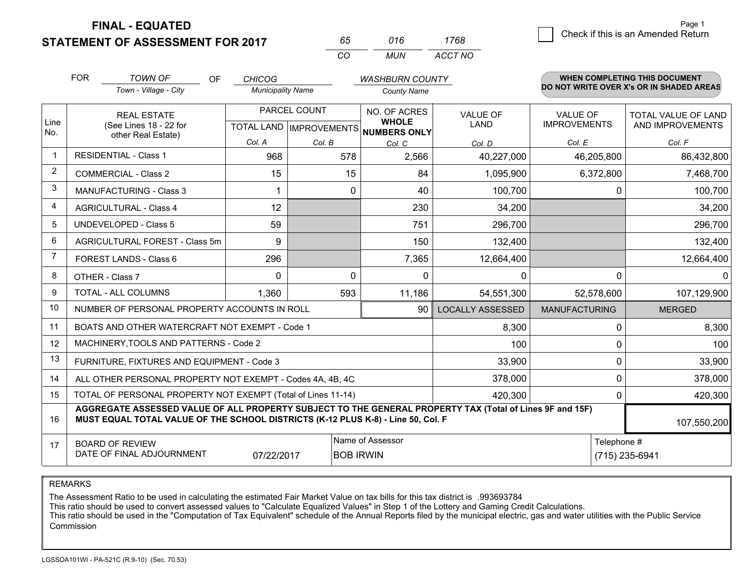**FINAL - EQUATED**

**STATEMENT OF ASSESSMENT FOR 2017** 

| 65       | 016   | 1768    |
|----------|-------|---------|
| $\cdots$ | MI IN | ACCT NO |

|                | <b>FOR</b>                                                                                                                                                                                   | <b>TOWN OF</b><br>OF                           | <b>CHICOG</b>                             |          | <b>WASHBURN COUNTY</b>                              |                                |                                        | <b>WHEN COMPLETING THIS DOCUMENT</b>           |
|----------------|----------------------------------------------------------------------------------------------------------------------------------------------------------------------------------------------|------------------------------------------------|-------------------------------------------|----------|-----------------------------------------------------|--------------------------------|----------------------------------------|------------------------------------------------|
|                |                                                                                                                                                                                              | Town - Village - City                          | <b>Municipality Name</b>                  |          | <b>County Name</b>                                  |                                |                                        | DO NOT WRITE OVER X's OR IN SHADED AREAS       |
| Line<br>No.    |                                                                                                                                                                                              | <b>REAL ESTATE</b><br>(See Lines 18 - 22 for   | PARCEL COUNT<br>TOTAL LAND   IMPROVEMENTS |          | NO. OF ACRES<br><b>WHOLE</b><br><b>NUMBERS ONLY</b> | <b>VALUE OF</b><br><b>LAND</b> | <b>VALUE OF</b><br><b>IMPROVEMENTS</b> | <b>TOTAL VALUE OF LAND</b><br>AND IMPROVEMENTS |
|                |                                                                                                                                                                                              | other Real Estate)                             | Col. A                                    | Col. B   | Col. C                                              | Col. D                         | Col. E                                 | Col. F                                         |
| $\mathbf 1$    |                                                                                                                                                                                              | <b>RESIDENTIAL - Class 1</b>                   | 968                                       | 578      | 2,566                                               | 40,227,000                     | 46,205,800                             | 86,432,800                                     |
| $\overline{2}$ |                                                                                                                                                                                              | <b>COMMERCIAL - Class 2</b>                    | 15                                        | 15       | 84                                                  | 1,095,900                      | 6,372,800                              | 7,468,700                                      |
| 3              |                                                                                                                                                                                              | <b>MANUFACTURING - Class 3</b>                 |                                           | 0        | 40                                                  | 100,700                        |                                        | 100,700<br>0                                   |
| 4              |                                                                                                                                                                                              | <b>AGRICULTURAL - Class 4</b>                  | 12                                        |          | 230                                                 | 34,200                         |                                        | 34,200                                         |
| 5              |                                                                                                                                                                                              | UNDEVELOPED - Class 5                          | 59                                        |          | 751                                                 | 296,700                        |                                        | 296,700                                        |
| 6              |                                                                                                                                                                                              | AGRICULTURAL FOREST - Class 5m                 | 9                                         |          | 150                                                 | 132,400                        |                                        | 132,400                                        |
| 7              |                                                                                                                                                                                              | FOREST LANDS - Class 6                         | 296                                       |          | 7,365                                               | 12,664,400                     |                                        | 12,664,400                                     |
| 8              |                                                                                                                                                                                              | OTHER - Class 7                                | $\Omega$                                  | $\Omega$ | $\Omega$                                            | 0                              |                                        | $\Omega$<br>$\Omega$                           |
| 9              |                                                                                                                                                                                              | TOTAL - ALL COLUMNS                            | 1,360                                     | 593      | 11,186                                              | 54,551,300                     | 52,578,600                             | 107,129,900                                    |
| 10             |                                                                                                                                                                                              | NUMBER OF PERSONAL PROPERTY ACCOUNTS IN ROLL   |                                           |          | 90                                                  | <b>LOCALLY ASSESSED</b>        | <b>MANUFACTURING</b>                   | <b>MERGED</b>                                  |
| 11             |                                                                                                                                                                                              | BOATS AND OTHER WATERCRAFT NOT EXEMPT - Code 1 |                                           |          |                                                     | 8,300                          |                                        | 8,300<br>$\Omega$                              |
| 12             |                                                                                                                                                                                              | MACHINERY, TOOLS AND PATTERNS - Code 2         |                                           |          |                                                     | 100                            |                                        | 100<br>0                                       |
| 13             |                                                                                                                                                                                              | FURNITURE, FIXTURES AND EQUIPMENT - Code 3     |                                           |          |                                                     | 33,900                         |                                        | $\Omega$<br>33,900                             |
| 14             | ALL OTHER PERSONAL PROPERTY NOT EXEMPT - Codes 4A, 4B, 4C                                                                                                                                    | 0<br>378,000                                   |                                           |          |                                                     |                                |                                        |                                                |
| 15             | TOTAL OF PERSONAL PROPERTY NOT EXEMPT (Total of Lines 11-14)<br>420,300                                                                                                                      |                                                |                                           |          |                                                     |                                |                                        | 420,300<br>$\Omega$                            |
| 16             | AGGREGATE ASSESSED VALUE OF ALL PROPERTY SUBJECT TO THE GENERAL PROPERTY TAX (Total of Lines 9F and 15F)<br>MUST EQUAL TOTAL VALUE OF THE SCHOOL DISTRICTS (K-12 PLUS K-8) - Line 50, Col. F |                                                |                                           |          |                                                     |                                |                                        | 107,550,200                                    |
| 17             | Name of Assessor<br>Telephone #<br><b>BOARD OF REVIEW</b><br>DATE OF FINAL ADJOURNMENT<br>07/22/2017<br><b>BOB IRWIN</b><br>(715) 235-6941                                                   |                                                |                                           |          |                                                     |                                |                                        |                                                |

REMARKS

The Assessment Ratio to be used in calculating the estimated Fair Market Value on tax bills for this tax district is .993693784<br>This ratio should be used to convert assessed values to "Calculate Equalized Values" in Step 1 Commission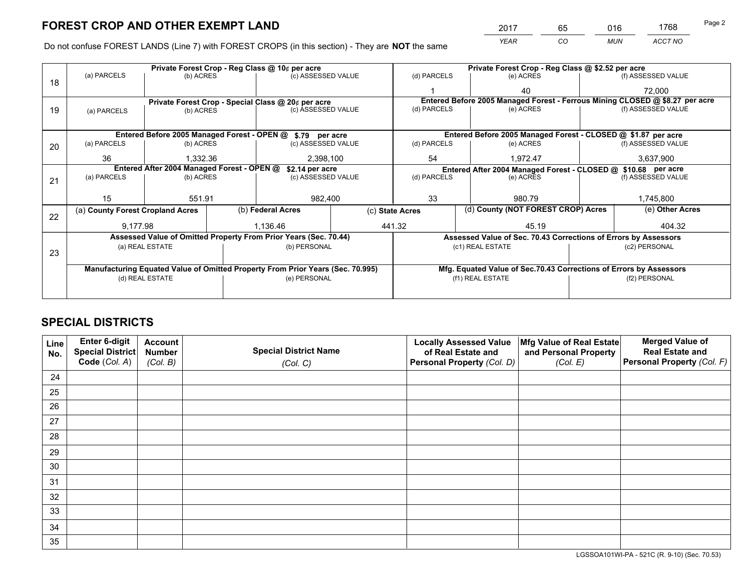*YEAR CO MUN ACCT NO* <sup>2017</sup> <sup>65</sup> <sup>016</sup> <sup>1768</sup>

Do not confuse FOREST LANDS (Line 7) with FOREST CROPS (in this section) - They are **NOT** the same

|    |                                                                                |                                                                  |  | Private Forest Crop - Reg Class @ 10¢ per acre     |  |                 | Private Forest Crop - Reg Class @ \$2.52 per acre |                                                                              |  |                    |
|----|--------------------------------------------------------------------------------|------------------------------------------------------------------|--|----------------------------------------------------|--|-----------------|---------------------------------------------------|------------------------------------------------------------------------------|--|--------------------|
| 18 | (a) PARCELS                                                                    | (b) ACRES                                                        |  | (c) ASSESSED VALUE                                 |  | (d) PARCELS     |                                                   | (e) ACRES                                                                    |  | (f) ASSESSED VALUE |
|    |                                                                                |                                                                  |  |                                                    |  |                 |                                                   | 40                                                                           |  | 72,000             |
|    |                                                                                |                                                                  |  | Private Forest Crop - Special Class @ 20¢ per acre |  |                 |                                                   | Entered Before 2005 Managed Forest - Ferrous Mining CLOSED @ \$8.27 per acre |  |                    |
| 19 | (a) PARCELS                                                                    | (b) ACRES                                                        |  | (c) ASSESSED VALUE                                 |  | (d) PARCELS     |                                                   | (e) ACRES                                                                    |  | (f) ASSESSED VALUE |
|    |                                                                                |                                                                  |  |                                                    |  |                 |                                                   |                                                                              |  |                    |
|    |                                                                                | Entered Before 2005 Managed Forest - OPEN @ \$.79 per acre       |  |                                                    |  |                 |                                                   | Entered Before 2005 Managed Forest - CLOSED @ \$1.87 per acre                |  |                    |
| 20 | (a) PARCELS                                                                    | (b) ACRES                                                        |  | (c) ASSESSED VALUE                                 |  | (d) PARCELS     |                                                   | (e) ACRES                                                                    |  | (f) ASSESSED VALUE |
|    | 36                                                                             | 1.332.36                                                         |  | 2,398,100                                          |  | 54              |                                                   | 1,972.47                                                                     |  | 3,637,900          |
|    | Entered After 2004 Managed Forest - OPEN @                                     |                                                                  |  | \$2.14 per acre                                    |  |                 |                                                   | Entered After 2004 Managed Forest - CLOSED @ \$10.68 per acre                |  |                    |
| 21 | (a) PARCELS                                                                    | (b) ACRES                                                        |  | (c) ASSESSED VALUE                                 |  | (d) PARCELS     |                                                   | (e) ACRES                                                                    |  | (f) ASSESSED VALUE |
|    |                                                                                |                                                                  |  |                                                    |  |                 |                                                   |                                                                              |  |                    |
|    | 15                                                                             | 551.91                                                           |  | 982,400                                            |  | 33              |                                                   | 980.79                                                                       |  | 1,745,800          |
| 22 | (a) County Forest Cropland Acres                                               |                                                                  |  | (b) Federal Acres                                  |  | (c) State Acres |                                                   | (d) County (NOT FOREST CROP) Acres                                           |  | (e) Other Acres    |
|    | 9,177.98                                                                       |                                                                  |  | 1,136.46                                           |  | 441.32<br>45.19 |                                                   | 404.32                                                                       |  |                    |
|    |                                                                                | Assessed Value of Omitted Property From Prior Years (Sec. 70.44) |  |                                                    |  |                 |                                                   | Assessed Value of Sec. 70.43 Corrections of Errors by Assessors              |  |                    |
|    |                                                                                | (a) REAL ESTATE                                                  |  | (b) PERSONAL                                       |  |                 |                                                   | (c1) REAL ESTATE                                                             |  | (c2) PERSONAL      |
| 23 |                                                                                |                                                                  |  |                                                    |  |                 |                                                   |                                                                              |  |                    |
|    | Manufacturing Equated Value of Omitted Property From Prior Years (Sec. 70.995) |                                                                  |  |                                                    |  |                 |                                                   | Mfg. Equated Value of Sec.70.43 Corrections of Errors by Assessors           |  |                    |
|    |                                                                                | (d) REAL ESTATE                                                  |  | (e) PERSONAL                                       |  |                 |                                                   | (f1) REAL ESTATE                                                             |  | (f2) PERSONAL      |
|    |                                                                                |                                                                  |  |                                                    |  |                 |                                                   |                                                                              |  |                    |

## **SPECIAL DISTRICTS**

| Line<br>No. | Enter 6-digit<br>Special District<br>Code (Col. A) | <b>Account</b><br><b>Number</b> | <b>Special District Name</b> | <b>Locally Assessed Value</b><br>of Real Estate and | Mfg Value of Real Estate<br>and Personal Property | <b>Merged Value of</b><br><b>Real Estate and</b><br>Personal Property (Col. F) |
|-------------|----------------------------------------------------|---------------------------------|------------------------------|-----------------------------------------------------|---------------------------------------------------|--------------------------------------------------------------------------------|
|             |                                                    | (Col. B)                        | (Col. C)                     | Personal Property (Col. D)                          | (Col. E)                                          |                                                                                |
| 24          |                                                    |                                 |                              |                                                     |                                                   |                                                                                |
| 25          |                                                    |                                 |                              |                                                     |                                                   |                                                                                |
| 26          |                                                    |                                 |                              |                                                     |                                                   |                                                                                |
| 27          |                                                    |                                 |                              |                                                     |                                                   |                                                                                |
| 28          |                                                    |                                 |                              |                                                     |                                                   |                                                                                |
| 29          |                                                    |                                 |                              |                                                     |                                                   |                                                                                |
| 30          |                                                    |                                 |                              |                                                     |                                                   |                                                                                |
| 31          |                                                    |                                 |                              |                                                     |                                                   |                                                                                |
| 32          |                                                    |                                 |                              |                                                     |                                                   |                                                                                |
| 33          |                                                    |                                 |                              |                                                     |                                                   |                                                                                |
| 34          |                                                    |                                 |                              |                                                     |                                                   |                                                                                |
| 35          |                                                    |                                 |                              |                                                     |                                                   |                                                                                |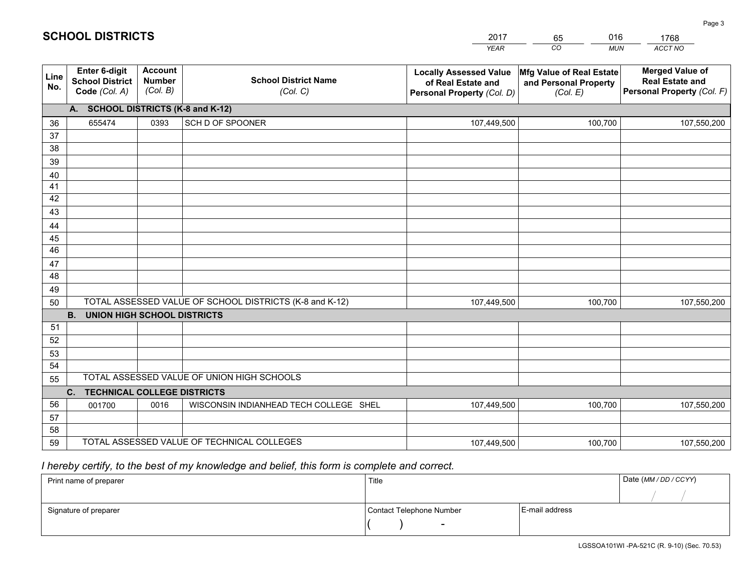|             |                                                                 |                                             |                                                         | <b>YEAR</b>                                                                       | CO<br><b>MUN</b>                                              | <b>ACCT NO</b>                                                                 |
|-------------|-----------------------------------------------------------------|---------------------------------------------|---------------------------------------------------------|-----------------------------------------------------------------------------------|---------------------------------------------------------------|--------------------------------------------------------------------------------|
| Line<br>No. | <b>Enter 6-digit</b><br><b>School District</b><br>Code (Col. A) | <b>Account</b><br><b>Number</b><br>(Col. B) | <b>School District Name</b><br>(Col. C)                 | <b>Locally Assessed Value</b><br>of Real Estate and<br>Personal Property (Col. D) | Mfg Value of Real Estate<br>and Personal Property<br>(Col. E) | <b>Merged Value of</b><br><b>Real Estate and</b><br>Personal Property (Col. F) |
|             | A. SCHOOL DISTRICTS (K-8 and K-12)                              |                                             |                                                         |                                                                                   |                                                               |                                                                                |
| 36          | 655474                                                          | 0393                                        | SCH D OF SPOONER                                        | 107,449,500                                                                       | 100,700                                                       | 107,550,200                                                                    |
| 37          |                                                                 |                                             |                                                         |                                                                                   |                                                               |                                                                                |
| 38          |                                                                 |                                             |                                                         |                                                                                   |                                                               |                                                                                |
| 39          |                                                                 |                                             |                                                         |                                                                                   |                                                               |                                                                                |
| 40          |                                                                 |                                             |                                                         |                                                                                   |                                                               |                                                                                |
| 41          |                                                                 |                                             |                                                         |                                                                                   |                                                               |                                                                                |
| 42          |                                                                 |                                             |                                                         |                                                                                   |                                                               |                                                                                |
| 43          |                                                                 |                                             |                                                         |                                                                                   |                                                               |                                                                                |
| 44<br>45    |                                                                 |                                             |                                                         |                                                                                   |                                                               |                                                                                |
| 46          |                                                                 |                                             |                                                         |                                                                                   |                                                               |                                                                                |
| 47          |                                                                 |                                             |                                                         |                                                                                   |                                                               |                                                                                |
| 48          |                                                                 |                                             |                                                         |                                                                                   |                                                               |                                                                                |
| 49          |                                                                 |                                             |                                                         |                                                                                   |                                                               |                                                                                |
| 50          |                                                                 |                                             | TOTAL ASSESSED VALUE OF SCHOOL DISTRICTS (K-8 and K-12) | 107,449,500                                                                       | 100,700                                                       | 107,550,200                                                                    |
|             | <b>B.</b><br><b>UNION HIGH SCHOOL DISTRICTS</b>                 |                                             |                                                         |                                                                                   |                                                               |                                                                                |
| 51          |                                                                 |                                             |                                                         |                                                                                   |                                                               |                                                                                |
| 52          |                                                                 |                                             |                                                         |                                                                                   |                                                               |                                                                                |
| 53          |                                                                 |                                             |                                                         |                                                                                   |                                                               |                                                                                |
| 54          |                                                                 |                                             |                                                         |                                                                                   |                                                               |                                                                                |
| 55          |                                                                 |                                             | TOTAL ASSESSED VALUE OF UNION HIGH SCHOOLS              |                                                                                   |                                                               |                                                                                |
|             | C.<br><b>TECHNICAL COLLEGE DISTRICTS</b>                        |                                             |                                                         |                                                                                   |                                                               |                                                                                |
| 56          | 001700                                                          | 0016                                        | WISCONSIN INDIANHEAD TECH COLLEGE SHEL                  | 107,449,500                                                                       | 100,700                                                       | 107,550,200                                                                    |
| 57          |                                                                 |                                             |                                                         |                                                                                   |                                                               |                                                                                |
| 58          |                                                                 |                                             | TOTAL ASSESSED VALUE OF TECHNICAL COLLEGES              |                                                                                   |                                                               |                                                                                |
| 59          |                                                                 |                                             |                                                         | 107,449,500                                                                       | 100,700                                                       | 107,550,200                                                                    |

65

016

## *I hereby certify, to the best of my knowledge and belief, this form is complete and correct.*

**SCHOOL DISTRICTS**

| Print name of preparer | Title                    |                | Date (MM / DD / CCYY) |
|------------------------|--------------------------|----------------|-----------------------|
|                        |                          |                |                       |
| Signature of preparer  | Contact Telephone Number | E-mail address |                       |
|                        | $\overline{\phantom{0}}$ |                |                       |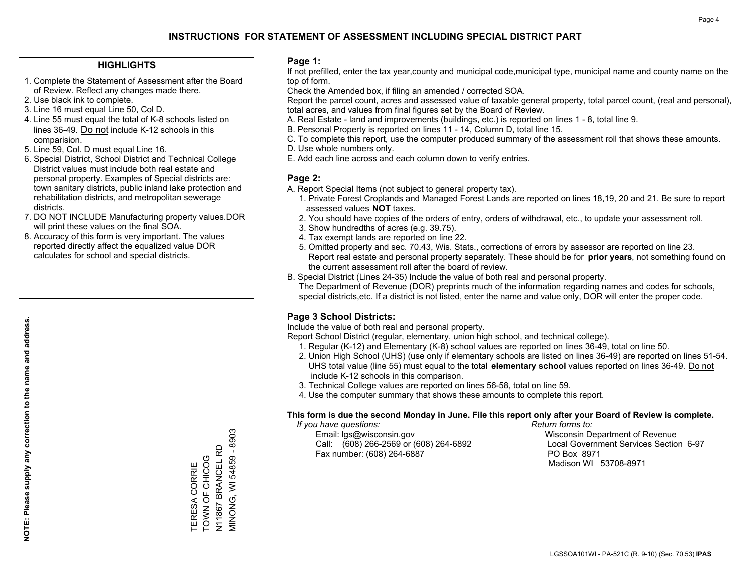### **HIGHLIGHTS**

- 1. Complete the Statement of Assessment after the Board of Review. Reflect any changes made there.
- 2. Use black ink to complete.
- 3. Line 16 must equal Line 50, Col D.
- 4. Line 55 must equal the total of K-8 schools listed on lines 36-49. Do not include K-12 schools in this comparision.
- 5. Line 59, Col. D must equal Line 16.
- 6. Special District, School District and Technical College District values must include both real estate and personal property. Examples of Special districts are: town sanitary districts, public inland lake protection and rehabilitation districts, and metropolitan sewerage districts.
- 7. DO NOT INCLUDE Manufacturing property values.DOR will print these values on the final SOA.

TERESA CORRIE TOWN OF CHICOG N11867 BRANCEL RD MINONG, WI 54859 - 8903

VIINONG, WI 54859 - 8903 TERESA CORRIE<br>TOWN OF CHICOG

 8. Accuracy of this form is very important. The values reported directly affect the equalized value DOR calculates for school and special districts.

### **Page 1:**

 If not prefilled, enter the tax year,county and municipal code,municipal type, municipal name and county name on the top of form.

Check the Amended box, if filing an amended / corrected SOA.

 Report the parcel count, acres and assessed value of taxable general property, total parcel count, (real and personal), total acres, and values from final figures set by the Board of Review.

- A. Real Estate land and improvements (buildings, etc.) is reported on lines 1 8, total line 9.
- B. Personal Property is reported on lines 11 14, Column D, total line 15.
- C. To complete this report, use the computer produced summary of the assessment roll that shows these amounts.
- D. Use whole numbers only.
- E. Add each line across and each column down to verify entries.

### **Page 2:**

- A. Report Special Items (not subject to general property tax).
- 1. Private Forest Croplands and Managed Forest Lands are reported on lines 18,19, 20 and 21. Be sure to report assessed values **NOT** taxes.
- 2. You should have copies of the orders of entry, orders of withdrawal, etc., to update your assessment roll.
	- 3. Show hundredths of acres (e.g. 39.75).
- 4. Tax exempt lands are reported on line 22.
- 5. Omitted property and sec. 70.43, Wis. Stats., corrections of errors by assessor are reported on line 23. Report real estate and personal property separately. These should be for **prior years**, not something found on the current assessment roll after the board of review.
- B. Special District (Lines 24-35) Include the value of both real and personal property.

 The Department of Revenue (DOR) preprints much of the information regarding names and codes for schools, special districts,etc. If a district is not listed, enter the name and value only, DOR will enter the proper code.

### **Page 3 School Districts:**

Include the value of both real and personal property.

Report School District (regular, elementary, union high school, and technical college).

- 1. Regular (K-12) and Elementary (K-8) school values are reported on lines 36-49, total on line 50.
- 2. Union High School (UHS) (use only if elementary schools are listed on lines 36-49) are reported on lines 51-54. UHS total value (line 55) must equal to the total **elementary school** values reported on lines 36-49. Do notinclude K-12 schools in this comparison.
- 3. Technical College values are reported on lines 56-58, total on line 59.
- 4. Use the computer summary that shows these amounts to complete this report.

#### **This form is due the second Monday in June. File this report only after your Board of Review is complete.**

 *If you have questions: Return forms to:*

 Email: lgs@wisconsin.gov Wisconsin Department of RevenueCall:  $(608)$  266-2569 or  $(608)$  264-6892 Fax number: (608) 264-6887 PO Box 8971

Local Government Services Section 6-97 Madison WI 53708-8971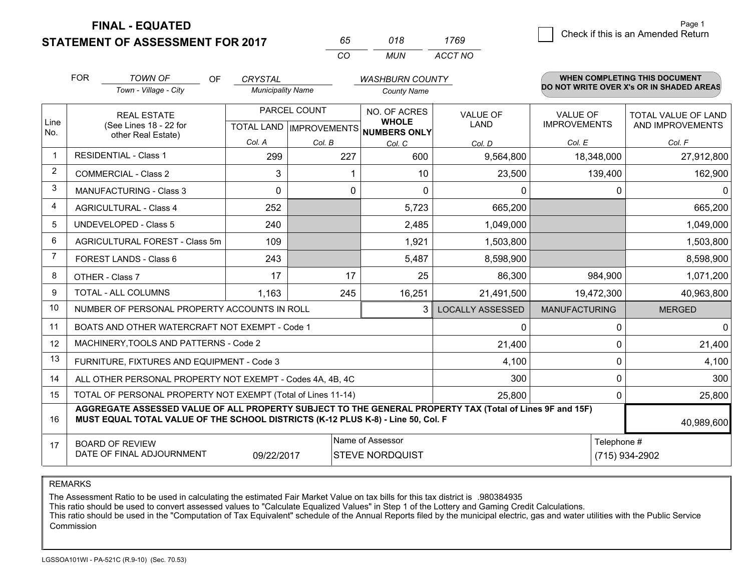**FINAL - EQUATED**

**STATEMENT OF ASSESSMENT FOR 2017** 

| 65       | 018. | 1769    |
|----------|------|---------|
| $\cdots$ | MUN  | ACCT NO |

|                | <b>FOR</b>                                                                                                                                                                                                 | <b>TOWN OF</b><br>OF                           | <b>CRYSTAL</b>                                       |          | <b>WASHBURN COUNTY</b>       |                                |                                        | WHEN COMPLETING THIS DOCUMENT                  |
|----------------|------------------------------------------------------------------------------------------------------------------------------------------------------------------------------------------------------------|------------------------------------------------|------------------------------------------------------|----------|------------------------------|--------------------------------|----------------------------------------|------------------------------------------------|
|                |                                                                                                                                                                                                            | Town - Village - City                          | <b>Municipality Name</b>                             |          | <b>County Name</b>           |                                |                                        | DO NOT WRITE OVER X's OR IN SHADED AREAS       |
| Line<br>No.    | <b>REAL ESTATE</b><br>(See Lines 18 - 22 for<br>other Real Estate)                                                                                                                                         |                                                | PARCEL COUNT<br>TOTAL LAND IMPROVEMENTS NUMBERS ONLY |          | NO. OF ACRES<br><b>WHOLE</b> | <b>VALUE OF</b><br><b>LAND</b> | <b>VALUE OF</b><br><b>IMPROVEMENTS</b> | <b>TOTAL VALUE OF LAND</b><br>AND IMPROVEMENTS |
|                |                                                                                                                                                                                                            |                                                | Col. A                                               | Col. B   | Col. C                       | Col. D                         | Col. E                                 | Col. F                                         |
|                |                                                                                                                                                                                                            | <b>RESIDENTIAL - Class 1</b>                   | 299                                                  | 227      | 600                          | 9,564,800                      | 18,348,000                             | 27,912,800                                     |
| 2              |                                                                                                                                                                                                            | <b>COMMERCIAL - Class 2</b>                    | 3                                                    |          | 10                           | 23,500                         | 139,400                                | 162,900                                        |
| 3              |                                                                                                                                                                                                            | <b>MANUFACTURING - Class 3</b>                 | $\Omega$                                             | $\Omega$ | $\Omega$                     | 0                              | 0                                      | $\mathbf{0}$                                   |
| 4              |                                                                                                                                                                                                            | <b>AGRICULTURAL - Class 4</b>                  | 252                                                  |          | 5,723                        | 665,200                        |                                        | 665,200                                        |
| 5              |                                                                                                                                                                                                            | <b>UNDEVELOPED - Class 5</b>                   | 240                                                  |          | 2,485                        | 1,049,000                      |                                        | 1,049,000                                      |
| 6              |                                                                                                                                                                                                            | AGRICULTURAL FOREST - Class 5m                 | 109                                                  |          | 1,921                        | 1,503,800                      |                                        | 1,503,800                                      |
| $\overline{7}$ |                                                                                                                                                                                                            | FOREST LANDS - Class 6                         | 243                                                  |          | 5,487                        | 8,598,900                      |                                        | 8,598,900                                      |
| 8              |                                                                                                                                                                                                            | OTHER - Class 7                                | 17                                                   | 17       | 25                           | 86,300                         | 984,900                                | 1,071,200                                      |
| 9              |                                                                                                                                                                                                            | TOTAL - ALL COLUMNS                            | 1,163                                                | 245      | 16,251                       | 21,491,500                     | 19,472,300                             | 40,963,800                                     |
| 10             |                                                                                                                                                                                                            | NUMBER OF PERSONAL PROPERTY ACCOUNTS IN ROLL   |                                                      |          | 3                            | <b>LOCALLY ASSESSED</b>        | <b>MANUFACTURING</b>                   | <b>MERGED</b>                                  |
| 11             |                                                                                                                                                                                                            | BOATS AND OTHER WATERCRAFT NOT EXEMPT - Code 1 |                                                      |          |                              | 0                              | 0                                      | $\mathbf 0$                                    |
| 12             |                                                                                                                                                                                                            | MACHINERY, TOOLS AND PATTERNS - Code 2         |                                                      |          |                              | 21,400                         | $\mathbf 0$                            | 21,400                                         |
| 13             |                                                                                                                                                                                                            | FURNITURE, FIXTURES AND EQUIPMENT - Code 3     |                                                      |          |                              | 4,100                          | $\mathbf 0$                            | 4,100                                          |
| 14             | 300<br>ALL OTHER PERSONAL PROPERTY NOT EXEMPT - Codes 4A, 4B, 4C                                                                                                                                           |                                                |                                                      |          |                              |                                |                                        | 300                                            |
| 15             | TOTAL OF PERSONAL PROPERTY NOT EXEMPT (Total of Lines 11-14)<br>25,800                                                                                                                                     |                                                |                                                      |          |                              |                                |                                        | 25,800                                         |
| 16             | AGGREGATE ASSESSED VALUE OF ALL PROPERTY SUBJECT TO THE GENERAL PROPERTY TAX (Total of Lines 9F and 15F)<br>MUST EQUAL TOTAL VALUE OF THE SCHOOL DISTRICTS (K-12 PLUS K-8) - Line 50, Col. F<br>40,989,600 |                                                |                                                      |          |                              |                                |                                        |                                                |
| 17             | Name of Assessor<br><b>BOARD OF REVIEW</b><br>DATE OF FINAL ADJOURNMENT<br>09/22/2017<br><b>STEVE NORDQUIST</b>                                                                                            |                                                |                                                      |          |                              |                                | Telephone #                            | (715) 934-2902                                 |

REMARKS

The Assessment Ratio to be used in calculating the estimated Fair Market Value on tax bills for this tax district is .980384935

This ratio should be used to convert assessed values to "Calculate Equalized Values" in Step 1 of the Lottery and Gaming Credit Calculations.<br>This ratio should be used in the "Computation of Tax Equivalent" schedule of the **Commission**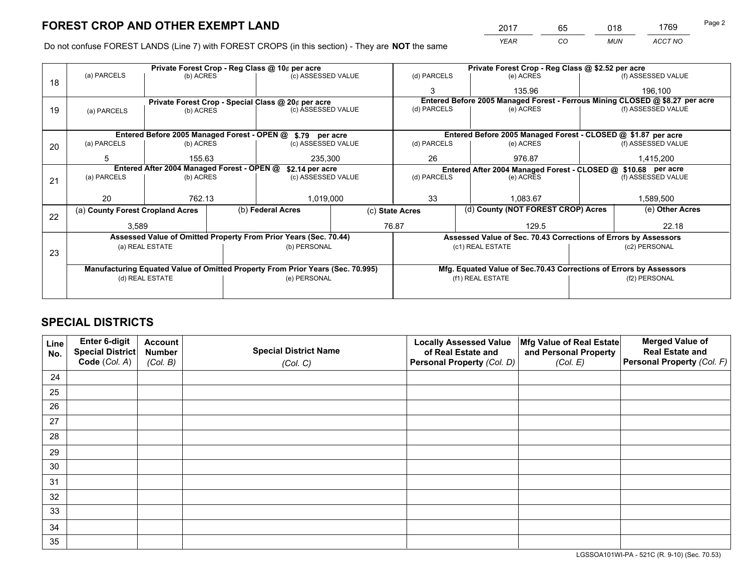*YEAR CO MUN ACCT NO* <sup>2017</sup> <sup>65</sup> <sup>018</sup> <sup>1769</sup>

Do not confuse FOREST LANDS (Line 7) with FOREST CROPS (in this section) - They are **NOT** the same

|    | Private Forest Crop - Reg Class @ 10¢ per acre                                 |                                                    |                                                                    |                                                            |                 |                                                               | Private Forest Crop - Reg Class @ \$2.52 per acre                            |                                                                 |                    |                    |
|----|--------------------------------------------------------------------------------|----------------------------------------------------|--------------------------------------------------------------------|------------------------------------------------------------|-----------------|---------------------------------------------------------------|------------------------------------------------------------------------------|-----------------------------------------------------------------|--------------------|--------------------|
| 18 | (a) PARCELS<br>(b) ACRES                                                       |                                                    |                                                                    | (c) ASSESSED VALUE                                         |                 | (d) PARCELS                                                   |                                                                              | (e) ACRES                                                       |                    | (f) ASSESSED VALUE |
|    |                                                                                |                                                    |                                                                    |                                                            |                 | 3                                                             |                                                                              | 135.96                                                          |                    | 196,100            |
|    |                                                                                | Private Forest Crop - Special Class @ 20¢ per acre |                                                                    |                                                            |                 |                                                               | Entered Before 2005 Managed Forest - Ferrous Mining CLOSED @ \$8.27 per acre |                                                                 |                    |                    |
| 19 | (a) PARCELS                                                                    | (b) ACRES                                          |                                                                    | (c) ASSESSED VALUE                                         |                 | (d) PARCELS                                                   |                                                                              | (e) ACRES                                                       |                    | (f) ASSESSED VALUE |
|    |                                                                                |                                                    |                                                                    |                                                            |                 |                                                               |                                                                              |                                                                 |                    |                    |
|    |                                                                                |                                                    |                                                                    | Entered Before 2005 Managed Forest - OPEN @ \$.79 per acre |                 |                                                               |                                                                              | Entered Before 2005 Managed Forest - CLOSED @ \$1.87 per acre   |                    |                    |
| 20 | (a) PARCELS                                                                    | (b) ACRES                                          |                                                                    | (c) ASSESSED VALUE                                         |                 | (d) PARCELS                                                   |                                                                              | (e) ACRES                                                       |                    | (f) ASSESSED VALUE |
|    | 5                                                                              | 155.63                                             |                                                                    | 235,300                                                    |                 | 26                                                            |                                                                              | 976.87                                                          |                    | 1,415,200          |
|    | Entered After 2004 Managed Forest - OPEN @<br>\$2.14 per acre                  |                                                    |                                                                    |                                                            |                 | Entered After 2004 Managed Forest - CLOSED @ \$10.68 per acre |                                                                              |                                                                 |                    |                    |
| 21 | (a) PARCELS                                                                    | (b) ACRES                                          |                                                                    | (c) ASSESSED VALUE                                         |                 | (d) PARCELS                                                   |                                                                              | (e) ACRES                                                       | (f) ASSESSED VALUE |                    |
|    |                                                                                |                                                    |                                                                    |                                                            |                 |                                                               |                                                                              |                                                                 |                    |                    |
|    | 20                                                                             | 762.13                                             |                                                                    | 1,019,000                                                  |                 | 33                                                            |                                                                              | 1.083.67                                                        |                    | 1,589,500          |
|    | (a) County Forest Cropland Acres                                               |                                                    |                                                                    | (b) Federal Acres                                          | (c) State Acres |                                                               |                                                                              | (d) County (NOT FOREST CROP) Acres                              |                    | (e) Other Acres    |
| 22 | 3,589                                                                          |                                                    |                                                                    |                                                            |                 | 76.87                                                         |                                                                              | 129.5                                                           |                    | 22.18              |
|    | Assessed Value of Omitted Property From Prior Years (Sec. 70.44)               |                                                    |                                                                    |                                                            |                 |                                                               |                                                                              | Assessed Value of Sec. 70.43 Corrections of Errors by Assessors |                    |                    |
|    | (a) REAL ESTATE                                                                |                                                    |                                                                    | (b) PERSONAL                                               |                 | (c1) REAL ESTATE                                              |                                                                              |                                                                 | (c2) PERSONAL      |                    |
| 23 |                                                                                |                                                    |                                                                    |                                                            |                 |                                                               |                                                                              |                                                                 |                    |                    |
|    | Manufacturing Equated Value of Omitted Property From Prior Years (Sec. 70.995) |                                                    | Mfg. Equated Value of Sec.70.43 Corrections of Errors by Assessors |                                                            |                 |                                                               |                                                                              |                                                                 |                    |                    |
|    | (d) REAL ESTATE                                                                |                                                    |                                                                    | (e) PERSONAL                                               |                 |                                                               | (f1) REAL ESTATE                                                             |                                                                 | (f2) PERSONAL      |                    |
|    |                                                                                |                                                    |                                                                    |                                                            |                 |                                                               |                                                                              |                                                                 |                    |                    |

## **SPECIAL DISTRICTS**

| Line<br>No. | Enter 6-digit<br>Special District<br>Code (Col. A) | <b>Account</b><br><b>Number</b><br>(Col. B) | <b>Special District Name</b><br>(Col. C) | <b>Locally Assessed Value</b><br>of Real Estate and<br>Personal Property (Col. D) | Mfg Value of Real Estate<br>and Personal Property<br>(Col. E) | <b>Merged Value of</b><br><b>Real Estate and</b><br>Personal Property (Col. F) |
|-------------|----------------------------------------------------|---------------------------------------------|------------------------------------------|-----------------------------------------------------------------------------------|---------------------------------------------------------------|--------------------------------------------------------------------------------|
| 24          |                                                    |                                             |                                          |                                                                                   |                                                               |                                                                                |
| 25          |                                                    |                                             |                                          |                                                                                   |                                                               |                                                                                |
| 26          |                                                    |                                             |                                          |                                                                                   |                                                               |                                                                                |
| 27          |                                                    |                                             |                                          |                                                                                   |                                                               |                                                                                |
| 28          |                                                    |                                             |                                          |                                                                                   |                                                               |                                                                                |
| 29          |                                                    |                                             |                                          |                                                                                   |                                                               |                                                                                |
| 30          |                                                    |                                             |                                          |                                                                                   |                                                               |                                                                                |
| 31          |                                                    |                                             |                                          |                                                                                   |                                                               |                                                                                |
| 32          |                                                    |                                             |                                          |                                                                                   |                                                               |                                                                                |
| 33          |                                                    |                                             |                                          |                                                                                   |                                                               |                                                                                |
| 34          |                                                    |                                             |                                          |                                                                                   |                                                               |                                                                                |
| 35          |                                                    |                                             |                                          |                                                                                   |                                                               |                                                                                |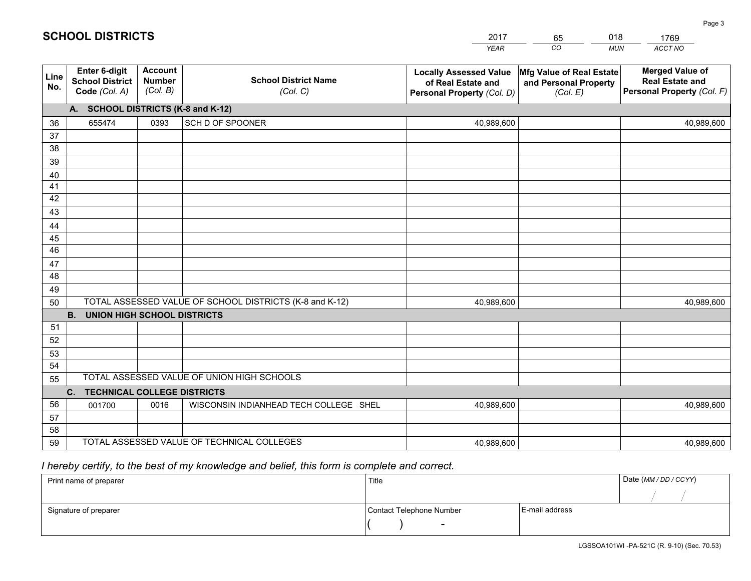|             |                                                          |                                             |                                                         | <b>YEAR</b>                                                                       | CO<br><b>MUN</b>                                              | ACCT NO                                                                        |  |  |  |
|-------------|----------------------------------------------------------|---------------------------------------------|---------------------------------------------------------|-----------------------------------------------------------------------------------|---------------------------------------------------------------|--------------------------------------------------------------------------------|--|--|--|
| Line<br>No. | Enter 6-digit<br><b>School District</b><br>Code (Col. A) | <b>Account</b><br><b>Number</b><br>(Col. B) | <b>School District Name</b><br>(Col. C)                 | <b>Locally Assessed Value</b><br>of Real Estate and<br>Personal Property (Col. D) | Mfg Value of Real Estate<br>and Personal Property<br>(Col. E) | <b>Merged Value of</b><br><b>Real Estate and</b><br>Personal Property (Col. F) |  |  |  |
|             | A. SCHOOL DISTRICTS (K-8 and K-12)                       |                                             |                                                         |                                                                                   |                                                               |                                                                                |  |  |  |
| 36          | 655474                                                   | 0393                                        | SCH D OF SPOONER                                        | 40,989,600                                                                        |                                                               | 40,989,600                                                                     |  |  |  |
| 37          |                                                          |                                             |                                                         |                                                                                   |                                                               |                                                                                |  |  |  |
| 38          |                                                          |                                             |                                                         |                                                                                   |                                                               |                                                                                |  |  |  |
| 39          |                                                          |                                             |                                                         |                                                                                   |                                                               |                                                                                |  |  |  |
| 40          |                                                          |                                             |                                                         |                                                                                   |                                                               |                                                                                |  |  |  |
| 41          |                                                          |                                             |                                                         |                                                                                   |                                                               |                                                                                |  |  |  |
| 42<br>43    |                                                          |                                             |                                                         |                                                                                   |                                                               |                                                                                |  |  |  |
|             |                                                          |                                             |                                                         |                                                                                   |                                                               |                                                                                |  |  |  |
| 44<br>45    |                                                          |                                             |                                                         |                                                                                   |                                                               |                                                                                |  |  |  |
| 46          |                                                          |                                             |                                                         |                                                                                   |                                                               |                                                                                |  |  |  |
| 47          |                                                          |                                             |                                                         |                                                                                   |                                                               |                                                                                |  |  |  |
| 48          |                                                          |                                             |                                                         |                                                                                   |                                                               |                                                                                |  |  |  |
| 49          |                                                          |                                             |                                                         |                                                                                   |                                                               |                                                                                |  |  |  |
| 50          |                                                          |                                             | TOTAL ASSESSED VALUE OF SCHOOL DISTRICTS (K-8 and K-12) | 40,989,600                                                                        |                                                               | 40,989,600                                                                     |  |  |  |
|             | B <sub>1</sub><br><b>UNION HIGH SCHOOL DISTRICTS</b>     |                                             |                                                         |                                                                                   |                                                               |                                                                                |  |  |  |
| 51          |                                                          |                                             |                                                         |                                                                                   |                                                               |                                                                                |  |  |  |
| 52          |                                                          |                                             |                                                         |                                                                                   |                                                               |                                                                                |  |  |  |
| 53          |                                                          |                                             |                                                         |                                                                                   |                                                               |                                                                                |  |  |  |
| 54          |                                                          |                                             |                                                         |                                                                                   |                                                               |                                                                                |  |  |  |
|             | TOTAL ASSESSED VALUE OF UNION HIGH SCHOOLS<br>55         |                                             |                                                         |                                                                                   |                                                               |                                                                                |  |  |  |
|             | C. TECHNICAL COLLEGE DISTRICTS                           |                                             |                                                         |                                                                                   |                                                               |                                                                                |  |  |  |
| 56          | 001700                                                   | 0016                                        | WISCONSIN INDIANHEAD TECH COLLEGE SHEL                  | 40,989,600                                                                        |                                                               | 40,989,600                                                                     |  |  |  |
| 57<br>58    |                                                          |                                             |                                                         |                                                                                   |                                                               |                                                                                |  |  |  |
| 59          |                                                          |                                             | TOTAL ASSESSED VALUE OF TECHNICAL COLLEGES              | 40,989,600                                                                        |                                                               | 40,989,600                                                                     |  |  |  |
|             |                                                          |                                             |                                                         |                                                                                   |                                                               |                                                                                |  |  |  |

65

018

## *I hereby certify, to the best of my knowledge and belief, this form is complete and correct.*

**SCHOOL DISTRICTS**

| Print name of preparer | Title                    |                | Date (MM / DD / CCYY) |
|------------------------|--------------------------|----------------|-----------------------|
|                        |                          |                |                       |
| Signature of preparer  | Contact Telephone Number | E-mail address |                       |
|                        | $\sim$                   |                |                       |

Page 3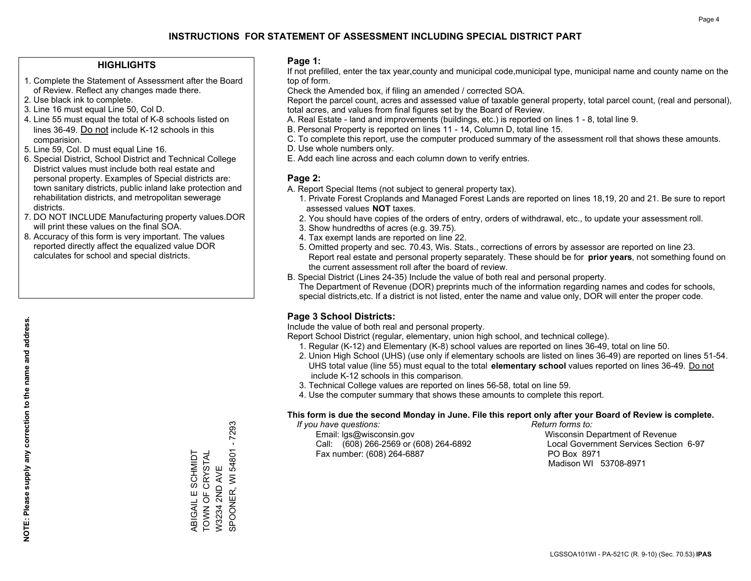### **HIGHLIGHTS**

- 1. Complete the Statement of Assessment after the Board of Review. Reflect any changes made there.
- 2. Use black ink to complete.
- 3. Line 16 must equal Line 50, Col D.
- 4. Line 55 must equal the total of K-8 schools listed on lines 36-49. Do not include K-12 schools in this comparision.
- 5. Line 59, Col. D must equal Line 16.
- 6. Special District, School District and Technical College District values must include both real estate and personal property. Examples of Special districts are: town sanitary districts, public inland lake protection and rehabilitation districts, and metropolitan sewerage districts.
- 7. DO NOT INCLUDE Manufacturing property values.DOR will print these values on the final SOA.
- 8. Accuracy of this form is very important. The values reported directly affect the equalized value DOR calculates for school and special districts.

### **Page 1:**

 If not prefilled, enter the tax year,county and municipal code,municipal type, municipal name and county name on the top of form.

Check the Amended box, if filing an amended / corrected SOA.

 Report the parcel count, acres and assessed value of taxable general property, total parcel count, (real and personal), total acres, and values from final figures set by the Board of Review.

- A. Real Estate land and improvements (buildings, etc.) is reported on lines 1 8, total line 9.
- B. Personal Property is reported on lines 11 14, Column D, total line 15.
- C. To complete this report, use the computer produced summary of the assessment roll that shows these amounts.
- D. Use whole numbers only.
- E. Add each line across and each column down to verify entries.

### **Page 2:**

- A. Report Special Items (not subject to general property tax).
- 1. Private Forest Croplands and Managed Forest Lands are reported on lines 18,19, 20 and 21. Be sure to report assessed values **NOT** taxes.
- 2. You should have copies of the orders of entry, orders of withdrawal, etc., to update your assessment roll.
	- 3. Show hundredths of acres (e.g. 39.75).
- 4. Tax exempt lands are reported on line 22.
- 5. Omitted property and sec. 70.43, Wis. Stats., corrections of errors by assessor are reported on line 23. Report real estate and personal property separately. These should be for **prior years**, not something found on the current assessment roll after the board of review.
- B. Special District (Lines 24-35) Include the value of both real and personal property.

 The Department of Revenue (DOR) preprints much of the information regarding names and codes for schools, special districts,etc. If a district is not listed, enter the name and value only, DOR will enter the proper code.

### **Page 3 School Districts:**

Include the value of both real and personal property.

Report School District (regular, elementary, union high school, and technical college).

- 1. Regular (K-12) and Elementary (K-8) school values are reported on lines 36-49, total on line 50.
- 2. Union High School (UHS) (use only if elementary schools are listed on lines 36-49) are reported on lines 51-54. UHS total value (line 55) must equal to the total **elementary school** values reported on lines 36-49. Do notinclude K-12 schools in this comparison.
- 3. Technical College values are reported on lines 56-58, total on line 59.
- 4. Use the computer summary that shows these amounts to complete this report.

#### **This form is due the second Monday in June. File this report only after your Board of Review is complete.**

 *If you have questions: Return forms to:*

 Email: lgs@wisconsin.gov Wisconsin Department of RevenueCall:  $(608)$  266-2569 or  $(608)$  264-6892 Fax number: (608) 264-6887 PO Box 8971

Local Government Services Section 6-97 Madison WI 53708-8971

SPOONER, WI 54801 - 7293 SPOONER, WI 54801 - 7293 TOWN OF CRYSTAL ABIGAIL E SCHMIDT<br>TOWN OF CRYSTAL ABIGAIL E SCHMIDT W3234 2ND AVE W3234 2ND AVE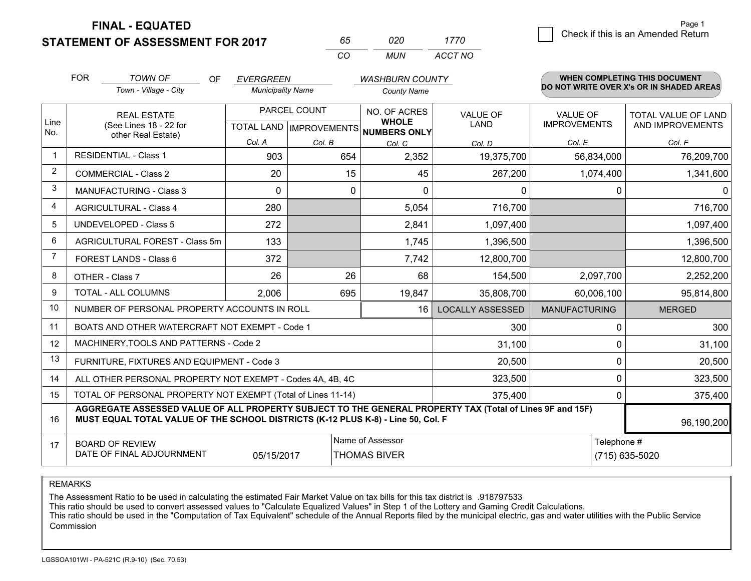**STATEMENT OF ASSESSMENT FOR 2017** 

| 65.      | חכח  | 1770    |
|----------|------|---------|
| $\cdots$ | MUN. | ACCT NO |

|                | <b>FOR</b>                                                                                                                                                                                                 | <b>TOWN OF</b><br><b>OF</b>                                                                      | <b>EVERGREEN</b>         |                                                     | <b>WASHBURN COUNTY</b>                  |                                        |                                         | WHEN COMPLETING THIS DOCUMENT            |  |
|----------------|------------------------------------------------------------------------------------------------------------------------------------------------------------------------------------------------------------|--------------------------------------------------------------------------------------------------|--------------------------|-----------------------------------------------------|-----------------------------------------|----------------------------------------|-----------------------------------------|------------------------------------------|--|
|                |                                                                                                                                                                                                            | Town - Village - City                                                                            | <b>Municipality Name</b> |                                                     | <b>County Name</b>                      |                                        |                                         | DO NOT WRITE OVER X's OR IN SHADED AREAS |  |
| Line<br>No.    |                                                                                                                                                                                                            | PARCEL COUNT<br><b>REAL ESTATE</b><br>(See Lines 18 - 22 for<br><b>TOTAL LAND   IMPROVEMENTS</b> |                          | NO. OF ACRES<br><b>WHOLE</b><br><b>NUMBERS ONLY</b> | VALUE OF<br><b>LAND</b>                 | <b>VALUE OF</b><br><b>IMPROVEMENTS</b> | TOTAL VALUE OF LAND<br>AND IMPROVEMENTS |                                          |  |
|                |                                                                                                                                                                                                            | other Real Estate)                                                                               | Col. A                   | Col. B                                              | Col. C                                  | Col. D                                 | Col. E                                  | Col. F                                   |  |
|                |                                                                                                                                                                                                            | <b>RESIDENTIAL - Class 1</b>                                                                     | 903                      | 654                                                 | 2,352                                   | 19,375,700                             | 56,834,000                              | 76,209,700                               |  |
| 2              |                                                                                                                                                                                                            | <b>COMMERCIAL - Class 2</b>                                                                      | 20                       | 15                                                  | 45                                      | 267,200                                | 1,074,400                               | 1,341,600                                |  |
| 3              |                                                                                                                                                                                                            | <b>MANUFACTURING - Class 3</b>                                                                   | $\Omega$                 | 0                                                   | $\Omega$                                | 0                                      |                                         | 0<br>0                                   |  |
| 4              |                                                                                                                                                                                                            | <b>AGRICULTURAL - Class 4</b>                                                                    | 280                      |                                                     | 5,054                                   | 716,700                                |                                         | 716,700                                  |  |
| 5              |                                                                                                                                                                                                            | <b>UNDEVELOPED - Class 5</b>                                                                     | 272                      |                                                     | 2,841                                   | 1,097,400                              |                                         | 1,097,400                                |  |
| 6              | AGRICULTURAL FOREST - Class 5m                                                                                                                                                                             |                                                                                                  | 133                      |                                                     | 1,745                                   | 1,396,500                              |                                         | 1,396,500                                |  |
| $\overline{7}$ | FOREST LANDS - Class 6                                                                                                                                                                                     |                                                                                                  | 372                      |                                                     | 7,742                                   | 12,800,700                             |                                         | 12,800,700                               |  |
| 8              |                                                                                                                                                                                                            | OTHER - Class 7                                                                                  | 26                       | 26                                                  | 68                                      | 154,500                                | 2,097,700                               | 2,252,200                                |  |
| 9              |                                                                                                                                                                                                            | TOTAL - ALL COLUMNS                                                                              | 2,006                    | 695                                                 | 19,847                                  | 35,808,700                             | 60,006,100                              | 95,814,800                               |  |
| 10             |                                                                                                                                                                                                            | NUMBER OF PERSONAL PROPERTY ACCOUNTS IN ROLL                                                     |                          |                                                     | 16                                      | <b>LOCALLY ASSESSED</b>                | <b>MANUFACTURING</b>                    | <b>MERGED</b>                            |  |
| 11             |                                                                                                                                                                                                            | BOATS AND OTHER WATERCRAFT NOT EXEMPT - Code 1                                                   |                          |                                                     |                                         | 300                                    |                                         | 300<br>$\Omega$                          |  |
| 12             |                                                                                                                                                                                                            | MACHINERY, TOOLS AND PATTERNS - Code 2                                                           |                          |                                                     |                                         | 31,100                                 |                                         | 31,100<br>$\Omega$                       |  |
| 13             |                                                                                                                                                                                                            | FURNITURE, FIXTURES AND EQUIPMENT - Code 3                                                       |                          |                                                     |                                         | 20,500                                 |                                         | 20,500<br>0                              |  |
| 14             |                                                                                                                                                                                                            | ALL OTHER PERSONAL PROPERTY NOT EXEMPT - Codes 4A, 4B, 4C                                        |                          |                                                     |                                         | 323,500                                |                                         | 323,500<br>0                             |  |
| 15             |                                                                                                                                                                                                            | TOTAL OF PERSONAL PROPERTY NOT EXEMPT (Total of Lines 11-14)                                     |                          |                                                     |                                         | 375,400                                |                                         | 375,400<br>0                             |  |
| 16             | AGGREGATE ASSESSED VALUE OF ALL PROPERTY SUBJECT TO THE GENERAL PROPERTY TAX (Total of Lines 9F and 15F)<br>MUST EQUAL TOTAL VALUE OF THE SCHOOL DISTRICTS (K-12 PLUS K-8) - Line 50, Col. F<br>96,190,200 |                                                                                                  |                          |                                                     |                                         |                                        |                                         |                                          |  |
| 17             |                                                                                                                                                                                                            | <b>BOARD OF REVIEW</b><br>DATE OF FINAL ADJOURNMENT                                              | 05/15/2017               |                                                     | Name of Assessor<br><b>THOMAS BIVER</b> | Telephone #<br>(715) 635-5020          |                                         |                                          |  |

REMARKS

The Assessment Ratio to be used in calculating the estimated Fair Market Value on tax bills for this tax district is .918797533<br>This ratio should be used to convert assessed values to "Calculate Equalized Values" in Step 1 Commission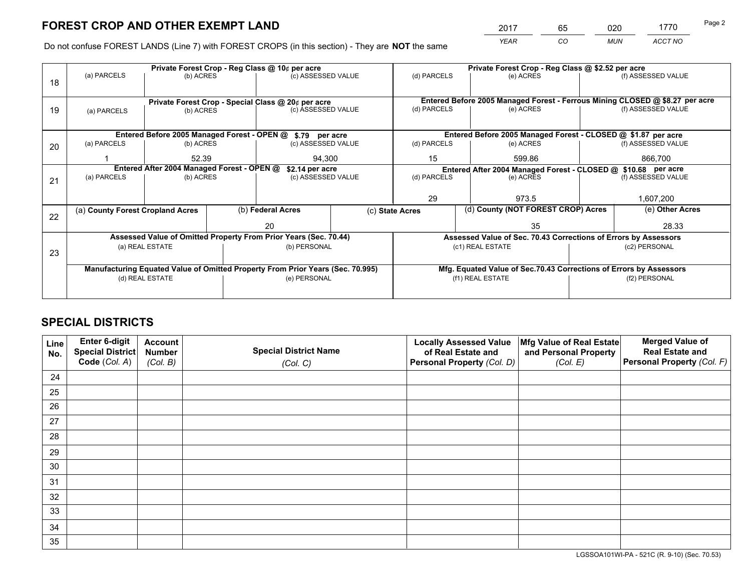*YEAR CO MUN ACCT NO* <sup>2017</sup> <sup>65</sup> <sup>020</sup> <sup>1770</sup> Page 2

Do not confuse FOREST LANDS (Line 7) with FOREST CROPS (in this section) - They are **NOT** the same

|    |                                                                                |                                                                                       |  | Private Forest Crop - Reg Class @ 10¢ per acre                   |              | Private Forest Crop - Reg Class @ \$2.52 per acre |                                    |                                                                    |                    |                                                                              |
|----|--------------------------------------------------------------------------------|---------------------------------------------------------------------------------------|--|------------------------------------------------------------------|--------------|---------------------------------------------------|------------------------------------|--------------------------------------------------------------------|--------------------|------------------------------------------------------------------------------|
| 18 | (a) PARCELS                                                                    | (b) ACRES                                                                             |  | (c) ASSESSED VALUE                                               |              | (d) PARCELS                                       |                                    | (e) ACRES                                                          |                    | (f) ASSESSED VALUE                                                           |
|    |                                                                                |                                                                                       |  |                                                                  |              |                                                   |                                    |                                                                    |                    | Entered Before 2005 Managed Forest - Ferrous Mining CLOSED @ \$8.27 per acre |
| 19 | (a) PARCELS                                                                    | Private Forest Crop - Special Class @ 20¢ per acre<br>(c) ASSESSED VALUE<br>(b) ACRES |  |                                                                  | (d) PARCELS  |                                                   | (e) ACRES                          |                                                                    | (f) ASSESSED VALUE |                                                                              |
|    |                                                                                |                                                                                       |  |                                                                  |              |                                                   |                                    |                                                                    |                    |                                                                              |
|    |                                                                                |                                                                                       |  | Entered Before 2005 Managed Forest - OPEN @ \$.79 per acre       |              |                                                   |                                    | Entered Before 2005 Managed Forest - CLOSED @ \$1.87 per acre      |                    |                                                                              |
|    |                                                                                |                                                                                       |  |                                                                  |              |                                                   |                                    |                                                                    |                    |                                                                              |
| 20 | (a) PARCELS                                                                    | (b) ACRES                                                                             |  | (c) ASSESSED VALUE                                               |              | (d) PARCELS                                       |                                    | (e) ACRES                                                          |                    | (f) ASSESSED VALUE                                                           |
|    |                                                                                | 52.39<br>94.300                                                                       |  |                                                                  | 15<br>599.86 |                                                   |                                    | 866,700                                                            |                    |                                                                              |
|    |                                                                                | Entered After 2004 Managed Forest - OPEN @                                            |  | \$2.14 per acre                                                  |              |                                                   |                                    | Entered After 2004 Managed Forest - CLOSED @ \$10.68 per acre      |                    |                                                                              |
| 21 | (a) PARCELS                                                                    | (b) ACRES                                                                             |  | (c) ASSESSED VALUE                                               | (d) PARCELS  |                                                   |                                    | (e) ACRES                                                          |                    | (f) ASSESSED VALUE                                                           |
|    |                                                                                |                                                                                       |  |                                                                  |              |                                                   |                                    |                                                                    |                    |                                                                              |
|    |                                                                                |                                                                                       |  |                                                                  |              | 29                                                |                                    | 973.5                                                              |                    | 1,607,200                                                                    |
|    | (a) County Forest Cropland Acres                                               |                                                                                       |  | (b) Federal Acres                                                |              | (c) State Acres                                   | (d) County (NOT FOREST CROP) Acres |                                                                    |                    | (e) Other Acres                                                              |
| 22 |                                                                                |                                                                                       |  | 20                                                               |              |                                                   |                                    | 35                                                                 |                    | 28.33                                                                        |
|    |                                                                                |                                                                                       |  |                                                                  |              |                                                   |                                    |                                                                    |                    |                                                                              |
|    |                                                                                |                                                                                       |  | Assessed Value of Omitted Property From Prior Years (Sec. 70.44) |              |                                                   |                                    | Assessed Value of Sec. 70.43 Corrections of Errors by Assessors    |                    |                                                                              |
| 23 |                                                                                | (a) REAL ESTATE                                                                       |  | (b) PERSONAL                                                     |              |                                                   |                                    | (c1) REAL ESTATE                                                   |                    | (c2) PERSONAL                                                                |
|    |                                                                                |                                                                                       |  |                                                                  |              |                                                   |                                    |                                                                    |                    |                                                                              |
|    | Manufacturing Equated Value of Omitted Property From Prior Years (Sec. 70.995) |                                                                                       |  |                                                                  |              |                                                   |                                    | Mfg. Equated Value of Sec.70.43 Corrections of Errors by Assessors |                    |                                                                              |
|    | (d) REAL ESTATE                                                                |                                                                                       |  | (e) PERSONAL                                                     |              |                                                   |                                    | (f1) REAL ESTATE                                                   | (f2) PERSONAL      |                                                                              |
|    |                                                                                |                                                                                       |  |                                                                  |              |                                                   |                                    |                                                                    |                    |                                                                              |
|    |                                                                                |                                                                                       |  |                                                                  |              |                                                   |                                    |                                                                    |                    |                                                                              |

## **SPECIAL DISTRICTS**

| Line<br>No. | <b>Enter 6-digit</b><br>Special District | <b>Account</b><br><b>Number</b> | <b>Special District Name</b> | <b>Locally Assessed Value</b><br>of Real Estate and | Mfg Value of Real Estate<br>and Personal Property | <b>Merged Value of</b><br><b>Real Estate and</b> |
|-------------|------------------------------------------|---------------------------------|------------------------------|-----------------------------------------------------|---------------------------------------------------|--------------------------------------------------|
|             | Code (Col. A)                            | (Col. B)                        | (Col. C)                     | Personal Property (Col. D)                          | (Col. E)                                          | <b>Personal Property (Col. F)</b>                |
| 24          |                                          |                                 |                              |                                                     |                                                   |                                                  |
| 25          |                                          |                                 |                              |                                                     |                                                   |                                                  |
| 26          |                                          |                                 |                              |                                                     |                                                   |                                                  |
| 27          |                                          |                                 |                              |                                                     |                                                   |                                                  |
| 28          |                                          |                                 |                              |                                                     |                                                   |                                                  |
| 29          |                                          |                                 |                              |                                                     |                                                   |                                                  |
| 30          |                                          |                                 |                              |                                                     |                                                   |                                                  |
| 31          |                                          |                                 |                              |                                                     |                                                   |                                                  |
| 32          |                                          |                                 |                              |                                                     |                                                   |                                                  |
| 33          |                                          |                                 |                              |                                                     |                                                   |                                                  |
| 34          |                                          |                                 |                              |                                                     |                                                   |                                                  |
| 35          |                                          |                                 |                              |                                                     |                                                   |                                                  |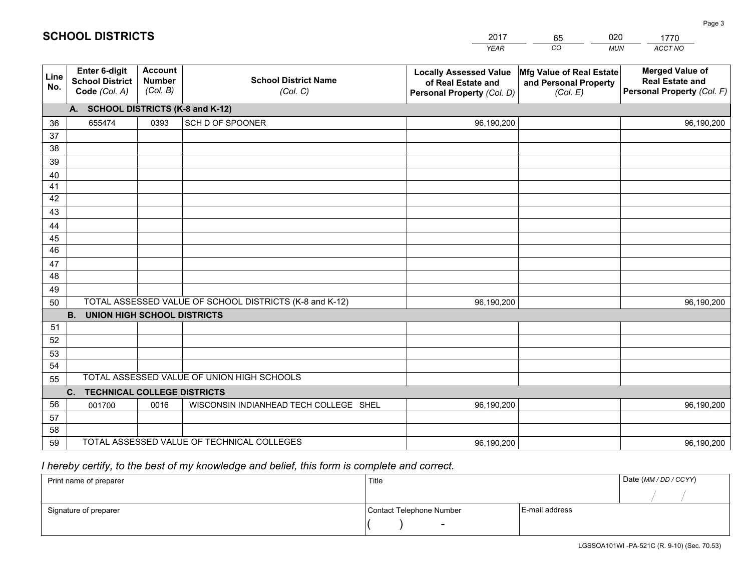|             |                                                          |                                             |                                                         | <b>YEAR</b>                                                                       | CO<br><b>MUN</b>                                              | ACCT NO                                                                        |
|-------------|----------------------------------------------------------|---------------------------------------------|---------------------------------------------------------|-----------------------------------------------------------------------------------|---------------------------------------------------------------|--------------------------------------------------------------------------------|
| Line<br>No. | Enter 6-digit<br><b>School District</b><br>Code (Col. A) | <b>Account</b><br><b>Number</b><br>(Col. B) | <b>School District Name</b><br>(Col. C)                 | <b>Locally Assessed Value</b><br>of Real Estate and<br>Personal Property (Col. D) | Mfg Value of Real Estate<br>and Personal Property<br>(Col. E) | <b>Merged Value of</b><br><b>Real Estate and</b><br>Personal Property (Col. F) |
|             | A. SCHOOL DISTRICTS (K-8 and K-12)                       |                                             |                                                         |                                                                                   |                                                               |                                                                                |
| 36          | 655474                                                   | 0393                                        | SCH D OF SPOONER                                        | 96,190,200                                                                        |                                                               | 96,190,200                                                                     |
| 37          |                                                          |                                             |                                                         |                                                                                   |                                                               |                                                                                |
| 38          |                                                          |                                             |                                                         |                                                                                   |                                                               |                                                                                |
| 39          |                                                          |                                             |                                                         |                                                                                   |                                                               |                                                                                |
| 40          |                                                          |                                             |                                                         |                                                                                   |                                                               |                                                                                |
| 41          |                                                          |                                             |                                                         |                                                                                   |                                                               |                                                                                |
| 42          |                                                          |                                             |                                                         |                                                                                   |                                                               |                                                                                |
| 43          |                                                          |                                             |                                                         |                                                                                   |                                                               |                                                                                |
| 44<br>45    |                                                          |                                             |                                                         |                                                                                   |                                                               |                                                                                |
| 46          |                                                          |                                             |                                                         |                                                                                   |                                                               |                                                                                |
| 47          |                                                          |                                             |                                                         |                                                                                   |                                                               |                                                                                |
| 48          |                                                          |                                             |                                                         |                                                                                   |                                                               |                                                                                |
| 49          |                                                          |                                             |                                                         |                                                                                   |                                                               |                                                                                |
| 50          |                                                          |                                             | TOTAL ASSESSED VALUE OF SCHOOL DISTRICTS (K-8 and K-12) | 96,190,200                                                                        |                                                               | 96,190,200                                                                     |
|             | <b>B.</b><br><b>UNION HIGH SCHOOL DISTRICTS</b>          |                                             |                                                         |                                                                                   |                                                               |                                                                                |
| 51          |                                                          |                                             |                                                         |                                                                                   |                                                               |                                                                                |
| 52          |                                                          |                                             |                                                         |                                                                                   |                                                               |                                                                                |
| 53          |                                                          |                                             |                                                         |                                                                                   |                                                               |                                                                                |
| 54          |                                                          |                                             |                                                         |                                                                                   |                                                               |                                                                                |
| 55          |                                                          |                                             | TOTAL ASSESSED VALUE OF UNION HIGH SCHOOLS              |                                                                                   |                                                               |                                                                                |
|             | C.<br><b>TECHNICAL COLLEGE DISTRICTS</b>                 |                                             |                                                         |                                                                                   |                                                               |                                                                                |
| 56          | 001700                                                   | 0016                                        | WISCONSIN INDIANHEAD TECH COLLEGE SHEL                  | 96,190,200                                                                        |                                                               | 96,190,200                                                                     |
| 57          |                                                          |                                             |                                                         |                                                                                   |                                                               |                                                                                |
| 58          |                                                          |                                             |                                                         |                                                                                   |                                                               |                                                                                |
| 59          |                                                          |                                             | TOTAL ASSESSED VALUE OF TECHNICAL COLLEGES              | 96,190,200                                                                        |                                                               | 96,190,200                                                                     |

65

020

## *I hereby certify, to the best of my knowledge and belief, this form is complete and correct.*

**SCHOOL DISTRICTS**

| Print name of preparer | Title                    | Date (MM / DD / CCYY) |  |
|------------------------|--------------------------|-----------------------|--|
|                        |                          |                       |  |
| Signature of preparer  | Contact Telephone Number | E-mail address        |  |
|                        | $\overline{\phantom{0}}$ |                       |  |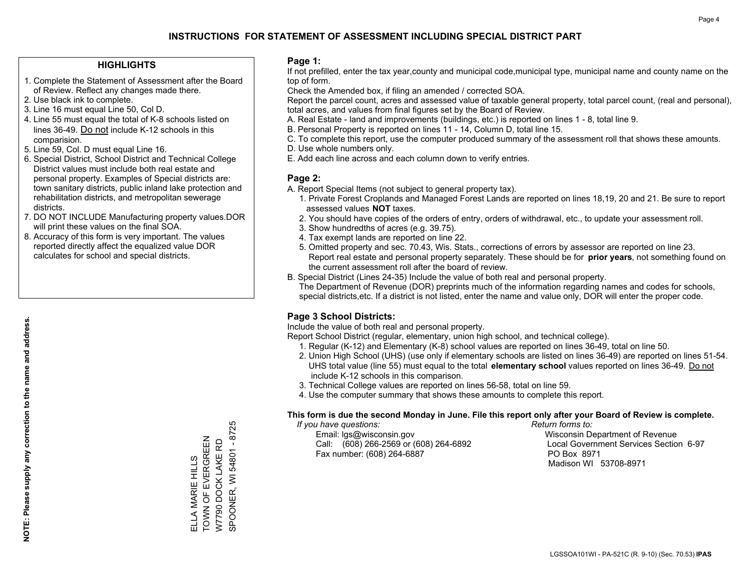#### **HIGHLIGHTS**

- 1. Complete the Statement of Assessment after the Board of Review. Reflect any changes made there.
- 2. Use black ink to complete.
- 3. Line 16 must equal Line 50, Col D.
- 4. Line 55 must equal the total of K-8 schools listed on lines 36-49. Do not include K-12 schools in this comparision.
- 5. Line 59, Col. D must equal Line 16.
- 6. Special District, School District and Technical College District values must include both real estate and personal property. Examples of Special districts are: town sanitary districts, public inland lake protection and rehabilitation districts, and metropolitan sewerage districts.
- 7. DO NOT INCLUDE Manufacturing property values.DOR will print these values on the final SOA.

ELLA MARIE HILLS TOWN OF EVERGREEN W7790 DOCK LAKE RD SPOONER, WI 54801 - 8725

ELLA MARIE HILLS<br>TOWN OF EVERGREEN<br>W7790 DOCK LAKE RD

SPOONER, WI 54801 - 8725

 8. Accuracy of this form is very important. The values reported directly affect the equalized value DOR calculates for school and special districts.

#### **Page 1:**

 If not prefilled, enter the tax year,county and municipal code,municipal type, municipal name and county name on the top of form.

Check the Amended box, if filing an amended / corrected SOA.

 Report the parcel count, acres and assessed value of taxable general property, total parcel count, (real and personal), total acres, and values from final figures set by the Board of Review.

- A. Real Estate land and improvements (buildings, etc.) is reported on lines 1 8, total line 9.
- B. Personal Property is reported on lines 11 14, Column D, total line 15.
- C. To complete this report, use the computer produced summary of the assessment roll that shows these amounts.
- D. Use whole numbers only.
- E. Add each line across and each column down to verify entries.

### **Page 2:**

- A. Report Special Items (not subject to general property tax).
- 1. Private Forest Croplands and Managed Forest Lands are reported on lines 18,19, 20 and 21. Be sure to report assessed values **NOT** taxes.
- 2. You should have copies of the orders of entry, orders of withdrawal, etc., to update your assessment roll.
	- 3. Show hundredths of acres (e.g. 39.75).
- 4. Tax exempt lands are reported on line 22.
- 5. Omitted property and sec. 70.43, Wis. Stats., corrections of errors by assessor are reported on line 23. Report real estate and personal property separately. These should be for **prior years**, not something found on the current assessment roll after the board of review.
- B. Special District (Lines 24-35) Include the value of both real and personal property.

 The Department of Revenue (DOR) preprints much of the information regarding names and codes for schools, special districts,etc. If a district is not listed, enter the name and value only, DOR will enter the proper code.

## **Page 3 School Districts:**

Include the value of both real and personal property.

Report School District (regular, elementary, union high school, and technical college).

- 1. Regular (K-12) and Elementary (K-8) school values are reported on lines 36-49, total on line 50.
- 2. Union High School (UHS) (use only if elementary schools are listed on lines 36-49) are reported on lines 51-54. UHS total value (line 55) must equal to the total **elementary school** values reported on lines 36-49. Do notinclude K-12 schools in this comparison.
- 3. Technical College values are reported on lines 56-58, total on line 59.
- 4. Use the computer summary that shows these amounts to complete this report.

#### **This form is due the second Monday in June. File this report only after your Board of Review is complete.**

 *If you have questions: Return forms to:*

 Email: lgs@wisconsin.gov Wisconsin Department of RevenueCall:  $(608)$  266-2569 or  $(608)$  264-6892 Fax number: (608) 264-6887 PO Box 8971

Local Government Services Section 6-97 Madison WI 53708-8971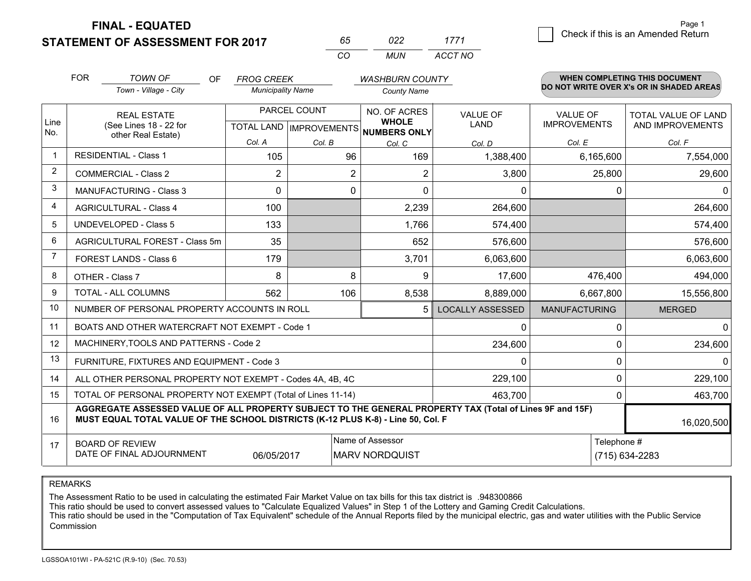**STATEMENT OF ASSESSMENT FOR 2017** 

| ñh       | פכח | 1771    |
|----------|-----|---------|
| $\cdots$ | MUN | ACCT NO |

|                | <b>FOR</b> | <b>TOWN OF</b><br>OF                                                                                                                                                                         | <b>FROG CREEK</b>        |        | <b>WASHBURN COUNTY</b>                              |                               |                                        | WHEN COMPLETING THIS DOCUMENT            |  |
|----------------|------------|----------------------------------------------------------------------------------------------------------------------------------------------------------------------------------------------|--------------------------|--------|-----------------------------------------------------|-------------------------------|----------------------------------------|------------------------------------------|--|
|                |            | Town - Village - City                                                                                                                                                                        | <b>Municipality Name</b> |        | <b>County Name</b>                                  |                               |                                        | DO NOT WRITE OVER X's OR IN SHADED AREAS |  |
| Line<br>No.    |            | PARCEL COUNT<br><b>REAL ESTATE</b><br>(See Lines 18 - 22 for<br><b>TOTAL LAND IMPROVEMENTS</b>                                                                                               |                          |        | NO. OF ACRES<br><b>WHOLE</b><br><b>NUMBERS ONLY</b> | VALUE OF<br>LAND              | <b>VALUE OF</b><br><b>IMPROVEMENTS</b> | TOTAL VALUE OF LAND<br>AND IMPROVEMENTS  |  |
|                |            | other Real Estate)                                                                                                                                                                           | Col. A                   | Col. B | Col. C                                              | Col. D                        | Col. E                                 | Col. F                                   |  |
|                |            | <b>RESIDENTIAL - Class 1</b>                                                                                                                                                                 | 105                      | 96     | 169                                                 | 1,388,400                     | 6,165,600                              | 7,554,000                                |  |
| 2              |            | <b>COMMERCIAL - Class 2</b>                                                                                                                                                                  | 2                        | 2      | 2                                                   | 3,800                         | 25,800                                 | 29,600                                   |  |
| 3              |            | <b>MANUFACTURING - Class 3</b>                                                                                                                                                               | $\Omega$                 | 0      | $\Omega$                                            | $\mathbf{0}$                  |                                        | 0<br>0                                   |  |
| 4              |            | <b>AGRICULTURAL - Class 4</b>                                                                                                                                                                | 100                      |        | 2,239                                               | 264,600                       |                                        | 264,600                                  |  |
| 5              |            | <b>UNDEVELOPED - Class 5</b>                                                                                                                                                                 | 133                      |        | 1,766                                               | 574,400                       |                                        | 574,400                                  |  |
| 6              |            | AGRICULTURAL FOREST - Class 5m                                                                                                                                                               | 35                       |        | 652                                                 | 576,600                       |                                        | 576,600                                  |  |
| $\overline{7}$ |            | FOREST LANDS - Class 6                                                                                                                                                                       | 179                      |        | 3,701                                               | 6,063,600                     |                                        | 6,063,600                                |  |
| 8              |            | OTHER - Class 7                                                                                                                                                                              | 8                        | 8      | 9                                                   | 17,600                        | 476,400                                | 494,000                                  |  |
| 9              |            | TOTAL - ALL COLUMNS                                                                                                                                                                          | 562                      | 106    | 8,538                                               | 8,889,000                     | 6,667,800                              | 15,556,800                               |  |
| 10             |            | NUMBER OF PERSONAL PROPERTY ACCOUNTS IN ROLL                                                                                                                                                 |                          |        | 5                                                   | <b>LOCALLY ASSESSED</b>       | <b>MANUFACTURING</b>                   | <b>MERGED</b>                            |  |
| 11             |            | BOATS AND OTHER WATERCRAFT NOT EXEMPT - Code 1                                                                                                                                               |                          |        |                                                     | $\Omega$                      |                                        | 0<br>0                                   |  |
| 12             |            | MACHINERY, TOOLS AND PATTERNS - Code 2                                                                                                                                                       |                          |        |                                                     | 234,600                       |                                        | 234,600<br>0                             |  |
| 13             |            | FURNITURE, FIXTURES AND EQUIPMENT - Code 3                                                                                                                                                   |                          |        |                                                     | $\mathbf{0}$                  |                                        | 0<br>$\Omega$                            |  |
| 14             |            | ALL OTHER PERSONAL PROPERTY NOT EXEMPT - Codes 4A, 4B, 4C                                                                                                                                    |                          |        |                                                     | 229,100                       |                                        | $\Omega$<br>229,100                      |  |
| 15             |            | TOTAL OF PERSONAL PROPERTY NOT EXEMPT (Total of Lines 11-14)                                                                                                                                 |                          |        |                                                     | 463,700                       |                                        | 463,700<br>0                             |  |
| 16             |            | AGGREGATE ASSESSED VALUE OF ALL PROPERTY SUBJECT TO THE GENERAL PROPERTY TAX (Total of Lines 9F and 15F)<br>MUST EQUAL TOTAL VALUE OF THE SCHOOL DISTRICTS (K-12 PLUS K-8) - Line 50, Col. F |                          |        |                                                     |                               |                                        | 16,020,500                               |  |
| 17             |            | <b>BOARD OF REVIEW</b><br>DATE OF FINAL ADJOURNMENT                                                                                                                                          | 06/05/2017               |        | Name of Assessor<br><b>MARV NORDQUIST</b>           | Telephone #<br>(715) 634-2283 |                                        |                                          |  |

REMARKS

The Assessment Ratio to be used in calculating the estimated Fair Market Value on tax bills for this tax district is .948300866<br>This ratio should be used to convert assessed values to "Calculate Equalized Values" in Step 1 Commission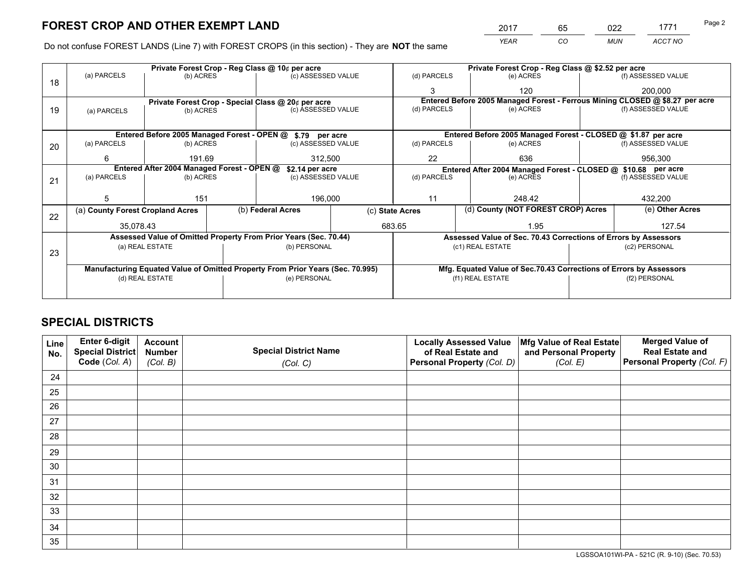*YEAR CO MUN ACCT NO* <sup>2017</sup> <sup>65</sup> <sup>022</sup> <sup>1771</sup> Page 2

Do not confuse FOREST LANDS (Line 7) with FOREST CROPS (in this section) - They are **NOT** the same

|    |                                                                                | Private Forest Crop - Reg Class @ 10¢ per acre |  | Private Forest Crop - Reg Class @ \$2.52 per acre                |                 |                          |  |                                                                    |               |                                                                              |
|----|--------------------------------------------------------------------------------|------------------------------------------------|--|------------------------------------------------------------------|-----------------|--------------------------|--|--------------------------------------------------------------------|---------------|------------------------------------------------------------------------------|
| 18 | (a) PARCELS                                                                    | (b) ACRES                                      |  | (c) ASSESSED VALUE                                               |                 | (d) PARCELS              |  | (e) ACRES                                                          |               | (f) ASSESSED VALUE                                                           |
|    |                                                                                |                                                |  |                                                                  |                 | 3                        |  | 120                                                                |               | 200,000                                                                      |
|    |                                                                                |                                                |  | Private Forest Crop - Special Class @ 20¢ per acre               |                 |                          |  |                                                                    |               | Entered Before 2005 Managed Forest - Ferrous Mining CLOSED @ \$8.27 per acre |
| 19 | (a) PARCELS                                                                    | (b) ACRES                                      |  | (c) ASSESSED VALUE                                               |                 | (d) PARCELS              |  | (e) ACRES                                                          |               | (f) ASSESSED VALUE                                                           |
|    |                                                                                |                                                |  |                                                                  |                 |                          |  |                                                                    |               |                                                                              |
|    |                                                                                |                                                |  | Entered Before 2005 Managed Forest - OPEN @ \$.79 per acre       |                 |                          |  | Entered Before 2005 Managed Forest - CLOSED @ \$1.87 per acre      |               |                                                                              |
| 20 | (a) PARCELS                                                                    | (b) ACRES                                      |  | (c) ASSESSED VALUE                                               |                 | (d) PARCELS              |  | (e) ACRES                                                          |               | (f) ASSESSED VALUE                                                           |
|    | 6                                                                              | 191.69                                         |  | 312,500                                                          |                 | 22<br>636                |  |                                                                    |               | 956,300                                                                      |
|    | Entered After 2004 Managed Forest - OPEN @<br>\$2.14 per acre                  |                                                |  |                                                                  |                 |                          |  | Entered After 2004 Managed Forest - CLOSED @ \$10.68 per acre      |               |                                                                              |
| 21 | (a) PARCELS                                                                    | (b) ACRES                                      |  | (c) ASSESSED VALUE                                               |                 | (d) PARCELS<br>(e) ACRES |  | (f) ASSESSED VALUE                                                 |               |                                                                              |
|    |                                                                                |                                                |  |                                                                  |                 |                          |  |                                                                    |               |                                                                              |
|    | 5                                                                              | 151                                            |  | 196,000                                                          |                 | 11                       |  | 248.42                                                             |               | 432,200                                                                      |
| 22 | (a) County Forest Cropland Acres                                               |                                                |  | (b) Federal Acres                                                | (c) State Acres |                          |  | (d) County (NOT FOREST CROP) Acres                                 |               | (e) Other Acres                                                              |
|    | 35,078.43                                                                      |                                                |  |                                                                  |                 | 683.65                   |  | 1.95                                                               |               | 127.54                                                                       |
|    |                                                                                |                                                |  | Assessed Value of Omitted Property From Prior Years (Sec. 70.44) |                 |                          |  | Assessed Value of Sec. 70.43 Corrections of Errors by Assessors    |               |                                                                              |
| 23 |                                                                                | (a) REAL ESTATE                                |  | (b) PERSONAL                                                     |                 |                          |  | (c1) REAL ESTATE                                                   |               | (c2) PERSONAL                                                                |
|    |                                                                                |                                                |  |                                                                  |                 |                          |  |                                                                    |               |                                                                              |
|    | Manufacturing Equated Value of Omitted Property From Prior Years (Sec. 70.995) |                                                |  |                                                                  |                 |                          |  | Mfg. Equated Value of Sec.70.43 Corrections of Errors by Assessors |               |                                                                              |
|    | (d) REAL ESTATE                                                                |                                                |  | (e) PERSONAL                                                     |                 | (f1) REAL ESTATE         |  |                                                                    | (f2) PERSONAL |                                                                              |
|    |                                                                                |                                                |  |                                                                  |                 |                          |  |                                                                    |               |                                                                              |

## **SPECIAL DISTRICTS**

| Line<br>No. | Enter 6-digit<br><b>Special District</b> | <b>Account</b><br><b>Number</b> | <b>Special District Name</b> | <b>Locally Assessed Value</b><br>of Real Estate and | Mfg Value of Real Estate<br>and Personal Property | <b>Merged Value of</b><br><b>Real Estate and</b> |
|-------------|------------------------------------------|---------------------------------|------------------------------|-----------------------------------------------------|---------------------------------------------------|--------------------------------------------------|
|             | Code (Col. A)                            | (Col. B)                        | (Col. C)                     | Personal Property (Col. D)                          | (Col. E)                                          | Personal Property (Col. F)                       |
| 24          |                                          |                                 |                              |                                                     |                                                   |                                                  |
| 25          |                                          |                                 |                              |                                                     |                                                   |                                                  |
| 26          |                                          |                                 |                              |                                                     |                                                   |                                                  |
| 27          |                                          |                                 |                              |                                                     |                                                   |                                                  |
| 28          |                                          |                                 |                              |                                                     |                                                   |                                                  |
| 29          |                                          |                                 |                              |                                                     |                                                   |                                                  |
| 30          |                                          |                                 |                              |                                                     |                                                   |                                                  |
| 31          |                                          |                                 |                              |                                                     |                                                   |                                                  |
| 32          |                                          |                                 |                              |                                                     |                                                   |                                                  |
| 33          |                                          |                                 |                              |                                                     |                                                   |                                                  |
| 34          |                                          |                                 |                              |                                                     |                                                   |                                                  |
| 35          |                                          |                                 |                              |                                                     |                                                   |                                                  |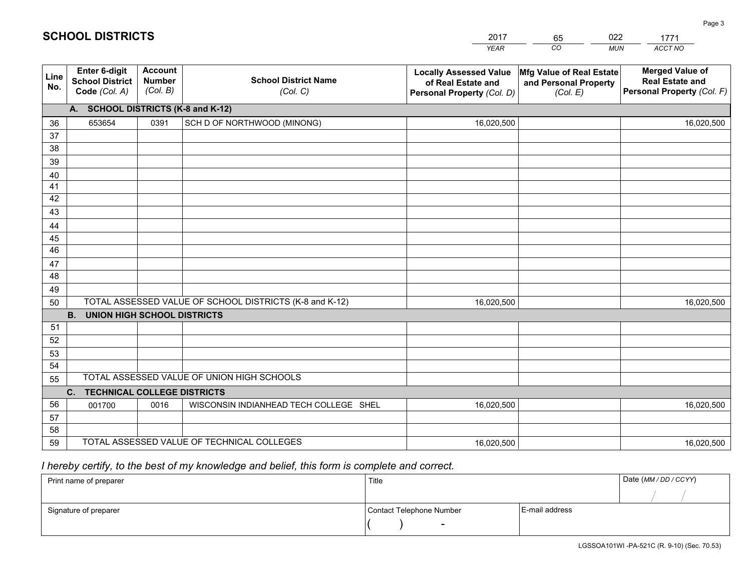|             |                                                          |                                             |                                                         | <b>YEAR</b>                                                                       | CO<br><b>MUN</b>                                              | ACCT NO                                                                        |
|-------------|----------------------------------------------------------|---------------------------------------------|---------------------------------------------------------|-----------------------------------------------------------------------------------|---------------------------------------------------------------|--------------------------------------------------------------------------------|
| Line<br>No. | Enter 6-digit<br><b>School District</b><br>Code (Col. A) | <b>Account</b><br><b>Number</b><br>(Col. B) | <b>School District Name</b><br>(Col. C)                 | <b>Locally Assessed Value</b><br>of Real Estate and<br>Personal Property (Col. D) | Mfg Value of Real Estate<br>and Personal Property<br>(Col. E) | <b>Merged Value of</b><br><b>Real Estate and</b><br>Personal Property (Col. F) |
|             | A. SCHOOL DISTRICTS (K-8 and K-12)                       |                                             |                                                         |                                                                                   |                                                               |                                                                                |
| 36          | 653654                                                   | 0391                                        | SCH D OF NORTHWOOD (MINONG)                             | 16,020,500                                                                        |                                                               | 16,020,500                                                                     |
| 37          |                                                          |                                             |                                                         |                                                                                   |                                                               |                                                                                |
| 38          |                                                          |                                             |                                                         |                                                                                   |                                                               |                                                                                |
| 39          |                                                          |                                             |                                                         |                                                                                   |                                                               |                                                                                |
| 40          |                                                          |                                             |                                                         |                                                                                   |                                                               |                                                                                |
| 41          |                                                          |                                             |                                                         |                                                                                   |                                                               |                                                                                |
| 42          |                                                          |                                             |                                                         |                                                                                   |                                                               |                                                                                |
| 43          |                                                          |                                             |                                                         |                                                                                   |                                                               |                                                                                |
| 44<br>45    |                                                          |                                             |                                                         |                                                                                   |                                                               |                                                                                |
| 46          |                                                          |                                             |                                                         |                                                                                   |                                                               |                                                                                |
| 47          |                                                          |                                             |                                                         |                                                                                   |                                                               |                                                                                |
| 48          |                                                          |                                             |                                                         |                                                                                   |                                                               |                                                                                |
| 49          |                                                          |                                             |                                                         |                                                                                   |                                                               |                                                                                |
| 50          |                                                          |                                             | TOTAL ASSESSED VALUE OF SCHOOL DISTRICTS (K-8 and K-12) | 16,020,500                                                                        |                                                               | 16,020,500                                                                     |
|             | <b>B.</b><br><b>UNION HIGH SCHOOL DISTRICTS</b>          |                                             |                                                         |                                                                                   |                                                               |                                                                                |
| 51          |                                                          |                                             |                                                         |                                                                                   |                                                               |                                                                                |
| 52          |                                                          |                                             |                                                         |                                                                                   |                                                               |                                                                                |
| 53          |                                                          |                                             |                                                         |                                                                                   |                                                               |                                                                                |
| 54          |                                                          |                                             |                                                         |                                                                                   |                                                               |                                                                                |
| 55          |                                                          |                                             | TOTAL ASSESSED VALUE OF UNION HIGH SCHOOLS              |                                                                                   |                                                               |                                                                                |
|             | C. TECHNICAL COLLEGE DISTRICTS                           |                                             |                                                         |                                                                                   |                                                               |                                                                                |
| 56          | 001700                                                   | 0016                                        | WISCONSIN INDIANHEAD TECH COLLEGE SHEL                  | 16,020,500                                                                        |                                                               | 16,020,500                                                                     |
| 57<br>58    |                                                          |                                             |                                                         |                                                                                   |                                                               |                                                                                |
| 59          |                                                          |                                             | TOTAL ASSESSED VALUE OF TECHNICAL COLLEGES              |                                                                                   |                                                               |                                                                                |
|             |                                                          |                                             |                                                         | 16,020,500                                                                        |                                                               | 16,020,500                                                                     |

65

022

## *I hereby certify, to the best of my knowledge and belief, this form is complete and correct.*

**SCHOOL DISTRICTS**

| Print name of preparer | Title                    | Date (MM / DD / CCYY) |  |
|------------------------|--------------------------|-----------------------|--|
|                        |                          |                       |  |
| Signature of preparer  | Contact Telephone Number | E-mail address        |  |
|                        | $\overline{\phantom{0}}$ |                       |  |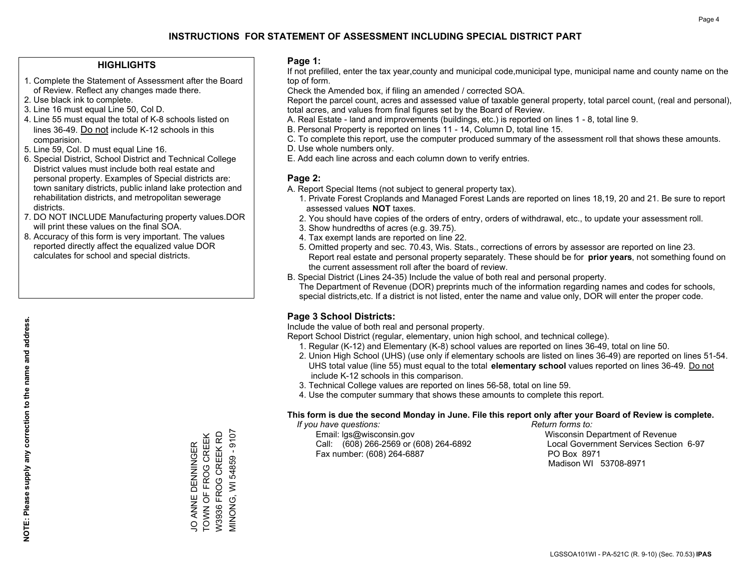#### **HIGHLIGHTS**

- 1. Complete the Statement of Assessment after the Board of Review. Reflect any changes made there.
- 2. Use black ink to complete.
- 3. Line 16 must equal Line 50, Col D.
- 4. Line 55 must equal the total of K-8 schools listed on lines 36-49. Do not include K-12 schools in this comparision.
- 5. Line 59, Col. D must equal Line 16.
- 6. Special District, School District and Technical College District values must include both real estate and personal property. Examples of Special districts are: town sanitary districts, public inland lake protection and rehabilitation districts, and metropolitan sewerage districts.
- 7. DO NOT INCLUDE Manufacturing property values.DOR will print these values on the final SOA.
- 8. Accuracy of this form is very important. The values reported directly affect the equalized value DOR calculates for school and special districts.

#### **Page 1:**

 If not prefilled, enter the tax year,county and municipal code,municipal type, municipal name and county name on the top of form.

Check the Amended box, if filing an amended / corrected SOA.

 Report the parcel count, acres and assessed value of taxable general property, total parcel count, (real and personal), total acres, and values from final figures set by the Board of Review.

- A. Real Estate land and improvements (buildings, etc.) is reported on lines 1 8, total line 9.
- B. Personal Property is reported on lines 11 14, Column D, total line 15.
- C. To complete this report, use the computer produced summary of the assessment roll that shows these amounts.
- D. Use whole numbers only.
- E. Add each line across and each column down to verify entries.

### **Page 2:**

- A. Report Special Items (not subject to general property tax).
- 1. Private Forest Croplands and Managed Forest Lands are reported on lines 18,19, 20 and 21. Be sure to report assessed values **NOT** taxes.
- 2. You should have copies of the orders of entry, orders of withdrawal, etc., to update your assessment roll.
	- 3. Show hundredths of acres (e.g. 39.75).
- 4. Tax exempt lands are reported on line 22.
- 5. Omitted property and sec. 70.43, Wis. Stats., corrections of errors by assessor are reported on line 23. Report real estate and personal property separately. These should be for **prior years**, not something found on the current assessment roll after the board of review.
- B. Special District (Lines 24-35) Include the value of both real and personal property.

 The Department of Revenue (DOR) preprints much of the information regarding names and codes for schools, special districts,etc. If a district is not listed, enter the name and value only, DOR will enter the proper code.

## **Page 3 School Districts:**

Include the value of both real and personal property.

Report School District (regular, elementary, union high school, and technical college).

- 1. Regular (K-12) and Elementary (K-8) school values are reported on lines 36-49, total on line 50.
- 2. Union High School (UHS) (use only if elementary schools are listed on lines 36-49) are reported on lines 51-54. UHS total value (line 55) must equal to the total **elementary school** values reported on lines 36-49. Do notinclude K-12 schools in this comparison.
- 3. Technical College values are reported on lines 56-58, total on line 59.
- 4. Use the computer summary that shows these amounts to complete this report.

#### **This form is due the second Monday in June. File this report only after your Board of Review is complete.**

 *If you have questions: Return forms to:*

 Email: lgs@wisconsin.gov Wisconsin Department of RevenueCall:  $(608)$  266-2569 or  $(608)$  264-6892 Fax number: (608) 264-6887 PO Box 8971

Local Government Services Section 6-97 Madison WI 53708-8971

JO ANNE DENNINGER<br>TOWN OF FROG CREEK<br>W3936 FROG CREEK RD VIINONG, WI 54859 - 9107 MINONG, WI 54859 - 9107 TOWN OF FROG CREEK W3936 FROG CREEK RD JO ANNE DENNINGER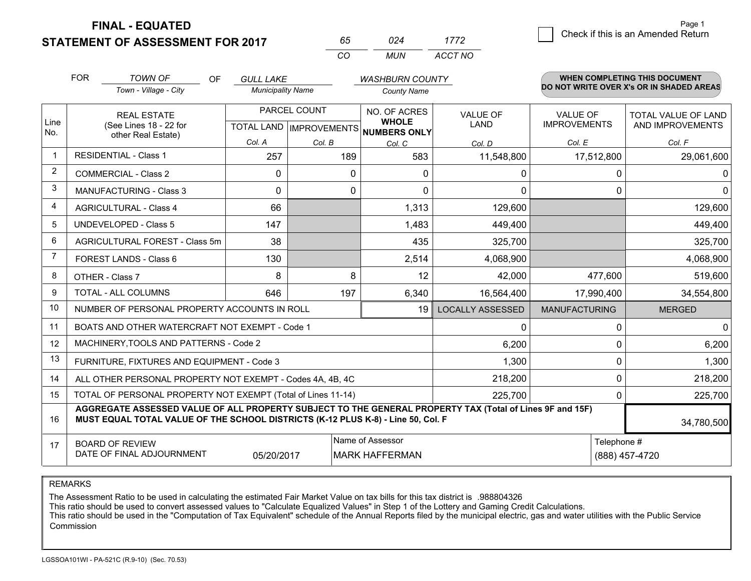**STATEMENT OF ASSESSMENT FOR 2017** 

| ドト       |       | 7/72    |
|----------|-------|---------|
| $\cdots$ | MI IN | ACCT NO |

|      | <b>FOR</b>                                                                                                                                                                                   | <b>TOWN OF</b><br><b>OF</b>                                  | <b>GULL LAKE</b>                          |          | <b>WASHBURN COUNTY</b>                              |                                |                                        | <b>WHEN COMPLETING THIS DOCUMENT</b>           |
|------|----------------------------------------------------------------------------------------------------------------------------------------------------------------------------------------------|--------------------------------------------------------------|-------------------------------------------|----------|-----------------------------------------------------|--------------------------------|----------------------------------------|------------------------------------------------|
|      |                                                                                                                                                                                              | Town - Village - City                                        | <b>Municipality Name</b>                  |          | <b>County Name</b>                                  |                                |                                        | DO NOT WRITE OVER X's OR IN SHADED AREAS       |
| Line |                                                                                                                                                                                              | <b>REAL ESTATE</b><br>(See Lines 18 - 22 for                 | PARCEL COUNT<br>TOTAL LAND   IMPROVEMENTS |          | NO. OF ACRES<br><b>WHOLE</b><br><b>NUMBERS ONLY</b> | <b>VALUE OF</b><br><b>LAND</b> | <b>VALUE OF</b><br><b>IMPROVEMENTS</b> | <b>TOTAL VALUE OF LAND</b><br>AND IMPROVEMENTS |
| No.  |                                                                                                                                                                                              | other Real Estate)                                           | Col. A                                    | Col. B   | Col. C                                              | Col. D                         | Col. E                                 | Col. F                                         |
| -1   |                                                                                                                                                                                              | <b>RESIDENTIAL - Class 1</b>                                 | 257                                       | 189      | 583                                                 | 11,548,800                     | 17,512,800                             | 29,061,600                                     |
| 2    |                                                                                                                                                                                              | <b>COMMERCIAL - Class 2</b>                                  | 0                                         | $\Omega$ | 0                                                   | 0                              | 0                                      | 0                                              |
| 3    |                                                                                                                                                                                              | <b>MANUFACTURING - Class 3</b>                               | $\Omega$                                  | 0        | $\Omega$                                            | 0                              | 0                                      | $\Omega$                                       |
| 4    |                                                                                                                                                                                              | <b>AGRICULTURAL - Class 4</b>                                | 66                                        |          | 1,313                                               | 129,600                        |                                        | 129,600                                        |
| 5    |                                                                                                                                                                                              | <b>UNDEVELOPED - Class 5</b>                                 | 147                                       |          | 1,483                                               | 449,400                        |                                        | 449,400                                        |
| 6    |                                                                                                                                                                                              | AGRICULTURAL FOREST - Class 5m                               | 38                                        |          | 435                                                 | 325,700                        |                                        | 325,700                                        |
| 7    |                                                                                                                                                                                              | FOREST LANDS - Class 6                                       | 130                                       |          | 2,514                                               | 4,068,900                      |                                        | 4,068,900                                      |
| 8    |                                                                                                                                                                                              | OTHER - Class 7                                              | 8                                         | 8        | 12                                                  | 42,000                         | 477,600                                | 519,600                                        |
| 9    |                                                                                                                                                                                              | TOTAL - ALL COLUMNS                                          | 646                                       | 197      | 6,340                                               | 16,564,400                     | 17,990,400                             | 34,554,800                                     |
| 10   |                                                                                                                                                                                              | NUMBER OF PERSONAL PROPERTY ACCOUNTS IN ROLL                 |                                           |          | 19                                                  | <b>LOCALLY ASSESSED</b>        | <b>MANUFACTURING</b>                   | <b>MERGED</b>                                  |
| 11   |                                                                                                                                                                                              | BOATS AND OTHER WATERCRAFT NOT EXEMPT - Code 1               |                                           |          |                                                     | 0                              | $\Omega$                               | $\mathbf{0}$                                   |
| 12   |                                                                                                                                                                                              | MACHINERY, TOOLS AND PATTERNS - Code 2                       |                                           |          |                                                     | 6,200                          | 0                                      | 6,200                                          |
| 13   |                                                                                                                                                                                              | FURNITURE, FIXTURES AND EQUIPMENT - Code 3                   |                                           |          |                                                     | 1,300                          | $\Omega$                               | 1,300                                          |
| 14   |                                                                                                                                                                                              | ALL OTHER PERSONAL PROPERTY NOT EXEMPT - Codes 4A, 4B, 4C    |                                           |          |                                                     | 218,200                        | 0                                      | 218,200                                        |
| 15   |                                                                                                                                                                                              | TOTAL OF PERSONAL PROPERTY NOT EXEMPT (Total of Lines 11-14) |                                           |          |                                                     | 225,700                        | 0                                      | 225,700                                        |
| 16   | AGGREGATE ASSESSED VALUE OF ALL PROPERTY SUBJECT TO THE GENERAL PROPERTY TAX (Total of Lines 9F and 15F)<br>MUST EQUAL TOTAL VALUE OF THE SCHOOL DISTRICTS (K-12 PLUS K-8) - Line 50, Col. F |                                                              |                                           |          |                                                     | 34,780,500                     |                                        |                                                |
| 17   | Name of Assessor<br>Telephone #<br><b>BOARD OF REVIEW</b><br>DATE OF FINAL ADJOURNMENT<br>05/20/2017<br><b>MARK HAFFERMAN</b><br>(888) 457-4720                                              |                                                              |                                           |          |                                                     |                                |                                        |                                                |

REMARKS

The Assessment Ratio to be used in calculating the estimated Fair Market Value on tax bills for this tax district is .988804326<br>This ratio should be used to convert assessed values to "Calculate Equalized Values" in Step 1 Commission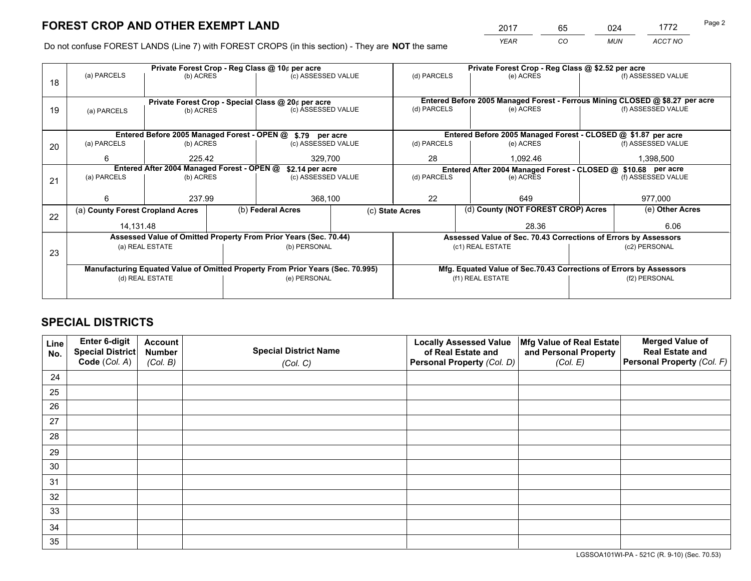*YEAR CO MUN ACCT NO* <sup>2017</sup> <sup>65</sup> <sup>024</sup> <sup>1772</sup> Page 2

Do not confuse FOREST LANDS (Line 7) with FOREST CROPS (in this section) - They are **NOT** the same

|    |                                                                                |                                             |  | Private Forest Crop - Reg Class @ 10¢ per acre                   |                                                               | Private Forest Crop - Reg Class @ \$2.52 per acre                            |                                                                 |                                                                    |                    |
|----|--------------------------------------------------------------------------------|---------------------------------------------|--|------------------------------------------------------------------|---------------------------------------------------------------|------------------------------------------------------------------------------|-----------------------------------------------------------------|--------------------------------------------------------------------|--------------------|
| 18 | (a) PARCELS                                                                    | (b) ACRES                                   |  | (c) ASSESSED VALUE                                               |                                                               | (d) PARCELS                                                                  | (e) ACRES                                                       |                                                                    | (f) ASSESSED VALUE |
|    |                                                                                |                                             |  |                                                                  |                                                               |                                                                              |                                                                 |                                                                    |                    |
|    |                                                                                |                                             |  | Private Forest Crop - Special Class @ 20¢ per acre               |                                                               | Entered Before 2005 Managed Forest - Ferrous Mining CLOSED @ \$8.27 per acre |                                                                 |                                                                    |                    |
| 19 | (a) PARCELS                                                                    | (b) ACRES                                   |  | (c) ASSESSED VALUE                                               |                                                               | (d) PARCELS                                                                  | (e) ACRES                                                       |                                                                    | (f) ASSESSED VALUE |
|    |                                                                                |                                             |  |                                                                  |                                                               |                                                                              |                                                                 |                                                                    |                    |
|    |                                                                                | Entered Before 2005 Managed Forest - OPEN @ |  | \$.79 per acre                                                   |                                                               |                                                                              | Entered Before 2005 Managed Forest - CLOSED @ \$1.87 per acre   |                                                                    |                    |
| 20 | (a) PARCELS                                                                    | (b) ACRES                                   |  | (c) ASSESSED VALUE                                               |                                                               | (d) PARCELS                                                                  | (e) ACRES                                                       |                                                                    | (f) ASSESSED VALUE |
|    | 6                                                                              | 225.42<br>329,700                           |  |                                                                  | 28                                                            | 1,092.46                                                                     |                                                                 | 1,398,500                                                          |                    |
|    | Entered After 2004 Managed Forest - OPEN @<br>\$2.14 per acre                  |                                             |  |                                                                  | Entered After 2004 Managed Forest - CLOSED @ \$10.68 per acre |                                                                              |                                                                 |                                                                    |                    |
| 21 | (a) PARCELS                                                                    | (b) ACRES                                   |  | (c) ASSESSED VALUE                                               |                                                               | (d) PARCELS<br>(e) ACRES                                                     |                                                                 | (f) ASSESSED VALUE                                                 |                    |
|    |                                                                                |                                             |  |                                                                  |                                                               |                                                                              |                                                                 |                                                                    | 977,000            |
|    | 6                                                                              | 237.99                                      |  |                                                                  | 22<br>368,100                                                 |                                                                              | 649                                                             |                                                                    |                    |
| 22 | (a) County Forest Cropland Acres                                               |                                             |  | (b) Federal Acres                                                |                                                               | (d) County (NOT FOREST CROP) Acres<br>(c) State Acres                        |                                                                 |                                                                    | (e) Other Acres    |
|    | 14,131.48                                                                      |                                             |  |                                                                  |                                                               |                                                                              | 28.36                                                           |                                                                    | 6.06               |
|    |                                                                                |                                             |  | Assessed Value of Omitted Property From Prior Years (Sec. 70.44) |                                                               |                                                                              | Assessed Value of Sec. 70.43 Corrections of Errors by Assessors |                                                                    |                    |
| 23 |                                                                                | (a) REAL ESTATE                             |  | (b) PERSONAL                                                     |                                                               |                                                                              | (c1) REAL ESTATE                                                |                                                                    | (c2) PERSONAL      |
|    |                                                                                |                                             |  |                                                                  |                                                               |                                                                              |                                                                 |                                                                    |                    |
|    | Manufacturing Equated Value of Omitted Property From Prior Years (Sec. 70.995) |                                             |  |                                                                  |                                                               |                                                                              |                                                                 | Mfg. Equated Value of Sec.70.43 Corrections of Errors by Assessors |                    |
|    | (d) REAL ESTATE                                                                |                                             |  | (e) PERSONAL                                                     |                                                               |                                                                              | (f1) REAL ESTATE                                                | (f2) PERSONAL                                                      |                    |
|    |                                                                                |                                             |  |                                                                  |                                                               |                                                                              |                                                                 |                                                                    |                    |

## **SPECIAL DISTRICTS**

| Line<br>No. | Enter 6-digit<br>Special District<br>Code (Col. A) | <b>Account</b><br><b>Number</b><br>(Col. B) | <b>Special District Name</b><br>(Col. C) | <b>Locally Assessed Value</b><br>of Real Estate and<br>Personal Property (Col. D) | Mfg Value of Real Estate<br>and Personal Property<br>(Col. E) | <b>Merged Value of</b><br><b>Real Estate and</b><br>Personal Property (Col. F) |
|-------------|----------------------------------------------------|---------------------------------------------|------------------------------------------|-----------------------------------------------------------------------------------|---------------------------------------------------------------|--------------------------------------------------------------------------------|
| 24          |                                                    |                                             |                                          |                                                                                   |                                                               |                                                                                |
| 25          |                                                    |                                             |                                          |                                                                                   |                                                               |                                                                                |
| 26          |                                                    |                                             |                                          |                                                                                   |                                                               |                                                                                |
| 27          |                                                    |                                             |                                          |                                                                                   |                                                               |                                                                                |
| 28          |                                                    |                                             |                                          |                                                                                   |                                                               |                                                                                |
| 29          |                                                    |                                             |                                          |                                                                                   |                                                               |                                                                                |
| 30          |                                                    |                                             |                                          |                                                                                   |                                                               |                                                                                |
| 31          |                                                    |                                             |                                          |                                                                                   |                                                               |                                                                                |
| 32          |                                                    |                                             |                                          |                                                                                   |                                                               |                                                                                |
| 33          |                                                    |                                             |                                          |                                                                                   |                                                               |                                                                                |
| 34          |                                                    |                                             |                                          |                                                                                   |                                                               |                                                                                |
| 35          |                                                    |                                             |                                          |                                                                                   |                                                               |                                                                                |

LGSSOA101WI-PA - 521C (R. 9-10) (Sec. 70.53)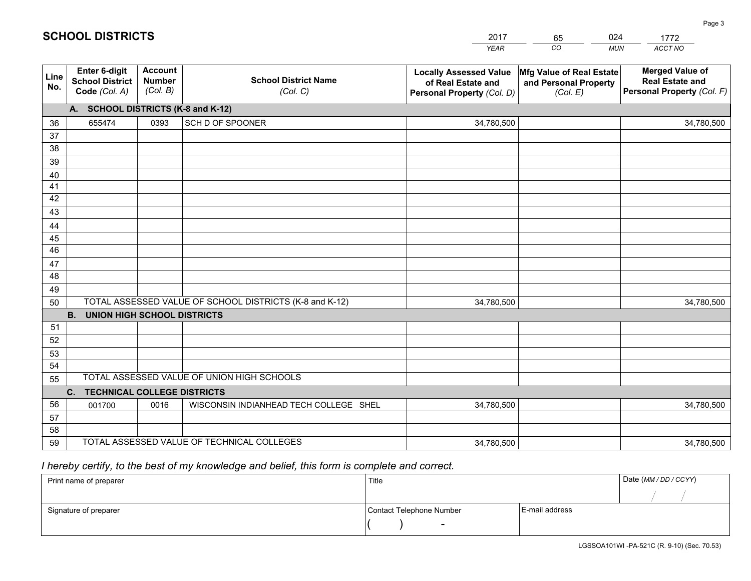|             |                                                          |                                             |                                                         | <b>YEAR</b>                                                                       | CO<br><b>MUN</b>                                              | ACCT NO                                                                        |
|-------------|----------------------------------------------------------|---------------------------------------------|---------------------------------------------------------|-----------------------------------------------------------------------------------|---------------------------------------------------------------|--------------------------------------------------------------------------------|
| Line<br>No. | Enter 6-digit<br><b>School District</b><br>Code (Col. A) | <b>Account</b><br><b>Number</b><br>(Col. B) | <b>School District Name</b><br>(Col. C)                 | <b>Locally Assessed Value</b><br>of Real Estate and<br>Personal Property (Col. D) | Mfg Value of Real Estate<br>and Personal Property<br>(Col. E) | <b>Merged Value of</b><br><b>Real Estate and</b><br>Personal Property (Col. F) |
|             | A. SCHOOL DISTRICTS (K-8 and K-12)                       |                                             |                                                         |                                                                                   |                                                               |                                                                                |
| 36          | 655474                                                   | 0393                                        | SCH D OF SPOONER                                        | 34,780,500                                                                        |                                                               | 34,780,500                                                                     |
| 37          |                                                          |                                             |                                                         |                                                                                   |                                                               |                                                                                |
| 38          |                                                          |                                             |                                                         |                                                                                   |                                                               |                                                                                |
| 39          |                                                          |                                             |                                                         |                                                                                   |                                                               |                                                                                |
| 40          |                                                          |                                             |                                                         |                                                                                   |                                                               |                                                                                |
| 41          |                                                          |                                             |                                                         |                                                                                   |                                                               |                                                                                |
| 42          |                                                          |                                             |                                                         |                                                                                   |                                                               |                                                                                |
| 43          |                                                          |                                             |                                                         |                                                                                   |                                                               |                                                                                |
| 44          |                                                          |                                             |                                                         |                                                                                   |                                                               |                                                                                |
| 45<br>46    |                                                          |                                             |                                                         |                                                                                   |                                                               |                                                                                |
|             |                                                          |                                             |                                                         |                                                                                   |                                                               |                                                                                |
| 47<br>48    |                                                          |                                             |                                                         |                                                                                   |                                                               |                                                                                |
| 49          |                                                          |                                             |                                                         |                                                                                   |                                                               |                                                                                |
| 50          |                                                          |                                             | TOTAL ASSESSED VALUE OF SCHOOL DISTRICTS (K-8 and K-12) | 34,780,500                                                                        |                                                               | 34,780,500                                                                     |
|             | <b>B.</b><br><b>UNION HIGH SCHOOL DISTRICTS</b>          |                                             |                                                         |                                                                                   |                                                               |                                                                                |
| 51          |                                                          |                                             |                                                         |                                                                                   |                                                               |                                                                                |
| 52          |                                                          |                                             |                                                         |                                                                                   |                                                               |                                                                                |
| 53          |                                                          |                                             |                                                         |                                                                                   |                                                               |                                                                                |
| 54          |                                                          |                                             |                                                         |                                                                                   |                                                               |                                                                                |
| 55          |                                                          |                                             | TOTAL ASSESSED VALUE OF UNION HIGH SCHOOLS              |                                                                                   |                                                               |                                                                                |
|             | C.<br><b>TECHNICAL COLLEGE DISTRICTS</b>                 |                                             |                                                         |                                                                                   |                                                               |                                                                                |
| 56          | 001700                                                   | 0016                                        | WISCONSIN INDIANHEAD TECH COLLEGE SHEL                  | 34,780,500                                                                        |                                                               | 34,780,500                                                                     |
| 57          |                                                          |                                             |                                                         |                                                                                   |                                                               |                                                                                |
| 58          |                                                          |                                             |                                                         |                                                                                   |                                                               |                                                                                |
| 59          |                                                          |                                             | TOTAL ASSESSED VALUE OF TECHNICAL COLLEGES              | 34,780,500                                                                        |                                                               | 34,780,500                                                                     |

65

024

 *I hereby certify, to the best of my knowledge and belief, this form is complete and correct.*

**SCHOOL DISTRICTS**

| Print name of preparer | Title                    |                | Date (MM / DD / CCYY) |
|------------------------|--------------------------|----------------|-----------------------|
|                        |                          |                |                       |
| Signature of preparer  | Contact Telephone Number | E-mail address |                       |
|                        | $\overline{\phantom{0}}$ |                |                       |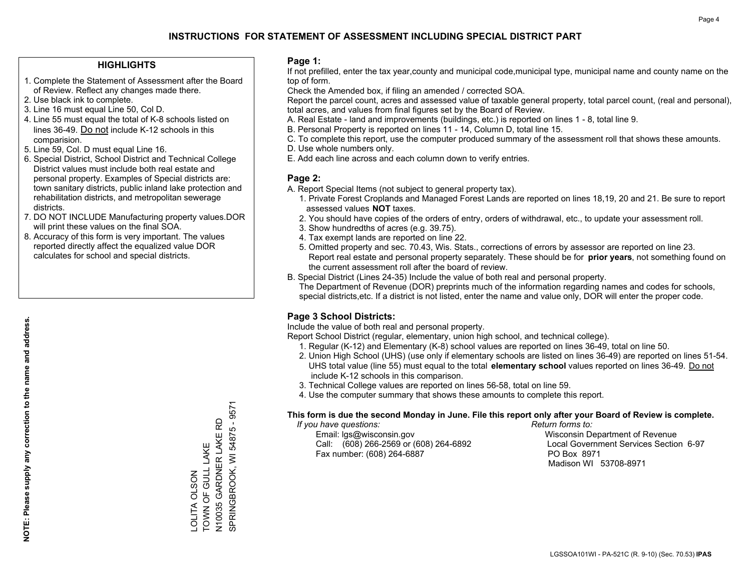#### **HIGHLIGHTS**

- 1. Complete the Statement of Assessment after the Board of Review. Reflect any changes made there.
- 2. Use black ink to complete.
- 3. Line 16 must equal Line 50, Col D.
- 4. Line 55 must equal the total of K-8 schools listed on lines 36-49. Do not include K-12 schools in this comparision.
- 5. Line 59, Col. D must equal Line 16.
- 6. Special District, School District and Technical College District values must include both real estate and personal property. Examples of Special districts are: town sanitary districts, public inland lake protection and rehabilitation districts, and metropolitan sewerage districts.
- 7. DO NOT INCLUDE Manufacturing property values.DOR will print these values on the final SOA.
- 8. Accuracy of this form is very important. The values reported directly affect the equalized value DOR calculates for school and special districts.

#### **Page 1:**

 If not prefilled, enter the tax year,county and municipal code,municipal type, municipal name and county name on the top of form.

Check the Amended box, if filing an amended / corrected SOA.

 Report the parcel count, acres and assessed value of taxable general property, total parcel count, (real and personal), total acres, and values from final figures set by the Board of Review.

- A. Real Estate land and improvements (buildings, etc.) is reported on lines 1 8, total line 9.
- B. Personal Property is reported on lines 11 14, Column D, total line 15.
- C. To complete this report, use the computer produced summary of the assessment roll that shows these amounts.
- D. Use whole numbers only.
- E. Add each line across and each column down to verify entries.

#### **Page 2:**

- A. Report Special Items (not subject to general property tax).
- 1. Private Forest Croplands and Managed Forest Lands are reported on lines 18,19, 20 and 21. Be sure to report assessed values **NOT** taxes.
- 2. You should have copies of the orders of entry, orders of withdrawal, etc., to update your assessment roll.
	- 3. Show hundredths of acres (e.g. 39.75).
- 4. Tax exempt lands are reported on line 22.
- 5. Omitted property and sec. 70.43, Wis. Stats., corrections of errors by assessor are reported on line 23. Report real estate and personal property separately. These should be for **prior years**, not something found on the current assessment roll after the board of review.
- B. Special District (Lines 24-35) Include the value of both real and personal property.
- The Department of Revenue (DOR) preprints much of the information regarding names and codes for schools, special districts,etc. If a district is not listed, enter the name and value only, DOR will enter the proper code.

## **Page 3 School Districts:**

Include the value of both real and personal property.

Report School District (regular, elementary, union high school, and technical college).

- 1. Regular (K-12) and Elementary (K-8) school values are reported on lines 36-49, total on line 50.
- 2. Union High School (UHS) (use only if elementary schools are listed on lines 36-49) are reported on lines 51-54. UHS total value (line 55) must equal to the total **elementary school** values reported on lines 36-49. Do notinclude K-12 schools in this comparison.
- 3. Technical College values are reported on lines 56-58, total on line 59.
- 4. Use the computer summary that shows these amounts to complete this report.

#### **This form is due the second Monday in June. File this report only after your Board of Review is complete.**

 *If you have questions: Return forms to:*

 Email: lgs@wisconsin.gov Wisconsin Department of RevenueCall:  $(608)$  266-2569 or  $(608)$  264-6892 Fax number: (608) 264-6887 PO Box 8971

Local Government Services Section 6-97 Madison WI 53708-8971

N10035 GARDNER LAKE RD<br>SPRINGBROOK, WI 54875 - 9571 SPRINGBROOK, WI 54875 - 9571 N10035 GARDNER LAKE RD TOWN OF GULL LAKE TOWN OF GULL LAKE OLITA OLSON LOLITA OLSON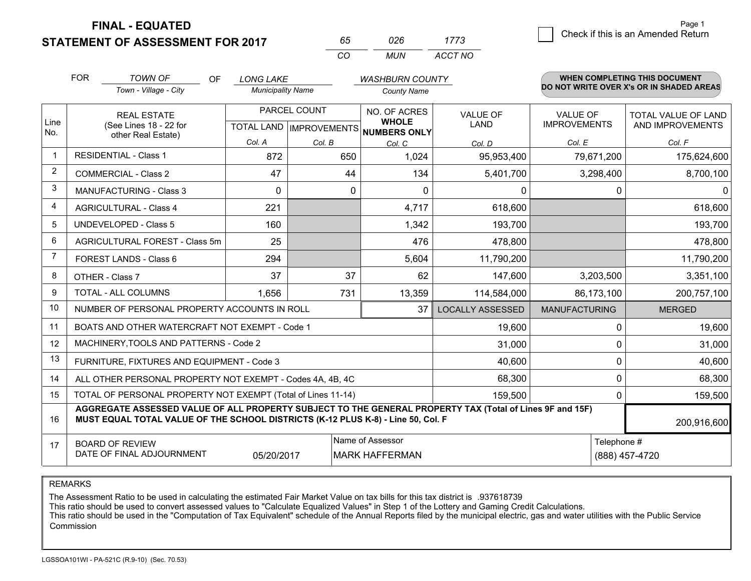**STATEMENT OF ASSESSMENT FOR 2017** 

| 65.     | 026 | 1773    |
|---------|-----|---------|
| ( ) ( ) | MUN | ACCT NO |

|             | <b>FOR</b>                                                                                                                                                                                   | <b>TOWN OF</b><br><b>OF</b>                               | <b>LONG LAKE</b>         |                                           | <b>WASHBURN COUNTY</b>       |                                |                                        | <b>WHEN COMPLETING THIS DOCUMENT</b>           |        |
|-------------|----------------------------------------------------------------------------------------------------------------------------------------------------------------------------------------------|-----------------------------------------------------------|--------------------------|-------------------------------------------|------------------------------|--------------------------------|----------------------------------------|------------------------------------------------|--------|
|             |                                                                                                                                                                                              | Town - Village - City                                     | <b>Municipality Name</b> |                                           | <b>County Name</b>           |                                |                                        | DO NOT WRITE OVER X's OR IN SHADED AREAS       |        |
| Line        |                                                                                                                                                                                              | <b>REAL ESTATE</b><br>(See Lines 18 - 22 for              |                          | PARCEL COUNT<br>TOTAL LAND   IMPROVEMENTS | NO. OF ACRES<br><b>WHOLE</b> | <b>VALUE OF</b><br><b>LAND</b> | <b>VALUE OF</b><br><b>IMPROVEMENTS</b> | <b>TOTAL VALUE OF LAND</b><br>AND IMPROVEMENTS |        |
| No.         |                                                                                                                                                                                              | other Real Estate)                                        |                          | Col. A                                    | Col. B                       | NUMBERS ONLY                   | Col. D                                 | Col. E                                         | Col. F |
| $\mathbf 1$ |                                                                                                                                                                                              | <b>RESIDENTIAL - Class 1</b>                              | 872                      | 650                                       | Col. C<br>1,024              | 95,953,400                     | 79,671,200                             | 175,624,600                                    |        |
| 2           |                                                                                                                                                                                              | <b>COMMERCIAL - Class 2</b>                               | 47                       | 44                                        | 134                          | 5,401,700                      | 3,298,400                              | 8,700,100                                      |        |
| 3           |                                                                                                                                                                                              | <b>MANUFACTURING - Class 3</b>                            | $\Omega$                 | 0                                         | $\Omega$                     | 0                              | $\Omega$                               | $\mathbf{0}$                                   |        |
| 4           |                                                                                                                                                                                              | <b>AGRICULTURAL - Class 4</b>                             | 221                      |                                           | 4,717                        | 618,600                        |                                        | 618,600                                        |        |
| 5           |                                                                                                                                                                                              | <b>UNDEVELOPED - Class 5</b>                              | 160                      |                                           | 1,342                        | 193,700                        |                                        | 193,700                                        |        |
| 6           |                                                                                                                                                                                              | AGRICULTURAL FOREST - Class 5m                            | 25                       |                                           | 476                          | 478,800                        |                                        | 478,800                                        |        |
| 7           |                                                                                                                                                                                              | FOREST LANDS - Class 6                                    | 294                      |                                           | 5,604                        | 11,790,200                     |                                        | 11,790,200                                     |        |
| 8           |                                                                                                                                                                                              | OTHER - Class 7                                           | 37                       | 37                                        | 62                           | 147,600                        | 3,203,500                              | 3,351,100                                      |        |
| 9           |                                                                                                                                                                                              | TOTAL - ALL COLUMNS                                       | 1,656                    | 731                                       | 13,359                       | 114,584,000                    | 86,173,100                             | 200,757,100                                    |        |
| 10          |                                                                                                                                                                                              | NUMBER OF PERSONAL PROPERTY ACCOUNTS IN ROLL              |                          |                                           | 37                           | <b>LOCALLY ASSESSED</b>        | <b>MANUFACTURING</b>                   | <b>MERGED</b>                                  |        |
| 11          |                                                                                                                                                                                              | BOATS AND OTHER WATERCRAFT NOT EXEMPT - Code 1            |                          |                                           |                              | 19,600                         | $\Omega$                               | 19,600                                         |        |
| 12          |                                                                                                                                                                                              | MACHINERY, TOOLS AND PATTERNS - Code 2                    |                          |                                           |                              | 31,000                         | $\Omega$                               | 31,000                                         |        |
| 13          |                                                                                                                                                                                              | FURNITURE, FIXTURES AND EQUIPMENT - Code 3                |                          |                                           |                              | 40,600                         | $\mathbf 0$                            | 40,600                                         |        |
| 14          |                                                                                                                                                                                              | ALL OTHER PERSONAL PROPERTY NOT EXEMPT - Codes 4A, 4B, 4C |                          |                                           |                              | 68,300                         | $\mathbf{0}$                           | 68,300                                         |        |
| 15          | TOTAL OF PERSONAL PROPERTY NOT EXEMPT (Total of Lines 11-14)<br>159,500                                                                                                                      |                                                           |                          |                                           |                              |                                |                                        | 159,500<br>$\Omega$                            |        |
| 16          | AGGREGATE ASSESSED VALUE OF ALL PROPERTY SUBJECT TO THE GENERAL PROPERTY TAX (Total of Lines 9F and 15F)<br>MUST EQUAL TOTAL VALUE OF THE SCHOOL DISTRICTS (K-12 PLUS K-8) - Line 50, Col. F |                                                           |                          |                                           |                              |                                | 200,916,600                            |                                                |        |
| 17          | Name of Assessor<br>Telephone #<br><b>BOARD OF REVIEW</b><br>DATE OF FINAL ADJOURNMENT<br>05/20/2017<br><b>MARK HAFFERMAN</b><br>(888) 457-4720                                              |                                                           |                          |                                           |                              |                                |                                        |                                                |        |

REMARKS

The Assessment Ratio to be used in calculating the estimated Fair Market Value on tax bills for this tax district is .937618739<br>This ratio should be used to convert assessed values to "Calculate Equalized Values" in Step 1 Commission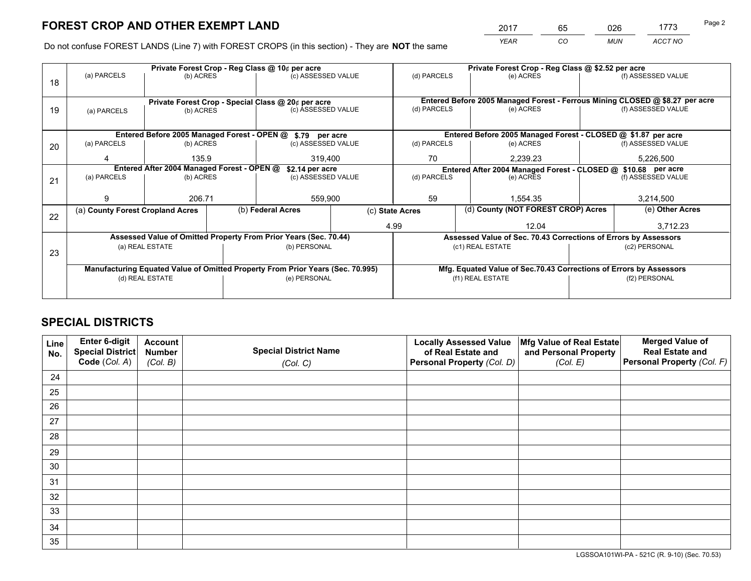*YEAR CO MUN ACCT NO* <sup>2017</sup> <sup>65</sup> <sup>026</sup> <sup>1773</sup> Page 2

Do not confuse FOREST LANDS (Line 7) with FOREST CROPS (in this section) - They are **NOT** the same

|    |                                                                                |                                                |  | Private Forest Crop - Reg Class @ 10¢ per acre                   |                                                                              | Private Forest Crop - Reg Class @ \$2.52 per acre |                                                                    |               |                    |  |
|----|--------------------------------------------------------------------------------|------------------------------------------------|--|------------------------------------------------------------------|------------------------------------------------------------------------------|---------------------------------------------------|--------------------------------------------------------------------|---------------|--------------------|--|
| 18 | (a) PARCELS                                                                    | (b) ACRES                                      |  | (c) ASSESSED VALUE                                               |                                                                              | (d) PARCELS                                       | (e) ACRES                                                          |               | (f) ASSESSED VALUE |  |
|    |                                                                                |                                                |  |                                                                  |                                                                              |                                                   |                                                                    |               |                    |  |
|    | Private Forest Crop - Special Class @ 20¢ per acre                             |                                                |  |                                                                  | Entered Before 2005 Managed Forest - Ferrous Mining CLOSED @ \$8.27 per acre |                                                   |                                                                    |               |                    |  |
| 19 |                                                                                | (c) ASSESSED VALUE<br>(b) ACRES<br>(a) PARCELS |  | (d) PARCELS                                                      | (e) ACRES                                                                    |                                                   | (f) ASSESSED VALUE                                                 |               |                    |  |
|    |                                                                                |                                                |  |                                                                  |                                                                              |                                                   |                                                                    |               |                    |  |
|    |                                                                                |                                                |  | Entered Before 2005 Managed Forest - OPEN @ \$.79 per acre       |                                                                              |                                                   | Entered Before 2005 Managed Forest - CLOSED @ \$1.87 per acre      |               |                    |  |
| 20 | (a) PARCELS                                                                    | (b) ACRES                                      |  | (c) ASSESSED VALUE                                               |                                                                              | (d) PARCELS                                       | (e) ACRES                                                          |               | (f) ASSESSED VALUE |  |
|    | 4                                                                              | 135.9<br>319.400                               |  |                                                                  | 70<br>2,239.23                                                               |                                                   |                                                                    | 5,226,500     |                    |  |
|    | Entered After 2004 Managed Forest - OPEN @<br>\$2.14 per acre                  |                                                |  |                                                                  | Entered After 2004 Managed Forest - CLOSED @ \$10.68 per acre                |                                                   |                                                                    |               |                    |  |
| 21 | (a) PARCELS                                                                    | (b) ACRES                                      |  | (c) ASSESSED VALUE                                               |                                                                              | (d) PARCELS<br>(e) ACRES                          |                                                                    |               | (f) ASSESSED VALUE |  |
|    |                                                                                |                                                |  |                                                                  |                                                                              |                                                   |                                                                    |               |                    |  |
|    | 9                                                                              | 206.71                                         |  | 559,900                                                          |                                                                              | 59                                                | 1,554.35                                                           |               | 3,214,500          |  |
|    | (a) County Forest Cropland Acres                                               |                                                |  | (b) Federal Acres                                                | (c) State Acres                                                              |                                                   | (d) County (NOT FOREST CROP) Acres                                 |               | (e) Other Acres    |  |
| 22 |                                                                                |                                                |  |                                                                  |                                                                              | 4.99                                              | 12.04                                                              |               | 3,712.23           |  |
|    |                                                                                |                                                |  | Assessed Value of Omitted Property From Prior Years (Sec. 70.44) |                                                                              |                                                   | Assessed Value of Sec. 70.43 Corrections of Errors by Assessors    |               |                    |  |
|    |                                                                                | (a) REAL ESTATE                                |  | (b) PERSONAL                                                     |                                                                              |                                                   | (c1) REAL ESTATE                                                   | (c2) PERSONAL |                    |  |
| 23 |                                                                                |                                                |  |                                                                  |                                                                              |                                                   |                                                                    |               |                    |  |
|    | Manufacturing Equated Value of Omitted Property From Prior Years (Sec. 70.995) |                                                |  |                                                                  |                                                                              |                                                   | Mfg. Equated Value of Sec.70.43 Corrections of Errors by Assessors |               |                    |  |
|    | (d) REAL ESTATE                                                                |                                                |  | (e) PERSONAL                                                     |                                                                              | (f1) REAL ESTATE                                  |                                                                    |               | (f2) PERSONAL      |  |
|    |                                                                                |                                                |  |                                                                  |                                                                              |                                                   |                                                                    |               |                    |  |

## **SPECIAL DISTRICTS**

| Line<br>No. | Enter 6-digit<br><b>Special District</b> | <b>Account</b><br><b>Number</b> | <b>Special District Name</b> | <b>Locally Assessed Value</b><br>of Real Estate and | Mfg Value of Real Estate<br>and Personal Property | <b>Merged Value of</b><br><b>Real Estate and</b> |
|-------------|------------------------------------------|---------------------------------|------------------------------|-----------------------------------------------------|---------------------------------------------------|--------------------------------------------------|
|             | Code (Col. A)                            | (Col. B)                        | (Col. C)                     | Personal Property (Col. D)                          | (Col. E)                                          | Personal Property (Col. F)                       |
| 24          |                                          |                                 |                              |                                                     |                                                   |                                                  |
| 25          |                                          |                                 |                              |                                                     |                                                   |                                                  |
| 26          |                                          |                                 |                              |                                                     |                                                   |                                                  |
| 27          |                                          |                                 |                              |                                                     |                                                   |                                                  |
| 28          |                                          |                                 |                              |                                                     |                                                   |                                                  |
| 29          |                                          |                                 |                              |                                                     |                                                   |                                                  |
| 30          |                                          |                                 |                              |                                                     |                                                   |                                                  |
| 31          |                                          |                                 |                              |                                                     |                                                   |                                                  |
| 32          |                                          |                                 |                              |                                                     |                                                   |                                                  |
| 33          |                                          |                                 |                              |                                                     |                                                   |                                                  |
| 34          |                                          |                                 |                              |                                                     |                                                   |                                                  |
| 35          |                                          |                                 |                              |                                                     |                                                   |                                                  |

LGSSOA101WI-PA - 521C (R. 9-10) (Sec. 70.53)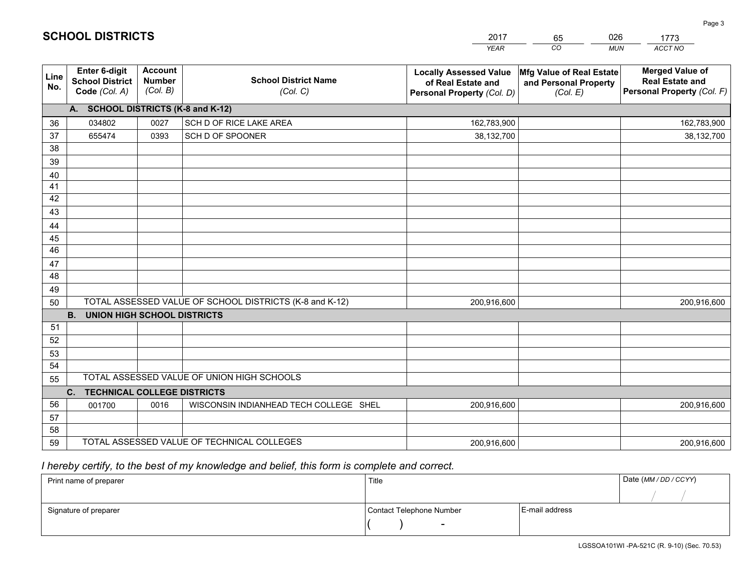|             |                                                          |                                             |                                                         | <b>YEAR</b>                                                                       | CO<br><b>MUN</b>                                              | ACCT NO                                                                        |
|-------------|----------------------------------------------------------|---------------------------------------------|---------------------------------------------------------|-----------------------------------------------------------------------------------|---------------------------------------------------------------|--------------------------------------------------------------------------------|
| Line<br>No. | Enter 6-digit<br><b>School District</b><br>Code (Col. A) | <b>Account</b><br><b>Number</b><br>(Col. B) | <b>School District Name</b><br>(Col. C)                 | <b>Locally Assessed Value</b><br>of Real Estate and<br>Personal Property (Col. D) | Mfg Value of Real Estate<br>and Personal Property<br>(Col. E) | <b>Merged Value of</b><br><b>Real Estate and</b><br>Personal Property (Col. F) |
|             | A. SCHOOL DISTRICTS (K-8 and K-12)                       |                                             |                                                         |                                                                                   |                                                               |                                                                                |
| 36          | 034802                                                   | 0027                                        | SCH D OF RICE LAKE AREA                                 | 162,783,900                                                                       |                                                               | 162,783,900                                                                    |
| 37          | 655474                                                   | 0393                                        | SCH D OF SPOONER                                        | 38,132,700                                                                        |                                                               | 38,132,700                                                                     |
| 38          |                                                          |                                             |                                                         |                                                                                   |                                                               |                                                                                |
| 39          |                                                          |                                             |                                                         |                                                                                   |                                                               |                                                                                |
| 40          |                                                          |                                             |                                                         |                                                                                   |                                                               |                                                                                |
| 41          |                                                          |                                             |                                                         |                                                                                   |                                                               |                                                                                |
| 42          |                                                          |                                             |                                                         |                                                                                   |                                                               |                                                                                |
| 43          |                                                          |                                             |                                                         |                                                                                   |                                                               |                                                                                |
| 44<br>45    |                                                          |                                             |                                                         |                                                                                   |                                                               |                                                                                |
| 46          |                                                          |                                             |                                                         |                                                                                   |                                                               |                                                                                |
| 47          |                                                          |                                             |                                                         |                                                                                   |                                                               |                                                                                |
| 48          |                                                          |                                             |                                                         |                                                                                   |                                                               |                                                                                |
| 49          |                                                          |                                             |                                                         |                                                                                   |                                                               |                                                                                |
| 50          |                                                          |                                             | TOTAL ASSESSED VALUE OF SCHOOL DISTRICTS (K-8 and K-12) | 200,916,600                                                                       |                                                               | 200,916,600                                                                    |
|             | <b>B.</b><br><b>UNION HIGH SCHOOL DISTRICTS</b>          |                                             |                                                         |                                                                                   |                                                               |                                                                                |
| 51          |                                                          |                                             |                                                         |                                                                                   |                                                               |                                                                                |
| 52          |                                                          |                                             |                                                         |                                                                                   |                                                               |                                                                                |
| 53          |                                                          |                                             |                                                         |                                                                                   |                                                               |                                                                                |
| 54          |                                                          |                                             |                                                         |                                                                                   |                                                               |                                                                                |
| 55          |                                                          |                                             | TOTAL ASSESSED VALUE OF UNION HIGH SCHOOLS              |                                                                                   |                                                               |                                                                                |
|             | C.<br><b>TECHNICAL COLLEGE DISTRICTS</b>                 |                                             |                                                         |                                                                                   |                                                               |                                                                                |
| 56          | 001700                                                   | 0016                                        | WISCONSIN INDIANHEAD TECH COLLEGE SHEL                  | 200,916,600                                                                       |                                                               | 200,916,600                                                                    |
| 57          |                                                          |                                             |                                                         |                                                                                   |                                                               |                                                                                |
| 58          |                                                          |                                             |                                                         |                                                                                   |                                                               |                                                                                |
| 59          |                                                          |                                             | TOTAL ASSESSED VALUE OF TECHNICAL COLLEGES              | 200,916,600                                                                       |                                                               | 200,916,600                                                                    |

65

026

 *I hereby certify, to the best of my knowledge and belief, this form is complete and correct.*

**SCHOOL DISTRICTS**

| Print name of preparer | Title                    |                | Date (MM / DD / CCYY) |
|------------------------|--------------------------|----------------|-----------------------|
|                        |                          |                |                       |
| Signature of preparer  | Contact Telephone Number | E-mail address |                       |
|                        | $\sim$                   |                |                       |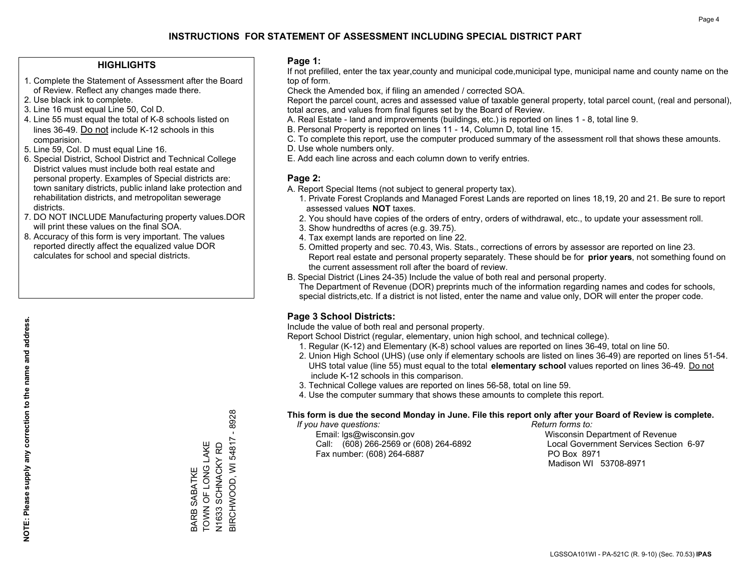#### **HIGHLIGHTS**

- 1. Complete the Statement of Assessment after the Board of Review. Reflect any changes made there.
- 2. Use black ink to complete.
- 3. Line 16 must equal Line 50, Col D.
- 4. Line 55 must equal the total of K-8 schools listed on lines 36-49. Do not include K-12 schools in this comparision.
- 5. Line 59, Col. D must equal Line 16.
- 6. Special District, School District and Technical College District values must include both real estate and personal property. Examples of Special districts are: town sanitary districts, public inland lake protection and rehabilitation districts, and metropolitan sewerage districts.
- 7. DO NOT INCLUDE Manufacturing property values.DOR will print these values on the final SOA.

BARB SABATKE TOWN OF LONG LAKE N1633 SCHNACKY RD BIRCHWOOD, WI 54817 - 8928

BARB SABATKE<br>TOWN OF LONG LAKE<br>N1633 SCHNACKY RD<br>BIRCHWOOD, WI 54817 -

 $-8928$ 

 8. Accuracy of this form is very important. The values reported directly affect the equalized value DOR calculates for school and special districts.

#### **Page 1:**

 If not prefilled, enter the tax year,county and municipal code,municipal type, municipal name and county name on the top of form.

Check the Amended box, if filing an amended / corrected SOA.

 Report the parcel count, acres and assessed value of taxable general property, total parcel count, (real and personal), total acres, and values from final figures set by the Board of Review.

- A. Real Estate land and improvements (buildings, etc.) is reported on lines 1 8, total line 9.
- B. Personal Property is reported on lines 11 14, Column D, total line 15.
- C. To complete this report, use the computer produced summary of the assessment roll that shows these amounts.
- D. Use whole numbers only.
- E. Add each line across and each column down to verify entries.

#### **Page 2:**

- A. Report Special Items (not subject to general property tax).
- 1. Private Forest Croplands and Managed Forest Lands are reported on lines 18,19, 20 and 21. Be sure to report assessed values **NOT** taxes.
- 2. You should have copies of the orders of entry, orders of withdrawal, etc., to update your assessment roll.
	- 3. Show hundredths of acres (e.g. 39.75).
- 4. Tax exempt lands are reported on line 22.
- 5. Omitted property and sec. 70.43, Wis. Stats., corrections of errors by assessor are reported on line 23. Report real estate and personal property separately. These should be for **prior years**, not something found on the current assessment roll after the board of review.
- B. Special District (Lines 24-35) Include the value of both real and personal property.
- The Department of Revenue (DOR) preprints much of the information regarding names and codes for schools, special districts,etc. If a district is not listed, enter the name and value only, DOR will enter the proper code.

## **Page 3 School Districts:**

Include the value of both real and personal property.

Report School District (regular, elementary, union high school, and technical college).

- 1. Regular (K-12) and Elementary (K-8) school values are reported on lines 36-49, total on line 50.
- 2. Union High School (UHS) (use only if elementary schools are listed on lines 36-49) are reported on lines 51-54. UHS total value (line 55) must equal to the total **elementary school** values reported on lines 36-49. Do notinclude K-12 schools in this comparison.
- 3. Technical College values are reported on lines 56-58, total on line 59.
- 4. Use the computer summary that shows these amounts to complete this report.

#### **This form is due the second Monday in June. File this report only after your Board of Review is complete.**

 *If you have questions: Return forms to:*

 Email: lgs@wisconsin.gov Wisconsin Department of RevenueCall:  $(608)$  266-2569 or  $(608)$  264-6892 Fax number: (608) 264-6887 PO Box 8971

Local Government Services Section 6-97 Madison WI 53708-8971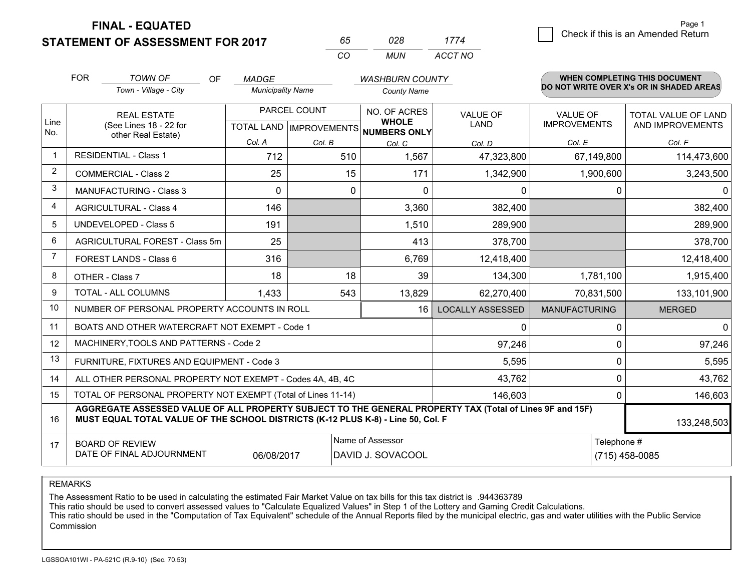**STATEMENT OF ASSESSMENT FOR 2017** 

| ĸh       | N28 | 1774    |
|----------|-----|---------|
| $\cdots$ | MUN | ACCT NO |

|                | <b>FOR</b>                                                                                                                                                                                   | <b>TOWN OF</b><br><b>OF</b>                                  | <b>MADGE</b>             |              | <b>WASHBURN COUNTY</b>                                                   |                                |                                        | WHEN COMPLETING THIS DOCUMENT                  |
|----------------|----------------------------------------------------------------------------------------------------------------------------------------------------------------------------------------------|--------------------------------------------------------------|--------------------------|--------------|--------------------------------------------------------------------------|--------------------------------|----------------------------------------|------------------------------------------------|
|                |                                                                                                                                                                                              | Town - Village - City                                        | <b>Municipality Name</b> |              | <b>County Name</b>                                                       |                                |                                        | DO NOT WRITE OVER X's OR IN SHADED AREAS       |
| Line<br>No.    | <b>REAL ESTATE</b><br>(See Lines 18 - 22 for                                                                                                                                                 |                                                              |                          | PARCEL COUNT | NO. OF ACRES<br><b>WHOLE</b><br>TOTAL LAND   IMPROVEMENTS   NUMBERS ONLY | <b>VALUE OF</b><br><b>LAND</b> | <b>VALUE OF</b><br><b>IMPROVEMENTS</b> | <b>TOTAL VALUE OF LAND</b><br>AND IMPROVEMENTS |
|                |                                                                                                                                                                                              | other Real Estate)                                           | Col. A                   | Col. B       | Col. C                                                                   | Col. D                         | Col. E                                 | Col. F                                         |
|                | <b>RESIDENTIAL - Class 1</b>                                                                                                                                                                 |                                                              | 712                      | 510          | 1,567                                                                    | 47,323,800                     | 67,149,800                             | 114,473,600                                    |
| 2              |                                                                                                                                                                                              | <b>COMMERCIAL - Class 2</b>                                  | 25                       | 15           | 171                                                                      | 1,342,900                      | 1,900,600                              | 3,243,500                                      |
| 3              |                                                                                                                                                                                              | <b>MANUFACTURING - Class 3</b>                               | $\Omega$                 | 0            | $\Omega$                                                                 | 0                              |                                        | $\mathbf{0}$<br>$\Omega$                       |
| 4              |                                                                                                                                                                                              | <b>AGRICULTURAL - Class 4</b>                                | 146                      |              | 3,360                                                                    | 382,400                        |                                        | 382,400                                        |
| 5              |                                                                                                                                                                                              | <b>UNDEVELOPED - Class 5</b>                                 | 191                      |              | 1,510                                                                    | 289,900                        |                                        | 289,900                                        |
| 6              |                                                                                                                                                                                              | AGRICULTURAL FOREST - Class 5m                               | 25                       |              | 413                                                                      | 378,700                        |                                        | 378,700                                        |
| $\overline{7}$ |                                                                                                                                                                                              | FOREST LANDS - Class 6                                       | 316                      |              | 6,769                                                                    | 12,418,400                     |                                        | 12,418,400                                     |
| 8              |                                                                                                                                                                                              | OTHER - Class 7                                              | 18                       | 18           | 39                                                                       | 134,300                        | 1,781,100                              | 1,915,400                                      |
| 9              |                                                                                                                                                                                              | TOTAL - ALL COLUMNS                                          | 1,433                    | 543          | 13,829                                                                   | 62,270,400                     | 70,831,500                             | 133,101,900                                    |
| 10             |                                                                                                                                                                                              | NUMBER OF PERSONAL PROPERTY ACCOUNTS IN ROLL                 |                          |              | 16                                                                       | <b>LOCALLY ASSESSED</b>        | <b>MANUFACTURING</b>                   | <b>MERGED</b>                                  |
| 11             |                                                                                                                                                                                              | BOATS AND OTHER WATERCRAFT NOT EXEMPT - Code 1               |                          |              |                                                                          | 0                              |                                        | $\mathbf{0}$<br>0                              |
| 12             |                                                                                                                                                                                              | MACHINERY, TOOLS AND PATTERNS - Code 2                       |                          |              |                                                                          | 97,246                         |                                        | 97,246<br>$\Omega$                             |
| 13             |                                                                                                                                                                                              | FURNITURE, FIXTURES AND EQUIPMENT - Code 3                   |                          |              |                                                                          | 5,595                          |                                        | 5,595<br>$\Omega$                              |
| 14             |                                                                                                                                                                                              | ALL OTHER PERSONAL PROPERTY NOT EXEMPT - Codes 4A, 4B, 4C    |                          |              |                                                                          | 43,762                         |                                        | 0<br>43,762                                    |
| 15             |                                                                                                                                                                                              | TOTAL OF PERSONAL PROPERTY NOT EXEMPT (Total of Lines 11-14) |                          | 146,603      |                                                                          | 146,603<br>0                   |                                        |                                                |
| 16             | AGGREGATE ASSESSED VALUE OF ALL PROPERTY SUBJECT TO THE GENERAL PROPERTY TAX (Total of Lines 9F and 15F)<br>MUST EQUAL TOTAL VALUE OF THE SCHOOL DISTRICTS (K-12 PLUS K-8) - Line 50, Col. F |                                                              |                          |              |                                                                          |                                |                                        | 133,248,503                                    |
| 17             | Name of Assessor<br>Telephone #<br><b>BOARD OF REVIEW</b><br>DATE OF FINAL ADJOURNMENT<br>06/08/2017<br>DAVID J. SOVACOOL                                                                    |                                                              |                          |              |                                                                          |                                | (715) 458-0085                         |                                                |

REMARKS

The Assessment Ratio to be used in calculating the estimated Fair Market Value on tax bills for this tax district is .944363789<br>This ratio should be used to convert assessed values to "Calculate Equalized Values" in Step 1 Commission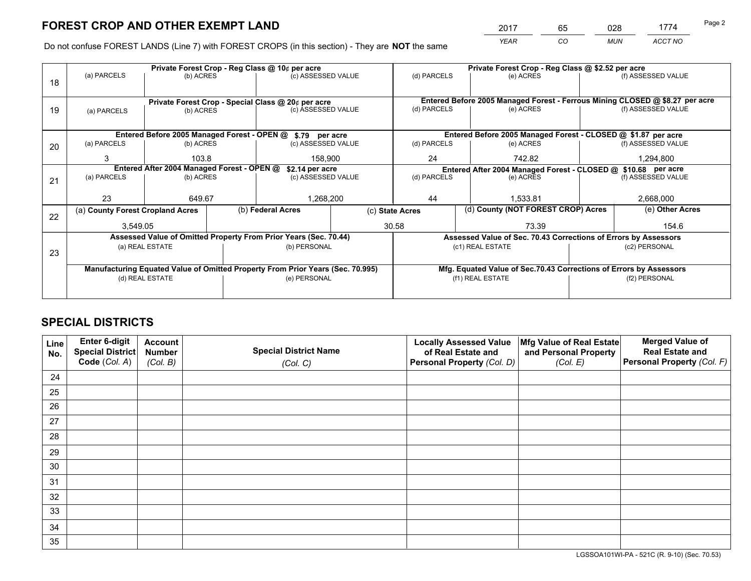*YEAR CO MUN ACCT NO* <sup>2017</sup> <sup>65</sup> <sup>028</sup> <sup>1774</sup> Page 2

Do not confuse FOREST LANDS (Line 7) with FOREST CROPS (in this section) - They are **NOT** the same

|    |                                  |                                            |  | Private Forest Crop - Reg Class @ 10¢ per acre                                 |                 | Private Forest Crop - Reg Class @ \$2.52 per acre             |                                                                              |       |                    |  |
|----|----------------------------------|--------------------------------------------|--|--------------------------------------------------------------------------------|-----------------|---------------------------------------------------------------|------------------------------------------------------------------------------|-------|--------------------|--|
| 18 | (a) PARCELS                      | (b) ACRES                                  |  | (c) ASSESSED VALUE                                                             |                 | (d) PARCELS                                                   | (e) ACRES                                                                    |       | (f) ASSESSED VALUE |  |
|    |                                  |                                            |  |                                                                                |                 |                                                               |                                                                              |       |                    |  |
|    |                                  |                                            |  | Private Forest Crop - Special Class @ 20¢ per acre                             |                 |                                                               | Entered Before 2005 Managed Forest - Ferrous Mining CLOSED @ \$8.27 per acre |       |                    |  |
| 19 | (a) PARCELS                      | (b) ACRES                                  |  | (c) ASSESSED VALUE                                                             |                 | (d) PARCELS                                                   | (e) ACRES                                                                    |       | (f) ASSESSED VALUE |  |
|    |                                  |                                            |  |                                                                                |                 |                                                               |                                                                              |       |                    |  |
|    |                                  |                                            |  | Entered Before 2005 Managed Forest - OPEN @ \$.79 per acre                     |                 |                                                               | Entered Before 2005 Managed Forest - CLOSED @ \$1.87 per acre                |       |                    |  |
| 20 | (a) PARCELS                      | (b) ACRES                                  |  | (c) ASSESSED VALUE                                                             |                 | (d) PARCELS                                                   | (e) ACRES                                                                    |       | (f) ASSESSED VALUE |  |
|    | 3                                | 103.8                                      |  | 158.900                                                                        |                 | 24                                                            | 742.82                                                                       |       | 1,294,800          |  |
|    |                                  | Entered After 2004 Managed Forest - OPEN @ |  | \$2.14 per acre                                                                |                 | Entered After 2004 Managed Forest - CLOSED @ \$10.68 per acre |                                                                              |       |                    |  |
| 21 | (a) PARCELS                      | (b) ACRES                                  |  | (c) ASSESSED VALUE                                                             |                 | (d) PARCELS                                                   | (e) ACRES                                                                    |       | (f) ASSESSED VALUE |  |
|    |                                  |                                            |  |                                                                                |                 |                                                               |                                                                              |       |                    |  |
|    | 23                               | 649.67                                     |  | 1,268,200                                                                      |                 | 44                                                            | 1,533.81                                                                     |       | 2,668,000          |  |
| 22 | (a) County Forest Cropland Acres |                                            |  | (b) Federal Acres                                                              | (c) State Acres |                                                               | (d) County (NOT FOREST CROP) Acres                                           |       | (e) Other Acres    |  |
|    | 3,549.05                         |                                            |  |                                                                                | 30.58           | 73.39                                                         |                                                                              | 154.6 |                    |  |
|    |                                  |                                            |  | Assessed Value of Omitted Property From Prior Years (Sec. 70.44)               |                 |                                                               | Assessed Value of Sec. 70.43 Corrections of Errors by Assessors              |       |                    |  |
| 23 |                                  | (a) REAL ESTATE                            |  | (b) PERSONAL                                                                   |                 |                                                               | (c1) REAL ESTATE                                                             |       | (c2) PERSONAL      |  |
|    |                                  |                                            |  |                                                                                |                 |                                                               |                                                                              |       |                    |  |
|    |                                  |                                            |  | Manufacturing Equated Value of Omitted Property From Prior Years (Sec. 70.995) |                 |                                                               | Mfg. Equated Value of Sec.70.43 Corrections of Errors by Assessors           |       |                    |  |
|    | (d) REAL ESTATE                  |                                            |  | (e) PERSONAL                                                                   |                 | (f1) REAL ESTATE                                              |                                                                              |       | (f2) PERSONAL      |  |
|    |                                  |                                            |  |                                                                                |                 |                                                               |                                                                              |       |                    |  |

## **SPECIAL DISTRICTS**

| Line<br>No. | Enter 6-digit<br><b>Special District</b> | <b>Account</b><br><b>Number</b> | <b>Special District Name</b> | <b>Locally Assessed Value</b><br>of Real Estate and | Mfg Value of Real Estate<br>and Personal Property | <b>Merged Value of</b><br><b>Real Estate and</b> |
|-------------|------------------------------------------|---------------------------------|------------------------------|-----------------------------------------------------|---------------------------------------------------|--------------------------------------------------|
|             | Code (Col. A)                            | (Col. B)                        | (Col. C)                     | Personal Property (Col. D)                          | (Col. E)                                          | Personal Property (Col. F)                       |
| 24          |                                          |                                 |                              |                                                     |                                                   |                                                  |
| 25          |                                          |                                 |                              |                                                     |                                                   |                                                  |
| 26          |                                          |                                 |                              |                                                     |                                                   |                                                  |
| 27          |                                          |                                 |                              |                                                     |                                                   |                                                  |
| 28          |                                          |                                 |                              |                                                     |                                                   |                                                  |
| 29          |                                          |                                 |                              |                                                     |                                                   |                                                  |
| 30          |                                          |                                 |                              |                                                     |                                                   |                                                  |
| 31          |                                          |                                 |                              |                                                     |                                                   |                                                  |
| 32          |                                          |                                 |                              |                                                     |                                                   |                                                  |
| 33          |                                          |                                 |                              |                                                     |                                                   |                                                  |
| 34          |                                          |                                 |                              |                                                     |                                                   |                                                  |
| 35          |                                          |                                 |                              |                                                     |                                                   |                                                  |

LGSSOA101WI-PA - 521C (R. 9-10) (Sec. 70.53)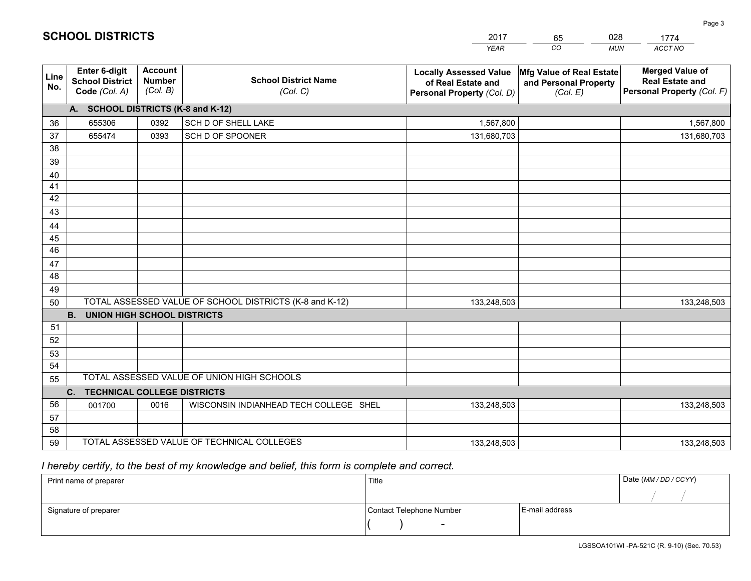|                       |                                                          |                                             |                                                         | <b>YEAR</b>                                                                       | CO<br><b>MUN</b>                                              | ACCT NO                                                                        |
|-----------------------|----------------------------------------------------------|---------------------------------------------|---------------------------------------------------------|-----------------------------------------------------------------------------------|---------------------------------------------------------------|--------------------------------------------------------------------------------|
| Line<br>No.           | Enter 6-digit<br><b>School District</b><br>Code (Col. A) | <b>Account</b><br><b>Number</b><br>(Col. B) | <b>School District Name</b><br>(Col. C)                 | <b>Locally Assessed Value</b><br>of Real Estate and<br>Personal Property (Col. D) | Mfg Value of Real Estate<br>and Personal Property<br>(Col. E) | <b>Merged Value of</b><br><b>Real Estate and</b><br>Personal Property (Col. F) |
|                       | A. SCHOOL DISTRICTS (K-8 and K-12)                       |                                             |                                                         |                                                                                   |                                                               |                                                                                |
| 36                    | 655306                                                   | 0392                                        | SCH D OF SHELL LAKE                                     | 1,567,800                                                                         |                                                               | 1,567,800                                                                      |
| 37                    | 655474                                                   | 0393                                        | SCH D OF SPOONER                                        | 131,680,703                                                                       |                                                               | 131,680,703                                                                    |
| 38                    |                                                          |                                             |                                                         |                                                                                   |                                                               |                                                                                |
| 39                    |                                                          |                                             |                                                         |                                                                                   |                                                               |                                                                                |
| 40                    |                                                          |                                             |                                                         |                                                                                   |                                                               |                                                                                |
| 41                    |                                                          |                                             |                                                         |                                                                                   |                                                               |                                                                                |
| 42                    |                                                          |                                             |                                                         |                                                                                   |                                                               |                                                                                |
| 43                    |                                                          |                                             |                                                         |                                                                                   |                                                               |                                                                                |
| 44                    |                                                          |                                             |                                                         |                                                                                   |                                                               |                                                                                |
| 45<br>$\overline{46}$ |                                                          |                                             |                                                         |                                                                                   |                                                               |                                                                                |
| 47                    |                                                          |                                             |                                                         |                                                                                   |                                                               |                                                                                |
| 48                    |                                                          |                                             |                                                         |                                                                                   |                                                               |                                                                                |
| 49                    |                                                          |                                             |                                                         |                                                                                   |                                                               |                                                                                |
| 50                    |                                                          |                                             | TOTAL ASSESSED VALUE OF SCHOOL DISTRICTS (K-8 and K-12) | 133,248,503                                                                       |                                                               | 133,248,503                                                                    |
|                       | <b>B.</b><br><b>UNION HIGH SCHOOL DISTRICTS</b>          |                                             |                                                         |                                                                                   |                                                               |                                                                                |
| 51                    |                                                          |                                             |                                                         |                                                                                   |                                                               |                                                                                |
| 52                    |                                                          |                                             |                                                         |                                                                                   |                                                               |                                                                                |
| 53                    |                                                          |                                             |                                                         |                                                                                   |                                                               |                                                                                |
| 54                    |                                                          |                                             |                                                         |                                                                                   |                                                               |                                                                                |
| 55                    |                                                          |                                             | TOTAL ASSESSED VALUE OF UNION HIGH SCHOOLS              |                                                                                   |                                                               |                                                                                |
|                       | C.<br><b>TECHNICAL COLLEGE DISTRICTS</b>                 |                                             |                                                         |                                                                                   |                                                               |                                                                                |
| 56                    | 001700                                                   | 0016                                        | WISCONSIN INDIANHEAD TECH COLLEGE SHEL                  | 133,248,503                                                                       |                                                               | 133,248,503                                                                    |
| 57                    |                                                          |                                             |                                                         |                                                                                   |                                                               |                                                                                |
| 58                    |                                                          |                                             |                                                         |                                                                                   |                                                               |                                                                                |
| 59                    |                                                          |                                             | TOTAL ASSESSED VALUE OF TECHNICAL COLLEGES              | 133,248,503                                                                       |                                                               | 133,248,503                                                                    |

65

028

 *I hereby certify, to the best of my knowledge and belief, this form is complete and correct.*

**SCHOOL DISTRICTS**

| Print name of preparer | Title                    |                | Date (MM / DD / CCYY) |
|------------------------|--------------------------|----------------|-----------------------|
|                        |                          |                |                       |
| Signature of preparer  | Contact Telephone Number | E-mail address |                       |
|                        | $\sim$                   |                |                       |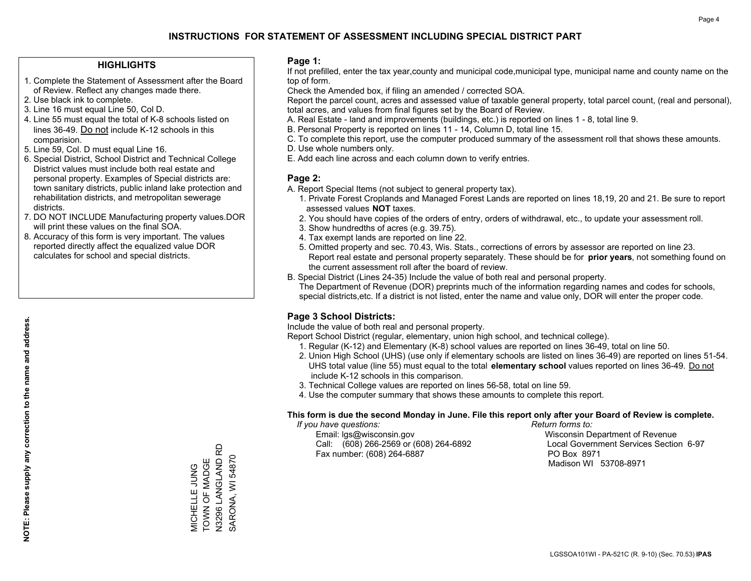#### **HIGHLIGHTS**

- 1. Complete the Statement of Assessment after the Board of Review. Reflect any changes made there.
- 2. Use black ink to complete.
- 3. Line 16 must equal Line 50, Col D.
- 4. Line 55 must equal the total of K-8 schools listed on lines 36-49. Do not include K-12 schools in this comparision.
- 5. Line 59, Col. D must equal Line 16.
- 6. Special District, School District and Technical College District values must include both real estate and personal property. Examples of Special districts are: town sanitary districts, public inland lake protection and rehabilitation districts, and metropolitan sewerage districts.
- 7. DO NOT INCLUDE Manufacturing property values.DOR will print these values on the final SOA.

MICHELLE JUNG TOWN OF MADGE N3296 LANGLAND RD SARONA, WI 54870

MICHELLE JUNG<br>TOWN OF MADGE

SARONA, WI 54870

 8. Accuracy of this form is very important. The values reported directly affect the equalized value DOR calculates for school and special districts.

#### **Page 1:**

 If not prefilled, enter the tax year,county and municipal code,municipal type, municipal name and county name on the top of form.

Check the Amended box, if filing an amended / corrected SOA.

 Report the parcel count, acres and assessed value of taxable general property, total parcel count, (real and personal), total acres, and values from final figures set by the Board of Review.

- A. Real Estate land and improvements (buildings, etc.) is reported on lines 1 8, total line 9.
- B. Personal Property is reported on lines 11 14, Column D, total line 15.
- C. To complete this report, use the computer produced summary of the assessment roll that shows these amounts.
- D. Use whole numbers only.
- E. Add each line across and each column down to verify entries.

#### **Page 2:**

- A. Report Special Items (not subject to general property tax).
- 1. Private Forest Croplands and Managed Forest Lands are reported on lines 18,19, 20 and 21. Be sure to report assessed values **NOT** taxes.
- 2. You should have copies of the orders of entry, orders of withdrawal, etc., to update your assessment roll.
	- 3. Show hundredths of acres (e.g. 39.75).
- 4. Tax exempt lands are reported on line 22.
- 5. Omitted property and sec. 70.43, Wis. Stats., corrections of errors by assessor are reported on line 23. Report real estate and personal property separately. These should be for **prior years**, not something found on the current assessment roll after the board of review.
- B. Special District (Lines 24-35) Include the value of both real and personal property.
- The Department of Revenue (DOR) preprints much of the information regarding names and codes for schools, special districts,etc. If a district is not listed, enter the name and value only, DOR will enter the proper code.

## **Page 3 School Districts:**

Include the value of both real and personal property.

Report School District (regular, elementary, union high school, and technical college).

- 1. Regular (K-12) and Elementary (K-8) school values are reported on lines 36-49, total on line 50.
- 2. Union High School (UHS) (use only if elementary schools are listed on lines 36-49) are reported on lines 51-54. UHS total value (line 55) must equal to the total **elementary school** values reported on lines 36-49. Do notinclude K-12 schools in this comparison.
- 3. Technical College values are reported on lines 56-58, total on line 59.
- 4. Use the computer summary that shows these amounts to complete this report.

#### **This form is due the second Monday in June. File this report only after your Board of Review is complete.**

 *If you have questions: Return forms to:*

 Email: lgs@wisconsin.gov Wisconsin Department of RevenueCall:  $(608)$  266-2569 or  $(608)$  264-6892 Fax number: (608) 264-6887 PO Box 8971

Local Government Services Section 6-97

Madison WI 53708-8971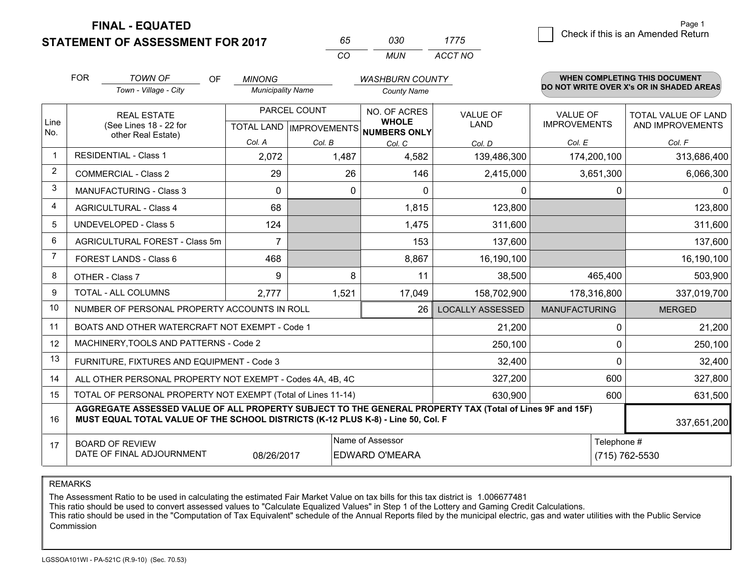**STATEMENT OF ASSESSMENT FOR 2017** 

| 65.      | กจก | 17/5    |
|----------|-----|---------|
| $\cdots$ | MUN | ACCT NO |

|      | <b>FOR</b>                                                                                                                                                                                   | <b>TOWN OF</b><br>OF                                      | <b>MINONG</b>            |                                           | <b>WASHBURN COUNTY</b>       |                                |                                        | WHEN COMPLETING THIS DOCUMENT                  |
|------|----------------------------------------------------------------------------------------------------------------------------------------------------------------------------------------------|-----------------------------------------------------------|--------------------------|-------------------------------------------|------------------------------|--------------------------------|----------------------------------------|------------------------------------------------|
|      |                                                                                                                                                                                              | Town - Village - City                                     | <b>Municipality Name</b> |                                           | <b>County Name</b>           |                                |                                        | DO NOT WRITE OVER X's OR IN SHADED AREAS       |
| Line |                                                                                                                                                                                              | <b>REAL ESTATE</b><br>(See Lines 18 - 22 for              |                          | PARCEL COUNT<br>TOTAL LAND   IMPROVEMENTS | NO. OF ACRES<br><b>WHOLE</b> | <b>VALUE OF</b><br><b>LAND</b> | <b>VALUE OF</b><br><b>IMPROVEMENTS</b> | <b>TOTAL VALUE OF LAND</b><br>AND IMPROVEMENTS |
| No.  |                                                                                                                                                                                              | other Real Estate)                                        | Col. A                   | Col. B                                    | NUMBERS ONLY<br>Col. C       | Col. D                         | Col. E                                 | Col. F                                         |
|      | <b>RESIDENTIAL - Class 1</b>                                                                                                                                                                 |                                                           | 2,072                    | 1,487                                     | 4,582                        | 139,486,300                    | 174,200,100                            | 313,686,400                                    |
| 2    |                                                                                                                                                                                              | <b>COMMERCIAL - Class 2</b>                               | 29                       | 26                                        | 146                          | 2,415,000                      | 3,651,300                              | 6,066,300                                      |
| 3    |                                                                                                                                                                                              | MANUFACTURING - Class 3                                   | 0                        | 0                                         | $\Omega$                     | 0                              | 0                                      | $\mathbf{0}$                                   |
| 4    |                                                                                                                                                                                              | <b>AGRICULTURAL - Class 4</b>                             | 68                       |                                           | 1,815                        | 123,800                        |                                        | 123,800                                        |
| 5    |                                                                                                                                                                                              | <b>UNDEVELOPED - Class 5</b>                              | 124                      |                                           | 1,475                        | 311,600                        |                                        | 311,600                                        |
| 6    |                                                                                                                                                                                              | AGRICULTURAL FOREST - Class 5m                            | $\overline{7}$           |                                           | 153                          | 137,600                        |                                        | 137,600                                        |
| 7    |                                                                                                                                                                                              | FOREST LANDS - Class 6                                    | 468                      |                                           | 8,867                        | 16,190,100                     |                                        | 16,190,100                                     |
| 8    |                                                                                                                                                                                              | OTHER - Class 7                                           | 9                        | 8                                         | 11                           | 38,500                         | 465,400                                | 503,900                                        |
| 9    |                                                                                                                                                                                              | TOTAL - ALL COLUMNS                                       | 2,777                    | 1,521                                     | 17,049                       | 158,702,900                    | 178,316,800                            | 337,019,700                                    |
| 10   |                                                                                                                                                                                              | NUMBER OF PERSONAL PROPERTY ACCOUNTS IN ROLL              |                          |                                           | 26                           | <b>LOCALLY ASSESSED</b>        | <b>MANUFACTURING</b>                   | <b>MERGED</b>                                  |
| 11   |                                                                                                                                                                                              | BOATS AND OTHER WATERCRAFT NOT EXEMPT - Code 1            |                          |                                           |                              | 21,200                         | 0                                      | 21,200                                         |
| 12   |                                                                                                                                                                                              | MACHINERY, TOOLS AND PATTERNS - Code 2                    |                          |                                           |                              | 250,100                        | 0                                      | 250,100                                        |
| 13   |                                                                                                                                                                                              | FURNITURE, FIXTURES AND EQUIPMENT - Code 3                |                          |                                           |                              | 32,400                         | $\Omega$                               | 32,400                                         |
| 14   |                                                                                                                                                                                              | ALL OTHER PERSONAL PROPERTY NOT EXEMPT - Codes 4A, 4B, 4C |                          |                                           |                              | 327,200                        | 600                                    | 327,800                                        |
| 15   | TOTAL OF PERSONAL PROPERTY NOT EXEMPT (Total of Lines 11-14)<br>630,900                                                                                                                      |                                                           |                          |                                           |                              |                                |                                        | 631,500<br>600                                 |
| 16   | AGGREGATE ASSESSED VALUE OF ALL PROPERTY SUBJECT TO THE GENERAL PROPERTY TAX (Total of Lines 9F and 15F)<br>MUST EQUAL TOTAL VALUE OF THE SCHOOL DISTRICTS (K-12 PLUS K-8) - Line 50, Col. F |                                                           |                          |                                           |                              |                                |                                        | 337,651,200                                    |
| 17   | Name of Assessor<br>Telephone #<br><b>BOARD OF REVIEW</b><br>DATE OF FINAL ADJOURNMENT<br><b>EDWARD O'MEARA</b><br>(715) 762-5530<br>08/26/2017                                              |                                                           |                          |                                           |                              |                                |                                        |                                                |

REMARKS

The Assessment Ratio to be used in calculating the estimated Fair Market Value on tax bills for this tax district is 1.006677481<br>This ratio should be used to convert assessed values to "Calculate Equalized Values" in Step Commission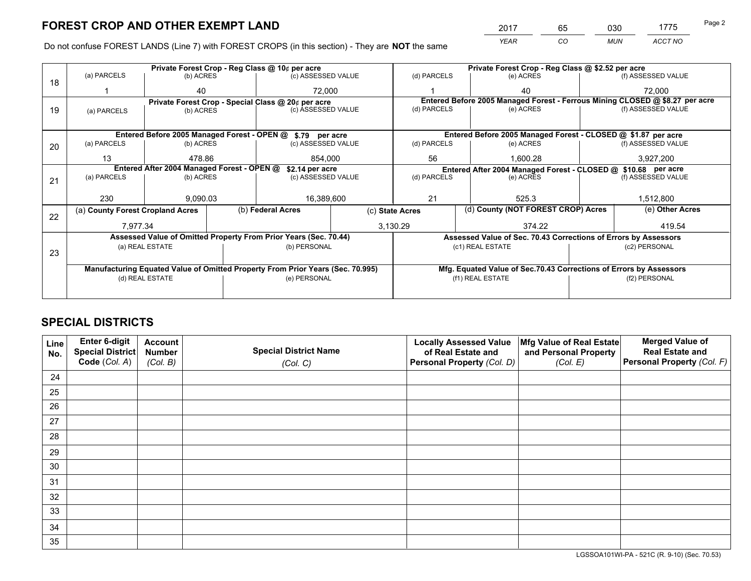*YEAR CO MUN ACCT NO* <sup>2017</sup> <sup>65</sup> <sup>030</sup> <sup>1775</sup>

Do not confuse FOREST LANDS (Line 7) with FOREST CROPS (in this section) - They are **NOT** the same

|    |                                                               |                                 |  | Private Forest Crop - Reg Class @ 10¢ per acre                                 |                 | Private Forest Crop - Reg Class @ \$2.52 per acre |                                                                              |                    |                    |  |
|----|---------------------------------------------------------------|---------------------------------|--|--------------------------------------------------------------------------------|-----------------|---------------------------------------------------|------------------------------------------------------------------------------|--------------------|--------------------|--|
| 18 | (a) PARCELS                                                   | (b) ACRES                       |  | (c) ASSESSED VALUE                                                             |                 | (d) PARCELS                                       | (e) ACRES                                                                    |                    | (f) ASSESSED VALUE |  |
|    |                                                               | 40                              |  | 72.000                                                                         |                 |                                                   | 40                                                                           |                    | 72,000             |  |
|    |                                                               |                                 |  | Private Forest Crop - Special Class @ 20¢ per acre                             |                 |                                                   | Entered Before 2005 Managed Forest - Ferrous Mining CLOSED @ \$8.27 per acre |                    |                    |  |
| 19 | (a) PARCELS                                                   | (c) ASSESSED VALUE<br>(b) ACRES |  | (d) PARCELS                                                                    | (e) ACRES       |                                                   | (f) ASSESSED VALUE                                                           |                    |                    |  |
|    |                                                               |                                 |  |                                                                                |                 |                                                   |                                                                              |                    |                    |  |
|    |                                                               |                                 |  | Entered Before 2005 Managed Forest - OPEN @ \$.79 per acre                     |                 |                                                   | Entered Before 2005 Managed Forest - CLOSED @ \$1.87 per acre                |                    |                    |  |
| 20 | (a) PARCELS                                                   | (b) ACRES                       |  | (c) ASSESSED VALUE                                                             |                 | (d) PARCELS                                       | (e) ACRES                                                                    |                    | (f) ASSESSED VALUE |  |
|    | 13                                                            | 478.86                          |  | 854.000                                                                        |                 | 56<br>1,600.28                                    |                                                                              |                    | 3,927,200          |  |
|    | Entered After 2004 Managed Forest - OPEN @<br>\$2.14 per acre |                                 |  |                                                                                |                 |                                                   | Entered After 2004 Managed Forest - CLOSED @ \$10.68 per acre                |                    |                    |  |
| 21 | (a) PARCELS                                                   | (b) ACRES                       |  | (c) ASSESSED VALUE                                                             |                 | (d) PARCELS<br>(e) ACRES                          |                                                                              | (f) ASSESSED VALUE |                    |  |
|    |                                                               |                                 |  |                                                                                |                 |                                                   |                                                                              |                    |                    |  |
|    | 230                                                           | 9.090.03                        |  | 16,389,600                                                                     |                 | 21<br>525.3                                       |                                                                              |                    | 1,512,800          |  |
| 22 | (a) County Forest Cropland Acres                              |                                 |  | (b) Federal Acres                                                              | (c) State Acres |                                                   | (d) County (NOT FOREST CROP) Acres                                           |                    | (e) Other Acres    |  |
|    | 7,977.34                                                      |                                 |  |                                                                                |                 | 3,130.29                                          | 374.22                                                                       |                    | 419.54             |  |
|    |                                                               |                                 |  | Assessed Value of Omitted Property From Prior Years (Sec. 70.44)               |                 |                                                   | Assessed Value of Sec. 70.43 Corrections of Errors by Assessors              |                    |                    |  |
| 23 |                                                               | (a) REAL ESTATE                 |  | (b) PERSONAL                                                                   |                 |                                                   | (c1) REAL ESTATE                                                             |                    | (c2) PERSONAL      |  |
|    |                                                               |                                 |  |                                                                                |                 |                                                   |                                                                              |                    |                    |  |
|    |                                                               |                                 |  | Manufacturing Equated Value of Omitted Property From Prior Years (Sec. 70.995) |                 |                                                   | Mfg. Equated Value of Sec.70.43 Corrections of Errors by Assessors           |                    |                    |  |
|    | (d) REAL ESTATE                                               |                                 |  | (e) PERSONAL                                                                   |                 | (f1) REAL ESTATE                                  |                                                                              |                    | (f2) PERSONAL      |  |
|    |                                                               |                                 |  |                                                                                |                 |                                                   |                                                                              |                    |                    |  |

## **SPECIAL DISTRICTS**

| Line<br>No. | Enter 6-digit<br>Special District<br>Code (Col. A) | <b>Account</b><br><b>Number</b><br>(Col. B) | <b>Special District Name</b><br>(Col. C) | <b>Locally Assessed Value</b><br>of Real Estate and<br>Personal Property (Col. D) | Mfg Value of Real Estate<br>and Personal Property<br>(Col. E) | <b>Merged Value of</b><br><b>Real Estate and</b><br>Personal Property (Col. F) |
|-------------|----------------------------------------------------|---------------------------------------------|------------------------------------------|-----------------------------------------------------------------------------------|---------------------------------------------------------------|--------------------------------------------------------------------------------|
|             |                                                    |                                             |                                          |                                                                                   |                                                               |                                                                                |
| 24          |                                                    |                                             |                                          |                                                                                   |                                                               |                                                                                |
| 25          |                                                    |                                             |                                          |                                                                                   |                                                               |                                                                                |
| 26          |                                                    |                                             |                                          |                                                                                   |                                                               |                                                                                |
| 27          |                                                    |                                             |                                          |                                                                                   |                                                               |                                                                                |
| 28          |                                                    |                                             |                                          |                                                                                   |                                                               |                                                                                |
| 29          |                                                    |                                             |                                          |                                                                                   |                                                               |                                                                                |
| 30          |                                                    |                                             |                                          |                                                                                   |                                                               |                                                                                |
| 31          |                                                    |                                             |                                          |                                                                                   |                                                               |                                                                                |
| 32          |                                                    |                                             |                                          |                                                                                   |                                                               |                                                                                |
| 33          |                                                    |                                             |                                          |                                                                                   |                                                               |                                                                                |
| 34          |                                                    |                                             |                                          |                                                                                   |                                                               |                                                                                |
| 35          |                                                    |                                             |                                          |                                                                                   |                                                               |                                                                                |

LGSSOA101WI-PA - 521C (R. 9-10) (Sec. 70.53)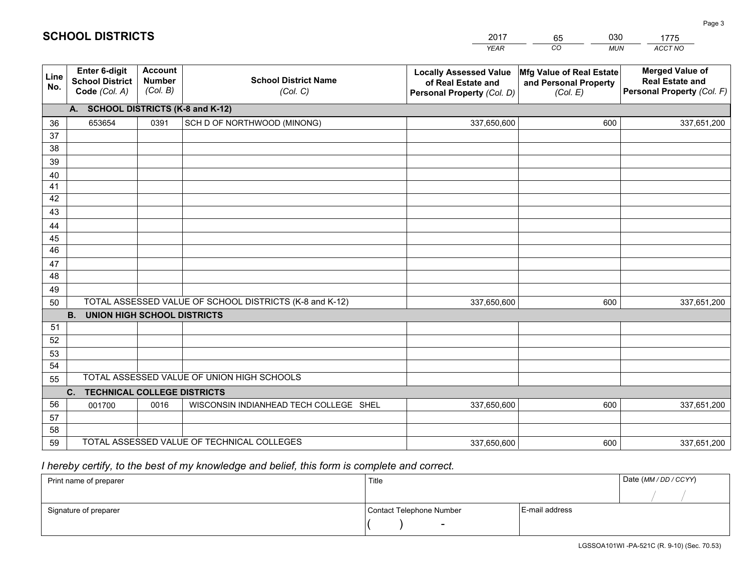|             |                                                          |                                             |                                                         | <b>YEAR</b>                                                                       | CO<br><b>MUN</b>                                              | ACCT NO                                                                        |
|-------------|----------------------------------------------------------|---------------------------------------------|---------------------------------------------------------|-----------------------------------------------------------------------------------|---------------------------------------------------------------|--------------------------------------------------------------------------------|
| Line<br>No. | Enter 6-digit<br><b>School District</b><br>Code (Col. A) | <b>Account</b><br><b>Number</b><br>(Col. B) | <b>School District Name</b><br>(Col. C)                 | <b>Locally Assessed Value</b><br>of Real Estate and<br>Personal Property (Col. D) | Mfg Value of Real Estate<br>and Personal Property<br>(Col. E) | <b>Merged Value of</b><br><b>Real Estate and</b><br>Personal Property (Col. F) |
|             | A. SCHOOL DISTRICTS (K-8 and K-12)                       |                                             |                                                         |                                                                                   |                                                               |                                                                                |
| 36          | 653654                                                   | 0391                                        | SCH D OF NORTHWOOD (MINONG)                             | 337,650,600                                                                       | 600                                                           | 337,651,200                                                                    |
| 37          |                                                          |                                             |                                                         |                                                                                   |                                                               |                                                                                |
| 38          |                                                          |                                             |                                                         |                                                                                   |                                                               |                                                                                |
| 39          |                                                          |                                             |                                                         |                                                                                   |                                                               |                                                                                |
| 40          |                                                          |                                             |                                                         |                                                                                   |                                                               |                                                                                |
| 41<br>42    |                                                          |                                             |                                                         |                                                                                   |                                                               |                                                                                |
| 43          |                                                          |                                             |                                                         |                                                                                   |                                                               |                                                                                |
| 44          |                                                          |                                             |                                                         |                                                                                   |                                                               |                                                                                |
| 45          |                                                          |                                             |                                                         |                                                                                   |                                                               |                                                                                |
| 46          |                                                          |                                             |                                                         |                                                                                   |                                                               |                                                                                |
| 47          |                                                          |                                             |                                                         |                                                                                   |                                                               |                                                                                |
| 48          |                                                          |                                             |                                                         |                                                                                   |                                                               |                                                                                |
| 49          |                                                          |                                             |                                                         |                                                                                   |                                                               |                                                                                |
| 50          |                                                          |                                             | TOTAL ASSESSED VALUE OF SCHOOL DISTRICTS (K-8 and K-12) | 337,650,600                                                                       | 600                                                           | 337,651,200                                                                    |
|             | <b>B.</b><br><b>UNION HIGH SCHOOL DISTRICTS</b>          |                                             |                                                         |                                                                                   |                                                               |                                                                                |
| 51          |                                                          |                                             |                                                         |                                                                                   |                                                               |                                                                                |
| 52          |                                                          |                                             |                                                         |                                                                                   |                                                               |                                                                                |
| 53<br>54    |                                                          |                                             |                                                         |                                                                                   |                                                               |                                                                                |
| 55          |                                                          |                                             | TOTAL ASSESSED VALUE OF UNION HIGH SCHOOLS              |                                                                                   |                                                               |                                                                                |
|             | C.<br><b>TECHNICAL COLLEGE DISTRICTS</b>                 |                                             |                                                         |                                                                                   |                                                               |                                                                                |
| 56          | 001700                                                   | 0016                                        | WISCONSIN INDIANHEAD TECH COLLEGE SHEL                  | 337,650,600                                                                       | 600                                                           | 337,651,200                                                                    |
| 57          |                                                          |                                             |                                                         |                                                                                   |                                                               |                                                                                |
| 58          |                                                          |                                             |                                                         |                                                                                   |                                                               |                                                                                |
| 59          |                                                          |                                             | TOTAL ASSESSED VALUE OF TECHNICAL COLLEGES              | 337,650,600                                                                       | 600                                                           | 337,651,200                                                                    |

65

030

 *I hereby certify, to the best of my knowledge and belief, this form is complete and correct.*

**SCHOOL DISTRICTS**

| Print name of preparer | Title                    |                | Date (MM / DD / CCYY) |
|------------------------|--------------------------|----------------|-----------------------|
|                        |                          |                |                       |
| Signature of preparer  | Contact Telephone Number | E-mail address |                       |
|                        | $\overline{\phantom{0}}$ |                |                       |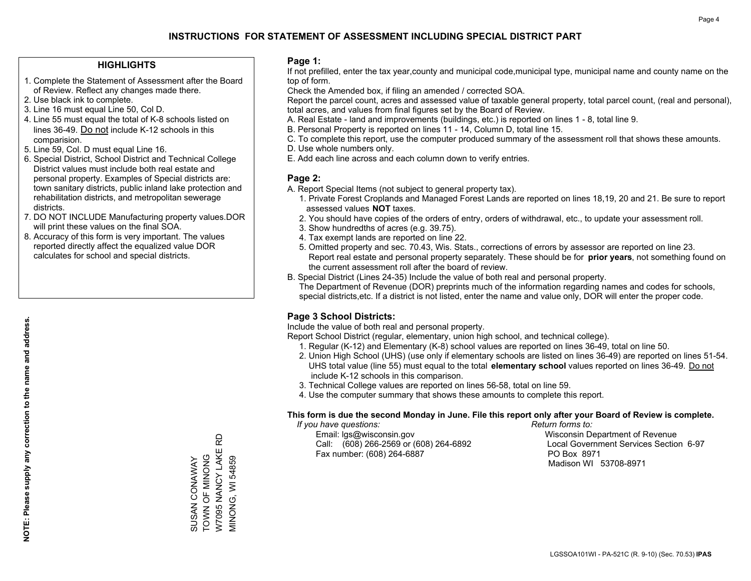#### **HIGHLIGHTS**

- 1. Complete the Statement of Assessment after the Board of Review. Reflect any changes made there.
- 2. Use black ink to complete.
- 3. Line 16 must equal Line 50, Col D.
- 4. Line 55 must equal the total of K-8 schools listed on lines 36-49. Do not include K-12 schools in this comparision.
- 5. Line 59, Col. D must equal Line 16.
- 6. Special District, School District and Technical College District values must include both real estate and personal property. Examples of Special districts are: town sanitary districts, public inland lake protection and rehabilitation districts, and metropolitan sewerage districts.
- 7. DO NOT INCLUDE Manufacturing property values.DOR will print these values on the final SOA.
- 8. Accuracy of this form is very important. The values reported directly affect the equalized value DOR calculates for school and special districts.

#### **Page 1:**

 If not prefilled, enter the tax year,county and municipal code,municipal type, municipal name and county name on the top of form.

Check the Amended box, if filing an amended / corrected SOA.

 Report the parcel count, acres and assessed value of taxable general property, total parcel count, (real and personal), total acres, and values from final figures set by the Board of Review.

- A. Real Estate land and improvements (buildings, etc.) is reported on lines 1 8, total line 9.
- B. Personal Property is reported on lines 11 14, Column D, total line 15.
- C. To complete this report, use the computer produced summary of the assessment roll that shows these amounts.
- D. Use whole numbers only.
- E. Add each line across and each column down to verify entries.

#### **Page 2:**

- A. Report Special Items (not subject to general property tax).
- 1. Private Forest Croplands and Managed Forest Lands are reported on lines 18,19, 20 and 21. Be sure to report assessed values **NOT** taxes.
- 2. You should have copies of the orders of entry, orders of withdrawal, etc., to update your assessment roll.
	- 3. Show hundredths of acres (e.g. 39.75).
- 4. Tax exempt lands are reported on line 22.
- 5. Omitted property and sec. 70.43, Wis. Stats., corrections of errors by assessor are reported on line 23. Report real estate and personal property separately. These should be for **prior years**, not something found on the current assessment roll after the board of review.
- B. Special District (Lines 24-35) Include the value of both real and personal property.
- The Department of Revenue (DOR) preprints much of the information regarding names and codes for schools, special districts,etc. If a district is not listed, enter the name and value only, DOR will enter the proper code.

## **Page 3 School Districts:**

Include the value of both real and personal property.

Report School District (regular, elementary, union high school, and technical college).

- 1. Regular (K-12) and Elementary (K-8) school values are reported on lines 36-49, total on line 50.
- 2. Union High School (UHS) (use only if elementary schools are listed on lines 36-49) are reported on lines 51-54. UHS total value (line 55) must equal to the total **elementary school** values reported on lines 36-49. Do notinclude K-12 schools in this comparison.
- 3. Technical College values are reported on lines 56-58, total on line 59.
- 4. Use the computer summary that shows these amounts to complete this report.

#### **This form is due the second Monday in June. File this report only after your Board of Review is complete.**

 *If you have questions: Return forms to:*

 Email: lgs@wisconsin.gov Wisconsin Department of RevenueCall:  $(608)$  266-2569 or  $(608)$  264-6892 Fax number: (608) 264-6887 PO Box 8971

Local Government Services Section 6-97 Madison WI 53708-8971

W7095 NANCY LAKE RD W7095 NANCY LAKE RD TOWN OF MINONG SUSAN CONAWAY<br>TOWN OF MINONG MINONG, WI 54859 SUSAN CONAWAY MINONG, WI 54859

**NOTE: Please supply any correction to the name and address.**

NOTE: Please supply any correction to the name and address.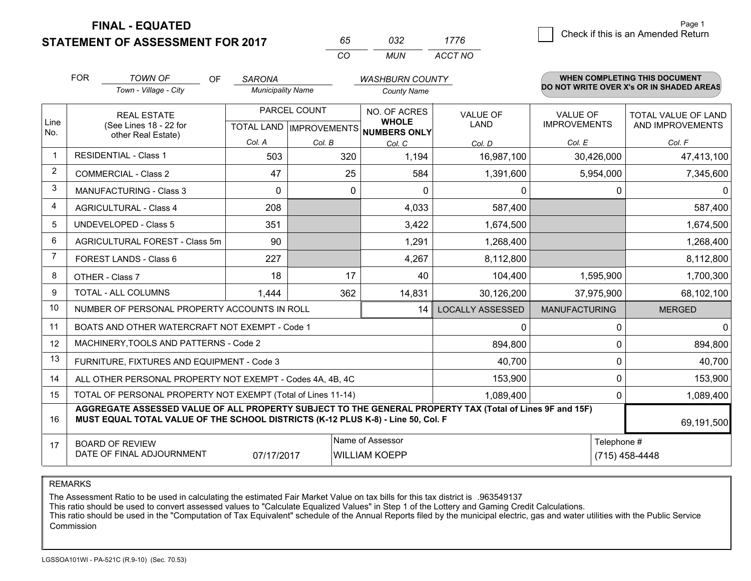**STATEMENT OF ASSESSMENT FOR 2017** 

| 65.      | 7132 | 1776    |
|----------|------|---------|
| $\cdots$ | MUN  | ACCT NO |

|                | <b>FOR</b>                                                                                                                                                                                   | <b>TOWN OF</b><br><b>OF</b>                               | <b>SARONA</b>            |                                                  | <b>WASHBURN COUNTY</b> |                                |                                        | <b>WHEN COMPLETING THIS DOCUMENT</b>           |
|----------------|----------------------------------------------------------------------------------------------------------------------------------------------------------------------------------------------|-----------------------------------------------------------|--------------------------|--------------------------------------------------|------------------------|--------------------------------|----------------------------------------|------------------------------------------------|
|                |                                                                                                                                                                                              | Town - Village - City                                     | <b>Municipality Name</b> |                                                  | County Name            |                                |                                        | DO NOT WRITE OVER X's OR IN SHADED AREAS       |
| Line           |                                                                                                                                                                                              | <b>REAL ESTATE</b><br>(See Lines 18 - 22 for              |                          | PARCEL COUNT<br><b>TOTAL LAND   IMPROVEMENTS</b> |                        | <b>VALUE OF</b><br><b>LAND</b> | <b>VALUE OF</b><br><b>IMPROVEMENTS</b> | <b>TOTAL VALUE OF LAND</b><br>AND IMPROVEMENTS |
| No.            |                                                                                                                                                                                              | other Real Estate)                                        | Col. A                   | Col. B                                           | NUMBERS ONLY<br>Col. C | Col. D                         | Col. E                                 | Col. F                                         |
| $\mathbf 1$    |                                                                                                                                                                                              | <b>RESIDENTIAL - Class 1</b>                              | 503                      | 320                                              | 1,194                  | 16,987,100                     | 30,426,000                             | 47,413,100                                     |
| 2              |                                                                                                                                                                                              | <b>COMMERCIAL - Class 2</b>                               | 47                       | 25                                               | 584                    | 1,391,600                      | 5,954,000                              | 7,345,600                                      |
| 3              |                                                                                                                                                                                              | <b>MANUFACTURING - Class 3</b>                            | 0                        | $\Omega$                                         | $\mathbf{0}$           | 0                              |                                        | 0<br>0                                         |
| 4              |                                                                                                                                                                                              | <b>AGRICULTURAL - Class 4</b>                             | 208                      |                                                  | 4,033                  | 587,400                        |                                        | 587,400                                        |
| 5              |                                                                                                                                                                                              | <b>UNDEVELOPED - Class 5</b>                              | 351                      |                                                  | 3,422                  | 1,674,500                      |                                        | 1,674,500                                      |
| 6              |                                                                                                                                                                                              | AGRICULTURAL FOREST - Class 5m                            | 90                       |                                                  | 1,291                  | 1,268,400                      |                                        | 1,268,400                                      |
| $\overline{7}$ |                                                                                                                                                                                              | FOREST LANDS - Class 6                                    | 227                      |                                                  | 4,267                  | 8,112,800                      |                                        | 8,112,800                                      |
| 8              |                                                                                                                                                                                              | OTHER - Class 7                                           | 18                       | 17                                               | 40                     | 104,400                        | 1,595,900                              | 1,700,300                                      |
| 9              |                                                                                                                                                                                              | TOTAL - ALL COLUMNS                                       | 1,444                    | 362                                              | 14,831                 | 30,126,200                     | 37,975,900                             | 68,102,100                                     |
| 10             |                                                                                                                                                                                              | NUMBER OF PERSONAL PROPERTY ACCOUNTS IN ROLL              |                          |                                                  | 14                     | <b>LOCALLY ASSESSED</b>        | <b>MANUFACTURING</b>                   | <b>MERGED</b>                                  |
| 11             |                                                                                                                                                                                              | BOATS AND OTHER WATERCRAFT NOT EXEMPT - Code 1            |                          |                                                  |                        | 0                              |                                        | $\Omega$<br>$\mathbf{0}$                       |
| 12             |                                                                                                                                                                                              | MACHINERY, TOOLS AND PATTERNS - Code 2                    |                          |                                                  |                        | 894,800                        |                                        | 894,800<br>$\Omega$                            |
| 13             |                                                                                                                                                                                              | FURNITURE, FIXTURES AND EQUIPMENT - Code 3                |                          |                                                  |                        | 40,700                         |                                        | 0<br>40,700                                    |
| 14             |                                                                                                                                                                                              | ALL OTHER PERSONAL PROPERTY NOT EXEMPT - Codes 4A, 4B, 4C |                          |                                                  |                        | 153,900                        |                                        | 0<br>153,900                                   |
| 15             | TOTAL OF PERSONAL PROPERTY NOT EXEMPT (Total of Lines 11-14)<br>1,089,400                                                                                                                    |                                                           |                          |                                                  |                        |                                |                                        | 0<br>1,089,400                                 |
| 16             | AGGREGATE ASSESSED VALUE OF ALL PROPERTY SUBJECT TO THE GENERAL PROPERTY TAX (Total of Lines 9F and 15F)<br>MUST EQUAL TOTAL VALUE OF THE SCHOOL DISTRICTS (K-12 PLUS K-8) - Line 50, Col. F |                                                           |                          |                                                  |                        |                                | 69,191,500                             |                                                |
| 17             | Name of Assessor<br><b>BOARD OF REVIEW</b><br>DATE OF FINAL ADJOURNMENT<br>07/17/2017<br><b>WILLIAM KOEPP</b>                                                                                |                                                           |                          |                                                  |                        |                                | Telephone #<br>(715) 458-4448          |                                                |

REMARKS

The Assessment Ratio to be used in calculating the estimated Fair Market Value on tax bills for this tax district is .963549137<br>This ratio should be used to convert assessed values to "Calculate Equalized Values" in Step 1 Commission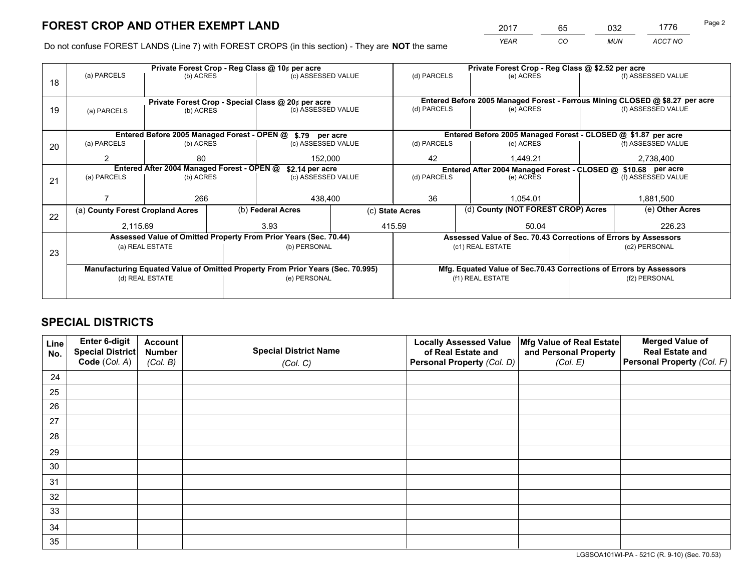*YEAR CO MUN ACCT NO* <sup>2017</sup> <sup>65</sup> <sup>032</sup> <sup>1776</sup> Page 2

Do not confuse FOREST LANDS (Line 7) with FOREST CROPS (in this section) - They are **NOT** the same

|    |                                                               |                 | Private Forest Crop - Reg Class @ 10¢ per acre                                 |                    | Private Forest Crop - Reg Class @ \$2.52 per acre               |                                                                              |  |                    |  |
|----|---------------------------------------------------------------|-----------------|--------------------------------------------------------------------------------|--------------------|-----------------------------------------------------------------|------------------------------------------------------------------------------|--|--------------------|--|
| 18 | (a) PARCELS                                                   | (b) ACRES       |                                                                                | (c) ASSESSED VALUE | (d) PARCELS                                                     | (e) ACRES                                                                    |  | (f) ASSESSED VALUE |  |
|    |                                                               |                 |                                                                                |                    |                                                                 |                                                                              |  |                    |  |
|    |                                                               |                 | Private Forest Crop - Special Class @ 20¢ per acre                             |                    |                                                                 | Entered Before 2005 Managed Forest - Ferrous Mining CLOSED @ \$8.27 per acre |  |                    |  |
| 19 | (a) PARCELS                                                   | (b) ACRES       |                                                                                | (c) ASSESSED VALUE | (d) PARCELS                                                     | (e) ACRES                                                                    |  | (f) ASSESSED VALUE |  |
|    |                                                               |                 |                                                                                |                    |                                                                 |                                                                              |  |                    |  |
|    |                                                               |                 | Entered Before 2005 Managed Forest - OPEN @ \$.79 per acre                     |                    |                                                                 | Entered Before 2005 Managed Forest - CLOSED @ \$1.87 per acre                |  |                    |  |
| 20 | (a) PARCELS                                                   | (b) ACRES       |                                                                                | (c) ASSESSED VALUE | (d) PARCELS                                                     | (e) ACRES                                                                    |  | (f) ASSESSED VALUE |  |
|    | $\mathcal{P}$                                                 | 80              |                                                                                | 152,000            |                                                                 | 1,449.21                                                                     |  | 2,738,400          |  |
|    | Entered After 2004 Managed Forest - OPEN @<br>\$2.14 per acre |                 |                                                                                |                    | Entered After 2004 Managed Forest - CLOSED @ \$10.68 per acre   |                                                                              |  |                    |  |
| 21 | (a) PARCELS                                                   | (b) ACRES       |                                                                                | (c) ASSESSED VALUE |                                                                 | (e) ACRES                                                                    |  | (f) ASSESSED VALUE |  |
|    |                                                               |                 |                                                                                |                    | 36                                                              |                                                                              |  |                    |  |
|    |                                                               | 266             |                                                                                | 438,400            |                                                                 | 1,054.01                                                                     |  | 1,881,500          |  |
| 22 | (a) County Forest Cropland Acres                              |                 | (b) Federal Acres                                                              |                    |                                                                 | (d) County (NOT FOREST CROP) Acres<br>(c) State Acres                        |  | (e) Other Acres    |  |
|    | 2,115.69                                                      |                 | 3.93                                                                           |                    |                                                                 | 415.59<br>50.04                                                              |  | 226.23             |  |
|    |                                                               |                 | Assessed Value of Omitted Property From Prior Years (Sec. 70.44)               |                    | Assessed Value of Sec. 70.43 Corrections of Errors by Assessors |                                                                              |  |                    |  |
| 23 |                                                               | (a) REAL ESTATE | (b) PERSONAL                                                                   |                    |                                                                 | (c1) REAL ESTATE                                                             |  | (c2) PERSONAL      |  |
|    |                                                               |                 |                                                                                |                    |                                                                 |                                                                              |  |                    |  |
|    |                                                               |                 | Manufacturing Equated Value of Omitted Property From Prior Years (Sec. 70.995) |                    |                                                                 | Mfg. Equated Value of Sec.70.43 Corrections of Errors by Assessors           |  |                    |  |
|    |                                                               | (d) REAL ESTATE | (e) PERSONAL                                                                   |                    |                                                                 | (f1) REAL ESTATE                                                             |  | (f2) PERSONAL      |  |
|    |                                                               |                 |                                                                                |                    |                                                                 |                                                                              |  |                    |  |

## **SPECIAL DISTRICTS**

| Line<br>No. | Enter 6-digit<br><b>Special District</b><br>Code (Col. A) | <b>Account</b><br><b>Number</b><br>(Col. B) | <b>Special District Name</b><br>(Col. C) | <b>Locally Assessed Value</b><br>of Real Estate and<br>Personal Property (Col. D) | Mfg Value of Real Estate<br>and Personal Property<br>(Col. E) | <b>Merged Value of</b><br><b>Real Estate and</b><br>Personal Property (Col. F) |
|-------------|-----------------------------------------------------------|---------------------------------------------|------------------------------------------|-----------------------------------------------------------------------------------|---------------------------------------------------------------|--------------------------------------------------------------------------------|
| 24          |                                                           |                                             |                                          |                                                                                   |                                                               |                                                                                |
| 25          |                                                           |                                             |                                          |                                                                                   |                                                               |                                                                                |
| 26          |                                                           |                                             |                                          |                                                                                   |                                                               |                                                                                |
| 27          |                                                           |                                             |                                          |                                                                                   |                                                               |                                                                                |
| 28          |                                                           |                                             |                                          |                                                                                   |                                                               |                                                                                |
| 29          |                                                           |                                             |                                          |                                                                                   |                                                               |                                                                                |
| 30          |                                                           |                                             |                                          |                                                                                   |                                                               |                                                                                |
| 31          |                                                           |                                             |                                          |                                                                                   |                                                               |                                                                                |
| 32          |                                                           |                                             |                                          |                                                                                   |                                                               |                                                                                |
| 33          |                                                           |                                             |                                          |                                                                                   |                                                               |                                                                                |
| 34          |                                                           |                                             |                                          |                                                                                   |                                                               |                                                                                |
| 35          |                                                           |                                             |                                          |                                                                                   |                                                               |                                                                                |

LGSSOA101WI-PA - 521C (R. 9-10) (Sec. 70.53)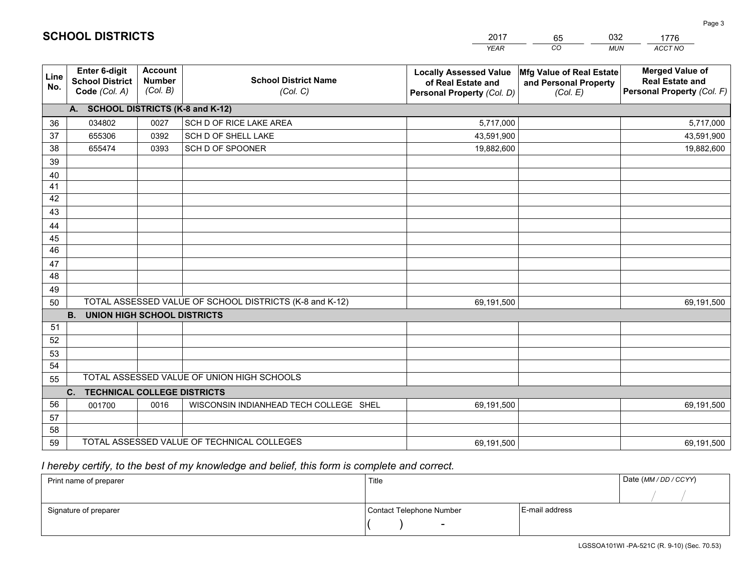|             |                                                          |                                             |                                                         | <b>YEAR</b>                                                                       | CO<br><b>MUN</b>                                              | <b>ACCT NO</b>                                                                 |
|-------------|----------------------------------------------------------|---------------------------------------------|---------------------------------------------------------|-----------------------------------------------------------------------------------|---------------------------------------------------------------|--------------------------------------------------------------------------------|
| Line<br>No. | Enter 6-digit<br><b>School District</b><br>Code (Col. A) | <b>Account</b><br><b>Number</b><br>(Col. B) | <b>School District Name</b><br>(Col. C)                 | <b>Locally Assessed Value</b><br>of Real Estate and<br>Personal Property (Col. D) | Mfg Value of Real Estate<br>and Personal Property<br>(Col. E) | <b>Merged Value of</b><br><b>Real Estate and</b><br>Personal Property (Col. F) |
|             | A. SCHOOL DISTRICTS (K-8 and K-12)                       |                                             |                                                         |                                                                                   |                                                               |                                                                                |
| 36          | 034802                                                   | 0027                                        | SCH D OF RICE LAKE AREA                                 | 5,717,000                                                                         |                                                               | 5,717,000                                                                      |
| 37          | 655306                                                   | 0392                                        | SCH D OF SHELL LAKE                                     | 43,591,900                                                                        |                                                               | 43,591,900                                                                     |
| 38          | 655474                                                   | 0393                                        | SCH D OF SPOONER                                        | 19,882,600                                                                        |                                                               | 19,882,600                                                                     |
| 39          |                                                          |                                             |                                                         |                                                                                   |                                                               |                                                                                |
| 40          |                                                          |                                             |                                                         |                                                                                   |                                                               |                                                                                |
| 41          |                                                          |                                             |                                                         |                                                                                   |                                                               |                                                                                |
| 42          |                                                          |                                             |                                                         |                                                                                   |                                                               |                                                                                |
| 43          |                                                          |                                             |                                                         |                                                                                   |                                                               |                                                                                |
| 44          |                                                          |                                             |                                                         |                                                                                   |                                                               |                                                                                |
| 45          |                                                          |                                             |                                                         |                                                                                   |                                                               |                                                                                |
| 46          |                                                          |                                             |                                                         |                                                                                   |                                                               |                                                                                |
| 47          |                                                          |                                             |                                                         |                                                                                   |                                                               |                                                                                |
| 48          |                                                          |                                             |                                                         |                                                                                   |                                                               |                                                                                |
| 49          |                                                          |                                             |                                                         |                                                                                   |                                                               |                                                                                |
| 50          |                                                          |                                             | TOTAL ASSESSED VALUE OF SCHOOL DISTRICTS (K-8 and K-12) | 69,191,500                                                                        |                                                               | 69,191,500                                                                     |
|             | <b>B.</b><br><b>UNION HIGH SCHOOL DISTRICTS</b>          |                                             |                                                         |                                                                                   |                                                               |                                                                                |
| 51          |                                                          |                                             |                                                         |                                                                                   |                                                               |                                                                                |
| 52          |                                                          |                                             |                                                         |                                                                                   |                                                               |                                                                                |
| 53          |                                                          |                                             |                                                         |                                                                                   |                                                               |                                                                                |
| 54          |                                                          |                                             | TOTAL ASSESSED VALUE OF UNION HIGH SCHOOLS              |                                                                                   |                                                               |                                                                                |
| 55          |                                                          |                                             |                                                         |                                                                                   |                                                               |                                                                                |
|             | C. TECHNICAL COLLEGE DISTRICTS                           |                                             |                                                         |                                                                                   |                                                               |                                                                                |
| 56          | 001700                                                   | 0016                                        | WISCONSIN INDIANHEAD TECH COLLEGE SHEL                  | 69,191,500                                                                        |                                                               | 69,191,500                                                                     |
| 57<br>58    |                                                          |                                             |                                                         |                                                                                   |                                                               |                                                                                |
| 59          |                                                          |                                             | TOTAL ASSESSED VALUE OF TECHNICAL COLLEGES              | 69,191,500                                                                        |                                                               | 69,191,500                                                                     |
|             |                                                          |                                             |                                                         |                                                                                   |                                                               |                                                                                |

65

032

 *I hereby certify, to the best of my knowledge and belief, this form is complete and correct.*

**SCHOOL DISTRICTS**

| Print name of preparer | Title                    |                | Date (MM / DD / CCYY) |
|------------------------|--------------------------|----------------|-----------------------|
|                        |                          |                |                       |
| Signature of preparer  | Contact Telephone Number | E-mail address |                       |
|                        |                          |                |                       |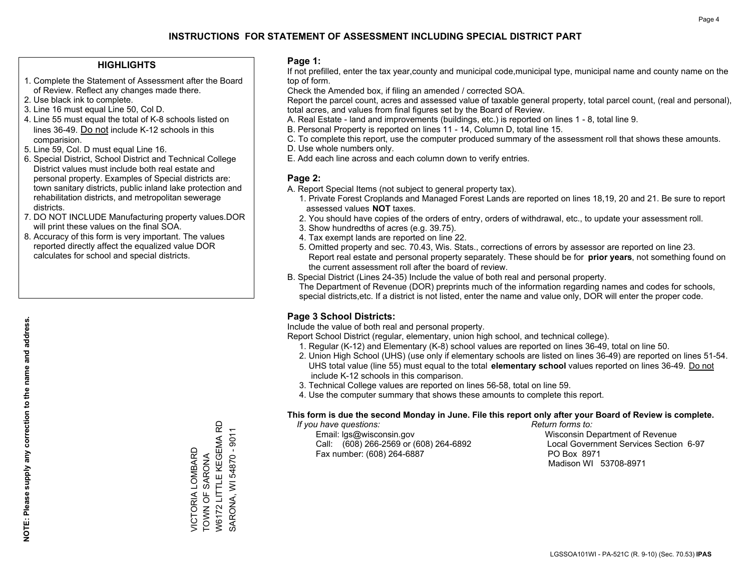#### **HIGHLIGHTS**

- 1. Complete the Statement of Assessment after the Board of Review. Reflect any changes made there.
- 2. Use black ink to complete.
- 3. Line 16 must equal Line 50, Col D.
- 4. Line 55 must equal the total of K-8 schools listed on lines 36-49. Do not include K-12 schools in this comparision.
- 5. Line 59, Col. D must equal Line 16.
- 6. Special District, School District and Technical College District values must include both real estate and personal property. Examples of Special districts are: town sanitary districts, public inland lake protection and rehabilitation districts, and metropolitan sewerage districts.
- 7. DO NOT INCLUDE Manufacturing property values.DOR will print these values on the final SOA.
- 8. Accuracy of this form is very important. The values reported directly affect the equalized value DOR calculates for school and special districts.

#### **Page 1:**

 If not prefilled, enter the tax year,county and municipal code,municipal type, municipal name and county name on the top of form.

Check the Amended box, if filing an amended / corrected SOA.

 Report the parcel count, acres and assessed value of taxable general property, total parcel count, (real and personal), total acres, and values from final figures set by the Board of Review.

- A. Real Estate land and improvements (buildings, etc.) is reported on lines 1 8, total line 9.
- B. Personal Property is reported on lines 11 14, Column D, total line 15.
- C. To complete this report, use the computer produced summary of the assessment roll that shows these amounts.
- D. Use whole numbers only.
- E. Add each line across and each column down to verify entries.

### **Page 2:**

- A. Report Special Items (not subject to general property tax).
- 1. Private Forest Croplands and Managed Forest Lands are reported on lines 18,19, 20 and 21. Be sure to report assessed values **NOT** taxes.
- 2. You should have copies of the orders of entry, orders of withdrawal, etc., to update your assessment roll.
	- 3. Show hundredths of acres (e.g. 39.75).
- 4. Tax exempt lands are reported on line 22.
- 5. Omitted property and sec. 70.43, Wis. Stats., corrections of errors by assessor are reported on line 23. Report real estate and personal property separately. These should be for **prior years**, not something found on the current assessment roll after the board of review.
- B. Special District (Lines 24-35) Include the value of both real and personal property.

 The Department of Revenue (DOR) preprints much of the information regarding names and codes for schools, special districts,etc. If a district is not listed, enter the name and value only, DOR will enter the proper code.

## **Page 3 School Districts:**

Include the value of both real and personal property.

Report School District (regular, elementary, union high school, and technical college).

- 1. Regular (K-12) and Elementary (K-8) school values are reported on lines 36-49, total on line 50.
- 2. Union High School (UHS) (use only if elementary schools are listed on lines 36-49) are reported on lines 51-54. UHS total value (line 55) must equal to the total **elementary school** values reported on lines 36-49. Do notinclude K-12 schools in this comparison.
- 3. Technical College values are reported on lines 56-58, total on line 59.
- 4. Use the computer summary that shows these amounts to complete this report.

#### **This form is due the second Monday in June. File this report only after your Board of Review is complete.**

 *If you have questions: Return forms to:*

 Email: lgs@wisconsin.gov Wisconsin Department of RevenueCall:  $(608)$  266-2569 or  $(608)$  264-6892 Fax number: (608) 264-6887 PO Box 8971

Local Government Services Section 6-97 Madison WI 53708-8971

W6172 LITTLE KEGEMA RD W6172 LITTLE KEGEMA RD SARONA, WI 54870 - 9011 SARONA, WI 54870 - 9011 VICTORIA LOMBARD<br>TOWN OF SARONA VICTORIA LOMBARD TOWN OF SARONA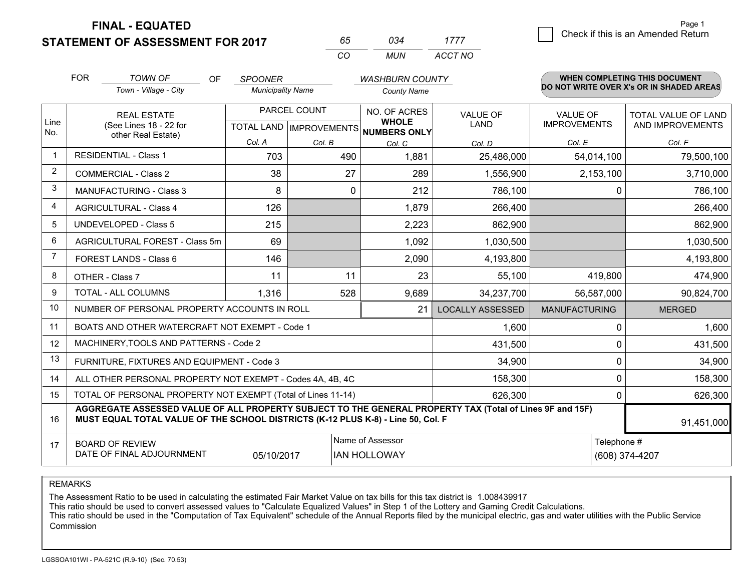**STATEMENT OF ASSESSMENT FOR 2017** 

| 65       | ∩จ⊿ | 1111    |
|----------|-----|---------|
| $\alpha$ | MUN | ACCT NO |

|                | <b>FOR</b>                                                              | <b>TOWN OF</b><br><b>OF</b>                                                                                                                                                                  | <b>SPOONER</b>           |              | <b>WASHBURN COUNTY</b>                                                   |                                |                                        | WHEN COMPLETING THIS DOCUMENT                  |
|----------------|-------------------------------------------------------------------------|----------------------------------------------------------------------------------------------------------------------------------------------------------------------------------------------|--------------------------|--------------|--------------------------------------------------------------------------|--------------------------------|----------------------------------------|------------------------------------------------|
|                |                                                                         | Town - Village - City                                                                                                                                                                        | <b>Municipality Name</b> |              | <b>County Name</b>                                                       |                                |                                        | DO NOT WRITE OVER X's OR IN SHADED AREAS       |
| Line           |                                                                         | <b>REAL ESTATE</b><br>(See Lines 18 - 22 for                                                                                                                                                 |                          | PARCEL COUNT | NO. OF ACRES<br><b>WHOLE</b><br>TOTAL LAND   IMPROVEMENTS   NUMBERS ONLY | <b>VALUE OF</b><br><b>LAND</b> | <b>VALUE OF</b><br><b>IMPROVEMENTS</b> | <b>TOTAL VALUE OF LAND</b><br>AND IMPROVEMENTS |
| No.            |                                                                         | other Real Estate)                                                                                                                                                                           | Col. A                   | Col. B       | Col. C                                                                   | Col. D                         | Col. E                                 | Col. F                                         |
|                |                                                                         | <b>RESIDENTIAL - Class 1</b>                                                                                                                                                                 | 703                      | 490          | 1,881                                                                    | 25,486,000                     | 54,014,100                             | 79,500,100                                     |
| 2              |                                                                         | <b>COMMERCIAL - Class 2</b>                                                                                                                                                                  | 38                       | 27           | 289                                                                      | 1,556,900                      | 2,153,100                              | 3,710,000                                      |
| 3              |                                                                         | <b>MANUFACTURING - Class 3</b>                                                                                                                                                               | 8                        | 0            | 212                                                                      | 786,100                        | $\Omega$                               | 786,100                                        |
| 4              |                                                                         | <b>AGRICULTURAL - Class 4</b>                                                                                                                                                                | 126                      |              | 1,879                                                                    | 266,400                        |                                        | 266,400                                        |
| 5              |                                                                         | <b>UNDEVELOPED - Class 5</b>                                                                                                                                                                 | 215                      |              | 2,223                                                                    | 862,900                        |                                        | 862,900                                        |
| 6              |                                                                         | AGRICULTURAL FOREST - Class 5m                                                                                                                                                               | 69                       |              | 1,092                                                                    | 1,030,500                      |                                        | 1,030,500                                      |
| $\overline{7}$ |                                                                         | FOREST LANDS - Class 6                                                                                                                                                                       | 146                      |              | 2,090                                                                    | 4,193,800                      |                                        | 4,193,800                                      |
| 8              |                                                                         | OTHER - Class 7                                                                                                                                                                              | 11                       | 11           | 23                                                                       | 55,100                         | 419,800                                | 474,900                                        |
| 9              |                                                                         | TOTAL - ALL COLUMNS                                                                                                                                                                          | 1,316                    | 528          | 9,689                                                                    | 34,237,700                     | 56,587,000                             | 90,824,700                                     |
| 10             |                                                                         | NUMBER OF PERSONAL PROPERTY ACCOUNTS IN ROLL                                                                                                                                                 |                          |              | 21                                                                       | <b>LOCALLY ASSESSED</b>        | <b>MANUFACTURING</b>                   | <b>MERGED</b>                                  |
| 11             |                                                                         | BOATS AND OTHER WATERCRAFT NOT EXEMPT - Code 1                                                                                                                                               |                          |              |                                                                          | 1,600                          | $\Omega$                               | 1,600                                          |
| 12             |                                                                         | MACHINERY, TOOLS AND PATTERNS - Code 2                                                                                                                                                       |                          |              |                                                                          | 431,500                        | 0                                      | 431,500                                        |
| 13             |                                                                         | FURNITURE, FIXTURES AND EQUIPMENT - Code 3                                                                                                                                                   |                          |              |                                                                          | 34,900                         | 0                                      | 34,900                                         |
| 14             |                                                                         | ALL OTHER PERSONAL PROPERTY NOT EXEMPT - Codes 4A, 4B, 4C                                                                                                                                    |                          |              |                                                                          | 158,300                        | $\Omega$                               | 158,300                                        |
| 15             | TOTAL OF PERSONAL PROPERTY NOT EXEMPT (Total of Lines 11-14)<br>626,300 |                                                                                                                                                                                              |                          |              |                                                                          |                                | 0                                      | 626,300                                        |
| 16             |                                                                         | AGGREGATE ASSESSED VALUE OF ALL PROPERTY SUBJECT TO THE GENERAL PROPERTY TAX (Total of Lines 9F and 15F)<br>MUST EQUAL TOTAL VALUE OF THE SCHOOL DISTRICTS (K-12 PLUS K-8) - Line 50, Col. F |                          |              |                                                                          |                                |                                        | 91,451,000                                     |
| 17             |                                                                         | <b>BOARD OF REVIEW</b><br>DATE OF FINAL ADJOURNMENT                                                                                                                                          | 05/10/2017               |              | Name of Assessor<br><b>IAN HOLLOWAY</b>                                  |                                | Telephone #                            | (608) 374-4207                                 |

REMARKS

The Assessment Ratio to be used in calculating the estimated Fair Market Value on tax bills for this tax district is 1.008439917<br>This ratio should be used to convert assessed values to "Calculate Equalized Values" in Step Commission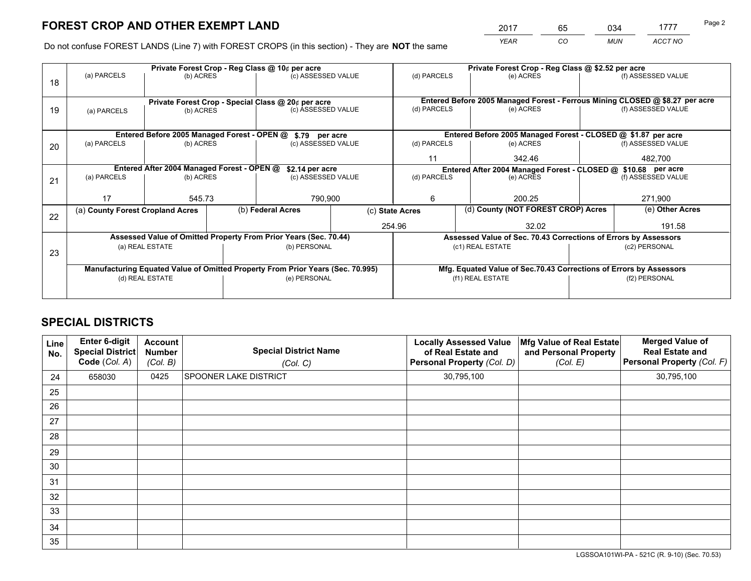*YEAR CO MUN ACCT NO* <sup>2017</sup> <sup>65</sup> <sup>034</sup> <sup>1777</sup> Page 2

Do not confuse FOREST LANDS (Line 7) with FOREST CROPS (in this section) - They are **NOT** the same

| (f) ASSESSED VALUE<br>Entered Before 2005 Managed Forest - Ferrous Mining CLOSED @ \$8.27 per acre<br>(f) ASSESSED VALUE<br>Entered Before 2005 Managed Forest - CLOSED @ \$1.87 per acre<br>(f) ASSESSED VALUE |  |
|-----------------------------------------------------------------------------------------------------------------------------------------------------------------------------------------------------------------|--|
|                                                                                                                                                                                                                 |  |
|                                                                                                                                                                                                                 |  |
|                                                                                                                                                                                                                 |  |
|                                                                                                                                                                                                                 |  |
|                                                                                                                                                                                                                 |  |
|                                                                                                                                                                                                                 |  |
|                                                                                                                                                                                                                 |  |
| 482,700                                                                                                                                                                                                         |  |
| Entered After 2004 Managed Forest - CLOSED @ \$10.68 per acre                                                                                                                                                   |  |
| (f) ASSESSED VALUE                                                                                                                                                                                              |  |
|                                                                                                                                                                                                                 |  |
| 271,900                                                                                                                                                                                                         |  |
| (e) Other Acres                                                                                                                                                                                                 |  |
| 191.58                                                                                                                                                                                                          |  |
| Assessed Value of Sec. 70.43 Corrections of Errors by Assessors                                                                                                                                                 |  |
| (c2) PERSONAL                                                                                                                                                                                                   |  |
|                                                                                                                                                                                                                 |  |
| Mfg. Equated Value of Sec.70.43 Corrections of Errors by Assessors                                                                                                                                              |  |
| (f2) PERSONAL                                                                                                                                                                                                   |  |
|                                                                                                                                                                                                                 |  |
|                                                                                                                                                                                                                 |  |

## **SPECIAL DISTRICTS**

| Line<br>No. | Enter 6-digit<br><b>Special District</b><br>Code (Col. A) | <b>Account</b><br><b>Number</b><br>(Col. B) | <b>Special District Name</b><br>(Col. C) | <b>Locally Assessed Value</b><br>of Real Estate and<br>Personal Property (Col. D) | Mfg Value of Real Estate<br>and Personal Property<br>(Col. E) | <b>Merged Value of</b><br><b>Real Estate and</b><br>Personal Property (Col. F) |
|-------------|-----------------------------------------------------------|---------------------------------------------|------------------------------------------|-----------------------------------------------------------------------------------|---------------------------------------------------------------|--------------------------------------------------------------------------------|
| 24          | 658030                                                    | 0425                                        | <b>SPOONER LAKE DISTRICT</b>             | 30,795,100                                                                        |                                                               | 30,795,100                                                                     |
| 25          |                                                           |                                             |                                          |                                                                                   |                                                               |                                                                                |
| 26          |                                                           |                                             |                                          |                                                                                   |                                                               |                                                                                |
| 27          |                                                           |                                             |                                          |                                                                                   |                                                               |                                                                                |
| 28          |                                                           |                                             |                                          |                                                                                   |                                                               |                                                                                |
| 29          |                                                           |                                             |                                          |                                                                                   |                                                               |                                                                                |
| 30          |                                                           |                                             |                                          |                                                                                   |                                                               |                                                                                |
| 31          |                                                           |                                             |                                          |                                                                                   |                                                               |                                                                                |
| 32          |                                                           |                                             |                                          |                                                                                   |                                                               |                                                                                |
| 33          |                                                           |                                             |                                          |                                                                                   |                                                               |                                                                                |
| 34          |                                                           |                                             |                                          |                                                                                   |                                                               |                                                                                |
| 35          |                                                           |                                             |                                          |                                                                                   |                                                               |                                                                                |

LGSSOA101WI-PA - 521C (R. 9-10) (Sec. 70.53)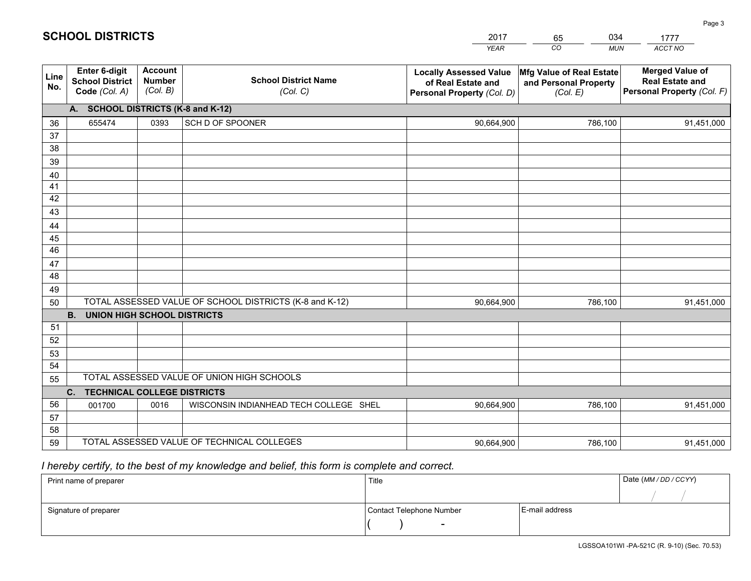|             |                                                                 |                                             |                                                         | <b>YEAR</b>                                                                       | CO<br><b>MUN</b>                                              | ACCT NO                                                                        |
|-------------|-----------------------------------------------------------------|---------------------------------------------|---------------------------------------------------------|-----------------------------------------------------------------------------------|---------------------------------------------------------------|--------------------------------------------------------------------------------|
| Line<br>No. | <b>Enter 6-digit</b><br><b>School District</b><br>Code (Col. A) | <b>Account</b><br><b>Number</b><br>(Col. B) | <b>School District Name</b><br>(Col. C)                 | <b>Locally Assessed Value</b><br>of Real Estate and<br>Personal Property (Col. D) | Mfg Value of Real Estate<br>and Personal Property<br>(Col. E) | <b>Merged Value of</b><br><b>Real Estate and</b><br>Personal Property (Col. F) |
|             | A. SCHOOL DISTRICTS (K-8 and K-12)                              |                                             |                                                         |                                                                                   |                                                               |                                                                                |
| 36          | 655474                                                          | 0393                                        | SCH D OF SPOONER                                        | 90,664,900                                                                        | 786,100                                                       | 91,451,000                                                                     |
| 37          |                                                                 |                                             |                                                         |                                                                                   |                                                               |                                                                                |
| 38          |                                                                 |                                             |                                                         |                                                                                   |                                                               |                                                                                |
| 39          |                                                                 |                                             |                                                         |                                                                                   |                                                               |                                                                                |
| 40          |                                                                 |                                             |                                                         |                                                                                   |                                                               |                                                                                |
| 41<br>42    |                                                                 |                                             |                                                         |                                                                                   |                                                               |                                                                                |
| 43          |                                                                 |                                             |                                                         |                                                                                   |                                                               |                                                                                |
|             |                                                                 |                                             |                                                         |                                                                                   |                                                               |                                                                                |
| 44<br>45    |                                                                 |                                             |                                                         |                                                                                   |                                                               |                                                                                |
| 46          |                                                                 |                                             |                                                         |                                                                                   |                                                               |                                                                                |
| 47          |                                                                 |                                             |                                                         |                                                                                   |                                                               |                                                                                |
| 48          |                                                                 |                                             |                                                         |                                                                                   |                                                               |                                                                                |
| 49          |                                                                 |                                             |                                                         |                                                                                   |                                                               |                                                                                |
| 50          |                                                                 |                                             | TOTAL ASSESSED VALUE OF SCHOOL DISTRICTS (K-8 and K-12) | 90,664,900                                                                        | 786,100                                                       | 91,451,000                                                                     |
|             | <b>B.</b><br><b>UNION HIGH SCHOOL DISTRICTS</b>                 |                                             |                                                         |                                                                                   |                                                               |                                                                                |
| 51          |                                                                 |                                             |                                                         |                                                                                   |                                                               |                                                                                |
| 52          |                                                                 |                                             |                                                         |                                                                                   |                                                               |                                                                                |
| 53          |                                                                 |                                             |                                                         |                                                                                   |                                                               |                                                                                |
| 54          |                                                                 |                                             |                                                         |                                                                                   |                                                               |                                                                                |
| 55          |                                                                 |                                             | TOTAL ASSESSED VALUE OF UNION HIGH SCHOOLS              |                                                                                   |                                                               |                                                                                |
|             | C.<br><b>TECHNICAL COLLEGE DISTRICTS</b>                        |                                             |                                                         |                                                                                   |                                                               |                                                                                |
| 56          | 001700                                                          | 0016                                        | WISCONSIN INDIANHEAD TECH COLLEGE SHEL                  | 90,664,900                                                                        | 786,100                                                       | 91,451,000                                                                     |
| 57<br>58    |                                                                 |                                             |                                                         |                                                                                   |                                                               |                                                                                |
| 59          |                                                                 |                                             | TOTAL ASSESSED VALUE OF TECHNICAL COLLEGES              | 90,664,900                                                                        | 786,100                                                       | 91,451,000                                                                     |
|             |                                                                 |                                             |                                                         |                                                                                   |                                                               |                                                                                |

65

034

 *I hereby certify, to the best of my knowledge and belief, this form is complete and correct.*

**SCHOOL DISTRICTS**

| Print name of preparer | Title                    |                | Date (MM / DD / CCYY) |
|------------------------|--------------------------|----------------|-----------------------|
|                        |                          |                |                       |
| Signature of preparer  | Contact Telephone Number | E-mail address |                       |
|                        | $\sim$                   |                |                       |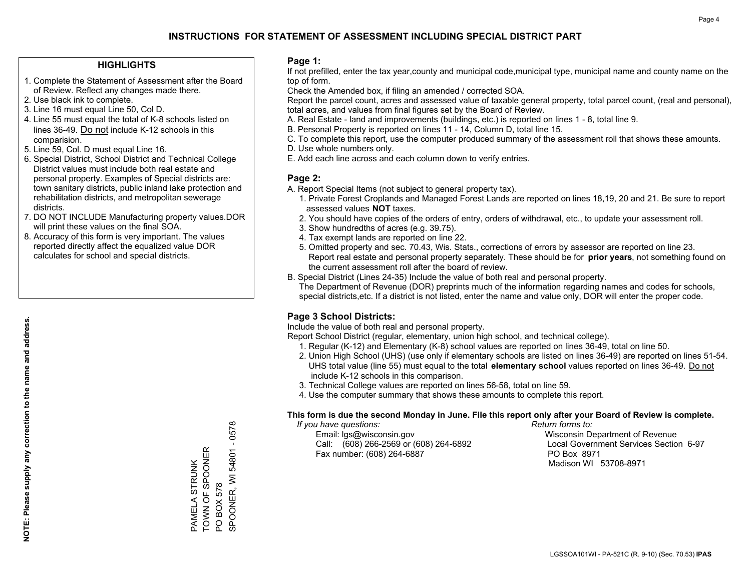#### **HIGHLIGHTS**

- 1. Complete the Statement of Assessment after the Board of Review. Reflect any changes made there.
- 2. Use black ink to complete.
- 3. Line 16 must equal Line 50, Col D.
- 4. Line 55 must equal the total of K-8 schools listed on lines 36-49. Do not include K-12 schools in this comparision.
- 5. Line 59, Col. D must equal Line 16.
- 6. Special District, School District and Technical College District values must include both real estate and personal property. Examples of Special districts are: town sanitary districts, public inland lake protection and rehabilitation districts, and metropolitan sewerage districts.
- 7. DO NOT INCLUDE Manufacturing property values.DOR will print these values on the final SOA.

PAMELA STRUNK TOWN OF SPOONER

PAMELA STRUNK<br>TOWN OF SPOONER

PO BOX 578

PO BOX 578

SPOONER, WI 54801 - 0578

SPOONER, WI 54801 - 0578

 8. Accuracy of this form is very important. The values reported directly affect the equalized value DOR calculates for school and special districts.

#### **Page 1:**

 If not prefilled, enter the tax year,county and municipal code,municipal type, municipal name and county name on the top of form.

Check the Amended box, if filing an amended / corrected SOA.

 Report the parcel count, acres and assessed value of taxable general property, total parcel count, (real and personal), total acres, and values from final figures set by the Board of Review.

- A. Real Estate land and improvements (buildings, etc.) is reported on lines 1 8, total line 9.
- B. Personal Property is reported on lines 11 14, Column D, total line 15.
- C. To complete this report, use the computer produced summary of the assessment roll that shows these amounts.
- D. Use whole numbers only.
- E. Add each line across and each column down to verify entries.

### **Page 2:**

- A. Report Special Items (not subject to general property tax).
- 1. Private Forest Croplands and Managed Forest Lands are reported on lines 18,19, 20 and 21. Be sure to report assessed values **NOT** taxes.
- 2. You should have copies of the orders of entry, orders of withdrawal, etc., to update your assessment roll.
	- 3. Show hundredths of acres (e.g. 39.75).
- 4. Tax exempt lands are reported on line 22.
- 5. Omitted property and sec. 70.43, Wis. Stats., corrections of errors by assessor are reported on line 23. Report real estate and personal property separately. These should be for **prior years**, not something found on the current assessment roll after the board of review.
- B. Special District (Lines 24-35) Include the value of both real and personal property.

 The Department of Revenue (DOR) preprints much of the information regarding names and codes for schools, special districts,etc. If a district is not listed, enter the name and value only, DOR will enter the proper code.

## **Page 3 School Districts:**

Include the value of both real and personal property.

Report School District (regular, elementary, union high school, and technical college).

- 1. Regular (K-12) and Elementary (K-8) school values are reported on lines 36-49, total on line 50.
- 2. Union High School (UHS) (use only if elementary schools are listed on lines 36-49) are reported on lines 51-54. UHS total value (line 55) must equal to the total **elementary school** values reported on lines 36-49. Do notinclude K-12 schools in this comparison.
- 3. Technical College values are reported on lines 56-58, total on line 59.
- 4. Use the computer summary that shows these amounts to complete this report.

#### **This form is due the second Monday in June. File this report only after your Board of Review is complete.**

 *If you have questions: Return forms to:*

 Email: lgs@wisconsin.gov Wisconsin Department of RevenueCall:  $(608)$  266-2569 or  $(608)$  264-6892 Fax number: (608) 264-6887 PO Box 8971

Local Government Services Section 6-97 Madison WI 53708-8971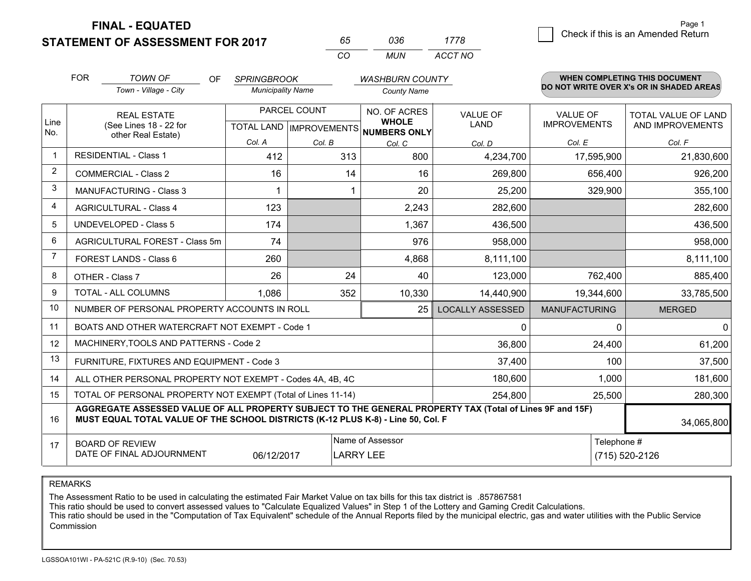**STATEMENT OF ASSESSMENT FOR 2017** 

**FINAL - EQUATED**

| 65.      | การค | 1778    |
|----------|------|---------|
| $\alpha$ | MUN  | ACCT NO |

|                | <b>FOR</b>                                                                                                                                                                                   | <b>TOWN OF</b><br><b>OF</b>                    | <b>SPRINGBROOK</b>                        |        | <b>WASHBURN COUNTY</b>                       |                                |                                        | <b>WHEN COMPLETING THIS DOCUMENT</b>           |
|----------------|----------------------------------------------------------------------------------------------------------------------------------------------------------------------------------------------|------------------------------------------------|-------------------------------------------|--------|----------------------------------------------|--------------------------------|----------------------------------------|------------------------------------------------|
|                |                                                                                                                                                                                              | Town - Village - City                          | <b>Municipality Name</b>                  |        | <b>County Name</b>                           |                                |                                        | DO NOT WRITE OVER X's OR IN SHADED AREAS       |
| Line<br>No.    | <b>REAL ESTATE</b><br>(See Lines 18 - 22 for                                                                                                                                                 |                                                | PARCEL COUNT<br>TOTAL LAND   IMPROVEMENTS |        | NO. OF ACRES<br><b>WHOLE</b><br>NUMBERS ONLY | <b>VALUE OF</b><br><b>LAND</b> | <b>VALUE OF</b><br><b>IMPROVEMENTS</b> | <b>TOTAL VALUE OF LAND</b><br>AND IMPROVEMENTS |
|                |                                                                                                                                                                                              | other Real Estate)                             | Col. A                                    | Col. B | Col. C                                       | Col. D                         | Col. E                                 | Col. F                                         |
| -1             |                                                                                                                                                                                              | <b>RESIDENTIAL - Class 1</b>                   | 412                                       | 313    | 800                                          | 4,234,700                      | 17,595,900                             | 21,830,600                                     |
| 2              |                                                                                                                                                                                              | <b>COMMERCIAL - Class 2</b>                    | 16                                        | 14     | 16                                           | 269,800                        | 656,400                                | 926,200                                        |
| 3              |                                                                                                                                                                                              | <b>MANUFACTURING - Class 3</b>                 | 1                                         | 1      | 20                                           | 25,200                         | 329,900                                | 355,100                                        |
| 4              |                                                                                                                                                                                              | <b>AGRICULTURAL - Class 4</b>                  | 123                                       |        | 2,243                                        | 282,600                        |                                        | 282,600                                        |
| 5              |                                                                                                                                                                                              | <b>UNDEVELOPED - Class 5</b>                   | 174                                       |        | 1,367                                        | 436,500                        |                                        | 436,500                                        |
| 6              |                                                                                                                                                                                              | AGRICULTURAL FOREST - Class 5m                 | 74                                        |        | 976                                          | 958,000                        |                                        | 958,000                                        |
| $\overline{7}$ |                                                                                                                                                                                              | FOREST LANDS - Class 6                         | 260                                       |        | 4,868                                        | 8,111,100                      |                                        | 8,111,100                                      |
| 8              |                                                                                                                                                                                              | OTHER - Class 7                                | 26                                        | 24     | 40                                           | 123,000                        | 762,400                                | 885,400                                        |
| 9              | TOTAL - ALL COLUMNS                                                                                                                                                                          |                                                | 1,086                                     | 352    | 10,330                                       | 14,440,900                     | 19,344,600                             | 33,785,500                                     |
| 10             | NUMBER OF PERSONAL PROPERTY ACCOUNTS IN ROLL                                                                                                                                                 |                                                |                                           |        | 25                                           | <b>LOCALLY ASSESSED</b>        | <b>MANUFACTURING</b>                   | <b>MERGED</b>                                  |
| 11             |                                                                                                                                                                                              | BOATS AND OTHER WATERCRAFT NOT EXEMPT - Code 1 |                                           |        |                                              | 0                              | $\Omega$                               | 0                                              |
| 12             |                                                                                                                                                                                              | MACHINERY, TOOLS AND PATTERNS - Code 2         |                                           |        |                                              | 36,800                         | 24,400                                 | 61,200                                         |
| 13             |                                                                                                                                                                                              | FURNITURE, FIXTURES AND EQUIPMENT - Code 3     |                                           |        |                                              | 37,400                         | 100                                    | 37,500                                         |
| 14             | 180,600<br>1,000<br>ALL OTHER PERSONAL PROPERTY NOT EXEMPT - Codes 4A, 4B, 4C                                                                                                                |                                                |                                           |        |                                              |                                |                                        | 181,600                                        |
| 15             | TOTAL OF PERSONAL PROPERTY NOT EXEMPT (Total of Lines 11-14)<br>254,800                                                                                                                      |                                                |                                           |        |                                              |                                | 25,500                                 | 280,300                                        |
| 16             | AGGREGATE ASSESSED VALUE OF ALL PROPERTY SUBJECT TO THE GENERAL PROPERTY TAX (Total of Lines 9F and 15F)<br>MUST EQUAL TOTAL VALUE OF THE SCHOOL DISTRICTS (K-12 PLUS K-8) - Line 50, Col. F |                                                |                                           |        |                                              |                                | 34,065,800                             |                                                |
| 17             | Name of Assessor<br>Telephone #<br><b>BOARD OF REVIEW</b><br>DATE OF FINAL ADJOURNMENT<br>06/12/2017<br><b>LARRY LEE</b><br>(715) 520-2126                                                   |                                                |                                           |        |                                              |                                |                                        |                                                |

REMARKS

The Assessment Ratio to be used in calculating the estimated Fair Market Value on tax bills for this tax district is .857867581<br>This ratio should be used to convert assessed values to "Calculate Equalized Values" in Step 1 Commission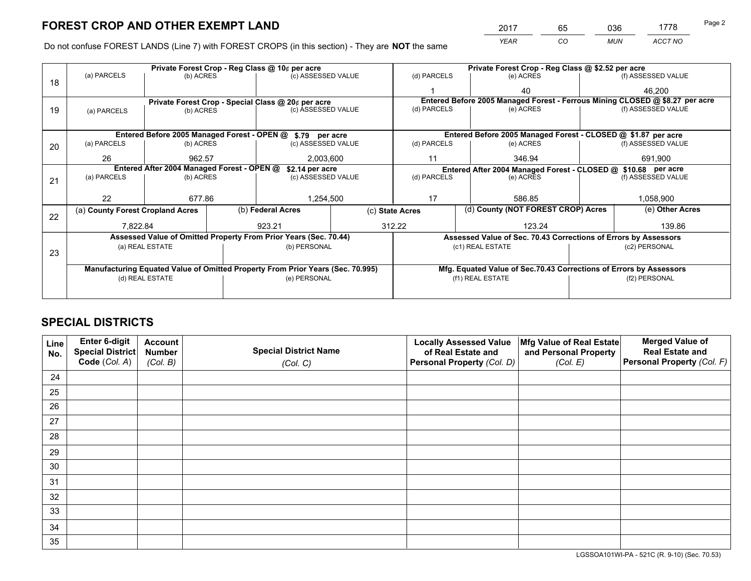*YEAR CO MUN ACCT NO* <sup>2017</sup> <sup>65</sup> <sup>036</sup> <sup>1778</sup> Page 2

Do not confuse FOREST LANDS (Line 7) with FOREST CROPS (in this section) - They are **NOT** the same

| Private Forest Crop - Reg Class @ 10¢ per acre |                                                                                |           |  |                                                            |                                                                              | Private Forest Crop - Reg Class @ \$2.52 per acre                  |                                                                 |               |                    |  |
|------------------------------------------------|--------------------------------------------------------------------------------|-----------|--|------------------------------------------------------------|------------------------------------------------------------------------------|--------------------------------------------------------------------|-----------------------------------------------------------------|---------------|--------------------|--|
| 18                                             | (a) PARCELS                                                                    | (b) ACRES |  | (c) ASSESSED VALUE                                         |                                                                              | (d) PARCELS                                                        | (e) ACRES                                                       |               | (f) ASSESSED VALUE |  |
|                                                |                                                                                |           |  |                                                            |                                                                              |                                                                    | 40                                                              |               | 46.200             |  |
|                                                | Private Forest Crop - Special Class @ 20¢ per acre                             |           |  |                                                            | Entered Before 2005 Managed Forest - Ferrous Mining CLOSED @ \$8.27 per acre |                                                                    |                                                                 |               |                    |  |
| 19                                             | (a) PARCELS                                                                    | (b) ACRES |  | (c) ASSESSED VALUE                                         |                                                                              | (d) PARCELS                                                        | (e) ACRES                                                       |               | (f) ASSESSED VALUE |  |
|                                                |                                                                                |           |  |                                                            |                                                                              |                                                                    |                                                                 |               |                    |  |
|                                                |                                                                                |           |  | Entered Before 2005 Managed Forest - OPEN @ \$.79 per acre |                                                                              |                                                                    | Entered Before 2005 Managed Forest - CLOSED @ \$1.87 per acre   |               |                    |  |
| 20                                             | (a) PARCELS                                                                    | (b) ACRES |  | (c) ASSESSED VALUE                                         |                                                                              | (d) PARCELS<br>(e) ACRES                                           |                                                                 |               | (f) ASSESSED VALUE |  |
|                                                | 26                                                                             | 962.57    |  | 2,003,600                                                  |                                                                              | 11                                                                 | 346.94                                                          |               | 691,900            |  |
|                                                | Entered After 2004 Managed Forest - OPEN @<br>\$2.14 per acre                  |           |  |                                                            |                                                                              | Entered After 2004 Managed Forest - CLOSED @ \$10.68 per acre      |                                                                 |               |                    |  |
| 21                                             | (a) PARCELS                                                                    | (b) ACRES |  | (c) ASSESSED VALUE                                         |                                                                              | (d) PARCELS<br>(e) ACRES                                           |                                                                 |               | (f) ASSESSED VALUE |  |
|                                                |                                                                                |           |  |                                                            |                                                                              |                                                                    |                                                                 |               |                    |  |
|                                                | 22                                                                             | 677.86    |  | 1,254,500                                                  |                                                                              | 17                                                                 | 586.85                                                          |               | 1,058,900          |  |
| 22                                             | (a) County Forest Cropland Acres                                               |           |  | (b) Federal Acres                                          |                                                                              | (c) State Acres                                                    | (d) County (NOT FOREST CROP) Acres                              |               | (e) Other Acres    |  |
|                                                | 7,822.84                                                                       |           |  | 923.21                                                     |                                                                              | 312.22<br>123.24                                                   |                                                                 | 139.86        |                    |  |
|                                                | Assessed Value of Omitted Property From Prior Years (Sec. 70.44)               |           |  |                                                            |                                                                              |                                                                    | Assessed Value of Sec. 70.43 Corrections of Errors by Assessors |               |                    |  |
|                                                | (a) REAL ESTATE                                                                |           |  | (b) PERSONAL                                               |                                                                              | (c1) REAL ESTATE                                                   |                                                                 | (c2) PERSONAL |                    |  |
| 23                                             |                                                                                |           |  |                                                            |                                                                              |                                                                    |                                                                 |               |                    |  |
|                                                | Manufacturing Equated Value of Omitted Property From Prior Years (Sec. 70.995) |           |  |                                                            |                                                                              | Mfg. Equated Value of Sec.70.43 Corrections of Errors by Assessors |                                                                 |               |                    |  |
|                                                | (e) PERSONAL<br>(d) REAL ESTATE                                                |           |  | (f1) REAL ESTATE                                           |                                                                              |                                                                    | (f2) PERSONAL                                                   |               |                    |  |
|                                                |                                                                                |           |  |                                                            |                                                                              |                                                                    |                                                                 |               |                    |  |

## **SPECIAL DISTRICTS**

| Line<br>No. | Enter 6-digit<br><b>Special District</b> | <b>Account</b><br><b>Number</b> | <b>Special District Name</b> | <b>Locally Assessed Value</b><br>of Real Estate and | Mfg Value of Real Estate<br>and Personal Property | <b>Merged Value of</b><br><b>Real Estate and</b> |
|-------------|------------------------------------------|---------------------------------|------------------------------|-----------------------------------------------------|---------------------------------------------------|--------------------------------------------------|
|             | Code (Col. A)                            | (Col. B)                        | (Col. C)                     | Personal Property (Col. D)                          | (Col. E)                                          | Personal Property (Col. F)                       |
| 24          |                                          |                                 |                              |                                                     |                                                   |                                                  |
| 25          |                                          |                                 |                              |                                                     |                                                   |                                                  |
| 26          |                                          |                                 |                              |                                                     |                                                   |                                                  |
| 27          |                                          |                                 |                              |                                                     |                                                   |                                                  |
| 28          |                                          |                                 |                              |                                                     |                                                   |                                                  |
| 29          |                                          |                                 |                              |                                                     |                                                   |                                                  |
| 30          |                                          |                                 |                              |                                                     |                                                   |                                                  |
| 31          |                                          |                                 |                              |                                                     |                                                   |                                                  |
| 32          |                                          |                                 |                              |                                                     |                                                   |                                                  |
| 33          |                                          |                                 |                              |                                                     |                                                   |                                                  |
| 34          |                                          |                                 |                              |                                                     |                                                   |                                                  |
| 35          |                                          |                                 |                              |                                                     |                                                   |                                                  |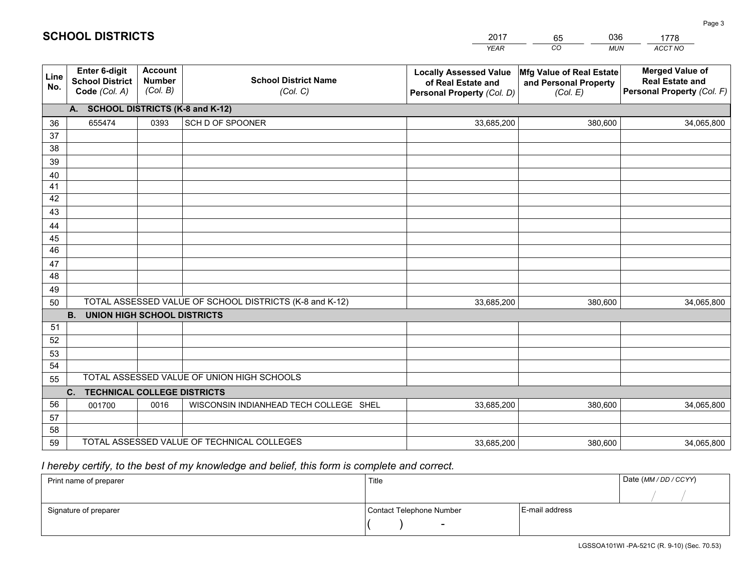|             |                                                                 |                                             |                                                         | <b>YEAR</b>                                                                       | CO<br><b>MUN</b>                                              | <b>ACCT NO</b>                                                                 |
|-------------|-----------------------------------------------------------------|---------------------------------------------|---------------------------------------------------------|-----------------------------------------------------------------------------------|---------------------------------------------------------------|--------------------------------------------------------------------------------|
| Line<br>No. | <b>Enter 6-digit</b><br><b>School District</b><br>Code (Col. A) | <b>Account</b><br><b>Number</b><br>(Col. B) | <b>School District Name</b><br>(Col. C)                 | <b>Locally Assessed Value</b><br>of Real Estate and<br>Personal Property (Col. D) | Mfg Value of Real Estate<br>and Personal Property<br>(Col. E) | <b>Merged Value of</b><br><b>Real Estate and</b><br>Personal Property (Col. F) |
|             | A. SCHOOL DISTRICTS (K-8 and K-12)                              |                                             |                                                         |                                                                                   |                                                               |                                                                                |
| 36          | 655474                                                          | 0393                                        | SCH D OF SPOONER                                        | 33,685,200                                                                        | 380,600                                                       | 34,065,800                                                                     |
| 37          |                                                                 |                                             |                                                         |                                                                                   |                                                               |                                                                                |
| 38          |                                                                 |                                             |                                                         |                                                                                   |                                                               |                                                                                |
| 39          |                                                                 |                                             |                                                         |                                                                                   |                                                               |                                                                                |
| 40          |                                                                 |                                             |                                                         |                                                                                   |                                                               |                                                                                |
| 41          |                                                                 |                                             |                                                         |                                                                                   |                                                               |                                                                                |
| 42          |                                                                 |                                             |                                                         |                                                                                   |                                                               |                                                                                |
| 43          |                                                                 |                                             |                                                         |                                                                                   |                                                               |                                                                                |
| 44<br>45    |                                                                 |                                             |                                                         |                                                                                   |                                                               |                                                                                |
| 46          |                                                                 |                                             |                                                         |                                                                                   |                                                               |                                                                                |
| 47          |                                                                 |                                             |                                                         |                                                                                   |                                                               |                                                                                |
| 48          |                                                                 |                                             |                                                         |                                                                                   |                                                               |                                                                                |
| 49          |                                                                 |                                             |                                                         |                                                                                   |                                                               |                                                                                |
| 50          |                                                                 |                                             | TOTAL ASSESSED VALUE OF SCHOOL DISTRICTS (K-8 and K-12) | 33,685,200                                                                        | 380,600                                                       | 34,065,800                                                                     |
|             | <b>B.</b><br><b>UNION HIGH SCHOOL DISTRICTS</b>                 |                                             |                                                         |                                                                                   |                                                               |                                                                                |
| 51          |                                                                 |                                             |                                                         |                                                                                   |                                                               |                                                                                |
| 52          |                                                                 |                                             |                                                         |                                                                                   |                                                               |                                                                                |
| 53          |                                                                 |                                             |                                                         |                                                                                   |                                                               |                                                                                |
| 54          |                                                                 |                                             |                                                         |                                                                                   |                                                               |                                                                                |
| 55          |                                                                 |                                             | TOTAL ASSESSED VALUE OF UNION HIGH SCHOOLS              |                                                                                   |                                                               |                                                                                |
|             | C.<br><b>TECHNICAL COLLEGE DISTRICTS</b>                        |                                             |                                                         |                                                                                   |                                                               |                                                                                |
| 56          | 001700                                                          | 0016                                        | WISCONSIN INDIANHEAD TECH COLLEGE SHEL                  | 33,685,200                                                                        | 380,600                                                       | 34,065,800                                                                     |
| 57          |                                                                 |                                             |                                                         |                                                                                   |                                                               |                                                                                |
| 58          |                                                                 |                                             | TOTAL ASSESSED VALUE OF TECHNICAL COLLEGES              |                                                                                   |                                                               |                                                                                |
| 59          |                                                                 |                                             |                                                         | 33,685,200                                                                        | 380,600                                                       | 34,065,800                                                                     |

65

036

## *I hereby certify, to the best of my knowledge and belief, this form is complete and correct.*

**SCHOOL DISTRICTS**

| Print name of preparer | Title                    |                | Date (MM / DD / CCYY) |
|------------------------|--------------------------|----------------|-----------------------|
|                        |                          |                |                       |
| Signature of preparer  | Contact Telephone Number | E-mail address |                       |
|                        | $\sim$                   |                |                       |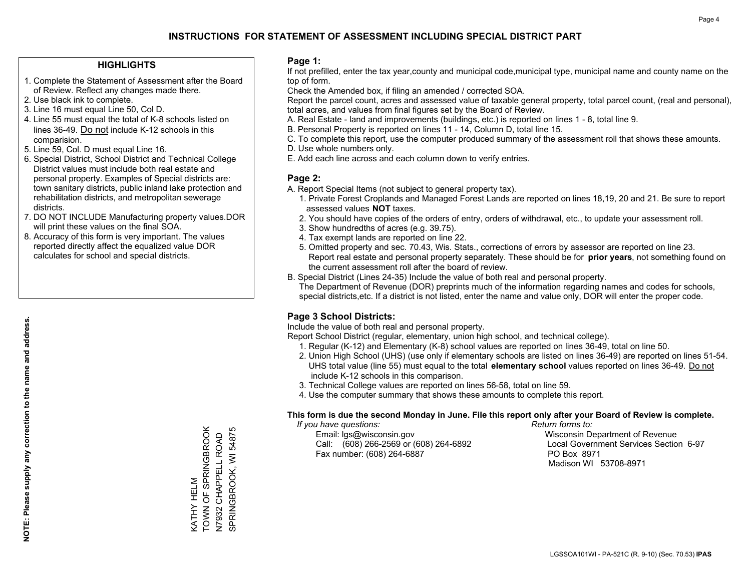#### **HIGHLIGHTS**

- 1. Complete the Statement of Assessment after the Board of Review. Reflect any changes made there.
- 2. Use black ink to complete.
- 3. Line 16 must equal Line 50, Col D.
- 4. Line 55 must equal the total of K-8 schools listed on lines 36-49. Do not include K-12 schools in this comparision.
- 5. Line 59, Col. D must equal Line 16.
- 6. Special District, School District and Technical College District values must include both real estate and personal property. Examples of Special districts are: town sanitary districts, public inland lake protection and rehabilitation districts, and metropolitan sewerage districts.
- 7. DO NOT INCLUDE Manufacturing property values.DOR will print these values on the final SOA.
- 8. Accuracy of this form is very important. The values reported directly affect the equalized value DOR calculates for school and special districts.

#### **Page 1:**

 If not prefilled, enter the tax year,county and municipal code,municipal type, municipal name and county name on the top of form.

Check the Amended box, if filing an amended / corrected SOA.

 Report the parcel count, acres and assessed value of taxable general property, total parcel count, (real and personal), total acres, and values from final figures set by the Board of Review.

- A. Real Estate land and improvements (buildings, etc.) is reported on lines 1 8, total line 9.
- B. Personal Property is reported on lines 11 14, Column D, total line 15.
- C. To complete this report, use the computer produced summary of the assessment roll that shows these amounts.
- D. Use whole numbers only.
- E. Add each line across and each column down to verify entries.

#### **Page 2:**

- A. Report Special Items (not subject to general property tax).
- 1. Private Forest Croplands and Managed Forest Lands are reported on lines 18,19, 20 and 21. Be sure to report assessed values **NOT** taxes.
- 2. You should have copies of the orders of entry, orders of withdrawal, etc., to update your assessment roll.
	- 3. Show hundredths of acres (e.g. 39.75).
- 4. Tax exempt lands are reported on line 22.
- 5. Omitted property and sec. 70.43, Wis. Stats., corrections of errors by assessor are reported on line 23. Report real estate and personal property separately. These should be for **prior years**, not something found on the current assessment roll after the board of review.
- B. Special District (Lines 24-35) Include the value of both real and personal property.

 The Department of Revenue (DOR) preprints much of the information regarding names and codes for schools, special districts,etc. If a district is not listed, enter the name and value only, DOR will enter the proper code.

## **Page 3 School Districts:**

Include the value of both real and personal property.

Report School District (regular, elementary, union high school, and technical college).

- 1. Regular (K-12) and Elementary (K-8) school values are reported on lines 36-49, total on line 50.
- 2. Union High School (UHS) (use only if elementary schools are listed on lines 36-49) are reported on lines 51-54. UHS total value (line 55) must equal to the total **elementary school** values reported on lines 36-49. Do notinclude K-12 schools in this comparison.
- 3. Technical College values are reported on lines 56-58, total on line 59.
- 4. Use the computer summary that shows these amounts to complete this report.

#### **This form is due the second Monday in June. File this report only after your Board of Review is complete.**

 *If you have questions: Return forms to:*

 Email: lgs@wisconsin.gov Wisconsin Department of RevenueCall:  $(608)$  266-2569 or  $(608)$  264-6892 Fax number: (608) 264-6887 PO Box 8971

Local Government Services Section 6-97 Madison WI 53708-8971

TOWN OF SPRINGBROOK KATHY HELM<br>TOWN OF SPRINGBROOK SPRINGBROOK, WI 54875 SPRINGBROOK, WI 54875 N7932 CHAPPELL ROAD<br>N7932 CHAPPELL ROAD N7932 CHAPPELL ROAD KATHY HELM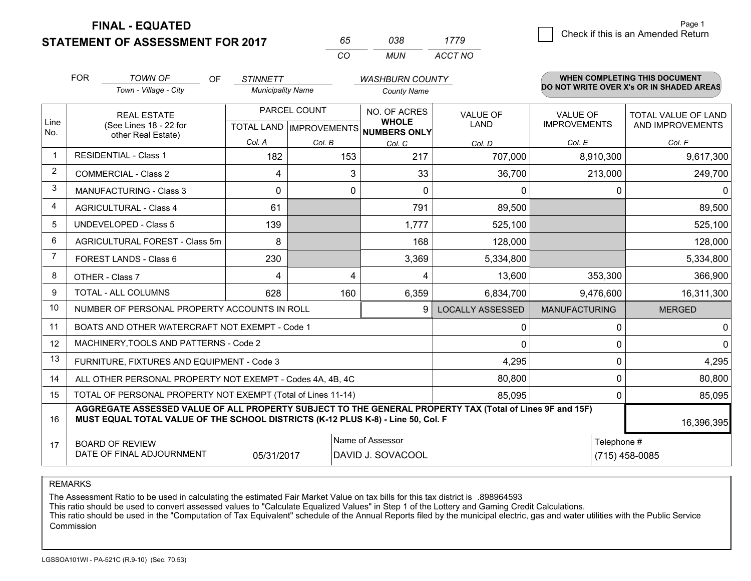**FINAL - EQUATED**

**STATEMENT OF ASSESSMENT FOR 2017** 

| ñh       | กวล | 1779    |
|----------|-----|---------|
| $\cdots$ | MUN | ACCT NO |

|                | <b>FOR</b>                                                             | <b>TOWN OF</b><br>OF                                                                                                                                                                         | <b>STINNETT</b>                           |        | <b>WASHBURN COUNTY</b>                       |                         |                                        | <b>WHEN COMPLETING THIS DOCUMENT</b>           |
|----------------|------------------------------------------------------------------------|----------------------------------------------------------------------------------------------------------------------------------------------------------------------------------------------|-------------------------------------------|--------|----------------------------------------------|-------------------------|----------------------------------------|------------------------------------------------|
|                |                                                                        | Town - Village - City                                                                                                                                                                        | <b>Municipality Name</b>                  |        | <b>County Name</b>                           |                         |                                        | DO NOT WRITE OVER X's OR IN SHADED AREAS       |
| Line<br>No.    |                                                                        | <b>REAL ESTATE</b><br>(See Lines 18 - 22 for                                                                                                                                                 | PARCEL COUNT<br>TOTAL LAND   IMPROVEMENTS |        | NO. OF ACRES<br><b>WHOLE</b><br>NUMBERS ONLY | VALUE OF<br><b>LAND</b> | <b>VALUE OF</b><br><b>IMPROVEMENTS</b> | <b>TOTAL VALUE OF LAND</b><br>AND IMPROVEMENTS |
|                |                                                                        | other Real Estate)                                                                                                                                                                           | Col. A                                    | Col. B | Col. C                                       | Col. D                  | Col. E                                 | Col. F                                         |
|                |                                                                        | <b>RESIDENTIAL - Class 1</b>                                                                                                                                                                 | 182                                       | 153    | 217                                          | 707,000                 | 8,910,300                              | 9,617,300                                      |
| 2              |                                                                        | <b>COMMERCIAL - Class 2</b>                                                                                                                                                                  | 4                                         | 3      | 33                                           | 36,700                  | 213,000                                | 249,700                                        |
| 3              |                                                                        | <b>MANUFACTURING - Class 3</b>                                                                                                                                                               | $\Omega$                                  | 0      | $\Omega$                                     | 0                       | 0                                      | $\Omega$                                       |
| 4              |                                                                        | <b>AGRICULTURAL - Class 4</b>                                                                                                                                                                | 61                                        |        | 791                                          | 89,500                  |                                        | 89,500                                         |
| 5              |                                                                        | <b>UNDEVELOPED - Class 5</b>                                                                                                                                                                 | 139                                       |        | 1,777                                        | 525,100                 |                                        | 525,100                                        |
| 6              |                                                                        | AGRICULTURAL FOREST - Class 5m                                                                                                                                                               | 8                                         |        | 168                                          | 128,000                 |                                        | 128,000                                        |
| $\overline{7}$ |                                                                        | FOREST LANDS - Class 6                                                                                                                                                                       | 230                                       |        | 3,369                                        | 5,334,800               |                                        | 5,334,800                                      |
| 8              |                                                                        | OTHER - Class 7                                                                                                                                                                              | 4                                         | 4      | 4                                            | 13,600                  | 353,300                                | 366,900                                        |
| 9              |                                                                        | <b>TOTAL - ALL COLUMNS</b>                                                                                                                                                                   | 628                                       | 160    | 6,359                                        | 6,834,700               | 9,476,600                              | 16,311,300                                     |
| 10             |                                                                        | NUMBER OF PERSONAL PROPERTY ACCOUNTS IN ROLL                                                                                                                                                 |                                           |        | 9                                            | <b>LOCALLY ASSESSED</b> | <b>MANUFACTURING</b>                   | <b>MERGED</b>                                  |
| 11             |                                                                        | BOATS AND OTHER WATERCRAFT NOT EXEMPT - Code 1                                                                                                                                               |                                           |        |                                              | 0                       | 0                                      | 0                                              |
| 12             |                                                                        | MACHINERY, TOOLS AND PATTERNS - Code 2                                                                                                                                                       |                                           |        |                                              | 0                       | 0                                      | $\Omega$                                       |
| 13             |                                                                        | FURNITURE, FIXTURES AND EQUIPMENT - Code 3                                                                                                                                                   |                                           |        |                                              | 4,295                   | 0                                      | 4,295                                          |
| 14             |                                                                        | ALL OTHER PERSONAL PROPERTY NOT EXEMPT - Codes 4A, 4B, 4C                                                                                                                                    |                                           |        |                                              | 80,800                  | 0                                      | 80,800                                         |
| 15             | TOTAL OF PERSONAL PROPERTY NOT EXEMPT (Total of Lines 11-14)<br>85,095 |                                                                                                                                                                                              |                                           |        |                                              |                         |                                        | 85,095                                         |
| 16             |                                                                        | AGGREGATE ASSESSED VALUE OF ALL PROPERTY SUBJECT TO THE GENERAL PROPERTY TAX (Total of Lines 9F and 15F)<br>MUST EQUAL TOTAL VALUE OF THE SCHOOL DISTRICTS (K-12 PLUS K-8) - Line 50, Col. F |                                           |        |                                              |                         |                                        | 16,396,395                                     |
| 17             |                                                                        | <b>BOARD OF REVIEW</b>                                                                                                                                                                       |                                           |        | Name of Assessor                             |                         | Telephone #                            |                                                |
|                |                                                                        | DATE OF FINAL ADJOURNMENT                                                                                                                                                                    | 05/31/2017                                |        | DAVID J. SOVACOOL                            |                         |                                        | $(715)$ 458-0085                               |

REMARKS

The Assessment Ratio to be used in calculating the estimated Fair Market Value on tax bills for this tax district is .898964593<br>This ratio should be used to convert assessed values to "Calculate Equalized Values" in Step 1 Commission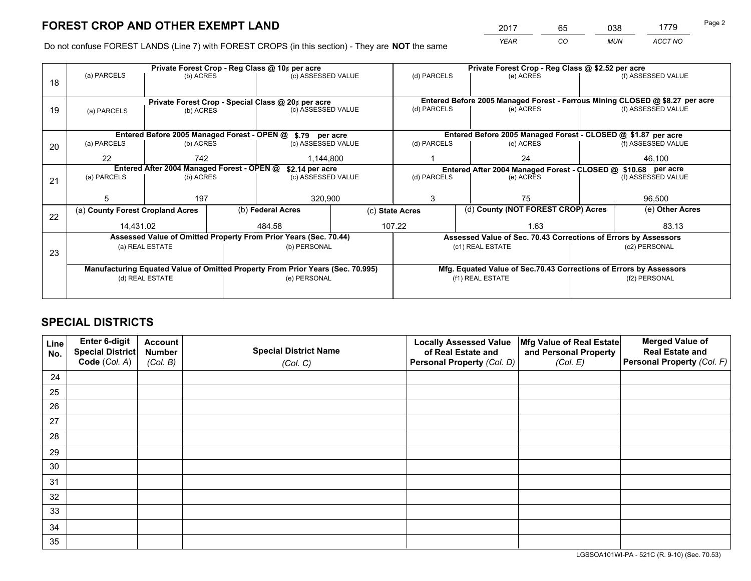*YEAR CO MUN ACCT NO* <sup>2017</sup> <sup>65</sup> <sup>038</sup> <sup>1779</sup> Page 2

Do not confuse FOREST LANDS (Line 7) with FOREST CROPS (in this section) - They are **NOT** the same

|    |                                                               |                 |  | Private Forest Crop - Reg Class @ 10¢ per acre                                 |                 | Private Forest Crop - Reg Class @ \$2.52 per acre |  |                                                                    |               |                                                                              |  |
|----|---------------------------------------------------------------|-----------------|--|--------------------------------------------------------------------------------|-----------------|---------------------------------------------------|--|--------------------------------------------------------------------|---------------|------------------------------------------------------------------------------|--|
| 18 | (a) PARCELS                                                   | (b) ACRES       |  | (c) ASSESSED VALUE                                                             |                 | (d) PARCELS                                       |  | (e) ACRES                                                          |               | (f) ASSESSED VALUE                                                           |  |
|    |                                                               |                 |  |                                                                                |                 |                                                   |  |                                                                    |               |                                                                              |  |
|    |                                                               |                 |  | Private Forest Crop - Special Class @ 20¢ per acre                             |                 |                                                   |  |                                                                    |               | Entered Before 2005 Managed Forest - Ferrous Mining CLOSED @ \$8.27 per acre |  |
| 19 | (a) PARCELS                                                   | (b) ACRES       |  | (c) ASSESSED VALUE                                                             |                 | (d) PARCELS                                       |  | (e) ACRES                                                          |               | (f) ASSESSED VALUE                                                           |  |
|    |                                                               |                 |  |                                                                                |                 |                                                   |  |                                                                    |               |                                                                              |  |
|    |                                                               |                 |  | Entered Before 2005 Managed Forest - OPEN @ \$.79 per acre                     |                 |                                                   |  | Entered Before 2005 Managed Forest - CLOSED @ \$1.87 per acre      |               |                                                                              |  |
| 20 | (a) PARCELS                                                   | (b) ACRES       |  | (c) ASSESSED VALUE                                                             |                 | (d) PARCELS                                       |  | (e) ACRES                                                          |               | (f) ASSESSED VALUE                                                           |  |
|    | 22                                                            | 742             |  | 1,144,800                                                                      |                 |                                                   |  | 24                                                                 |               | 46,100                                                                       |  |
|    | Entered After 2004 Managed Forest - OPEN @<br>\$2.14 per acre |                 |  |                                                                                |                 |                                                   |  | Entered After 2004 Managed Forest - CLOSED @ \$10.68 per acre      |               |                                                                              |  |
| 21 | (a) PARCELS                                                   | (b) ACRES       |  | (c) ASSESSED VALUE                                                             |                 | (d) PARCELS<br>(e) ACRES                          |  | (f) ASSESSED VALUE                                                 |               |                                                                              |  |
|    |                                                               |                 |  |                                                                                |                 |                                                   |  |                                                                    |               |                                                                              |  |
|    | 5                                                             | 197             |  | 320,900                                                                        |                 | 3                                                 |  | 75                                                                 |               | 96,500                                                                       |  |
| 22 | (a) County Forest Cropland Acres                              |                 |  | (b) Federal Acres                                                              | (c) State Acres |                                                   |  | (d) County (NOT FOREST CROP) Acres                                 |               | (e) Other Acres                                                              |  |
|    | 14,431.02                                                     |                 |  | 484.58                                                                         |                 | 107.22                                            |  | 1.63                                                               |               | 83.13                                                                        |  |
|    |                                                               |                 |  | Assessed Value of Omitted Property From Prior Years (Sec. 70.44)               |                 |                                                   |  | Assessed Value of Sec. 70.43 Corrections of Errors by Assessors    |               |                                                                              |  |
| 23 |                                                               | (a) REAL ESTATE |  | (b) PERSONAL                                                                   |                 |                                                   |  | (c1) REAL ESTATE                                                   |               | (c2) PERSONAL                                                                |  |
|    |                                                               |                 |  |                                                                                |                 |                                                   |  |                                                                    |               |                                                                              |  |
|    |                                                               |                 |  | Manufacturing Equated Value of Omitted Property From Prior Years (Sec. 70.995) |                 |                                                   |  | Mfg. Equated Value of Sec.70.43 Corrections of Errors by Assessors |               |                                                                              |  |
|    |                                                               | (d) REAL ESTATE |  | (e) PERSONAL                                                                   |                 | (f1) REAL ESTATE                                  |  |                                                                    | (f2) PERSONAL |                                                                              |  |
|    |                                                               |                 |  |                                                                                |                 |                                                   |  |                                                                    |               |                                                                              |  |

## **SPECIAL DISTRICTS**

| Line<br>No. | Enter 6-digit<br><b>Special District</b> | <b>Account</b><br><b>Number</b> | <b>Special District Name</b> | <b>Locally Assessed Value</b><br>of Real Estate and | Mfg Value of Real Estate<br>and Personal Property | <b>Merged Value of</b><br><b>Real Estate and</b> |
|-------------|------------------------------------------|---------------------------------|------------------------------|-----------------------------------------------------|---------------------------------------------------|--------------------------------------------------|
|             | Code (Col. A)                            | (Col. B)                        | (Col. C)                     | Personal Property (Col. D)                          | (Col. E)                                          | Personal Property (Col. F)                       |
| 24          |                                          |                                 |                              |                                                     |                                                   |                                                  |
| 25          |                                          |                                 |                              |                                                     |                                                   |                                                  |
| 26          |                                          |                                 |                              |                                                     |                                                   |                                                  |
| 27          |                                          |                                 |                              |                                                     |                                                   |                                                  |
| 28          |                                          |                                 |                              |                                                     |                                                   |                                                  |
| 29          |                                          |                                 |                              |                                                     |                                                   |                                                  |
| 30          |                                          |                                 |                              |                                                     |                                                   |                                                  |
| 31          |                                          |                                 |                              |                                                     |                                                   |                                                  |
| 32          |                                          |                                 |                              |                                                     |                                                   |                                                  |
| 33          |                                          |                                 |                              |                                                     |                                                   |                                                  |
| 34          |                                          |                                 |                              |                                                     |                                                   |                                                  |
| 35          |                                          |                                 |                              |                                                     |                                                   |                                                  |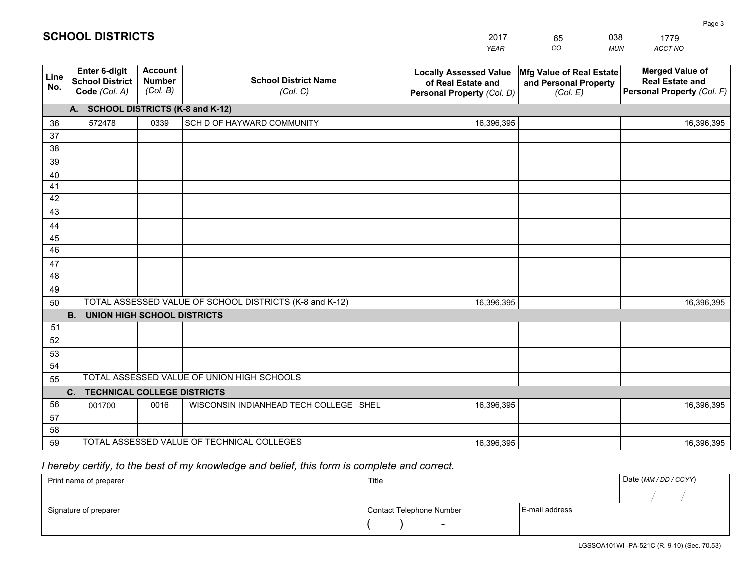|             |                                                          |                                             |                                                         | <b>YEAR</b>                                                                       | CO<br><b>MUN</b>                                              | ACCT NO                                                                        |
|-------------|----------------------------------------------------------|---------------------------------------------|---------------------------------------------------------|-----------------------------------------------------------------------------------|---------------------------------------------------------------|--------------------------------------------------------------------------------|
| Line<br>No. | Enter 6-digit<br><b>School District</b><br>Code (Col. A) | <b>Account</b><br><b>Number</b><br>(Col. B) | <b>School District Name</b><br>(Col. C)                 | <b>Locally Assessed Value</b><br>of Real Estate and<br>Personal Property (Col. D) | Mfg Value of Real Estate<br>and Personal Property<br>(Col. E) | <b>Merged Value of</b><br><b>Real Estate and</b><br>Personal Property (Col. F) |
|             | A. SCHOOL DISTRICTS (K-8 and K-12)                       |                                             |                                                         |                                                                                   |                                                               |                                                                                |
| 36          | 572478                                                   | 0339                                        | SCH D OF HAYWARD COMMUNITY                              | 16,396,395                                                                        |                                                               | 16,396,395                                                                     |
| 37          |                                                          |                                             |                                                         |                                                                                   |                                                               |                                                                                |
| 38          |                                                          |                                             |                                                         |                                                                                   |                                                               |                                                                                |
| 39          |                                                          |                                             |                                                         |                                                                                   |                                                               |                                                                                |
| 40          |                                                          |                                             |                                                         |                                                                                   |                                                               |                                                                                |
| 41          |                                                          |                                             |                                                         |                                                                                   |                                                               |                                                                                |
| 42          |                                                          |                                             |                                                         |                                                                                   |                                                               |                                                                                |
| 43          |                                                          |                                             |                                                         |                                                                                   |                                                               |                                                                                |
| 44          |                                                          |                                             |                                                         |                                                                                   |                                                               |                                                                                |
| 45<br>46    |                                                          |                                             |                                                         |                                                                                   |                                                               |                                                                                |
| 47          |                                                          |                                             |                                                         |                                                                                   |                                                               |                                                                                |
| 48          |                                                          |                                             |                                                         |                                                                                   |                                                               |                                                                                |
| 49          |                                                          |                                             |                                                         |                                                                                   |                                                               |                                                                                |
| 50          |                                                          |                                             | TOTAL ASSESSED VALUE OF SCHOOL DISTRICTS (K-8 and K-12) | 16,396,395                                                                        |                                                               | 16,396,395                                                                     |
|             | <b>B.</b><br><b>UNION HIGH SCHOOL DISTRICTS</b>          |                                             |                                                         |                                                                                   |                                                               |                                                                                |
| 51          |                                                          |                                             |                                                         |                                                                                   |                                                               |                                                                                |
| 52          |                                                          |                                             |                                                         |                                                                                   |                                                               |                                                                                |
| 53          |                                                          |                                             |                                                         |                                                                                   |                                                               |                                                                                |
| 54          |                                                          |                                             |                                                         |                                                                                   |                                                               |                                                                                |
| 55          |                                                          |                                             | TOTAL ASSESSED VALUE OF UNION HIGH SCHOOLS              |                                                                                   |                                                               |                                                                                |
|             | C. TECHNICAL COLLEGE DISTRICTS                           |                                             |                                                         |                                                                                   |                                                               |                                                                                |
| 56          | 001700                                                   | 0016                                        | WISCONSIN INDIANHEAD TECH COLLEGE SHEL                  | 16,396,395                                                                        |                                                               | 16,396,395                                                                     |
| 57          |                                                          |                                             |                                                         |                                                                                   |                                                               |                                                                                |
| 58          |                                                          |                                             |                                                         |                                                                                   |                                                               |                                                                                |
| 59          |                                                          |                                             | TOTAL ASSESSED VALUE OF TECHNICAL COLLEGES              | 16,396,395                                                                        |                                                               | 16,396,395                                                                     |

65

038

## *I hereby certify, to the best of my knowledge and belief, this form is complete and correct.*

**SCHOOL DISTRICTS**

| Print name of preparer | Title                    |                  | Date (MM / DD / CCYY) |
|------------------------|--------------------------|------------------|-----------------------|
|                        |                          |                  |                       |
| Signature of preparer  | Contact Telephone Number | l E-mail address |                       |
|                        | $\overline{\phantom{0}}$ |                  |                       |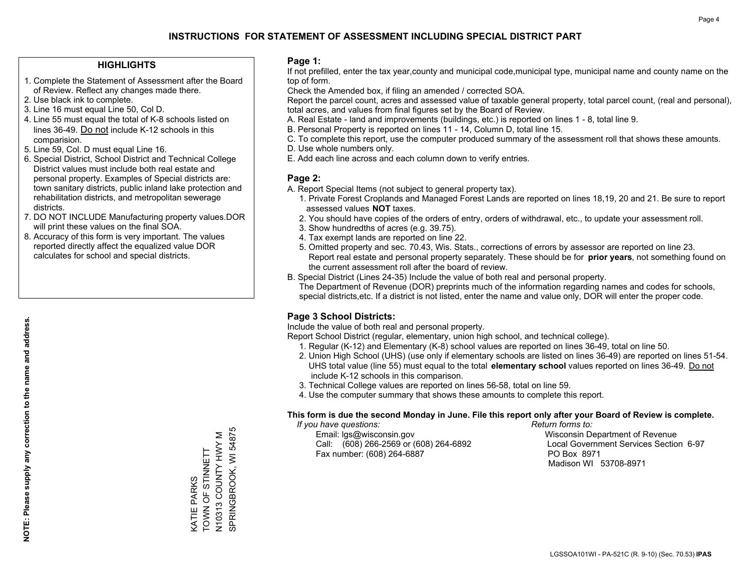## **HIGHLIGHTS**

- 1. Complete the Statement of Assessment after the Board of Review. Reflect any changes made there.
- 2. Use black ink to complete.
- 3. Line 16 must equal Line 50, Col D.
- 4. Line 55 must equal the total of K-8 schools listed on lines 36-49. Do not include K-12 schools in this comparision.
- 5. Line 59, Col. D must equal Line 16.
- 6. Special District, School District and Technical College District values must include both real estate and personal property. Examples of Special districts are: town sanitary districts, public inland lake protection and rehabilitation districts, and metropolitan sewerage districts.
- 7. DO NOT INCLUDE Manufacturing property values.DOR will print these values on the final SOA.
- 8. Accuracy of this form is very important. The values reported directly affect the equalized value DOR calculates for school and special districts.

#### **Page 1:**

 If not prefilled, enter the tax year,county and municipal code,municipal type, municipal name and county name on the top of form.

Check the Amended box, if filing an amended / corrected SOA.

 Report the parcel count, acres and assessed value of taxable general property, total parcel count, (real and personal), total acres, and values from final figures set by the Board of Review.

- A. Real Estate land and improvements (buildings, etc.) is reported on lines 1 8, total line 9.
- B. Personal Property is reported on lines 11 14, Column D, total line 15.
- C. To complete this report, use the computer produced summary of the assessment roll that shows these amounts.
- D. Use whole numbers only.
- E. Add each line across and each column down to verify entries.

## **Page 2:**

- A. Report Special Items (not subject to general property tax).
- 1. Private Forest Croplands and Managed Forest Lands are reported on lines 18,19, 20 and 21. Be sure to report assessed values **NOT** taxes.
- 2. You should have copies of the orders of entry, orders of withdrawal, etc., to update your assessment roll.
	- 3. Show hundredths of acres (e.g. 39.75).
- 4. Tax exempt lands are reported on line 22.
- 5. Omitted property and sec. 70.43, Wis. Stats., corrections of errors by assessor are reported on line 23. Report real estate and personal property separately. These should be for **prior years**, not something found on the current assessment roll after the board of review.
- B. Special District (Lines 24-35) Include the value of both real and personal property.
- The Department of Revenue (DOR) preprints much of the information regarding names and codes for schools, special districts,etc. If a district is not listed, enter the name and value only, DOR will enter the proper code.

## **Page 3 School Districts:**

Include the value of both real and personal property.

Report School District (regular, elementary, union high school, and technical college).

- 1. Regular (K-12) and Elementary (K-8) school values are reported on lines 36-49, total on line 50.
- 2. Union High School (UHS) (use only if elementary schools are listed on lines 36-49) are reported on lines 51-54. UHS total value (line 55) must equal to the total **elementary school** values reported on lines 36-49. Do notinclude K-12 schools in this comparison.
- 3. Technical College values are reported on lines 56-58, total on line 59.
- 4. Use the computer summary that shows these amounts to complete this report.

#### **This form is due the second Monday in June. File this report only after your Board of Review is complete.**

 *If you have questions: Return forms to:*

 Email: lgs@wisconsin.gov Wisconsin Department of RevenueCall:  $(608)$  266-2569 or  $(608)$  264-6892 Fax number: (608) 264-6887 PO Box 8971

Local Government Services Section 6-97 Madison WI 53708-8971

N10313 COUNTY HWY M<br>SPRINGBROOK, WI 54875 SPRINGBROOK, WI 54875 N10313 COUNTY HWY M TOWN OF STINNETT KATIE PARKS<br>TOWN OF STINNETT KATIE PARKS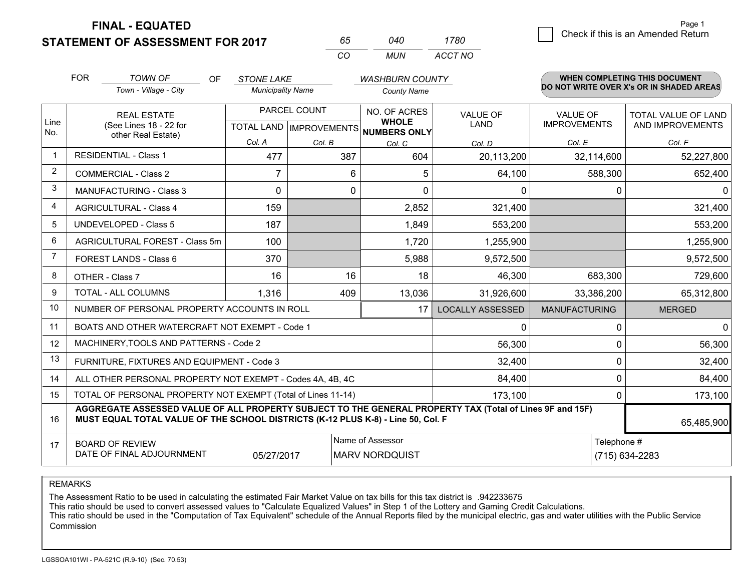**STATEMENT OF ASSESSMENT FOR 2017 FINAL - EQUATED**

| 65. | N4N | 1780    |
|-----|-----|---------|
| rη  | MUN | ACCT NO |

|             | <b>FOR</b>                                   | <b>TOWN OF</b><br>OF                                                                                                                                                                         | <b>STONE LAKE</b>        |                                                          | <b>WASHBURN COUNTY</b>                    |                                |                                        | WHEN COMPLETING THIS DOCUMENT                  |
|-------------|----------------------------------------------|----------------------------------------------------------------------------------------------------------------------------------------------------------------------------------------------|--------------------------|----------------------------------------------------------|-------------------------------------------|--------------------------------|----------------------------------------|------------------------------------------------|
|             |                                              | Town - Village - City                                                                                                                                                                        | <b>Municipality Name</b> |                                                          | <b>County Name</b>                        |                                |                                        | DO NOT WRITE OVER X's OR IN SHADED AREAS       |
| Line<br>No. | <b>REAL ESTATE</b><br>(See Lines 18 - 22 for |                                                                                                                                                                                              |                          | PARCEL COUNT<br>TOTAL LAND   IMPROVEMENTS   NUMBERS ONLY |                                           | <b>VALUE OF</b><br><b>LAND</b> | <b>VALUE OF</b><br><b>IMPROVEMENTS</b> | <b>TOTAL VALUE OF LAND</b><br>AND IMPROVEMENTS |
|             |                                              | other Real Estate)                                                                                                                                                                           | Col. A                   | Col. B                                                   | Col. C                                    | Col. D                         | Col. E                                 | Col. F                                         |
| -1          | <b>RESIDENTIAL - Class 1</b>                 |                                                                                                                                                                                              | 477                      | 387                                                      | 604                                       | 20,113,200                     | 32,114,600                             | 52,227,800                                     |
| 2           |                                              | <b>COMMERCIAL - Class 2</b>                                                                                                                                                                  | 7                        | 6                                                        | 5                                         | 64,100                         | 588,300                                | 652,400                                        |
| 3           |                                              | MANUFACTURING - Class 3                                                                                                                                                                      | $\Omega$                 | $\mathbf 0$                                              | $\Omega$                                  | 0                              | 0                                      | $\mathbf{0}$                                   |
| 4           |                                              | <b>AGRICULTURAL - Class 4</b>                                                                                                                                                                | 159                      |                                                          | 2,852                                     | 321,400                        |                                        | 321,400                                        |
| 5           |                                              | UNDEVELOPED - Class 5                                                                                                                                                                        | 187                      |                                                          | 1,849                                     | 553,200                        |                                        | 553,200                                        |
| 6           | AGRICULTURAL FOREST - Class 5m               |                                                                                                                                                                                              | 100                      |                                                          | 1,720                                     | 1,255,900                      |                                        | 1,255,900                                      |
| 7           | FOREST LANDS - Class 6                       |                                                                                                                                                                                              | 370                      |                                                          | 5,988                                     | 9,572,500                      |                                        | 9,572,500                                      |
| 8           |                                              | OTHER - Class 7                                                                                                                                                                              | 16                       | 16                                                       | 18                                        | 46,300                         | 683,300                                | 729,600                                        |
| 9           |                                              | TOTAL - ALL COLUMNS                                                                                                                                                                          | 1,316                    | 409                                                      | 13,036                                    | 31,926,600                     | 33,386,200                             | 65,312,800                                     |
| 10          |                                              | NUMBER OF PERSONAL PROPERTY ACCOUNTS IN ROLL                                                                                                                                                 |                          |                                                          | 17                                        | <b>LOCALLY ASSESSED</b>        | <b>MANUFACTURING</b>                   | <b>MERGED</b>                                  |
| 11          |                                              | BOATS AND OTHER WATERCRAFT NOT EXEMPT - Code 1                                                                                                                                               |                          |                                                          |                                           | 0                              | 0                                      | $\mathbf 0$                                    |
| 12          |                                              | MACHINERY, TOOLS AND PATTERNS - Code 2                                                                                                                                                       |                          |                                                          |                                           | 56,300                         | 0                                      | 56,300                                         |
| 13          |                                              | FURNITURE, FIXTURES AND EQUIPMENT - Code 3                                                                                                                                                   |                          |                                                          |                                           | 32,400                         | $\Omega$                               | 32,400                                         |
| 14          |                                              | ALL OTHER PERSONAL PROPERTY NOT EXEMPT - Codes 4A, 4B, 4C                                                                                                                                    |                          |                                                          |                                           | 84,400                         | 0                                      | 84,400                                         |
| 15          |                                              | TOTAL OF PERSONAL PROPERTY NOT EXEMPT (Total of Lines 11-14)                                                                                                                                 |                          |                                                          |                                           | 173,100                        | $\Omega$                               | 173,100                                        |
| 16          |                                              | AGGREGATE ASSESSED VALUE OF ALL PROPERTY SUBJECT TO THE GENERAL PROPERTY TAX (Total of Lines 9F and 15F)<br>MUST EQUAL TOTAL VALUE OF THE SCHOOL DISTRICTS (K-12 PLUS K-8) - Line 50, Col. F |                          |                                                          |                                           |                                |                                        | 65,485,900                                     |
| 17          |                                              | <b>BOARD OF REVIEW</b><br>DATE OF FINAL ADJOURNMENT                                                                                                                                          | 05/27/2017               |                                                          | Name of Assessor<br><b>MARV NORDQUIST</b> |                                | Telephone #<br>(715) 634-2283          |                                                |

REMARKS

The Assessment Ratio to be used in calculating the estimated Fair Market Value on tax bills for this tax district is .942233675

This ratio should be used to convert assessed values to "Calculate Equalized Values" in Step 1 of the Lottery and Gaming Credit Calculations.<br>This ratio should be used in the "Computation of Tax Equivalent" schedule of the Commission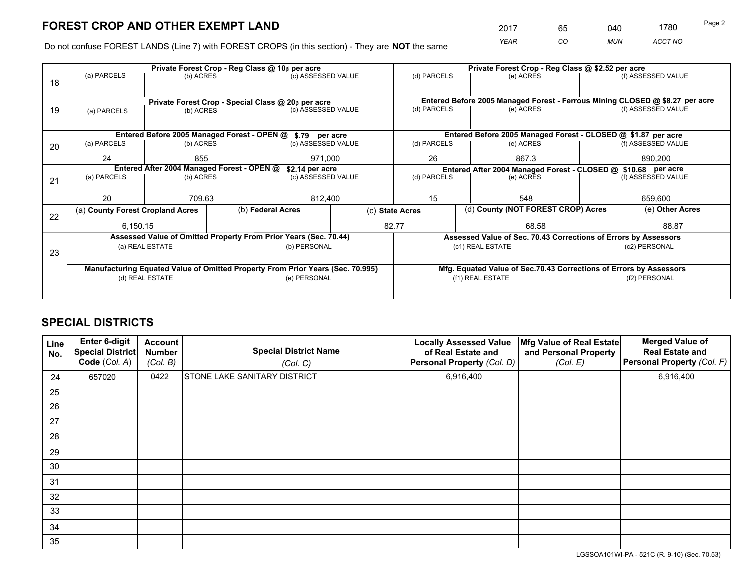*YEAR CO MUN ACCT NO* <sup>2017</sup> <sup>65</sup> <sup>040</sup> <sup>1780</sup>

Do not confuse FOREST LANDS (Line 7) with FOREST CROPS (in this section) - They are **NOT** the same

|    |                                                               |                 |  | Private Forest Crop - Reg Class @ 10¢ per acre                                 |       | Private Forest Crop - Reg Class @ \$2.52 per acre |                  |                                                                    |               |                                                                              |  |
|----|---------------------------------------------------------------|-----------------|--|--------------------------------------------------------------------------------|-------|---------------------------------------------------|------------------|--------------------------------------------------------------------|---------------|------------------------------------------------------------------------------|--|
| 18 | (a) PARCELS                                                   | (b) ACRES       |  | (c) ASSESSED VALUE                                                             |       | (d) PARCELS                                       |                  | (e) ACRES                                                          |               | (f) ASSESSED VALUE                                                           |  |
|    |                                                               |                 |  |                                                                                |       |                                                   |                  |                                                                    |               |                                                                              |  |
|    |                                                               |                 |  | Private Forest Crop - Special Class @ 20¢ per acre                             |       |                                                   |                  |                                                                    |               | Entered Before 2005 Managed Forest - Ferrous Mining CLOSED @ \$8.27 per acre |  |
| 19 | (a) PARCELS                                                   | (b) ACRES       |  | (c) ASSESSED VALUE                                                             |       | (d) PARCELS                                       |                  | (e) ACRES                                                          |               | (f) ASSESSED VALUE                                                           |  |
|    |                                                               |                 |  |                                                                                |       |                                                   |                  |                                                                    |               |                                                                              |  |
|    |                                                               |                 |  | Entered Before 2005 Managed Forest - OPEN @ \$.79 per acre                     |       |                                                   |                  | Entered Before 2005 Managed Forest - CLOSED @ \$1.87 per acre      |               |                                                                              |  |
| 20 | (a) PARCELS                                                   | (b) ACRES       |  | (c) ASSESSED VALUE                                                             |       | (d) PARCELS                                       |                  | (e) ACRES                                                          |               | (f) ASSESSED VALUE                                                           |  |
|    | 24                                                            | 855             |  | 971,000                                                                        |       | 26                                                | 867.3            |                                                                    |               | 890,200                                                                      |  |
|    | Entered After 2004 Managed Forest - OPEN @<br>\$2.14 per acre |                 |  |                                                                                |       |                                                   |                  | Entered After 2004 Managed Forest - CLOSED @ \$10.68 per acre      |               |                                                                              |  |
| 21 | (a) PARCELS                                                   | (b) ACRES       |  | (c) ASSESSED VALUE                                                             |       | (d) PARCELS                                       |                  | (e) ACRES                                                          |               | (f) ASSESSED VALUE                                                           |  |
|    |                                                               |                 |  |                                                                                |       |                                                   |                  |                                                                    |               |                                                                              |  |
|    | 20                                                            | 709.63          |  | 812,400                                                                        |       | 15                                                |                  | 548                                                                |               | 659,600                                                                      |  |
| 22 | (a) County Forest Cropland Acres                              |                 |  | (b) Federal Acres                                                              |       | (c) State Acres                                   |                  | (d) County (NOT FOREST CROP) Acres                                 |               | (e) Other Acres                                                              |  |
|    | 6,150.15                                                      |                 |  |                                                                                | 82.77 |                                                   |                  | 68.58                                                              |               | 88.87                                                                        |  |
|    |                                                               |                 |  | Assessed Value of Omitted Property From Prior Years (Sec. 70.44)               |       |                                                   |                  | Assessed Value of Sec. 70.43 Corrections of Errors by Assessors    |               |                                                                              |  |
|    | (a) REAL ESTATE                                               |                 |  | (b) PERSONAL                                                                   |       |                                                   | (c1) REAL ESTATE |                                                                    |               | (c2) PERSONAL                                                                |  |
| 23 |                                                               |                 |  |                                                                                |       |                                                   |                  |                                                                    |               |                                                                              |  |
|    |                                                               |                 |  | Manufacturing Equated Value of Omitted Property From Prior Years (Sec. 70.995) |       |                                                   |                  | Mfg. Equated Value of Sec.70.43 Corrections of Errors by Assessors |               |                                                                              |  |
|    |                                                               | (d) REAL ESTATE |  | (e) PERSONAL                                                                   |       | (f1) REAL ESTATE                                  |                  |                                                                    | (f2) PERSONAL |                                                                              |  |
|    |                                                               |                 |  |                                                                                |       |                                                   |                  |                                                                    |               |                                                                              |  |

## **SPECIAL DISTRICTS**

| <b>Line</b><br>No. | Enter 6-digit<br><b>Special District</b><br>Code (Col. A) | <b>Account</b><br><b>Number</b><br>(Col. B) | <b>Special District Name</b><br>(Col. C) | <b>Locally Assessed Value</b><br>of Real Estate and<br>Personal Property (Col. D) | Mfg Value of Real Estate<br>and Personal Property<br>(Col. E) | <b>Merged Value of</b><br><b>Real Estate and</b><br>Personal Property (Col. F) |
|--------------------|-----------------------------------------------------------|---------------------------------------------|------------------------------------------|-----------------------------------------------------------------------------------|---------------------------------------------------------------|--------------------------------------------------------------------------------|
| 24                 | 657020                                                    | 0422                                        | <b>STONE LAKE SANITARY DISTRICT</b>      | 6,916,400                                                                         |                                                               | 6,916,400                                                                      |
| 25                 |                                                           |                                             |                                          |                                                                                   |                                                               |                                                                                |
| 26                 |                                                           |                                             |                                          |                                                                                   |                                                               |                                                                                |
| 27                 |                                                           |                                             |                                          |                                                                                   |                                                               |                                                                                |
| 28                 |                                                           |                                             |                                          |                                                                                   |                                                               |                                                                                |
| 29                 |                                                           |                                             |                                          |                                                                                   |                                                               |                                                                                |
| 30                 |                                                           |                                             |                                          |                                                                                   |                                                               |                                                                                |
| 31                 |                                                           |                                             |                                          |                                                                                   |                                                               |                                                                                |
| 32                 |                                                           |                                             |                                          |                                                                                   |                                                               |                                                                                |
| 33                 |                                                           |                                             |                                          |                                                                                   |                                                               |                                                                                |
| 34                 |                                                           |                                             |                                          |                                                                                   |                                                               |                                                                                |
| 35                 |                                                           |                                             |                                          |                                                                                   |                                                               |                                                                                |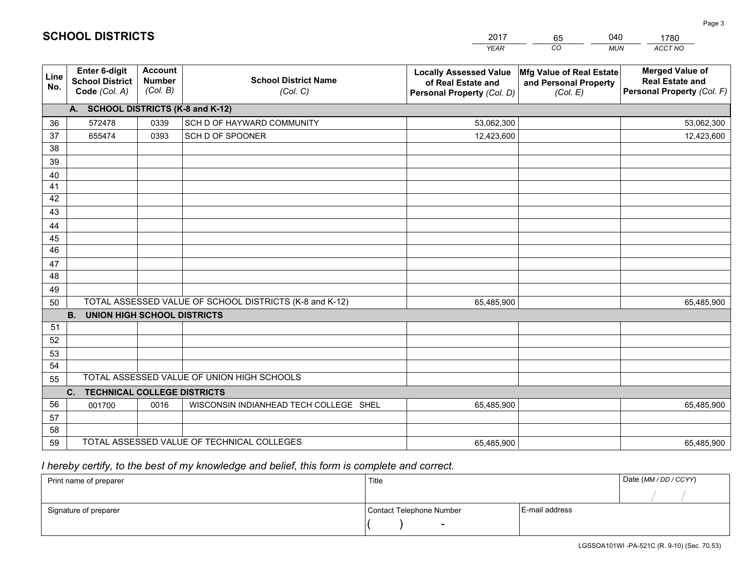|                       |                                                                 |                                             |                                                         | <b>YEAR</b>                                                                       | CO<br><b>MUN</b>                                              | ACCT NO                                                                        |
|-----------------------|-----------------------------------------------------------------|---------------------------------------------|---------------------------------------------------------|-----------------------------------------------------------------------------------|---------------------------------------------------------------|--------------------------------------------------------------------------------|
| Line<br>No.           | <b>Enter 6-digit</b><br><b>School District</b><br>Code (Col. A) | <b>Account</b><br><b>Number</b><br>(Col. B) | <b>School District Name</b><br>(Col. C)                 | <b>Locally Assessed Value</b><br>of Real Estate and<br>Personal Property (Col. D) | Mfg Value of Real Estate<br>and Personal Property<br>(Col. E) | <b>Merged Value of</b><br><b>Real Estate and</b><br>Personal Property (Col. F) |
|                       | A. SCHOOL DISTRICTS (K-8 and K-12)                              |                                             |                                                         |                                                                                   |                                                               |                                                                                |
| 36                    | 572478                                                          | 0339                                        | SCH D OF HAYWARD COMMUNITY                              | 53,062,300                                                                        |                                                               | 53,062,300                                                                     |
| 37                    | 655474                                                          | 0393                                        | SCH D OF SPOONER                                        | 12,423,600                                                                        |                                                               | 12,423,600                                                                     |
| 38                    |                                                                 |                                             |                                                         |                                                                                   |                                                               |                                                                                |
| 39                    |                                                                 |                                             |                                                         |                                                                                   |                                                               |                                                                                |
| 40                    |                                                                 |                                             |                                                         |                                                                                   |                                                               |                                                                                |
| 41                    |                                                                 |                                             |                                                         |                                                                                   |                                                               |                                                                                |
| 42                    |                                                                 |                                             |                                                         |                                                                                   |                                                               |                                                                                |
| 43                    |                                                                 |                                             |                                                         |                                                                                   |                                                               |                                                                                |
| 44                    |                                                                 |                                             |                                                         |                                                                                   |                                                               |                                                                                |
| 45<br>$\overline{46}$ |                                                                 |                                             |                                                         |                                                                                   |                                                               |                                                                                |
| 47                    |                                                                 |                                             |                                                         |                                                                                   |                                                               |                                                                                |
| 48                    |                                                                 |                                             |                                                         |                                                                                   |                                                               |                                                                                |
| 49                    |                                                                 |                                             |                                                         |                                                                                   |                                                               |                                                                                |
| 50                    |                                                                 |                                             | TOTAL ASSESSED VALUE OF SCHOOL DISTRICTS (K-8 and K-12) | 65,485,900                                                                        |                                                               | 65,485,900                                                                     |
|                       | <b>B.</b><br><b>UNION HIGH SCHOOL DISTRICTS</b>                 |                                             |                                                         |                                                                                   |                                                               |                                                                                |
| 51                    |                                                                 |                                             |                                                         |                                                                                   |                                                               |                                                                                |
| 52                    |                                                                 |                                             |                                                         |                                                                                   |                                                               |                                                                                |
| 53                    |                                                                 |                                             |                                                         |                                                                                   |                                                               |                                                                                |
| 54                    |                                                                 |                                             |                                                         |                                                                                   |                                                               |                                                                                |
| 55                    |                                                                 |                                             | TOTAL ASSESSED VALUE OF UNION HIGH SCHOOLS              |                                                                                   |                                                               |                                                                                |
|                       | C.<br><b>TECHNICAL COLLEGE DISTRICTS</b>                        |                                             |                                                         |                                                                                   |                                                               |                                                                                |
| 56                    | 001700                                                          | 0016                                        | WISCONSIN INDIANHEAD TECH COLLEGE SHEL                  | 65,485,900                                                                        |                                                               | 65,485,900                                                                     |
| 57                    |                                                                 |                                             |                                                         |                                                                                   |                                                               |                                                                                |
| 58                    |                                                                 |                                             |                                                         |                                                                                   |                                                               |                                                                                |
| 59                    |                                                                 |                                             | TOTAL ASSESSED VALUE OF TECHNICAL COLLEGES              | 65,485,900                                                                        |                                                               | 65,485,900                                                                     |

65

040

 *I hereby certify, to the best of my knowledge and belief, this form is complete and correct.*

**SCHOOL DISTRICTS**

| Print name of preparer | Title                    |                | Date (MM / DD / CCYY) |
|------------------------|--------------------------|----------------|-----------------------|
|                        |                          |                |                       |
| Signature of preparer  | Contact Telephone Number | E-mail address |                       |
|                        | $\sim$                   |                |                       |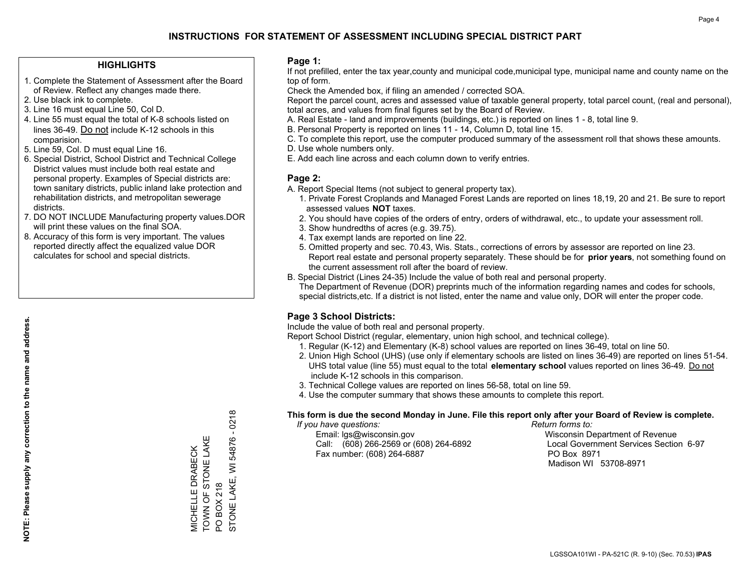## **HIGHLIGHTS**

- 1. Complete the Statement of Assessment after the Board of Review. Reflect any changes made there.
- 2. Use black ink to complete.
- 3. Line 16 must equal Line 50, Col D.
- 4. Line 55 must equal the total of K-8 schools listed on lines 36-49. Do not include K-12 schools in this comparision.
- 5. Line 59, Col. D must equal Line 16.
- 6. Special District, School District and Technical College District values must include both real estate and personal property. Examples of Special districts are: town sanitary districts, public inland lake protection and rehabilitation districts, and metropolitan sewerage districts.
- 7. DO NOT INCLUDE Manufacturing property values.DOR will print these values on the final SOA.
- 8. Accuracy of this form is very important. The values reported directly affect the equalized value DOR calculates for school and special districts.

#### **Page 1:**

 If not prefilled, enter the tax year,county and municipal code,municipal type, municipal name and county name on the top of form.

Check the Amended box, if filing an amended / corrected SOA.

 Report the parcel count, acres and assessed value of taxable general property, total parcel count, (real and personal), total acres, and values from final figures set by the Board of Review.

- A. Real Estate land and improvements (buildings, etc.) is reported on lines 1 8, total line 9.
- B. Personal Property is reported on lines 11 14, Column D, total line 15.
- C. To complete this report, use the computer produced summary of the assessment roll that shows these amounts.
- D. Use whole numbers only.
- E. Add each line across and each column down to verify entries.

## **Page 2:**

- A. Report Special Items (not subject to general property tax).
- 1. Private Forest Croplands and Managed Forest Lands are reported on lines 18,19, 20 and 21. Be sure to report assessed values **NOT** taxes.
- 2. You should have copies of the orders of entry, orders of withdrawal, etc., to update your assessment roll.
	- 3. Show hundredths of acres (e.g. 39.75).
- 4. Tax exempt lands are reported on line 22.
- 5. Omitted property and sec. 70.43, Wis. Stats., corrections of errors by assessor are reported on line 23. Report real estate and personal property separately. These should be for **prior years**, not something found on the current assessment roll after the board of review.
- B. Special District (Lines 24-35) Include the value of both real and personal property.

 The Department of Revenue (DOR) preprints much of the information regarding names and codes for schools, special districts,etc. If a district is not listed, enter the name and value only, DOR will enter the proper code.

## **Page 3 School Districts:**

Include the value of both real and personal property.

Report School District (regular, elementary, union high school, and technical college).

- 1. Regular (K-12) and Elementary (K-8) school values are reported on lines 36-49, total on line 50.
- 2. Union High School (UHS) (use only if elementary schools are listed on lines 36-49) are reported on lines 51-54. UHS total value (line 55) must equal to the total **elementary school** values reported on lines 36-49. Do notinclude K-12 schools in this comparison.
- 3. Technical College values are reported on lines 56-58, total on line 59.
- 4. Use the computer summary that shows these amounts to complete this report.

#### **This form is due the second Monday in June. File this report only after your Board of Review is complete.**

 *If you have questions: Return forms to:*

 Email: lgs@wisconsin.gov Wisconsin Department of RevenueCall:  $(608)$  266-2569 or  $(608)$  264-6892 Fax number: (608) 264-6887 PO Box 8971

Local Government Services Section 6-97 Madison WI 53708-8971

STONE LAKE, WI 54876 - 0218 STONE LAKE, WI 54876 - 0218 TOWN OF STONE LAKE Щ TOWN OF STONE LAK **MICHELLE DRABECK** MICHELLE DRABECK PO BOX 218 PO BOX 218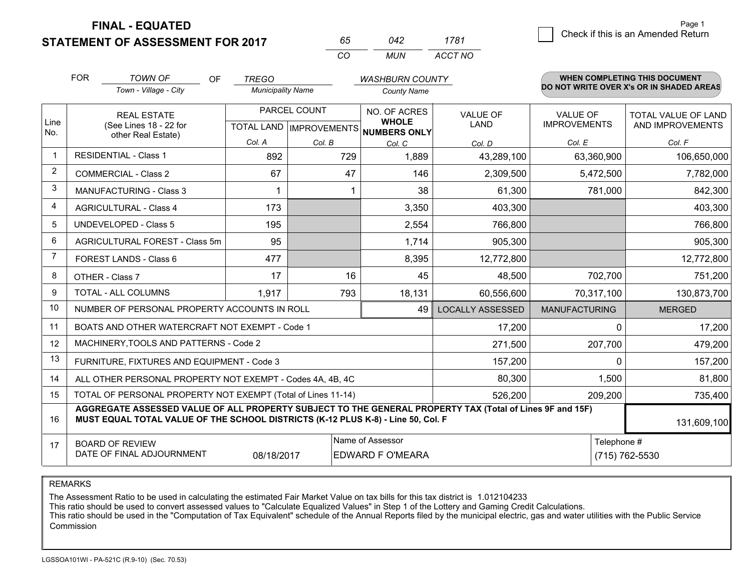**FINAL - EQUATED**

**STATEMENT OF ASSESSMENT FOR 2017** 

| ñh       | 242   | 1781    |
|----------|-------|---------|
| $\cdots$ | MI IN | ACCT NO |

|                | <b>FOR</b>                                                                         | <b>TOWN OF</b><br><b>OF</b>                                                                                                                                                                  | <b>TREGO</b>                              |        | <b>WASHBURN COUNTY</b>                       |                         |                                        | <b>WHEN COMPLETING THIS DOCUMENT</b>     |
|----------------|------------------------------------------------------------------------------------|----------------------------------------------------------------------------------------------------------------------------------------------------------------------------------------------|-------------------------------------------|--------|----------------------------------------------|-------------------------|----------------------------------------|------------------------------------------|
|                |                                                                                    | Town - Village - City                                                                                                                                                                        | <b>Municipality Name</b>                  |        | <b>County Name</b>                           |                         |                                        | DO NOT WRITE OVER X's OR IN SHADED AREAS |
| Line<br>No.    |                                                                                    | <b>REAL ESTATE</b><br>(See Lines 18 - 22 for                                                                                                                                                 | PARCEL COUNT<br>TOTAL LAND   IMPROVEMENTS |        | NO. OF ACRES<br><b>WHOLE</b><br>NUMBERS ONLY | VALUE OF<br><b>LAND</b> | <b>VALUE OF</b><br><b>IMPROVEMENTS</b> | TOTAL VALUE OF LAND<br>AND IMPROVEMENTS  |
|                | other Real Estate)                                                                 |                                                                                                                                                                                              | Col. A                                    | Col. B | Col. C                                       | Col. D                  | Col. E                                 | Col. F                                   |
| $\mathbf{1}$   |                                                                                    | <b>RESIDENTIAL - Class 1</b>                                                                                                                                                                 | 892                                       | 729    | 1,889                                        | 43,289,100              | 63,360,900                             | 106,650,000                              |
| 2              |                                                                                    | <b>COMMERCIAL - Class 2</b>                                                                                                                                                                  | 67                                        | 47     | 146                                          | 2,309,500               | 5,472,500                              | 7,782,000                                |
| 3              |                                                                                    | <b>MANUFACTURING - Class 3</b>                                                                                                                                                               |                                           |        | 38                                           | 61,300                  | 781,000                                | 842,300                                  |
| 4              |                                                                                    | <b>AGRICULTURAL - Class 4</b>                                                                                                                                                                | 173                                       |        | 3,350                                        | 403,300                 |                                        | 403,300                                  |
| 5              |                                                                                    | <b>UNDEVELOPED - Class 5</b>                                                                                                                                                                 | 195                                       |        | 2,554                                        | 766,800                 |                                        | 766,800                                  |
| 6              |                                                                                    | AGRICULTURAL FOREST - Class 5m                                                                                                                                                               | 95                                        |        | 1,714                                        | 905,300                 |                                        | 905,300                                  |
| $\overline{7}$ |                                                                                    | FOREST LANDS - Class 6                                                                                                                                                                       | 477                                       |        | 8,395                                        | 12,772,800              |                                        | 12,772,800                               |
| 8              |                                                                                    | OTHER - Class 7                                                                                                                                                                              | 17                                        | 16     | 45                                           | 48,500                  | 702,700                                | 751,200                                  |
| 9              |                                                                                    | TOTAL - ALL COLUMNS                                                                                                                                                                          | 1,917                                     | 793    | 18,131                                       | 60,556,600              | 70,317,100                             | 130,873,700                              |
| 10             |                                                                                    | NUMBER OF PERSONAL PROPERTY ACCOUNTS IN ROLL                                                                                                                                                 |                                           |        | 49                                           | <b>LOCALLY ASSESSED</b> | <b>MANUFACTURING</b>                   | <b>MERGED</b>                            |
| 11             |                                                                                    | BOATS AND OTHER WATERCRAFT NOT EXEMPT - Code 1                                                                                                                                               |                                           |        |                                              | 17,200                  | $\Omega$                               | 17,200                                   |
| 12             |                                                                                    | MACHINERY, TOOLS AND PATTERNS - Code 2                                                                                                                                                       |                                           |        |                                              | 271,500                 | 207,700                                | 479,200                                  |
| 13             |                                                                                    | FURNITURE, FIXTURES AND EQUIPMENT - Code 3                                                                                                                                                   |                                           |        |                                              | 157,200                 | $\Omega$                               | 157,200                                  |
| 14             |                                                                                    | ALL OTHER PERSONAL PROPERTY NOT EXEMPT - Codes 4A, 4B, 4C                                                                                                                                    |                                           |        |                                              | 80,300                  | 1,500                                  | 81,800                                   |
| 15             | TOTAL OF PERSONAL PROPERTY NOT EXEMPT (Total of Lines 11-14)<br>526,200<br>209,200 |                                                                                                                                                                                              |                                           |        |                                              |                         |                                        | 735,400                                  |
| 16             |                                                                                    | AGGREGATE ASSESSED VALUE OF ALL PROPERTY SUBJECT TO THE GENERAL PROPERTY TAX (Total of Lines 9F and 15F)<br>MUST EQUAL TOTAL VALUE OF THE SCHOOL DISTRICTS (K-12 PLUS K-8) - Line 50, Col. F |                                           |        |                                              |                         |                                        | 131,609,100                              |
| 17             |                                                                                    | <b>BOARD OF REVIEW</b><br>DATE OF FINAL ADJOURNMENT                                                                                                                                          | 08/18/2017                                |        | Name of Assessor<br><b>EDWARD F O'MEARA</b>  |                         | Telephone #                            | (715) 762-5530                           |

REMARKS

The Assessment Ratio to be used in calculating the estimated Fair Market Value on tax bills for this tax district is 1.012104233<br>This ratio should be used to convert assessed values to "Calculate Equalized Values" in Step Commission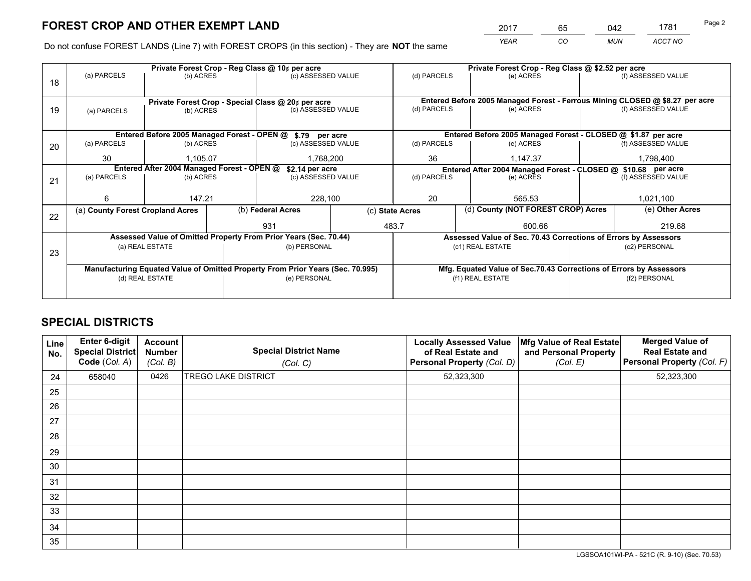*YEAR CO MUN ACCT NO* <sup>2017</sup> <sup>65</sup> <sup>042</sup> <sup>1781</sup>

Do not confuse FOREST LANDS (Line 7) with FOREST CROPS (in this section) - They are **NOT** the same

|    | Private Forest Crop - Reg Class @ 10¢ per acre                                 |                 |  |                                                                              |  |                                                               | Private Forest Crop - Reg Class @ \$2.52 per acre                  |                    |                    |  |
|----|--------------------------------------------------------------------------------|-----------------|--|------------------------------------------------------------------------------|--|---------------------------------------------------------------|--------------------------------------------------------------------|--------------------|--------------------|--|
| 18 | (a) PARCELS                                                                    | (b) ACRES       |  | (c) ASSESSED VALUE                                                           |  | (d) PARCELS                                                   | (e) ACRES                                                          |                    | (f) ASSESSED VALUE |  |
|    |                                                                                |                 |  |                                                                              |  |                                                               |                                                                    |                    |                    |  |
|    | Private Forest Crop - Special Class @ 20¢ per acre                             |                 |  | Entered Before 2005 Managed Forest - Ferrous Mining CLOSED @ \$8.27 per acre |  |                                                               |                                                                    |                    |                    |  |
| 19 | (a) PARCELS                                                                    | (b) ACRES       |  | (c) ASSESSED VALUE                                                           |  | (d) PARCELS                                                   | (e) ACRES                                                          |                    | (f) ASSESSED VALUE |  |
|    |                                                                                |                 |  |                                                                              |  |                                                               |                                                                    |                    |                    |  |
|    |                                                                                |                 |  | Entered Before 2005 Managed Forest - OPEN @ \$.79 per acre                   |  |                                                               | Entered Before 2005 Managed Forest - CLOSED @ \$1.87 per acre      |                    |                    |  |
| 20 | (a) PARCELS                                                                    | (b) ACRES       |  | (c) ASSESSED VALUE                                                           |  | (d) PARCELS                                                   | (e) ACRES                                                          |                    | (f) ASSESSED VALUE |  |
|    | 30                                                                             | 1.105.07        |  | 1.768.200                                                                    |  | 36                                                            | 1.147.37                                                           |                    | 1,798,400          |  |
|    | Entered After 2004 Managed Forest - OPEN @<br>\$2.14 per acre                  |                 |  |                                                                              |  | Entered After 2004 Managed Forest - CLOSED @ \$10.68 per acre |                                                                    |                    |                    |  |
| 21 | (a) PARCELS                                                                    | (b) ACRES       |  | (c) ASSESSED VALUE                                                           |  | (d) PARCELS<br>(e) ACRES                                      |                                                                    | (f) ASSESSED VALUE |                    |  |
|    |                                                                                |                 |  |                                                                              |  |                                                               |                                                                    |                    |                    |  |
|    | 6                                                                              | 147.21          |  | 228,100                                                                      |  | 20<br>565.53                                                  |                                                                    |                    | 1,021,100          |  |
| 22 | (a) County Forest Cropland Acres                                               |                 |  | (b) Federal Acres                                                            |  | (d) County (NOT FOREST CROP) Acres<br>(c) State Acres         |                                                                    |                    | (e) Other Acres    |  |
|    |                                                                                |                 |  | 931                                                                          |  | 483.7<br>600.66                                               |                                                                    |                    | 219.68             |  |
|    |                                                                                |                 |  | Assessed Value of Omitted Property From Prior Years (Sec. 70.44)             |  |                                                               | Assessed Value of Sec. 70.43 Corrections of Errors by Assessors    |                    |                    |  |
| 23 |                                                                                | (a) REAL ESTATE |  | (b) PERSONAL                                                                 |  |                                                               | (c1) REAL ESTATE                                                   |                    | (c2) PERSONAL      |  |
|    |                                                                                |                 |  |                                                                              |  |                                                               |                                                                    |                    |                    |  |
|    | Manufacturing Equated Value of Omitted Property From Prior Years (Sec. 70.995) |                 |  |                                                                              |  |                                                               | Mfg. Equated Value of Sec.70.43 Corrections of Errors by Assessors |                    |                    |  |
|    |                                                                                | (d) REAL ESTATE |  | (e) PERSONAL                                                                 |  | (f1) REAL ESTATE                                              |                                                                    |                    | (f2) PERSONAL      |  |
|    |                                                                                |                 |  |                                                                              |  |                                                               |                                                                    |                    |                    |  |

## **SPECIAL DISTRICTS**

| Line<br>No. | Enter 6-digit<br><b>Special District</b><br>Code (Col. A) | <b>Account</b><br><b>Number</b><br>(Col. B) | <b>Special District Name</b><br>(Col. C) | <b>Locally Assessed Value</b><br>of Real Estate and<br>Personal Property (Col. D) | Mfg Value of Real Estate<br>and Personal Property<br>(Col. E) | <b>Merged Value of</b><br><b>Real Estate and</b><br>Personal Property (Col. F) |
|-------------|-----------------------------------------------------------|---------------------------------------------|------------------------------------------|-----------------------------------------------------------------------------------|---------------------------------------------------------------|--------------------------------------------------------------------------------|
| 24          | 658040                                                    | 0426                                        | <b>TREGO LAKE DISTRICT</b>               | 52,323,300                                                                        |                                                               | 52,323,300                                                                     |
| 25          |                                                           |                                             |                                          |                                                                                   |                                                               |                                                                                |
| 26          |                                                           |                                             |                                          |                                                                                   |                                                               |                                                                                |
| 27          |                                                           |                                             |                                          |                                                                                   |                                                               |                                                                                |
| 28          |                                                           |                                             |                                          |                                                                                   |                                                               |                                                                                |
| 29          |                                                           |                                             |                                          |                                                                                   |                                                               |                                                                                |
| 30          |                                                           |                                             |                                          |                                                                                   |                                                               |                                                                                |
| 31          |                                                           |                                             |                                          |                                                                                   |                                                               |                                                                                |
| 32          |                                                           |                                             |                                          |                                                                                   |                                                               |                                                                                |
| 33          |                                                           |                                             |                                          |                                                                                   |                                                               |                                                                                |
| 34          |                                                           |                                             |                                          |                                                                                   |                                                               |                                                                                |
| 35          |                                                           |                                             |                                          |                                                                                   |                                                               |                                                                                |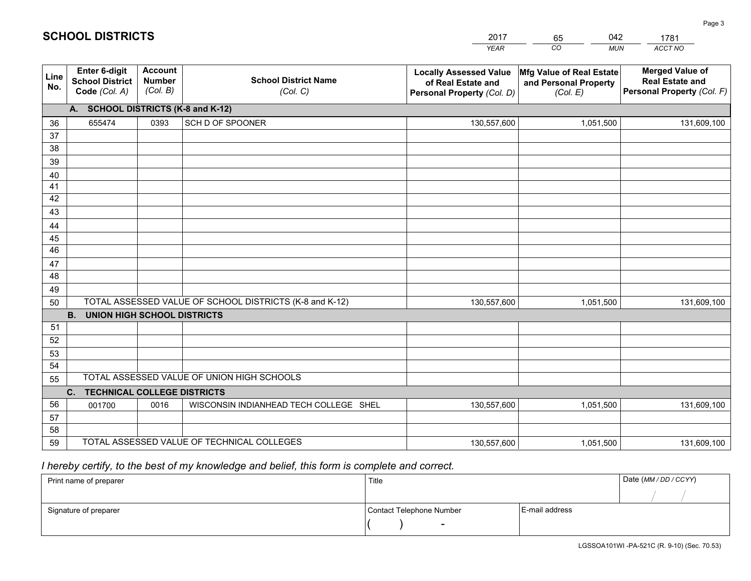|             |                                                                 |                                             |                                                         | <b>YEAR</b>                                                                       | CO<br><b>MUN</b>                                              | <b>ACCT NO</b>                                                                 |
|-------------|-----------------------------------------------------------------|---------------------------------------------|---------------------------------------------------------|-----------------------------------------------------------------------------------|---------------------------------------------------------------|--------------------------------------------------------------------------------|
| Line<br>No. | <b>Enter 6-digit</b><br><b>School District</b><br>Code (Col. A) | <b>Account</b><br><b>Number</b><br>(Col. B) | <b>School District Name</b><br>(Col. C)                 | <b>Locally Assessed Value</b><br>of Real Estate and<br>Personal Property (Col. D) | Mfg Value of Real Estate<br>and Personal Property<br>(Col. E) | <b>Merged Value of</b><br><b>Real Estate and</b><br>Personal Property (Col. F) |
|             | A. SCHOOL DISTRICTS (K-8 and K-12)                              |                                             |                                                         |                                                                                   |                                                               |                                                                                |
| 36          | 655474                                                          | 0393                                        | SCH D OF SPOONER                                        | 130,557,600                                                                       | 1,051,500                                                     | 131,609,100                                                                    |
| 37          |                                                                 |                                             |                                                         |                                                                                   |                                                               |                                                                                |
| 38          |                                                                 |                                             |                                                         |                                                                                   |                                                               |                                                                                |
| 39          |                                                                 |                                             |                                                         |                                                                                   |                                                               |                                                                                |
| 40          |                                                                 |                                             |                                                         |                                                                                   |                                                               |                                                                                |
| 41          |                                                                 |                                             |                                                         |                                                                                   |                                                               |                                                                                |
| 42          |                                                                 |                                             |                                                         |                                                                                   |                                                               |                                                                                |
| 43          |                                                                 |                                             |                                                         |                                                                                   |                                                               |                                                                                |
| 44<br>45    |                                                                 |                                             |                                                         |                                                                                   |                                                               |                                                                                |
| 46          |                                                                 |                                             |                                                         |                                                                                   |                                                               |                                                                                |
| 47          |                                                                 |                                             |                                                         |                                                                                   |                                                               |                                                                                |
| 48          |                                                                 |                                             |                                                         |                                                                                   |                                                               |                                                                                |
| 49          |                                                                 |                                             |                                                         |                                                                                   |                                                               |                                                                                |
| 50          |                                                                 |                                             | TOTAL ASSESSED VALUE OF SCHOOL DISTRICTS (K-8 and K-12) | 130,557,600                                                                       | 1,051,500                                                     | 131,609,100                                                                    |
|             | <b>B.</b><br><b>UNION HIGH SCHOOL DISTRICTS</b>                 |                                             |                                                         |                                                                                   |                                                               |                                                                                |
| 51          |                                                                 |                                             |                                                         |                                                                                   |                                                               |                                                                                |
| 52          |                                                                 |                                             |                                                         |                                                                                   |                                                               |                                                                                |
| 53          |                                                                 |                                             |                                                         |                                                                                   |                                                               |                                                                                |
| 54          |                                                                 |                                             |                                                         |                                                                                   |                                                               |                                                                                |
| 55          |                                                                 |                                             | TOTAL ASSESSED VALUE OF UNION HIGH SCHOOLS              |                                                                                   |                                                               |                                                                                |
|             | C.<br><b>TECHNICAL COLLEGE DISTRICTS</b>                        |                                             |                                                         |                                                                                   |                                                               |                                                                                |
| 56          | 001700                                                          | 0016                                        | WISCONSIN INDIANHEAD TECH COLLEGE SHEL                  | 130,557,600                                                                       | 1,051,500                                                     | 131,609,100                                                                    |
| 57          |                                                                 |                                             |                                                         |                                                                                   |                                                               |                                                                                |
| 58          |                                                                 |                                             | TOTAL ASSESSED VALUE OF TECHNICAL COLLEGES              |                                                                                   |                                                               |                                                                                |
| 59          |                                                                 |                                             |                                                         | 130,557,600                                                                       | 1,051,500                                                     | 131,609,100                                                                    |

65

042

 *I hereby certify, to the best of my knowledge and belief, this form is complete and correct.*

**SCHOOL DISTRICTS**

| Print name of preparer | Title                    |                | Date (MM / DD / CCYY) |
|------------------------|--------------------------|----------------|-----------------------|
|                        |                          |                |                       |
| Signature of preparer  | Contact Telephone Number | E-mail address |                       |
|                        | $\overline{\phantom{0}}$ |                |                       |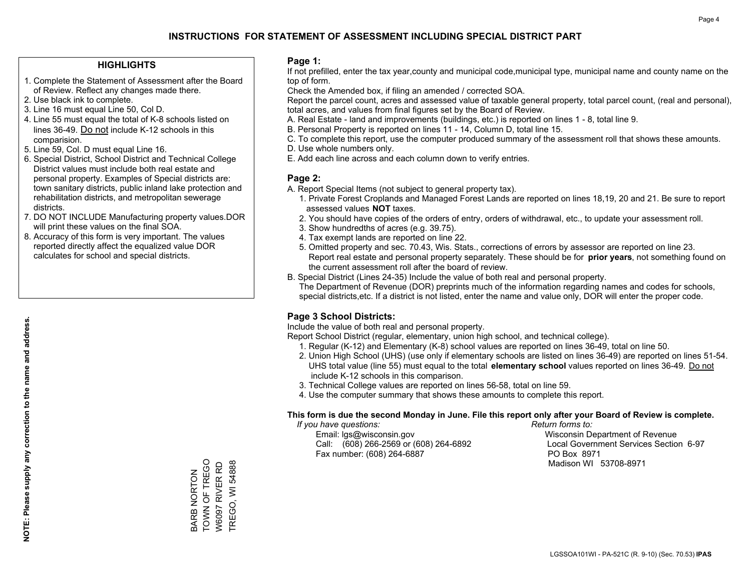## **HIGHLIGHTS**

- 1. Complete the Statement of Assessment after the Board of Review. Reflect any changes made there.
- 2. Use black ink to complete.

**NOTE: Please supply any correction to the name and address.**

NOTE: Please supply any correction to the name and address.

- 3. Line 16 must equal Line 50, Col D.
- 4. Line 55 must equal the total of K-8 schools listed on lines 36-49. Do not include K-12 schools in this comparision.
- 5. Line 59, Col. D must equal Line 16.
- 6. Special District, School District and Technical College District values must include both real estate and personal property. Examples of Special districts are: town sanitary districts, public inland lake protection and rehabilitation districts, and metropolitan sewerage districts.
- 7. DO NOT INCLUDE Manufacturing property values.DOR will print these values on the final SOA.
- 8. Accuracy of this form is very important. The values reported directly affect the equalized value DOR calculates for school and special districts.

#### **Page 1:**

 If not prefilled, enter the tax year,county and municipal code,municipal type, municipal name and county name on the top of form.

Check the Amended box, if filing an amended / corrected SOA.

 Report the parcel count, acres and assessed value of taxable general property, total parcel count, (real and personal), total acres, and values from final figures set by the Board of Review.

- A. Real Estate land and improvements (buildings, etc.) is reported on lines 1 8, total line 9.
- B. Personal Property is reported on lines 11 14, Column D, total line 15.
- C. To complete this report, use the computer produced summary of the assessment roll that shows these amounts.
- D. Use whole numbers only.
- E. Add each line across and each column down to verify entries.

## **Page 2:**

- A. Report Special Items (not subject to general property tax).
- 1. Private Forest Croplands and Managed Forest Lands are reported on lines 18,19, 20 and 21. Be sure to report assessed values **NOT** taxes.
- 2. You should have copies of the orders of entry, orders of withdrawal, etc., to update your assessment roll.
	- 3. Show hundredths of acres (e.g. 39.75).
- 4. Tax exempt lands are reported on line 22.
- 5. Omitted property and sec. 70.43, Wis. Stats., corrections of errors by assessor are reported on line 23. Report real estate and personal property separately. These should be for **prior years**, not something found on the current assessment roll after the board of review.
- B. Special District (Lines 24-35) Include the value of both real and personal property.
- The Department of Revenue (DOR) preprints much of the information regarding names and codes for schools, special districts,etc. If a district is not listed, enter the name and value only, DOR will enter the proper code.

## **Page 3 School Districts:**

Include the value of both real and personal property.

Report School District (regular, elementary, union high school, and technical college).

- 1. Regular (K-12) and Elementary (K-8) school values are reported on lines 36-49, total on line 50.
- 2. Union High School (UHS) (use only if elementary schools are listed on lines 36-49) are reported on lines 51-54. UHS total value (line 55) must equal to the total **elementary school** values reported on lines 36-49. Do notinclude K-12 schools in this comparison.
- 3. Technical College values are reported on lines 56-58, total on line 59.
- 4. Use the computer summary that shows these amounts to complete this report.

#### **This form is due the second Monday in June. File this report only after your Board of Review is complete.**

 *If you have questions: Return forms to:*

 Email: lgs@wisconsin.gov Wisconsin Department of RevenueCall:  $(608)$  266-2569 or  $(608)$  264-6892 Fax number: (608) 264-6887 PO Box 8971

Local Government Services Section 6-97 Madison WI 53708-8971

TOWN OF TREGO TOWN OF TREGO W6097 RIVER RD **TREGO, WI 54888** TREGO, WI 54888 W6097 RIVER RD **BARB NORTON** BARB NORTON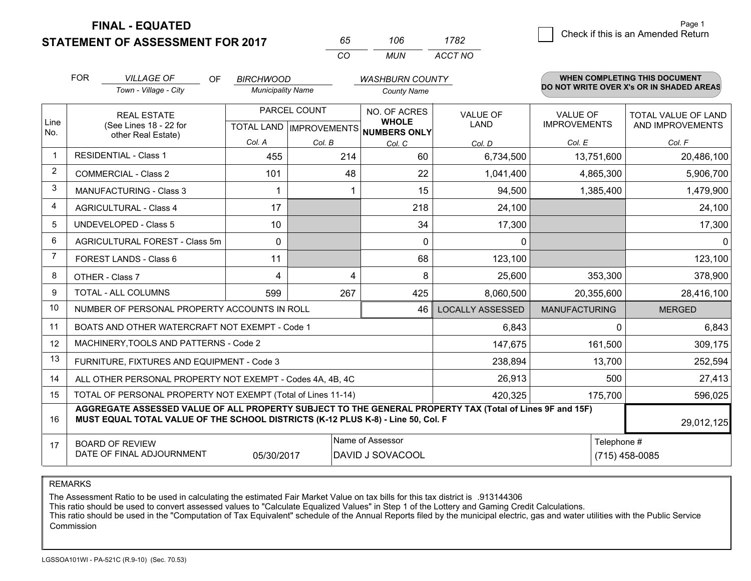**STATEMENT OF ASSESSMENT FOR 2017** 

**FINAL - EQUATED**

| 65.      | 106 | 1782    |
|----------|-----|---------|
| $\alpha$ | MUN | ACCT NO |

|                | <b>FOR</b><br><b>VILLAGE OF</b><br>OF<br><b>BIRCHWOOD</b><br><b>WASHBURN COUNTY</b>                                                                                                          |                                                              |                                                      | <b>WHEN COMPLETING THIS DOCUMENT</b><br>DO NOT WRITE OVER X's OR IN SHADED AREAS |                              |                         |                                        |                                                |
|----------------|----------------------------------------------------------------------------------------------------------------------------------------------------------------------------------------------|--------------------------------------------------------------|------------------------------------------------------|----------------------------------------------------------------------------------|------------------------------|-------------------------|----------------------------------------|------------------------------------------------|
|                |                                                                                                                                                                                              | Town - Village - City                                        | <b>Municipality Name</b>                             |                                                                                  | <b>County Name</b>           |                         |                                        |                                                |
| Line           |                                                                                                                                                                                              | <b>REAL ESTATE</b><br>(See Lines 18 - 22 for                 | PARCEL COUNT<br>TOTAL LAND IMPROVEMENTS NUMBERS ONLY |                                                                                  | NO. OF ACRES<br><b>WHOLE</b> | <b>VALUE OF</b><br>LAND | <b>VALUE OF</b><br><b>IMPROVEMENTS</b> | <b>TOTAL VALUE OF LAND</b><br>AND IMPROVEMENTS |
| No.            |                                                                                                                                                                                              | other Real Estate)                                           | Col. A                                               | Col. B                                                                           | Col. C                       | Col. D                  | Col. E                                 | Col. F                                         |
| $\mathbf{1}$   |                                                                                                                                                                                              | <b>RESIDENTIAL - Class 1</b>                                 | 455                                                  | 214                                                                              | 60                           | 6,734,500               | 13,751,600                             | 20,486,100                                     |
| $\overline{2}$ |                                                                                                                                                                                              | <b>COMMERCIAL - Class 2</b>                                  | 101                                                  | 48                                                                               | 22                           | 1,041,400               | 4,865,300                              | 5,906,700                                      |
| 3              |                                                                                                                                                                                              | <b>MANUFACTURING - Class 3</b>                               |                                                      |                                                                                  | 15                           | 94,500                  | 1,385,400                              | 1,479,900                                      |
| $\overline{4}$ |                                                                                                                                                                                              | <b>AGRICULTURAL - Class 4</b>                                | 17                                                   |                                                                                  | 218                          | 24,100                  |                                        | 24,100                                         |
| 5              |                                                                                                                                                                                              | <b>UNDEVELOPED - Class 5</b>                                 | 10                                                   |                                                                                  | 34                           | 17,300                  |                                        | 17,300                                         |
| 6              |                                                                                                                                                                                              | AGRICULTURAL FOREST - Class 5m                               | $\Omega$                                             |                                                                                  | $\mathbf{0}$                 | 0                       |                                        | $\mathbf{0}$                                   |
| 7              |                                                                                                                                                                                              | FOREST LANDS - Class 6                                       | 11                                                   |                                                                                  | 68                           | 123,100                 |                                        | 123,100                                        |
| 8              |                                                                                                                                                                                              | OTHER - Class 7                                              | 4                                                    | 4                                                                                | 8                            | 25,600                  | 353,300                                | 378,900                                        |
| 9              |                                                                                                                                                                                              | TOTAL - ALL COLUMNS                                          | 599                                                  | 267                                                                              | 425                          | 8,060,500               | 20,355,600                             | 28,416,100                                     |
| 10             |                                                                                                                                                                                              | NUMBER OF PERSONAL PROPERTY ACCOUNTS IN ROLL                 |                                                      |                                                                                  | 46                           | <b>LOCALLY ASSESSED</b> | <b>MANUFACTURING</b>                   | <b>MERGED</b>                                  |
| 11             |                                                                                                                                                                                              | BOATS AND OTHER WATERCRAFT NOT EXEMPT - Code 1               |                                                      |                                                                                  |                              | 6,843                   | 0                                      | 6,843                                          |
| 12             |                                                                                                                                                                                              | MACHINERY, TOOLS AND PATTERNS - Code 2                       |                                                      |                                                                                  |                              | 147,675                 | 161,500                                | 309,175                                        |
| 13             |                                                                                                                                                                                              | FURNITURE, FIXTURES AND EQUIPMENT - Code 3                   |                                                      |                                                                                  |                              | 238,894                 | 13,700                                 | 252,594                                        |
| 14             |                                                                                                                                                                                              | ALL OTHER PERSONAL PROPERTY NOT EXEMPT - Codes 4A, 4B, 4C    |                                                      |                                                                                  |                              | 26,913                  | 500                                    | 27,413                                         |
| 15             |                                                                                                                                                                                              | TOTAL OF PERSONAL PROPERTY NOT EXEMPT (Total of Lines 11-14) |                                                      |                                                                                  | 420,325                      | 175,700                 | 596,025                                |                                                |
| 16             | AGGREGATE ASSESSED VALUE OF ALL PROPERTY SUBJECT TO THE GENERAL PROPERTY TAX (Total of Lines 9F and 15F)<br>MUST EQUAL TOTAL VALUE OF THE SCHOOL DISTRICTS (K-12 PLUS K-8) - Line 50, Col. F |                                                              |                                                      |                                                                                  |                              |                         | 29,012,125                             |                                                |
| 17             | Name of Assessor<br><b>BOARD OF REVIEW</b><br>DATE OF FINAL ADJOURNMENT<br>05/30/2017<br>DAVID J SOVACOOL                                                                                    |                                                              |                                                      |                                                                                  |                              |                         | Telephone #                            | $(715)$ 458-0085                               |

REMARKS

The Assessment Ratio to be used in calculating the estimated Fair Market Value on tax bills for this tax district is .913144306

This ratio should be used to convert assessed values to "Calculate Equalized Values" in Step 1 of the Lottery and Gaming Credit Calculations.<br>This ratio should be used in the "Computation of Tax Equivalent" schedule of the Commission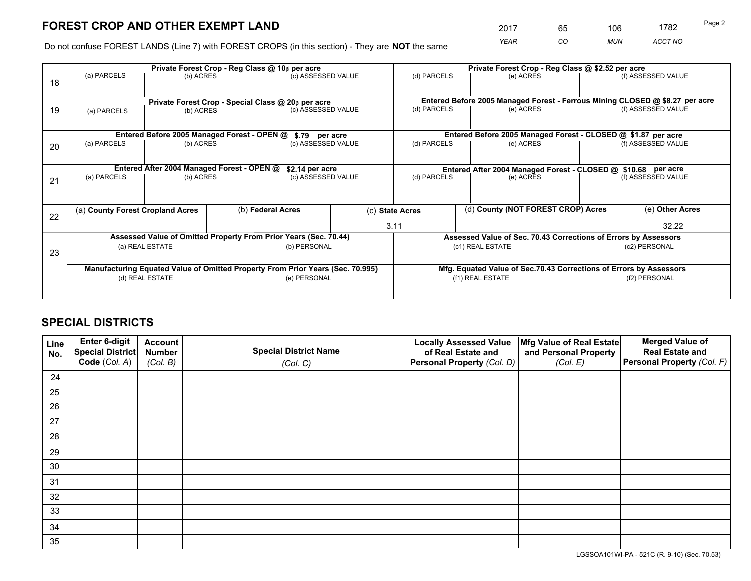*YEAR CO MUN ACCT NO* <sup>2017</sup> <sup>65</sup> <sup>106</sup> <sup>1782</sup>

Do not confuse FOREST LANDS (Line 7) with FOREST CROPS (in this section) - They are **NOT** the same

|    | Private Forest Crop - Reg Class @ 10¢ per acre                                 |                                            |  |                                                                  |  |                                                                              | Private Forest Crop - Reg Class @ \$2.52 per acre               |  |                    |  |
|----|--------------------------------------------------------------------------------|--------------------------------------------|--|------------------------------------------------------------------|--|------------------------------------------------------------------------------|-----------------------------------------------------------------|--|--------------------|--|
| 18 | (a) PARCELS                                                                    | (b) ACRES                                  |  | (c) ASSESSED VALUE                                               |  | (d) PARCELS                                                                  | (e) ACRES                                                       |  | (f) ASSESSED VALUE |  |
|    | Private Forest Crop - Special Class @ 20¢ per acre                             |                                            |  |                                                                  |  | Entered Before 2005 Managed Forest - Ferrous Mining CLOSED @ \$8.27 per acre |                                                                 |  |                    |  |
| 19 | (a) PARCELS<br>(b) ACRES                                                       |                                            |  | (c) ASSESSED VALUE                                               |  | (d) PARCELS                                                                  | (e) ACRES                                                       |  | (f) ASSESSED VALUE |  |
|    |                                                                                |                                            |  |                                                                  |  |                                                                              | Entered Before 2005 Managed Forest - CLOSED @ \$1.87 per acre   |  |                    |  |
| 20 | Entered Before 2005 Managed Forest - OPEN @<br>(a) PARCELS<br>(b) ACRES        |                                            |  | \$.79 per acre<br>(c) ASSESSED VALUE                             |  | (d) PARCELS                                                                  | (e) ACRES                                                       |  | (f) ASSESSED VALUE |  |
|    |                                                                                | Entered After 2004 Managed Forest - OPEN @ |  | \$2.14 per acre                                                  |  | Entered After 2004 Managed Forest - CLOSED @ \$10.68 per acre                |                                                                 |  |                    |  |
| 21 | (a) PARCELS                                                                    | (b) ACRES                                  |  | (c) ASSESSED VALUE                                               |  | (d) PARCELS                                                                  | (e) ACRES                                                       |  | (f) ASSESSED VALUE |  |
|    |                                                                                |                                            |  |                                                                  |  |                                                                              |                                                                 |  |                    |  |
|    | (a) County Forest Cropland Acres                                               |                                            |  | (b) Federal Acres                                                |  | (c) State Acres                                                              | (d) County (NOT FOREST CROP) Acres                              |  | (e) Other Acres    |  |
| 22 |                                                                                |                                            |  |                                                                  |  | 3.11                                                                         |                                                                 |  | 32.22              |  |
|    |                                                                                |                                            |  | Assessed Value of Omitted Property From Prior Years (Sec. 70.44) |  |                                                                              | Assessed Value of Sec. 70.43 Corrections of Errors by Assessors |  |                    |  |
| 23 | (a) REAL ESTATE                                                                |                                            |  | (b) PERSONAL                                                     |  | (c1) REAL ESTATE                                                             |                                                                 |  | (c2) PERSONAL      |  |
|    | Manufacturing Equated Value of Omitted Property From Prior Years (Sec. 70.995) |                                            |  |                                                                  |  | Mfg. Equated Value of Sec.70.43 Corrections of Errors by Assessors           |                                                                 |  |                    |  |
|    |                                                                                | (d) REAL ESTATE                            |  | (e) PERSONAL                                                     |  | (f1) REAL ESTATE                                                             |                                                                 |  | (f2) PERSONAL      |  |
|    |                                                                                |                                            |  |                                                                  |  |                                                                              |                                                                 |  |                    |  |

## **SPECIAL DISTRICTS**

| Line<br>No. | Enter 6-digit<br>Special District<br>Code (Col. A) | <b>Account</b><br><b>Number</b> | <b>Special District Name</b> | <b>Locally Assessed Value</b><br>of Real Estate and | Mfg Value of Real Estate<br>and Personal Property | <b>Merged Value of</b><br><b>Real Estate and</b><br>Personal Property (Col. F) |
|-------------|----------------------------------------------------|---------------------------------|------------------------------|-----------------------------------------------------|---------------------------------------------------|--------------------------------------------------------------------------------|
|             |                                                    | (Col. B)                        | (Col. C)                     | Personal Property (Col. D)                          | (Col. E)                                          |                                                                                |
| 24          |                                                    |                                 |                              |                                                     |                                                   |                                                                                |
| 25          |                                                    |                                 |                              |                                                     |                                                   |                                                                                |
| 26          |                                                    |                                 |                              |                                                     |                                                   |                                                                                |
| 27          |                                                    |                                 |                              |                                                     |                                                   |                                                                                |
| 28          |                                                    |                                 |                              |                                                     |                                                   |                                                                                |
| 29          |                                                    |                                 |                              |                                                     |                                                   |                                                                                |
| 30          |                                                    |                                 |                              |                                                     |                                                   |                                                                                |
| 31          |                                                    |                                 |                              |                                                     |                                                   |                                                                                |
| 32          |                                                    |                                 |                              |                                                     |                                                   |                                                                                |
| 33          |                                                    |                                 |                              |                                                     |                                                   |                                                                                |
| 34          |                                                    |                                 |                              |                                                     |                                                   |                                                                                |
| 35          |                                                    |                                 |                              |                                                     |                                                   |                                                                                |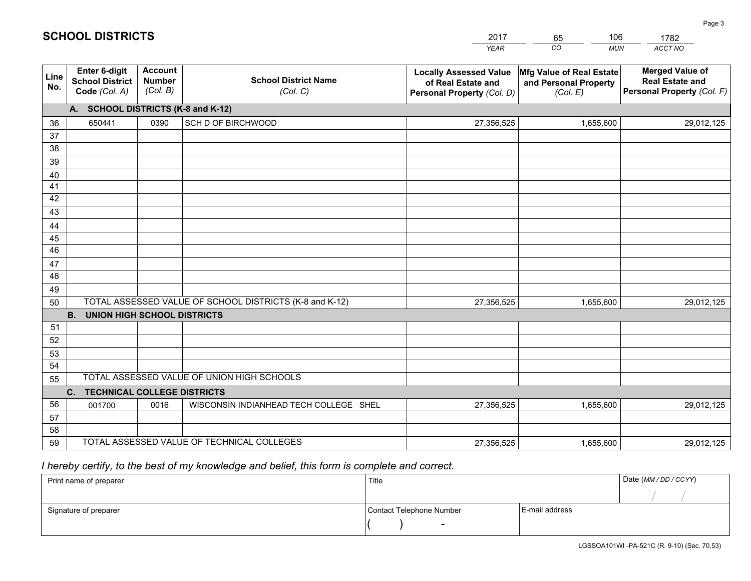|             |                                                                 |                                             |                                                         | <b>YEAR</b>                                                                       | CO<br><b>MUN</b>                                              | ACCT NO                                                                        |
|-------------|-----------------------------------------------------------------|---------------------------------------------|---------------------------------------------------------|-----------------------------------------------------------------------------------|---------------------------------------------------------------|--------------------------------------------------------------------------------|
| Line<br>No. | <b>Enter 6-digit</b><br><b>School District</b><br>Code (Col. A) | <b>Account</b><br><b>Number</b><br>(Col. B) | <b>School District Name</b><br>(Col. C)                 | <b>Locally Assessed Value</b><br>of Real Estate and<br>Personal Property (Col. D) | Mfg Value of Real Estate<br>and Personal Property<br>(Col. E) | <b>Merged Value of</b><br><b>Real Estate and</b><br>Personal Property (Col. F) |
|             | A. SCHOOL DISTRICTS (K-8 and K-12)                              |                                             |                                                         |                                                                                   |                                                               |                                                                                |
| 36          | 650441                                                          | 0390                                        | SCH D OF BIRCHWOOD                                      | 27,356,525                                                                        | 1,655,600                                                     | 29,012,125                                                                     |
| 37          |                                                                 |                                             |                                                         |                                                                                   |                                                               |                                                                                |
| 38          |                                                                 |                                             |                                                         |                                                                                   |                                                               |                                                                                |
| 39          |                                                                 |                                             |                                                         |                                                                                   |                                                               |                                                                                |
| 40          |                                                                 |                                             |                                                         |                                                                                   |                                                               |                                                                                |
| 41<br>42    |                                                                 |                                             |                                                         |                                                                                   |                                                               |                                                                                |
| 43          |                                                                 |                                             |                                                         |                                                                                   |                                                               |                                                                                |
| 44          |                                                                 |                                             |                                                         |                                                                                   |                                                               |                                                                                |
| 45          |                                                                 |                                             |                                                         |                                                                                   |                                                               |                                                                                |
| 46          |                                                                 |                                             |                                                         |                                                                                   |                                                               |                                                                                |
| 47          |                                                                 |                                             |                                                         |                                                                                   |                                                               |                                                                                |
| 48          |                                                                 |                                             |                                                         |                                                                                   |                                                               |                                                                                |
| 49          |                                                                 |                                             |                                                         |                                                                                   |                                                               |                                                                                |
| 50          |                                                                 |                                             | TOTAL ASSESSED VALUE OF SCHOOL DISTRICTS (K-8 and K-12) | 27,356,525                                                                        | 1,655,600                                                     | 29,012,125                                                                     |
|             | <b>B.</b><br><b>UNION HIGH SCHOOL DISTRICTS</b>                 |                                             |                                                         |                                                                                   |                                                               |                                                                                |
| 51          |                                                                 |                                             |                                                         |                                                                                   |                                                               |                                                                                |
| 52          |                                                                 |                                             |                                                         |                                                                                   |                                                               |                                                                                |
| 53<br>54    |                                                                 |                                             |                                                         |                                                                                   |                                                               |                                                                                |
| 55          |                                                                 |                                             | TOTAL ASSESSED VALUE OF UNION HIGH SCHOOLS              |                                                                                   |                                                               |                                                                                |
|             | C.<br><b>TECHNICAL COLLEGE DISTRICTS</b>                        |                                             |                                                         |                                                                                   |                                                               |                                                                                |
| 56          | 001700                                                          | 0016                                        | WISCONSIN INDIANHEAD TECH COLLEGE SHEL                  | 27,356,525                                                                        | 1,655,600                                                     | 29,012,125                                                                     |
| 57          |                                                                 |                                             |                                                         |                                                                                   |                                                               |                                                                                |
| 58          |                                                                 |                                             |                                                         |                                                                                   |                                                               |                                                                                |
| 59          |                                                                 |                                             | TOTAL ASSESSED VALUE OF TECHNICAL COLLEGES              | 27,356,525                                                                        | 1,655,600                                                     | 29,012,125                                                                     |

65

106

 *I hereby certify, to the best of my knowledge and belief, this form is complete and correct.*

**SCHOOL DISTRICTS**

| Print name of preparer | Title                    |                | Date (MM / DD / CCYY) |
|------------------------|--------------------------|----------------|-----------------------|
|                        |                          |                |                       |
| Signature of preparer  | Contact Telephone Number | E-mail address |                       |
|                        | $\sim$                   |                |                       |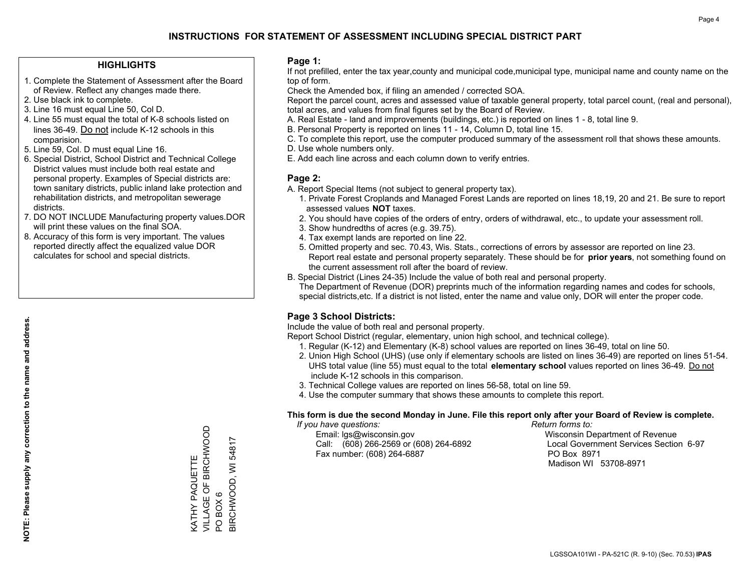## **HIGHLIGHTS**

- 1. Complete the Statement of Assessment after the Board of Review. Reflect any changes made there.
- 2. Use black ink to complete.
- 3. Line 16 must equal Line 50, Col D.
- 4. Line 55 must equal the total of K-8 schools listed on lines 36-49. Do not include K-12 schools in this comparision.
- 5. Line 59, Col. D must equal Line 16.
- 6. Special District, School District and Technical College District values must include both real estate and personal property. Examples of Special districts are: town sanitary districts, public inland lake protection and rehabilitation districts, and metropolitan sewerage districts.
- 7. DO NOT INCLUDE Manufacturing property values.DOR will print these values on the final SOA.
- 8. Accuracy of this form is very important. The values reported directly affect the equalized value DOR calculates for school and special districts.

#### **Page 1:**

 If not prefilled, enter the tax year,county and municipal code,municipal type, municipal name and county name on the top of form.

Check the Amended box, if filing an amended / corrected SOA.

 Report the parcel count, acres and assessed value of taxable general property, total parcel count, (real and personal), total acres, and values from final figures set by the Board of Review.

- A. Real Estate land and improvements (buildings, etc.) is reported on lines 1 8, total line 9.
- B. Personal Property is reported on lines 11 14, Column D, total line 15.
- C. To complete this report, use the computer produced summary of the assessment roll that shows these amounts.
- D. Use whole numbers only.
- E. Add each line across and each column down to verify entries.

## **Page 2:**

- A. Report Special Items (not subject to general property tax).
- 1. Private Forest Croplands and Managed Forest Lands are reported on lines 18,19, 20 and 21. Be sure to report assessed values **NOT** taxes.
- 2. You should have copies of the orders of entry, orders of withdrawal, etc., to update your assessment roll.
	- 3. Show hundredths of acres (e.g. 39.75).
- 4. Tax exempt lands are reported on line 22.
- 5. Omitted property and sec. 70.43, Wis. Stats., corrections of errors by assessor are reported on line 23. Report real estate and personal property separately. These should be for **prior years**, not something found on the current assessment roll after the board of review.
- B. Special District (Lines 24-35) Include the value of both real and personal property.

 The Department of Revenue (DOR) preprints much of the information regarding names and codes for schools, special districts,etc. If a district is not listed, enter the name and value only, DOR will enter the proper code.

## **Page 3 School Districts:**

Include the value of both real and personal property.

Report School District (regular, elementary, union high school, and technical college).

- 1. Regular (K-12) and Elementary (K-8) school values are reported on lines 36-49, total on line 50.
- 2. Union High School (UHS) (use only if elementary schools are listed on lines 36-49) are reported on lines 51-54. UHS total value (line 55) must equal to the total **elementary school** values reported on lines 36-49. Do notinclude K-12 schools in this comparison.
- 3. Technical College values are reported on lines 56-58, total on line 59.
- 4. Use the computer summary that shows these amounts to complete this report.

#### **This form is due the second Monday in June. File this report only after your Board of Review is complete.**

 *If you have questions: Return forms to:*

 Email: lgs@wisconsin.gov Wisconsin Department of RevenueCall:  $(608)$  266-2569 or  $(608)$  264-6892 Fax number: (608) 264-6887 PO Box 8971

Local Government Services Section 6-97 Madison WI 53708-8971

VILLAGE OF BIRCHWOOD KATHY PAQUETTE<br>VILLAGE OF BIRCHWOOD BIRCHWOOD, WI 54817 BIRCHWOOD, WI 54817 KATHY PAQUETTE BOX6 PO BOX 6  $\overline{S}$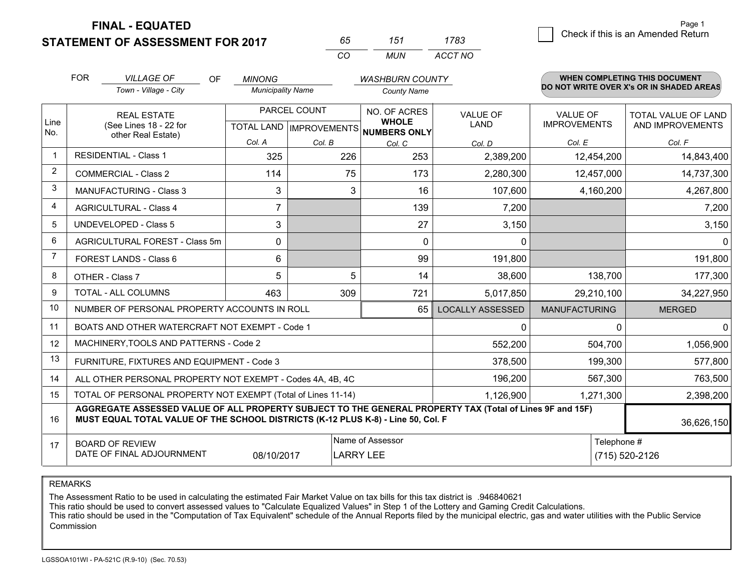**FINAL - EQUATED**

**STATEMENT OF ASSESSMENT FOR 2017** 

| n'n          | 151   | 1783    |
|--------------|-------|---------|
| $\mathbf{r}$ | MI IN | ACCT NO |

|                | <b>FOR</b>                                                                                                                                 | <b>VILLAGE OF</b><br>OF                                                                                                                                                                      | <b>MINONG</b>            |              | <b>WASHBURN COUNTY</b>                                               |                                |                                 | WHEN COMPLETING THIS DOCUMENT                  |
|----------------|--------------------------------------------------------------------------------------------------------------------------------------------|----------------------------------------------------------------------------------------------------------------------------------------------------------------------------------------------|--------------------------|--------------|----------------------------------------------------------------------|--------------------------------|---------------------------------|------------------------------------------------|
|                |                                                                                                                                            | Town - Village - City                                                                                                                                                                        | <b>Municipality Name</b> |              | <b>County Name</b>                                                   |                                |                                 | DO NOT WRITE OVER X's OR IN SHADED AREAS       |
| Line<br>No.    | <b>REAL ESTATE</b><br>(See Lines 18 - 22 for                                                                                               |                                                                                                                                                                                              |                          | PARCEL COUNT | NO. OF ACRES<br><b>WHOLE</b><br>TOTAL LAND IMPROVEMENTS NUMBERS ONLY | <b>VALUE OF</b><br><b>LAND</b> | VALUE OF<br><b>IMPROVEMENTS</b> | <b>TOTAL VALUE OF LAND</b><br>AND IMPROVEMENTS |
|                |                                                                                                                                            | other Real Estate)                                                                                                                                                                           | Col. A                   | Col. B       | Col. C                                                               | Col. D                         | Col. E                          | Col. F                                         |
| -1             |                                                                                                                                            | <b>RESIDENTIAL - Class 1</b>                                                                                                                                                                 | 325                      | 226          | 253                                                                  | 2,389,200                      | 12,454,200                      | 14,843,400                                     |
| $\overline{2}$ |                                                                                                                                            | <b>COMMERCIAL - Class 2</b>                                                                                                                                                                  | 114                      | 75           | 173                                                                  | 2,280,300                      | 12,457,000                      | 14,737,300                                     |
| 3              |                                                                                                                                            | <b>MANUFACTURING - Class 3</b>                                                                                                                                                               | 3                        | 3            | 16                                                                   | 107,600                        | 4,160,200                       | 4,267,800                                      |
| 4              |                                                                                                                                            | <b>AGRICULTURAL - Class 4</b>                                                                                                                                                                | $\overline{7}$           |              | 139                                                                  | 7,200                          |                                 | 7,200                                          |
| 5              |                                                                                                                                            | <b>UNDEVELOPED - Class 5</b>                                                                                                                                                                 | 3                        |              | 27                                                                   | 3,150                          |                                 | 3,150                                          |
| 6              |                                                                                                                                            | AGRICULTURAL FOREST - Class 5m                                                                                                                                                               | $\Omega$                 |              | $\Omega$                                                             | 0                              |                                 | $\Omega$                                       |
| 7              |                                                                                                                                            | FOREST LANDS - Class 6                                                                                                                                                                       | 6                        |              | 99                                                                   | 191,800                        |                                 | 191,800                                        |
| 8              |                                                                                                                                            | OTHER - Class 7                                                                                                                                                                              | 5                        | 5            | 14                                                                   | 38,600                         | 138,700                         | 177,300                                        |
| 9              |                                                                                                                                            | TOTAL - ALL COLUMNS                                                                                                                                                                          | 463                      | 309          | 721                                                                  | 5,017,850                      | 29,210,100                      | 34,227,950                                     |
| 10             |                                                                                                                                            | NUMBER OF PERSONAL PROPERTY ACCOUNTS IN ROLL                                                                                                                                                 |                          |              | 65                                                                   | <b>LOCALLY ASSESSED</b>        | <b>MANUFACTURING</b>            | <b>MERGED</b>                                  |
| 11             |                                                                                                                                            | BOATS AND OTHER WATERCRAFT NOT EXEMPT - Code 1                                                                                                                                               |                          |              |                                                                      | 0                              | 0                               | $\mathbf{0}$                                   |
| 12             |                                                                                                                                            | MACHINERY, TOOLS AND PATTERNS - Code 2                                                                                                                                                       |                          |              |                                                                      | 552,200                        | 504,700                         | 1,056,900                                      |
| 13             |                                                                                                                                            | FURNITURE, FIXTURES AND EQUIPMENT - Code 3                                                                                                                                                   |                          |              |                                                                      | 378,500                        | 199,300                         | 577,800                                        |
| 14             |                                                                                                                                            | ALL OTHER PERSONAL PROPERTY NOT EXEMPT - Codes 4A, 4B, 4C                                                                                                                                    |                          |              |                                                                      | 196,200                        | 567,300                         | 763,500                                        |
| 15             |                                                                                                                                            | TOTAL OF PERSONAL PROPERTY NOT EXEMPT (Total of Lines 11-14)                                                                                                                                 |                          |              |                                                                      | 1,126,900                      | 1,271,300                       | 2,398,200                                      |
| 16             |                                                                                                                                            | AGGREGATE ASSESSED VALUE OF ALL PROPERTY SUBJECT TO THE GENERAL PROPERTY TAX (Total of Lines 9F and 15F)<br>MUST EQUAL TOTAL VALUE OF THE SCHOOL DISTRICTS (K-12 PLUS K-8) - Line 50, Col. F |                          |              |                                                                      |                                |                                 | 36,626,150                                     |
| 17             | Name of Assessor<br>Telephone #<br><b>BOARD OF REVIEW</b><br>DATE OF FINAL ADJOURNMENT<br>(715) 520-2126<br>08/10/2017<br><b>LARRY LEE</b> |                                                                                                                                                                                              |                          |              |                                                                      |                                |                                 |                                                |

REMARKS

The Assessment Ratio to be used in calculating the estimated Fair Market Value on tax bills for this tax district is .946840621

This ratio should be used to convert assessed values to "Calculate Equalized Values" in Step 1 of the Lottery and Gaming Credit Calculations.<br>This ratio should be used in the "Computation of Tax Equivalent" schedule of the Commission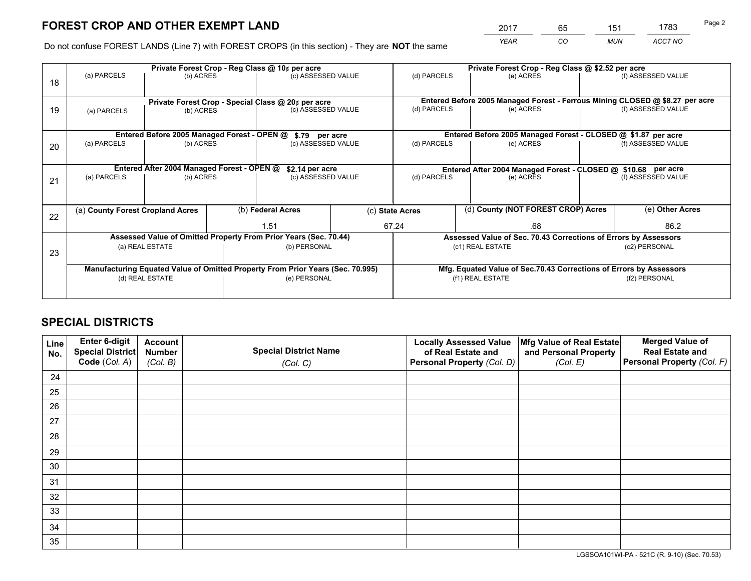*YEAR CO MUN ACCT NO* <sup>2017</sup> <sup>65</sup> <sup>151</sup> <sup>1783</sup>

Do not confuse FOREST LANDS (Line 7) with FOREST CROPS (in this section) - They are **NOT** the same

|    |                                                                                |                                             |  | Private Forest Crop - Reg Class @ 10¢ per acre                           |  | Private Forest Crop - Reg Class @ \$2.52 per acre             |                                                                    |               |                                                                                  |  |
|----|--------------------------------------------------------------------------------|---------------------------------------------|--|--------------------------------------------------------------------------|--|---------------------------------------------------------------|--------------------------------------------------------------------|---------------|----------------------------------------------------------------------------------|--|
| 18 | (a) PARCELS                                                                    | (b) ACRES                                   |  | (c) ASSESSED VALUE                                                       |  | (d) PARCELS                                                   | (e) ACRES                                                          |               | (f) ASSESSED VALUE                                                               |  |
|    |                                                                                |                                             |  |                                                                          |  |                                                               |                                                                    |               | Entered Before 2005 Managed Forest - Ferrous Mining CLOSED @ \$8.27 per acre     |  |
| 19 | (a) PARCELS                                                                    | (b) ACRES                                   |  | Private Forest Crop - Special Class @ 20¢ per acre<br>(c) ASSESSED VALUE |  | (d) PARCELS                                                   | (e) ACRES                                                          |               | (f) ASSESSED VALUE                                                               |  |
|    |                                                                                | Entered Before 2005 Managed Forest - OPEN @ |  |                                                                          |  |                                                               | Entered Before 2005 Managed Forest - CLOSED @ \$1.87 per acre      |               |                                                                                  |  |
|    | (a) PARCELS                                                                    | (b) ACRES                                   |  | \$.79 per acre<br>(c) ASSESSED VALUE                                     |  | (d) PARCELS                                                   | (e) ACRES                                                          |               | (f) ASSESSED VALUE                                                               |  |
| 20 |                                                                                |                                             |  |                                                                          |  |                                                               |                                                                    |               |                                                                                  |  |
|    |                                                                                | Entered After 2004 Managed Forest - OPEN @  |  | \$2.14 per acre                                                          |  | Entered After 2004 Managed Forest - CLOSED @ \$10.68 per acre |                                                                    |               |                                                                                  |  |
| 21 | (a) PARCELS                                                                    | (b) ACRES                                   |  | (c) ASSESSED VALUE                                                       |  | (d) PARCELS<br>(e) ACRES                                      |                                                                    |               | (f) ASSESSED VALUE                                                               |  |
|    |                                                                                |                                             |  |                                                                          |  |                                                               |                                                                    |               |                                                                                  |  |
| 22 | (a) County Forest Cropland Acres                                               |                                             |  | (b) Federal Acres                                                        |  | (d) County (NOT FOREST CROP) Acres<br>(c) State Acres         |                                                                    |               | (e) Other Acres                                                                  |  |
|    |                                                                                |                                             |  | 1.51                                                                     |  |                                                               | 67.24<br>.68                                                       |               | 86.2                                                                             |  |
|    |                                                                                |                                             |  | Assessed Value of Omitted Property From Prior Years (Sec. 70.44)         |  |                                                               |                                                                    |               | Assessed Value of Sec. 70.43 Corrections of Errors by Assessors<br>(c2) PERSONAL |  |
| 23 |                                                                                | (a) REAL ESTATE                             |  | (b) PERSONAL                                                             |  |                                                               | (c1) REAL ESTATE                                                   |               |                                                                                  |  |
|    |                                                                                |                                             |  |                                                                          |  |                                                               |                                                                    |               |                                                                                  |  |
|    | Manufacturing Equated Value of Omitted Property From Prior Years (Sec. 70.995) |                                             |  |                                                                          |  |                                                               | Mfg. Equated Value of Sec.70.43 Corrections of Errors by Assessors |               |                                                                                  |  |
|    | (e) PERSONAL<br>(d) REAL ESTATE                                                |                                             |  |                                                                          |  | (f1) REAL ESTATE                                              |                                                                    | (f2) PERSONAL |                                                                                  |  |
|    |                                                                                |                                             |  |                                                                          |  |                                                               |                                                                    |               |                                                                                  |  |

## **SPECIAL DISTRICTS**

| Line<br>No. | Enter 6-digit<br><b>Special District</b> | <b>Account</b><br><b>Number</b> | <b>Special District Name</b> | <b>Locally Assessed Value</b><br>of Real Estate and | Mfg Value of Real Estate<br>and Personal Property | <b>Merged Value of</b><br><b>Real Estate and</b> |
|-------------|------------------------------------------|---------------------------------|------------------------------|-----------------------------------------------------|---------------------------------------------------|--------------------------------------------------|
|             | Code (Col. A)                            | (Col. B)                        | (Col. C)                     | Personal Property (Col. D)                          | (Col. E)                                          | Personal Property (Col. F)                       |
| 24          |                                          |                                 |                              |                                                     |                                                   |                                                  |
| 25          |                                          |                                 |                              |                                                     |                                                   |                                                  |
| 26          |                                          |                                 |                              |                                                     |                                                   |                                                  |
| 27          |                                          |                                 |                              |                                                     |                                                   |                                                  |
| 28          |                                          |                                 |                              |                                                     |                                                   |                                                  |
| 29          |                                          |                                 |                              |                                                     |                                                   |                                                  |
| 30          |                                          |                                 |                              |                                                     |                                                   |                                                  |
| 31          |                                          |                                 |                              |                                                     |                                                   |                                                  |
| 32          |                                          |                                 |                              |                                                     |                                                   |                                                  |
| 33          |                                          |                                 |                              |                                                     |                                                   |                                                  |
| 34          |                                          |                                 |                              |                                                     |                                                   |                                                  |
| 35          |                                          |                                 |                              |                                                     |                                                   |                                                  |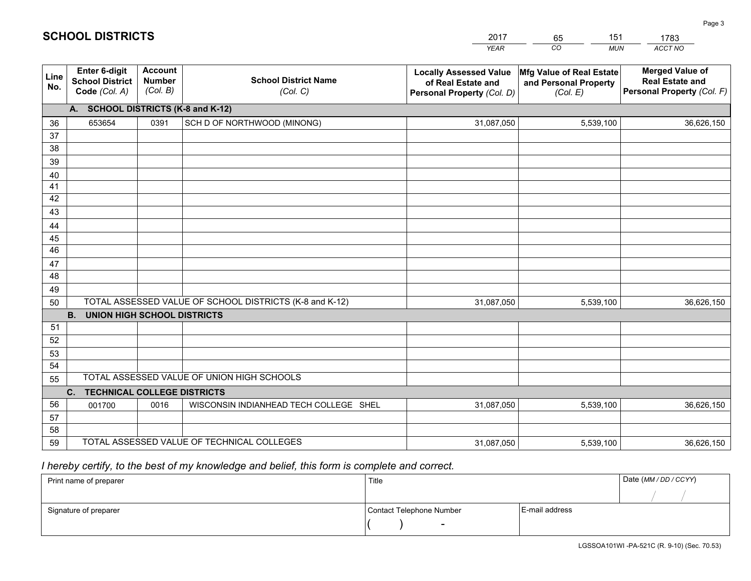|             |                                                                 |                                             |                                                         | <b>YEAR</b>                                                                       | CO<br><b>MUN</b>                                              | <b>ACCT NO</b>                                                                 |
|-------------|-----------------------------------------------------------------|---------------------------------------------|---------------------------------------------------------|-----------------------------------------------------------------------------------|---------------------------------------------------------------|--------------------------------------------------------------------------------|
| Line<br>No. | <b>Enter 6-digit</b><br><b>School District</b><br>Code (Col. A) | <b>Account</b><br><b>Number</b><br>(Col. B) | <b>School District Name</b><br>(Col. C)                 | <b>Locally Assessed Value</b><br>of Real Estate and<br>Personal Property (Col. D) | Mfg Value of Real Estate<br>and Personal Property<br>(Col. E) | <b>Merged Value of</b><br><b>Real Estate and</b><br>Personal Property (Col. F) |
|             | A. SCHOOL DISTRICTS (K-8 and K-12)                              |                                             |                                                         |                                                                                   |                                                               |                                                                                |
| 36          | 653654                                                          | 0391                                        | SCH D OF NORTHWOOD (MINONG)                             | 31,087,050                                                                        | 5,539,100                                                     | 36,626,150                                                                     |
| 37          |                                                                 |                                             |                                                         |                                                                                   |                                                               |                                                                                |
| 38          |                                                                 |                                             |                                                         |                                                                                   |                                                               |                                                                                |
| 39          |                                                                 |                                             |                                                         |                                                                                   |                                                               |                                                                                |
| 40          |                                                                 |                                             |                                                         |                                                                                   |                                                               |                                                                                |
| 41<br>42    |                                                                 |                                             |                                                         |                                                                                   |                                                               |                                                                                |
| 43          |                                                                 |                                             |                                                         |                                                                                   |                                                               |                                                                                |
| 44          |                                                                 |                                             |                                                         |                                                                                   |                                                               |                                                                                |
| 45          |                                                                 |                                             |                                                         |                                                                                   |                                                               |                                                                                |
| 46          |                                                                 |                                             |                                                         |                                                                                   |                                                               |                                                                                |
| 47          |                                                                 |                                             |                                                         |                                                                                   |                                                               |                                                                                |
| 48          |                                                                 |                                             |                                                         |                                                                                   |                                                               |                                                                                |
| 49          |                                                                 |                                             |                                                         |                                                                                   |                                                               |                                                                                |
| 50          |                                                                 |                                             | TOTAL ASSESSED VALUE OF SCHOOL DISTRICTS (K-8 and K-12) | 31,087,050                                                                        | 5,539,100                                                     | 36,626,150                                                                     |
|             | <b>B.</b><br><b>UNION HIGH SCHOOL DISTRICTS</b>                 |                                             |                                                         |                                                                                   |                                                               |                                                                                |
| 51          |                                                                 |                                             |                                                         |                                                                                   |                                                               |                                                                                |
| 52          |                                                                 |                                             |                                                         |                                                                                   |                                                               |                                                                                |
| 53<br>54    |                                                                 |                                             |                                                         |                                                                                   |                                                               |                                                                                |
| 55          |                                                                 |                                             | TOTAL ASSESSED VALUE OF UNION HIGH SCHOOLS              |                                                                                   |                                                               |                                                                                |
|             | C <sub>1</sub><br><b>TECHNICAL COLLEGE DISTRICTS</b>            |                                             |                                                         |                                                                                   |                                                               |                                                                                |
| 56          | 001700                                                          | 0016                                        | WISCONSIN INDIANHEAD TECH COLLEGE SHEL                  | 31,087,050                                                                        | 5,539,100                                                     | 36,626,150                                                                     |
| 57          |                                                                 |                                             |                                                         |                                                                                   |                                                               |                                                                                |
| 58          |                                                                 |                                             |                                                         |                                                                                   |                                                               |                                                                                |
| 59          |                                                                 |                                             | TOTAL ASSESSED VALUE OF TECHNICAL COLLEGES              | 31,087,050                                                                        | 5,539,100                                                     | 36,626,150                                                                     |

65

151

## *I hereby certify, to the best of my knowledge and belief, this form is complete and correct.*

**SCHOOL DISTRICTS**

| Print name of preparer | Title                    |                | Date (MM / DD / CCYY) |
|------------------------|--------------------------|----------------|-----------------------|
|                        |                          |                |                       |
| Signature of preparer  | Contact Telephone Number | E-mail address |                       |
|                        | $\sim$                   |                |                       |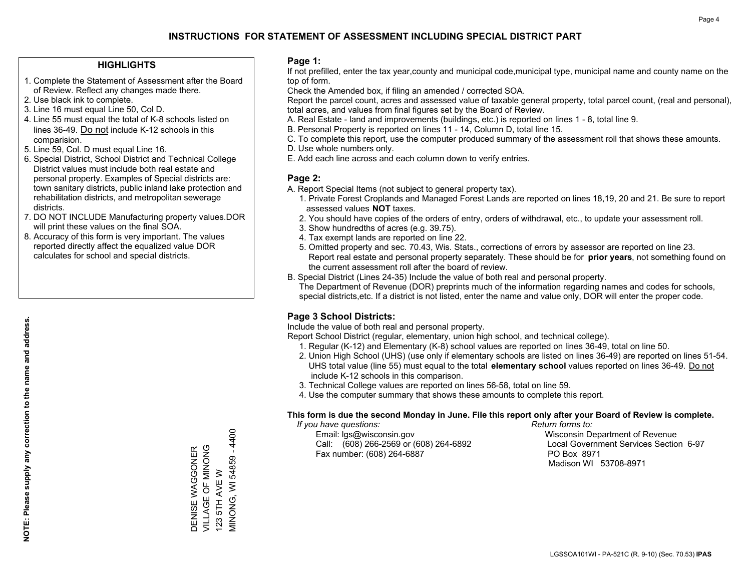## **HIGHLIGHTS**

- 1. Complete the Statement of Assessment after the Board of Review. Reflect any changes made there.
- 2. Use black ink to complete.
- 3. Line 16 must equal Line 50, Col D.
- 4. Line 55 must equal the total of K-8 schools listed on lines 36-49. Do not include K-12 schools in this comparision.
- 5. Line 59, Col. D must equal Line 16.
- 6. Special District, School District and Technical College District values must include both real estate and personal property. Examples of Special districts are: town sanitary districts, public inland lake protection and rehabilitation districts, and metropolitan sewerage districts.
- 7. DO NOT INCLUDE Manufacturing property values.DOR will print these values on the final SOA.
- 8. Accuracy of this form is very important. The values reported directly affect the equalized value DOR calculates for school and special districts.

#### **Page 1:**

 If not prefilled, enter the tax year,county and municipal code,municipal type, municipal name and county name on the top of form.

Check the Amended box, if filing an amended / corrected SOA.

 Report the parcel count, acres and assessed value of taxable general property, total parcel count, (real and personal), total acres, and values from final figures set by the Board of Review.

- A. Real Estate land and improvements (buildings, etc.) is reported on lines 1 8, total line 9.
- B. Personal Property is reported on lines 11 14, Column D, total line 15.
- C. To complete this report, use the computer produced summary of the assessment roll that shows these amounts.
- D. Use whole numbers only.
- E. Add each line across and each column down to verify entries.

#### **Page 2:**

- A. Report Special Items (not subject to general property tax).
- 1. Private Forest Croplands and Managed Forest Lands are reported on lines 18,19, 20 and 21. Be sure to report assessed values **NOT** taxes.
- 2. You should have copies of the orders of entry, orders of withdrawal, etc., to update your assessment roll.
	- 3. Show hundredths of acres (e.g. 39.75).
- 4. Tax exempt lands are reported on line 22.
- 5. Omitted property and sec. 70.43, Wis. Stats., corrections of errors by assessor are reported on line 23. Report real estate and personal property separately. These should be for **prior years**, not something found on the current assessment roll after the board of review.
- B. Special District (Lines 24-35) Include the value of both real and personal property.
- The Department of Revenue (DOR) preprints much of the information regarding names and codes for schools, special districts,etc. If a district is not listed, enter the name and value only, DOR will enter the proper code.

## **Page 3 School Districts:**

Include the value of both real and personal property.

Report School District (regular, elementary, union high school, and technical college).

- 1. Regular (K-12) and Elementary (K-8) school values are reported on lines 36-49, total on line 50.
- 2. Union High School (UHS) (use only if elementary schools are listed on lines 36-49) are reported on lines 51-54. UHS total value (line 55) must equal to the total **elementary school** values reported on lines 36-49. Do notinclude K-12 schools in this comparison.
- 3. Technical College values are reported on lines 56-58, total on line 59.
- 4. Use the computer summary that shows these amounts to complete this report.

#### **This form is due the second Monday in June. File this report only after your Board of Review is complete.**

 *If you have questions: Return forms to:*

 Email: lgs@wisconsin.gov Wisconsin Department of RevenueCall:  $(608)$  266-2569 or  $(608)$  264-6892 Fax number: (608) 264-6887 PO Box 8971

Local Government Services Section 6-97 Madison WI 53708-8971

VIINONG, WI 54859 - 4400 VILLAGE OF MINONG DENISE WAGGONER<br>VILLAGE OF MINONG DENISE WAGGONER 123 5TH AVE W 123 5TH AVE W

MINONG, WI 54859 - 4400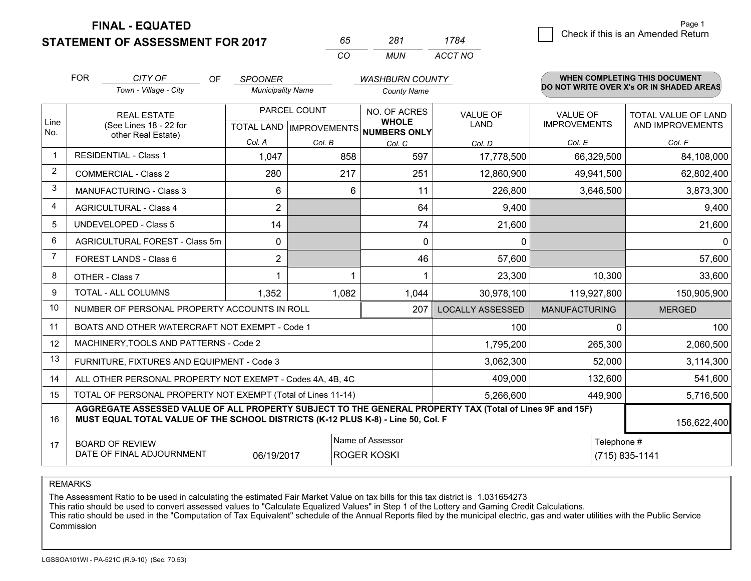**FINAL - EQUATED**

**STATEMENT OF ASSESSMENT FOR 2017** 

| nh.      | ンメイ  | 1784    |
|----------|------|---------|
| $\Gamma$ | MUN. | ACCT NO |

|                | <b>FOR</b>                                                                                                                                                                                   | CITY OF<br>OF.                                               | <b>SPOONER</b>           |                                           | <b>WASHBURN COUNTY</b>                       |                         |                                        | <b>WHEN COMPLETING THIS DOCUMENT</b>     |
|----------------|----------------------------------------------------------------------------------------------------------------------------------------------------------------------------------------------|--------------------------------------------------------------|--------------------------|-------------------------------------------|----------------------------------------------|-------------------------|----------------------------------------|------------------------------------------|
|                |                                                                                                                                                                                              | Town - Village - City                                        | <b>Municipality Name</b> |                                           | <b>County Name</b>                           |                         |                                        | DO NOT WRITE OVER X's OR IN SHADED AREAS |
| Line<br>No.    |                                                                                                                                                                                              | <b>REAL ESTATE</b><br>(See Lines 18 - 22 for                 |                          | PARCEL COUNT<br>TOTAL LAND   IMPROVEMENTS | NO. OF ACRES<br><b>WHOLE</b><br>NUMBERS ONLY | VALUE OF<br><b>LAND</b> | <b>VALUE OF</b><br><b>IMPROVEMENTS</b> | TOTAL VALUE OF LAND<br>AND IMPROVEMENTS  |
|                |                                                                                                                                                                                              | other Real Estate)                                           | Col. A                   | Col. B                                    | Col. C                                       | Col. D                  | Col. E                                 | Col. F                                   |
| $\mathbf 1$    |                                                                                                                                                                                              | <b>RESIDENTIAL - Class 1</b>                                 | 1,047                    | 858                                       | 597                                          | 17,778,500              | 66,329,500                             | 84,108,000                               |
| 2              |                                                                                                                                                                                              | <b>COMMERCIAL - Class 2</b>                                  | 280                      | 217                                       | 251                                          | 12,860,900              | 49,941,500                             | 62,802,400                               |
| 3              |                                                                                                                                                                                              | MANUFACTURING - Class 3                                      | 6                        | 6                                         | 11                                           | 226,800                 | 3,646,500                              | 3,873,300                                |
| 4              |                                                                                                                                                                                              | <b>AGRICULTURAL - Class 4</b>                                | $\overline{2}$           |                                           | 64                                           | 9,400                   |                                        | 9,400                                    |
| 5              |                                                                                                                                                                                              | <b>UNDEVELOPED - Class 5</b>                                 | 14                       |                                           | 74                                           | 21,600                  |                                        | 21,600                                   |
| 6              |                                                                                                                                                                                              | AGRICULTURAL FOREST - Class 5m                               | $\mathbf{0}$             |                                           | $\Omega$                                     | 0                       |                                        | $\mathbf 0$                              |
| $\overline{7}$ |                                                                                                                                                                                              | FOREST LANDS - Class 6                                       | 2                        |                                           | 46                                           | 57,600                  |                                        | 57,600                                   |
| 8              |                                                                                                                                                                                              | OTHER - Class 7                                              | 1                        |                                           |                                              | 23,300                  | 10,300                                 | 33,600                                   |
| 9              |                                                                                                                                                                                              | TOTAL - ALL COLUMNS                                          | 1,352                    | 1,082                                     | 1,044                                        | 30,978,100              | 119,927,800                            | 150,905,900                              |
| 10             |                                                                                                                                                                                              | NUMBER OF PERSONAL PROPERTY ACCOUNTS IN ROLL                 |                          |                                           | 207                                          | <b>LOCALLY ASSESSED</b> | <b>MANUFACTURING</b>                   | <b>MERGED</b>                            |
| 11             |                                                                                                                                                                                              | BOATS AND OTHER WATERCRAFT NOT EXEMPT - Code 1               |                          |                                           |                                              | 100                     | $\Omega$                               | 100                                      |
| 12             |                                                                                                                                                                                              | MACHINERY, TOOLS AND PATTERNS - Code 2                       |                          |                                           |                                              | 1,795,200               | 265,300                                | 2,060,500                                |
| 13             |                                                                                                                                                                                              | FURNITURE, FIXTURES AND EQUIPMENT - Code 3                   |                          |                                           |                                              | 3,062,300               | 52,000                                 | 3,114,300                                |
| 14             |                                                                                                                                                                                              | ALL OTHER PERSONAL PROPERTY NOT EXEMPT - Codes 4A, 4B, 4C    |                          |                                           |                                              | 409,000                 | 132,600                                | 541,600                                  |
| 15             |                                                                                                                                                                                              | TOTAL OF PERSONAL PROPERTY NOT EXEMPT (Total of Lines 11-14) |                          |                                           |                                              | 5,266,600               | 449,900                                | 5,716,500                                |
| 16             | AGGREGATE ASSESSED VALUE OF ALL PROPERTY SUBJECT TO THE GENERAL PROPERTY TAX (Total of Lines 9F and 15F)<br>MUST EQUAL TOTAL VALUE OF THE SCHOOL DISTRICTS (K-12 PLUS K-8) - Line 50, Col. F |                                                              |                          |                                           |                                              |                         | 156,622,400                            |                                          |
| 17             | Name of Assessor<br>Telephone #<br><b>BOARD OF REVIEW</b><br>DATE OF FINAL ADJOURNMENT<br>(715) 835-1141<br>06/19/2017<br><b>ROGER KOSKI</b>                                                 |                                                              |                          |                                           |                                              |                         |                                        |                                          |

REMARKS

The Assessment Ratio to be used in calculating the estimated Fair Market Value on tax bills for this tax district is 1.031654273<br>This ratio should be used to convert assessed values to "Calculate Equalized Values" in Step Commission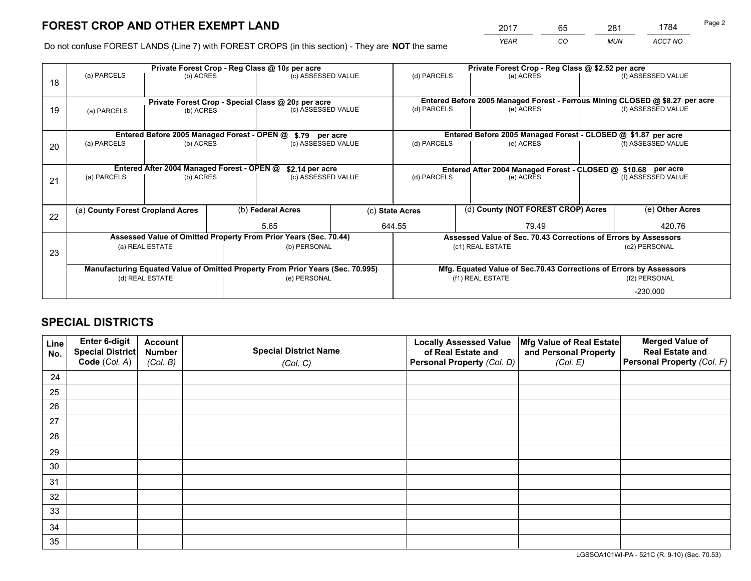*YEAR CO MUN ACCT NO* <sup>2017</sup> <sup>65</sup> <sup>281</sup> <sup>1784</sup>

Do not confuse FOREST LANDS (Line 7) with FOREST CROPS (in this section) - They are **NOT** the same

|    |                                                                                |                                             |  | Private Forest Crop - Reg Class @ 10¢ per acre                   |                                                                                  | Private Forest Crop - Reg Class @ \$2.52 per acre                            |  |                                                                 |                    |                    |
|----|--------------------------------------------------------------------------------|---------------------------------------------|--|------------------------------------------------------------------|----------------------------------------------------------------------------------|------------------------------------------------------------------------------|--|-----------------------------------------------------------------|--------------------|--------------------|
| 18 | (a) PARCELS                                                                    | (b) ACRES                                   |  | (c) ASSESSED VALUE                                               |                                                                                  | (d) PARCELS                                                                  |  | (e) ACRES                                                       |                    | (f) ASSESSED VALUE |
|    |                                                                                |                                             |  |                                                                  |                                                                                  |                                                                              |  |                                                                 |                    |                    |
|    | Private Forest Crop - Special Class @ 20¢ per acre                             |                                             |  |                                                                  |                                                                                  | Entered Before 2005 Managed Forest - Ferrous Mining CLOSED @ \$8.27 per acre |  |                                                                 |                    |                    |
| 19 | (b) ACRES<br>(a) PARCELS                                                       |                                             |  | (c) ASSESSED VALUE                                               |                                                                                  | (d) PARCELS                                                                  |  | (e) ACRES                                                       |                    | (f) ASSESSED VALUE |
|    |                                                                                |                                             |  |                                                                  |                                                                                  |                                                                              |  |                                                                 |                    |                    |
|    |                                                                                | Entered Before 2005 Managed Forest - OPEN @ |  | \$.79 per acre                                                   |                                                                                  |                                                                              |  | Entered Before 2005 Managed Forest - CLOSED @ \$1.87 per acre   |                    |                    |
| 20 | (a) PARCELS                                                                    | (b) ACRES                                   |  | (c) ASSESSED VALUE                                               |                                                                                  | (d) PARCELS                                                                  |  | (e) ACRES                                                       |                    | (f) ASSESSED VALUE |
|    |                                                                                |                                             |  |                                                                  |                                                                                  |                                                                              |  |                                                                 |                    |                    |
|    | Entered After 2004 Managed Forest - OPEN @                                     |                                             |  |                                                                  | \$2.14 per acre<br>Entered After 2004 Managed Forest - CLOSED @ \$10.68 per acre |                                                                              |  |                                                                 |                    |                    |
| 21 | (a) PARCELS                                                                    | (b) ACRES                                   |  | (c) ASSESSED VALUE                                               |                                                                                  | (d) PARCELS<br>(e) ACRES                                                     |  |                                                                 | (f) ASSESSED VALUE |                    |
|    |                                                                                |                                             |  |                                                                  |                                                                                  |                                                                              |  |                                                                 |                    |                    |
|    |                                                                                |                                             |  |                                                                  |                                                                                  |                                                                              |  |                                                                 |                    |                    |
| 22 | (a) County Forest Cropland Acres                                               |                                             |  | (b) Federal Acres                                                |                                                                                  | (c) State Acres                                                              |  | (d) County (NOT FOREST CROP) Acres                              |                    | (e) Other Acres    |
|    |                                                                                |                                             |  | 5.65                                                             |                                                                                  | 644.55<br>79.49                                                              |  |                                                                 |                    | 420.76             |
|    |                                                                                |                                             |  | Assessed Value of Omitted Property From Prior Years (Sec. 70.44) |                                                                                  |                                                                              |  | Assessed Value of Sec. 70.43 Corrections of Errors by Assessors |                    |                    |
| 23 |                                                                                | (a) REAL ESTATE                             |  | (b) PERSONAL                                                     |                                                                                  |                                                                              |  | (c1) REAL ESTATE                                                |                    | (c2) PERSONAL      |
|    |                                                                                |                                             |  |                                                                  |                                                                                  |                                                                              |  |                                                                 |                    |                    |
|    | Manufacturing Equated Value of Omitted Property From Prior Years (Sec. 70.995) |                                             |  |                                                                  |                                                                                  | Mfg. Equated Value of Sec.70.43 Corrections of Errors by Assessors           |  |                                                                 |                    |                    |
|    |                                                                                | (d) REAL ESTATE                             |  | (e) PERSONAL                                                     |                                                                                  |                                                                              |  | (f1) REAL ESTATE                                                | (f2) PERSONAL      |                    |
|    |                                                                                |                                             |  |                                                                  |                                                                                  |                                                                              |  |                                                                 |                    | $-230,000$         |

## **SPECIAL DISTRICTS**

| Line<br>No. | Enter 6-digit<br><b>Special District</b> | <b>Account</b><br><b>Number</b> | <b>Special District Name</b> | <b>Locally Assessed Value</b><br>of Real Estate and | Mfg Value of Real Estate<br>and Personal Property | <b>Merged Value of</b><br><b>Real Estate and</b> |
|-------------|------------------------------------------|---------------------------------|------------------------------|-----------------------------------------------------|---------------------------------------------------|--------------------------------------------------|
|             | Code (Col. A)                            | (Col. B)                        | (Col. C)                     | Personal Property (Col. D)                          | (Col. E)                                          | Personal Property (Col. F)                       |
| 24          |                                          |                                 |                              |                                                     |                                                   |                                                  |
| 25          |                                          |                                 |                              |                                                     |                                                   |                                                  |
| 26          |                                          |                                 |                              |                                                     |                                                   |                                                  |
| 27          |                                          |                                 |                              |                                                     |                                                   |                                                  |
| 28          |                                          |                                 |                              |                                                     |                                                   |                                                  |
| 29          |                                          |                                 |                              |                                                     |                                                   |                                                  |
| 30          |                                          |                                 |                              |                                                     |                                                   |                                                  |
| 31          |                                          |                                 |                              |                                                     |                                                   |                                                  |
| 32          |                                          |                                 |                              |                                                     |                                                   |                                                  |
| 33          |                                          |                                 |                              |                                                     |                                                   |                                                  |
| 34          |                                          |                                 |                              |                                                     |                                                   |                                                  |
| 35          |                                          |                                 |                              |                                                     |                                                   |                                                  |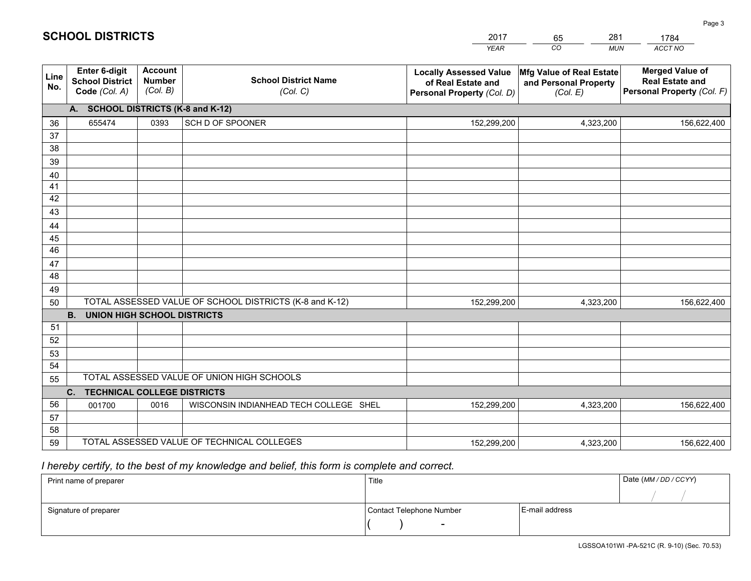|             |                                                                 |                                             |                                                         | <b>YEAR</b>                                                                       | CO<br><b>MUN</b>                                              | ACCT NO                                                                        |  |  |  |  |
|-------------|-----------------------------------------------------------------|---------------------------------------------|---------------------------------------------------------|-----------------------------------------------------------------------------------|---------------------------------------------------------------|--------------------------------------------------------------------------------|--|--|--|--|
| Line<br>No. | <b>Enter 6-digit</b><br><b>School District</b><br>Code (Col. A) | <b>Account</b><br><b>Number</b><br>(Col. B) | <b>School District Name</b><br>(Col. C)                 | <b>Locally Assessed Value</b><br>of Real Estate and<br>Personal Property (Col. D) | Mfg Value of Real Estate<br>and Personal Property<br>(Col. E) | <b>Merged Value of</b><br><b>Real Estate and</b><br>Personal Property (Col. F) |  |  |  |  |
|             | A. SCHOOL DISTRICTS (K-8 and K-12)                              |                                             |                                                         |                                                                                   |                                                               |                                                                                |  |  |  |  |
| 36          | 655474                                                          | 0393                                        | SCH D OF SPOONER                                        | 152,299,200                                                                       | 4,323,200                                                     | 156,622,400                                                                    |  |  |  |  |
| 37          |                                                                 |                                             |                                                         |                                                                                   |                                                               |                                                                                |  |  |  |  |
| 38          |                                                                 |                                             |                                                         |                                                                                   |                                                               |                                                                                |  |  |  |  |
| 39          |                                                                 |                                             |                                                         |                                                                                   |                                                               |                                                                                |  |  |  |  |
| 40          |                                                                 |                                             |                                                         |                                                                                   |                                                               |                                                                                |  |  |  |  |
| 41<br>42    |                                                                 |                                             |                                                         |                                                                                   |                                                               |                                                                                |  |  |  |  |
| 43          |                                                                 |                                             |                                                         |                                                                                   |                                                               |                                                                                |  |  |  |  |
| 44          |                                                                 |                                             |                                                         |                                                                                   |                                                               |                                                                                |  |  |  |  |
| 45          |                                                                 |                                             |                                                         |                                                                                   |                                                               |                                                                                |  |  |  |  |
| 46          |                                                                 |                                             |                                                         |                                                                                   |                                                               |                                                                                |  |  |  |  |
| 47          |                                                                 |                                             |                                                         |                                                                                   |                                                               |                                                                                |  |  |  |  |
| 48          |                                                                 |                                             |                                                         |                                                                                   |                                                               |                                                                                |  |  |  |  |
| 49          |                                                                 |                                             |                                                         |                                                                                   |                                                               |                                                                                |  |  |  |  |
| 50          |                                                                 |                                             | TOTAL ASSESSED VALUE OF SCHOOL DISTRICTS (K-8 and K-12) | 152,299,200                                                                       | 4,323,200                                                     | 156,622,400                                                                    |  |  |  |  |
|             | <b>B. UNION HIGH SCHOOL DISTRICTS</b>                           |                                             |                                                         |                                                                                   |                                                               |                                                                                |  |  |  |  |
| 51          |                                                                 |                                             |                                                         |                                                                                   |                                                               |                                                                                |  |  |  |  |
| 52          |                                                                 |                                             |                                                         |                                                                                   |                                                               |                                                                                |  |  |  |  |
| 53<br>54    |                                                                 |                                             |                                                         |                                                                                   |                                                               |                                                                                |  |  |  |  |
| 55          |                                                                 |                                             | TOTAL ASSESSED VALUE OF UNION HIGH SCHOOLS              |                                                                                   |                                                               |                                                                                |  |  |  |  |
|             | C.<br><b>TECHNICAL COLLEGE DISTRICTS</b>                        |                                             |                                                         |                                                                                   |                                                               |                                                                                |  |  |  |  |
| 56          | 001700                                                          | 0016                                        | WISCONSIN INDIANHEAD TECH COLLEGE SHEL                  | 152,299,200                                                                       | 4,323,200                                                     | 156,622,400                                                                    |  |  |  |  |
| 57          |                                                                 |                                             |                                                         |                                                                                   |                                                               |                                                                                |  |  |  |  |
| 58          |                                                                 |                                             |                                                         |                                                                                   |                                                               |                                                                                |  |  |  |  |
| 59          |                                                                 |                                             | TOTAL ASSESSED VALUE OF TECHNICAL COLLEGES              | 152,299,200                                                                       | 4,323,200                                                     | 156,622,400                                                                    |  |  |  |  |

65

281

 *I hereby certify, to the best of my knowledge and belief, this form is complete and correct.*

**SCHOOL DISTRICTS**

| Print name of preparer | Title                    |                | Date (MM / DD / CCYY) |
|------------------------|--------------------------|----------------|-----------------------|
|                        |                          |                |                       |
| Signature of preparer  | Contact Telephone Number | E-mail address |                       |
|                        | $\sim$                   |                |                       |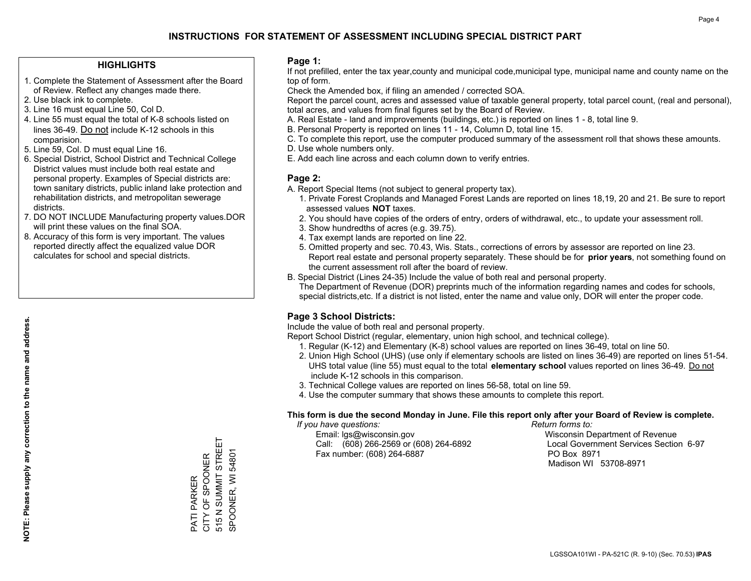## **HIGHLIGHTS**

- 1. Complete the Statement of Assessment after the Board of Review. Reflect any changes made there.
- 2. Use black ink to complete.
- 3. Line 16 must equal Line 50, Col D.
- 4. Line 55 must equal the total of K-8 schools listed on lines 36-49. Do not include K-12 schools in this comparision.
- 5. Line 59, Col. D must equal Line 16.
- 6. Special District, School District and Technical College District values must include both real estate and personal property. Examples of Special districts are: town sanitary districts, public inland lake protection and rehabilitation districts, and metropolitan sewerage districts.
- 7. DO NOT INCLUDE Manufacturing property values.DOR will print these values on the final SOA.

PATI PARKER CITY OF SPOONER 515 N SUMMIT STREET SPOONER, WI 54801

PATI PARKER<br>CITY OF SPOONER

515 N SUMMIT STREET SPOONER, WI 54801

 8. Accuracy of this form is very important. The values reported directly affect the equalized value DOR calculates for school and special districts.

#### **Page 1:**

 If not prefilled, enter the tax year,county and municipal code,municipal type, municipal name and county name on the top of form.

Check the Amended box, if filing an amended / corrected SOA.

 Report the parcel count, acres and assessed value of taxable general property, total parcel count, (real and personal), total acres, and values from final figures set by the Board of Review.

- A. Real Estate land and improvements (buildings, etc.) is reported on lines 1 8, total line 9.
- B. Personal Property is reported on lines 11 14, Column D, total line 15.
- C. To complete this report, use the computer produced summary of the assessment roll that shows these amounts.
- D. Use whole numbers only.
- E. Add each line across and each column down to verify entries.

## **Page 2:**

- A. Report Special Items (not subject to general property tax).
- 1. Private Forest Croplands and Managed Forest Lands are reported on lines 18,19, 20 and 21. Be sure to report assessed values **NOT** taxes.
- 2. You should have copies of the orders of entry, orders of withdrawal, etc., to update your assessment roll.
	- 3. Show hundredths of acres (e.g. 39.75).
- 4. Tax exempt lands are reported on line 22.
- 5. Omitted property and sec. 70.43, Wis. Stats., corrections of errors by assessor are reported on line 23. Report real estate and personal property separately. These should be for **prior years**, not something found on the current assessment roll after the board of review.
- B. Special District (Lines 24-35) Include the value of both real and personal property.

 The Department of Revenue (DOR) preprints much of the information regarding names and codes for schools, special districts,etc. If a district is not listed, enter the name and value only, DOR will enter the proper code.

## **Page 3 School Districts:**

Include the value of both real and personal property.

Report School District (regular, elementary, union high school, and technical college).

- 1. Regular (K-12) and Elementary (K-8) school values are reported on lines 36-49, total on line 50.
- 2. Union High School (UHS) (use only if elementary schools are listed on lines 36-49) are reported on lines 51-54. UHS total value (line 55) must equal to the total **elementary school** values reported on lines 36-49. Do notinclude K-12 schools in this comparison.
- 3. Technical College values are reported on lines 56-58, total on line 59.
- 4. Use the computer summary that shows these amounts to complete this report.

#### **This form is due the second Monday in June. File this report only after your Board of Review is complete.**

 *If you have questions: Return forms to:*

 Email: lgs@wisconsin.gov Wisconsin Department of RevenueCall:  $(608)$  266-2569 or  $(608)$  264-6892 Fax number: (608) 264-6887 PO Box 8971

Local Government Services Section 6-97

Madison WI 53708-8971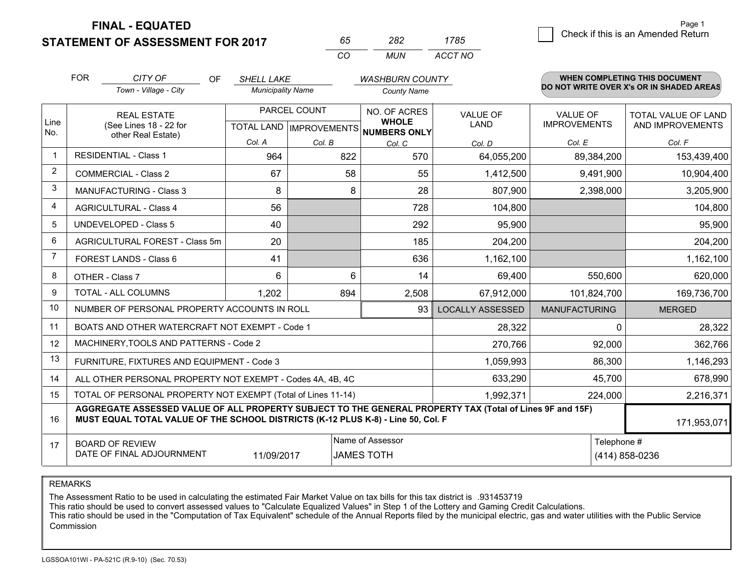**FINAL - EQUATED**

**STATEMENT OF ASSESSMENT FOR 2017** 

| nh.      | ツメツ | 1785.   |
|----------|-----|---------|
| $\cdots$ | MUN | ACCT NO |

|                | <b>FOR</b>                                                                                                                                                                                   | CITY OF<br>OF                                  | <b>SHELL LAKE</b>                                        |        | <b>WASHBURN COUNTY</b>       |                                |                                 | <b>WHEN COMPLETING THIS DOCUMENT</b>     |
|----------------|----------------------------------------------------------------------------------------------------------------------------------------------------------------------------------------------|------------------------------------------------|----------------------------------------------------------|--------|------------------------------|--------------------------------|---------------------------------|------------------------------------------|
|                |                                                                                                                                                                                              | Town - Village - City                          | <b>Municipality Name</b>                                 |        | <b>County Name</b>           |                                |                                 | DO NOT WRITE OVER X's OR IN SHADED AREAS |
| Line<br>No.    | <b>REAL ESTATE</b><br>(See Lines 18 - 22 for                                                                                                                                                 |                                                | PARCEL COUNT<br>TOTAL LAND   IMPROVEMENTS   NUMBERS ONLY |        | NO. OF ACRES<br><b>WHOLE</b> | <b>VALUE OF</b><br><b>LAND</b> | VALUE OF<br><b>IMPROVEMENTS</b> | TOTAL VALUE OF LAND<br>AND IMPROVEMENTS  |
|                |                                                                                                                                                                                              | other Real Estate)                             | Col. A                                                   | Col. B | Col. C                       | Col. D                         | Col. E                          | Col. F                                   |
| -1             |                                                                                                                                                                                              | <b>RESIDENTIAL - Class 1</b>                   | 964                                                      | 822    | 570                          | 64,055,200                     | 89,384,200                      | 153,439,400                              |
| 2              |                                                                                                                                                                                              | <b>COMMERCIAL - Class 2</b>                    | 67                                                       | 58     | 55                           | 1,412,500                      | 9,491,900                       | 10,904,400                               |
| 3              |                                                                                                                                                                                              | <b>MANUFACTURING - Class 3</b>                 | 8                                                        | 8      | 28                           | 807,900                        | 2,398,000                       | 3,205,900                                |
| 4              |                                                                                                                                                                                              | <b>AGRICULTURAL - Class 4</b>                  | 56                                                       |        | 728                          | 104,800                        |                                 | 104,800                                  |
| 5              |                                                                                                                                                                                              | <b>UNDEVELOPED - Class 5</b>                   | 40                                                       |        | 292                          | 95,900                         |                                 | 95,900                                   |
| 6              |                                                                                                                                                                                              | AGRICULTURAL FOREST - Class 5m                 | 20                                                       |        | 185                          | 204,200                        |                                 | 204,200                                  |
| $\overline{7}$ |                                                                                                                                                                                              | FOREST LANDS - Class 6                         | 41                                                       |        | 636                          | 1,162,100                      |                                 | 1,162,100                                |
| 8              |                                                                                                                                                                                              | OTHER - Class 7                                | 6                                                        | 6      | 14                           | 69,400                         | 550,600                         | 620,000                                  |
| 9              | TOTAL - ALL COLUMNS                                                                                                                                                                          |                                                | 1,202                                                    | 894    | 2,508                        | 67,912,000                     | 101,824,700                     | 169,736,700                              |
| 10             |                                                                                                                                                                                              | NUMBER OF PERSONAL PROPERTY ACCOUNTS IN ROLL   |                                                          |        | <b>LOCALLY ASSESSED</b>      | <b>MANUFACTURING</b>           | <b>MERGED</b>                   |                                          |
| 11             |                                                                                                                                                                                              | BOATS AND OTHER WATERCRAFT NOT EXEMPT - Code 1 |                                                          |        |                              | 28,322                         | $\Omega$                        | 28,322                                   |
| 12             |                                                                                                                                                                                              | MACHINERY, TOOLS AND PATTERNS - Code 2         |                                                          |        |                              | 270,766                        | 92,000                          | 362,766                                  |
| 13             |                                                                                                                                                                                              | FURNITURE, FIXTURES AND EQUIPMENT - Code 3     |                                                          |        |                              | 1,059,993                      | 86,300                          | 1,146,293                                |
| 14             | ALL OTHER PERSONAL PROPERTY NOT EXEMPT - Codes 4A, 4B, 4C                                                                                                                                    |                                                |                                                          |        |                              |                                | 45,700                          | 678,990                                  |
| 15             | TOTAL OF PERSONAL PROPERTY NOT EXEMPT (Total of Lines 11-14)<br>1,992,371                                                                                                                    |                                                |                                                          |        |                              |                                | 224,000                         | 2,216,371                                |
| 16             | AGGREGATE ASSESSED VALUE OF ALL PROPERTY SUBJECT TO THE GENERAL PROPERTY TAX (Total of Lines 9F and 15F)<br>MUST EQUAL TOTAL VALUE OF THE SCHOOL DISTRICTS (K-12 PLUS K-8) - Line 50, Col. F |                                                |                                                          |        |                              |                                | 171,953,071                     |                                          |
| 17             | Name of Assessor<br><b>BOARD OF REVIEW</b><br>DATE OF FINAL ADJOURNMENT<br>11/09/2017<br><b>JAMES TOTH</b>                                                                                   |                                                |                                                          |        |                              | Telephone #                    | (414) 858-0236                  |                                          |

REMARKS

The Assessment Ratio to be used in calculating the estimated Fair Market Value on tax bills for this tax district is .931453719<br>This ratio should be used to convert assessed values to "Calculate Equalized Values" in Step 1 Commission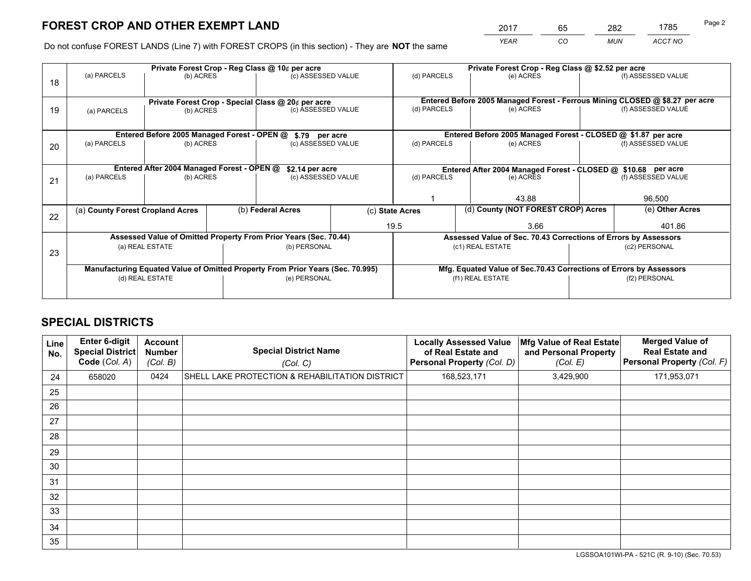*YEAR CO MUN ACCT NO* <sup>2017</sup> <sup>65</sup> <sup>282</sup> <sup>1785</sup>

Do not confuse FOREST LANDS (Line 7) with FOREST CROPS (in this section) - They are **NOT** the same

|    | Private Forest Crop - Reg Class @ 10¢ per acre                                 |                                            |  |                                                    |                 | Private Forest Crop - Reg Class @ \$2.52 per acre                  |                                                                              |                    |                    |  |
|----|--------------------------------------------------------------------------------|--------------------------------------------|--|----------------------------------------------------|-----------------|--------------------------------------------------------------------|------------------------------------------------------------------------------|--------------------|--------------------|--|
| 18 | (a) PARCELS                                                                    | (b) ACRES                                  |  | (c) ASSESSED VALUE                                 |                 | (d) PARCELS                                                        | (e) ACRES                                                                    |                    | (f) ASSESSED VALUE |  |
|    |                                                                                |                                            |  | Private Forest Crop - Special Class @ 20¢ per acre |                 |                                                                    | Entered Before 2005 Managed Forest - Ferrous Mining CLOSED @ \$8.27 per acre |                    |                    |  |
| 19 | (a) PARCELS                                                                    | (b) ACRES                                  |  | (c) ASSESSED VALUE                                 |                 | (d) PARCELS                                                        | (e) ACRES                                                                    |                    | (f) ASSESSED VALUE |  |
|    |                                                                                |                                            |  |                                                    |                 |                                                                    | Entered Before 2005 Managed Forest - CLOSED @ \$1.87 per acre                |                    |                    |  |
| 20 | Entered Before 2005 Managed Forest - OPEN @<br>(a) PARCELS<br>(b) ACRES        |                                            |  | \$.79 per acre<br>(c) ASSESSED VALUE               |                 | (d) PARCELS<br>(e) ACRES                                           |                                                                              | (f) ASSESSED VALUE |                    |  |
|    |                                                                                | Entered After 2004 Managed Forest - OPEN @ |  | \$2.14 per acre                                    |                 | Entered After 2004 Managed Forest - CLOSED @ \$10.68 per acre      |                                                                              |                    |                    |  |
| 21 | (a) PARCELS                                                                    | (b) ACRES                                  |  | (c) ASSESSED VALUE                                 |                 | (d) PARCELS                                                        | (e) ACRES                                                                    |                    |                    |  |
|    |                                                                                |                                            |  |                                                    |                 | 43.88                                                              |                                                                              |                    | 96,500             |  |
| 22 | (a) County Forest Cropland Acres                                               |                                            |  | (b) Federal Acres                                  | (c) State Acres |                                                                    | (d) County (NOT FOREST CROP) Acres                                           |                    | (e) Other Acres    |  |
|    |                                                                                |                                            |  |                                                    | 19.5            |                                                                    | 3.66                                                                         |                    |                    |  |
|    | Assessed Value of Omitted Property From Prior Years (Sec. 70.44)               |                                            |  |                                                    |                 | Assessed Value of Sec. 70.43 Corrections of Errors by Assessors    |                                                                              |                    |                    |  |
| 23 | (a) REAL ESTATE                                                                |                                            |  | (b) PERSONAL                                       |                 | (c1) REAL ESTATE                                                   |                                                                              | (c2) PERSONAL      |                    |  |
|    | Manufacturing Equated Value of Omitted Property From Prior Years (Sec. 70.995) |                                            |  |                                                    |                 | Mfg. Equated Value of Sec.70.43 Corrections of Errors by Assessors |                                                                              |                    |                    |  |
|    | (d) REAL ESTATE                                                                |                                            |  | (e) PERSONAL                                       |                 | (f1) REAL ESTATE                                                   |                                                                              | (f2) PERSONAL      |                    |  |
|    |                                                                                |                                            |  |                                                    |                 |                                                                    |                                                                              |                    |                    |  |

## **SPECIAL DISTRICTS**

| Line<br>No. | Enter 6-digit<br><b>Special District</b><br>Code (Col. A) | <b>Account</b><br><b>Number</b><br>(Col. B) | <b>Special District Name</b><br>(Col. C)        | <b>Locally Assessed Value</b><br>of Real Estate and<br><b>Personal Property (Col. D)</b> | Mfg Value of Real Estate<br>and Personal Property<br>(Col. E) | <b>Merged Value of</b><br><b>Real Estate and</b><br>Personal Property (Col. F) |
|-------------|-----------------------------------------------------------|---------------------------------------------|-------------------------------------------------|------------------------------------------------------------------------------------------|---------------------------------------------------------------|--------------------------------------------------------------------------------|
| 24          | 658020                                                    | 0424                                        | SHELL LAKE PROTECTION & REHABILITATION DISTRICT | 168,523,171                                                                              | 3,429,900                                                     | 171,953,071                                                                    |
| 25          |                                                           |                                             |                                                 |                                                                                          |                                                               |                                                                                |
| 26          |                                                           |                                             |                                                 |                                                                                          |                                                               |                                                                                |
| 27          |                                                           |                                             |                                                 |                                                                                          |                                                               |                                                                                |
| 28          |                                                           |                                             |                                                 |                                                                                          |                                                               |                                                                                |
| 29          |                                                           |                                             |                                                 |                                                                                          |                                                               |                                                                                |
| 30          |                                                           |                                             |                                                 |                                                                                          |                                                               |                                                                                |
| 31          |                                                           |                                             |                                                 |                                                                                          |                                                               |                                                                                |
| 32          |                                                           |                                             |                                                 |                                                                                          |                                                               |                                                                                |
| 33          |                                                           |                                             |                                                 |                                                                                          |                                                               |                                                                                |
| 34          |                                                           |                                             |                                                 |                                                                                          |                                                               |                                                                                |
| 35          |                                                           |                                             |                                                 |                                                                                          |                                                               |                                                                                |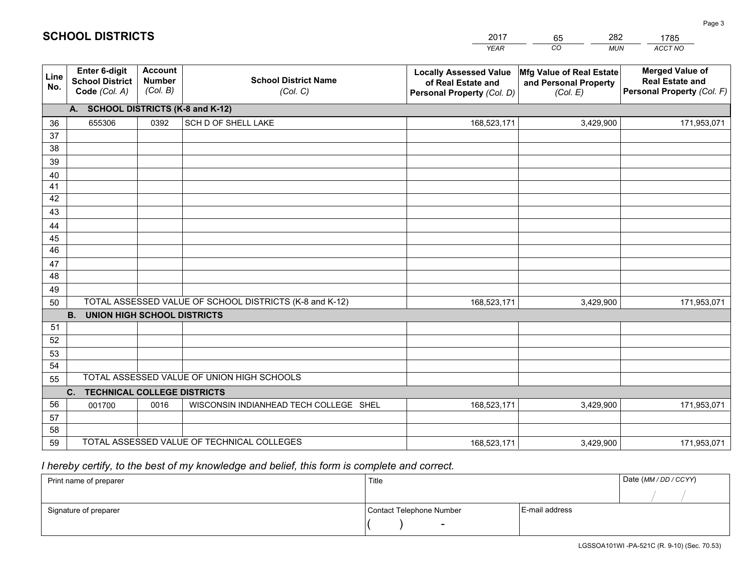|             |                                                                 |                                             |                                                         | <b>YEAR</b>                                                                       | CO<br><b>MUN</b>                                              | ACCT NO                                                                        |  |  |  |  |
|-------------|-----------------------------------------------------------------|---------------------------------------------|---------------------------------------------------------|-----------------------------------------------------------------------------------|---------------------------------------------------------------|--------------------------------------------------------------------------------|--|--|--|--|
| Line<br>No. | <b>Enter 6-digit</b><br><b>School District</b><br>Code (Col. A) | <b>Account</b><br><b>Number</b><br>(Col. B) | <b>School District Name</b><br>(Col. C)                 | <b>Locally Assessed Value</b><br>of Real Estate and<br>Personal Property (Col. D) | Mfg Value of Real Estate<br>and Personal Property<br>(Col. E) | <b>Merged Value of</b><br><b>Real Estate and</b><br>Personal Property (Col. F) |  |  |  |  |
|             | A. SCHOOL DISTRICTS (K-8 and K-12)                              |                                             |                                                         |                                                                                   |                                                               |                                                                                |  |  |  |  |
| 36          | 655306                                                          | 0392                                        | SCH D OF SHELL LAKE                                     | 168,523,171                                                                       | 3,429,900                                                     | 171,953,071                                                                    |  |  |  |  |
| 37          |                                                                 |                                             |                                                         |                                                                                   |                                                               |                                                                                |  |  |  |  |
| 38          |                                                                 |                                             |                                                         |                                                                                   |                                                               |                                                                                |  |  |  |  |
| 39          |                                                                 |                                             |                                                         |                                                                                   |                                                               |                                                                                |  |  |  |  |
| 40          |                                                                 |                                             |                                                         |                                                                                   |                                                               |                                                                                |  |  |  |  |
| 41<br>42    |                                                                 |                                             |                                                         |                                                                                   |                                                               |                                                                                |  |  |  |  |
| 43          |                                                                 |                                             |                                                         |                                                                                   |                                                               |                                                                                |  |  |  |  |
|             |                                                                 |                                             |                                                         |                                                                                   |                                                               |                                                                                |  |  |  |  |
| 44<br>45    |                                                                 |                                             |                                                         |                                                                                   |                                                               |                                                                                |  |  |  |  |
| 46          |                                                                 |                                             |                                                         |                                                                                   |                                                               |                                                                                |  |  |  |  |
| 47          |                                                                 |                                             |                                                         |                                                                                   |                                                               |                                                                                |  |  |  |  |
| 48          |                                                                 |                                             |                                                         |                                                                                   |                                                               |                                                                                |  |  |  |  |
| 49          |                                                                 |                                             |                                                         |                                                                                   |                                                               |                                                                                |  |  |  |  |
| 50          |                                                                 |                                             | TOTAL ASSESSED VALUE OF SCHOOL DISTRICTS (K-8 and K-12) | 168,523,171                                                                       | 3,429,900                                                     | 171,953,071                                                                    |  |  |  |  |
|             | <b>B.</b><br>UNION HIGH SCHOOL DISTRICTS                        |                                             |                                                         |                                                                                   |                                                               |                                                                                |  |  |  |  |
| 51          |                                                                 |                                             |                                                         |                                                                                   |                                                               |                                                                                |  |  |  |  |
| 52          |                                                                 |                                             |                                                         |                                                                                   |                                                               |                                                                                |  |  |  |  |
| 53          |                                                                 |                                             |                                                         |                                                                                   |                                                               |                                                                                |  |  |  |  |
| 54          |                                                                 |                                             |                                                         |                                                                                   |                                                               |                                                                                |  |  |  |  |
|             | TOTAL ASSESSED VALUE OF UNION HIGH SCHOOLS<br>55                |                                             |                                                         |                                                                                   |                                                               |                                                                                |  |  |  |  |
|             | C.<br><b>TECHNICAL COLLEGE DISTRICTS</b>                        |                                             |                                                         |                                                                                   |                                                               |                                                                                |  |  |  |  |
| 56          | 001700                                                          | 0016                                        | WISCONSIN INDIANHEAD TECH COLLEGE SHEL                  | 168,523,171                                                                       | 3,429,900                                                     | 171,953,071                                                                    |  |  |  |  |
| 57<br>58    |                                                                 |                                             |                                                         |                                                                                   |                                                               |                                                                                |  |  |  |  |
| 59          |                                                                 |                                             | TOTAL ASSESSED VALUE OF TECHNICAL COLLEGES              | 168,523,171                                                                       | 3,429,900                                                     | 171,953,071                                                                    |  |  |  |  |
|             |                                                                 |                                             |                                                         |                                                                                   |                                                               |                                                                                |  |  |  |  |

65

282

 *I hereby certify, to the best of my knowledge and belief, this form is complete and correct.*

**SCHOOL DISTRICTS**

| Print name of preparer | Title                    | Date (MM / DD / CCYY) |  |
|------------------------|--------------------------|-----------------------|--|
|                        |                          |                       |  |
| Signature of preparer  | Contact Telephone Number | E-mail address        |  |
|                        | $\sim$                   |                       |  |